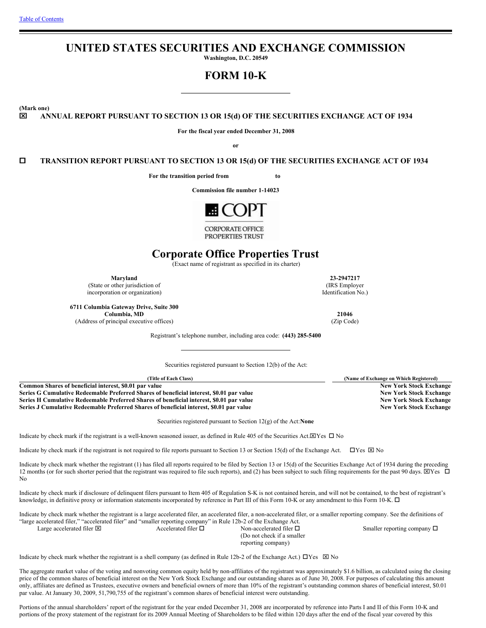# **UNITED STATES SECURITIES AND EXCHANGE COMMISSION**

**Washington, D.C. 20549**

# **FORM 10-K**

**(Mark one)**

x **ANNUAL REPORT PURSUANT TO SECTION 13 OR 15(d) OF THE SECURITIES EXCHANGE ACT OF 1934**

**For the fiscal year ended December 31, 2008**

**or**

o **TRANSITION REPORT PURSUANT TO SECTION 13 OR 15(d) OF THE SECURITIES EXCHANGE ACT OF 1934**

**For the transition period from to**

**Commission file number 1-14023**



**CORPORATE OFFICE** PROPERTIES TRUST

# **Corporate Office Properties Trust**

(Exact name of registrant as specified in its charter)

**Maryland 23-2947217**

(State or other jurisdiction of (IRS Employer incorporation or organization) Identification No.)

**6711 Columbia Gateway Drive, Suite 300 Columbia, MD 21046** (Address of principal executive offices) (Zip Code)

Registrant's telephone number, including area code: **(443) 285-5400**

Securities registered pursuant to Section 12(b) of the Act:

**(Title of Each Class) (Name of Exchange on Which Registered) Common Shares of beneficial interest, \$0.01 par value New York New York New York Stock Exchange Series G Cumulative Redeemable Preferred Shares of beneficial interest, \$0.01 par value New York Stock Exchange Series H** Cumulative Redeemable Preferred Shares of beneficial interest, \$0.01 par value **Series J Cumulative Redeemable Preferred Shares of beneficial interest, \$0.01 par value New York Stock Exchange**

Securities registered pursuant to Section 12(g) of the Act:**None**

Indicate by check mark if the registrant is a well-known seasoned issuer, as defined in Rule 405 of the Securities Act. $\boxtimes$ Yes  $\Box$  No

Indicate by check mark if the registrant is not required to file reports pursuant to Section 13 or Section 15(d) of the Exchange Act.  $\Box$  Yes  $\boxtimes$  No

Indicate by check mark whether the registrant (1) has filed all reports required to be filed by Section 13 or 15(d) of the Securities Exchange Act of 1934 during the preceding 12 months (or for such shorter period that the registrant was required to file such reports), and (2) has been subject to such filing requirements for the past 90 days.  $\Box$  Yes  $\Box$ No

Indicate by check mark if disclosure of delinquent filers pursuant to Item 405 of Regulation S-K is not contained herein, and will not be contained, to the best of registrant's knowledge, in definitive proxy or information statements incorporated by reference in Part III of this Form 10-K or any amendment to this Form 10-K.  $\Box$ 

Indicate by check mark whether the registrant is a large accelerated filer, an accelerated filer, a non-accelerated filer, or a smaller reporting company. See the definitions of "large accelerated filer," "accelerated filer" and "smaller reporting company" in Rule 12b-2 of the Exchange Act. Large accelerated filer  $\boxtimes$  Accelerated filer  $\square$  Non-accelerated filer  $\square$  Smaller reporting company  $\square$ 

(Do not check if a smaller reporting company)

Indicate by check mark whether the registrant is a shell company (as defined in Rule 12b-2 of the Exchange Act.)  $\Box$  Yes  $\boxtimes$  No

The aggregate market value of the voting and nonvoting common equity held by non-affiliates of the registrant was approximately \$1.6 billion, as calculated using the closing price of the common shares of beneficial interest on the New York Stock Exchange and our outstanding shares as of June 30, 2008. For purposes of calculating this amount only, affiliates are defined as Trustees, executive owners and beneficial owners of more than 10% of the registrant's outstanding common shares of beneficial interest, \$0.01 par value. At January 30, 2009, 51,790,755 of the registrant's common shares of beneficial interest were outstanding.

Portions of the annual shareholders' report of the registrant for the year ended December 31, 2008 are incorporated by reference into Parts I and II of this Form 10-K and portions of the proxy statement of the registrant for its 2009 Annual Meeting of Shareholders to be filed within 120 days after the end of the fiscal year covered by this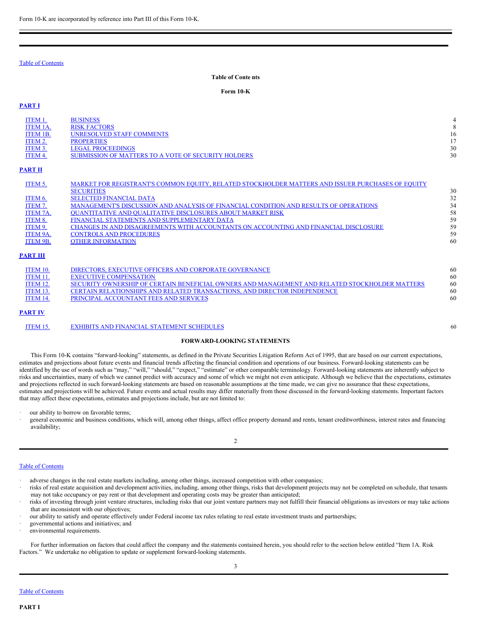### **Table of Conte nts**

#### <span id="page-1-0"></span>**Form 10-K**

### **[PART](#page-1-1) I**

| ITEM 1.<br>ITEM 1A.<br><b>ITEM 1B.</b><br>ITEM 2.<br>ITEM 3.<br>ITEM 4.<br><b>PART II</b> | <b>BUSINESS</b><br><b>RISK FACTORS</b><br><b>UNRESOLVED STAFF COMMENTS</b><br><b>PROPERTIES</b><br><b>LEGAL PROCEEDINGS</b><br>SUBMISSION OF MATTERS TO A VOTE OF SECURITY HOLDERS                                                                                                                                                                                                                                                                                                                                          | 4<br>8<br>16<br>17<br>30<br>30               |
|-------------------------------------------------------------------------------------------|-----------------------------------------------------------------------------------------------------------------------------------------------------------------------------------------------------------------------------------------------------------------------------------------------------------------------------------------------------------------------------------------------------------------------------------------------------------------------------------------------------------------------------|----------------------------------------------|
|                                                                                           |                                                                                                                                                                                                                                                                                                                                                                                                                                                                                                                             |                                              |
| ITEM 5.<br>ITEM 6.<br>ITEM 7.<br>ITEM 7A.<br>ITEM 8.<br>ITEM 9.<br>ITEM 9A.<br>ITEM 9B.   | MARKET FOR REGISTRANT'S COMMON EQUITY, RELATED STOCKHOLDER MATTERS AND ISSUER PURCHASES OF EQUITY<br><b>SECURITIES</b><br><b>SELECTED FINANCIAL DATA</b><br>MANAGEMENT'S DISCUSSION AND ANALYSIS OF FINANCIAL CONDITION AND RESULTS OF OPERATIONS<br><b>OUANTITATIVE AND OUALITATIVE DISCLOSURES ABOUT MARKET RISK</b><br>FINANCIAL STATEMENTS AND SUPPLEMENTARY DATA<br>CHANGES IN AND DISAGREEMENTS WITH ACCOUNTANTS ON ACCOUNTING AND FINANCIAL DISCLOSURE<br><b>CONTROLS AND PROCEDURES</b><br><b>OTHER INFORMATION</b> | 30<br>32<br>34<br>58<br>59<br>59<br>59<br>60 |
| <b>PART III</b>                                                                           |                                                                                                                                                                                                                                                                                                                                                                                                                                                                                                                             |                                              |
| ITEM 10.<br><b>ITEM 11.</b><br><b>ITEM 12.</b><br><b>ITEM 13.</b><br><b>ITEM 14.</b>      | DIRECTORS, EXECUTIVE OFFICERS AND CORPORATE GOVERNANCE<br><b>EXECUTIVE COMPENSATION</b><br>SECURITY OWNERSHIP OF CERTAIN BENEFICIAL OWNERS AND MANAGEMENT AND RELATED STOCKHOLDER MATTERS<br>CERTAIN RELATIONSHIPS AND RELATED TRANSACTIONS, AND DIRECTOR INDEPENDENCE<br>PRINCIPAL ACCOUNTANT FEES AND SERVICES                                                                                                                                                                                                            | 60<br>60<br>60<br>60<br>60                   |
| <b>PART IV</b>                                                                            |                                                                                                                                                                                                                                                                                                                                                                                                                                                                                                                             |                                              |

[ITEM](#page-38-4) 15. EXHIBITS AND FINANCIAL [STATEMENT](#page-38-4) SCHEDULES 60

### **FORWARD-LOOKING STATEMENTS**

This Form 10-K contains "forward-looking" statements, as defined in the Private Securities Litigation Reform Act of 1995, that are based on our current expectations, estimates and projections about future events and financial trends affecting the financial condition and operations of our business. Forward-looking statements can be identified by the use of words such as "may," "will," "should," "expect," "estimate" or other comparable terminology. Forward-looking statements are inherently subject to risks and uncertainties, many of which we cannot predict with accuracy and some of which we might not even anticipate. Although we believe that the expectations, estimates and projections reflected in such forward-looking statements are based on reasonable assumptions at the time made, we can give no assurance that these expectations, estimates and projections will be achieved. Future events and actual results may differ materially from those discussed in the forward-looking statements. Important factors that may affect these expectations, estimates and projections include, but are not limited to:

our ability to borrow on favorable terms;

· general economic and business conditions, which will, among other things, affect office property demand and rents, tenant creditworthiness, interest rates and financing availability;

### 2

### Table of [Contents](#page-1-0)

- adverse changes in the real estate markets including, among other things, increased competition with other companies;
- · risks of real estate acquisition and development activities, including, among other things, risks that development projects may not be completed on schedule, that tenants may not take occupancy or pay rent or that development and operating costs may be greater than anticipated;
- · risks of investing through joint venture structures, including risks that our joint venture partners may not fulfill their financial obligations as investors or may take actions that are inconsistent with our objectives;
- our ability to satisfy and operate effectively under Federal income tax rules relating to real estate investment trusts and partnerships;
- governmental actions and initiatives; and
- environmental requirements.

<span id="page-1-1"></span>For further information on factors that could affect the company and the statements contained herein, you should refer to the section below entitled "Item 1A. Risk Factors." We undertake no obligation to update or supplement forward-looking statements.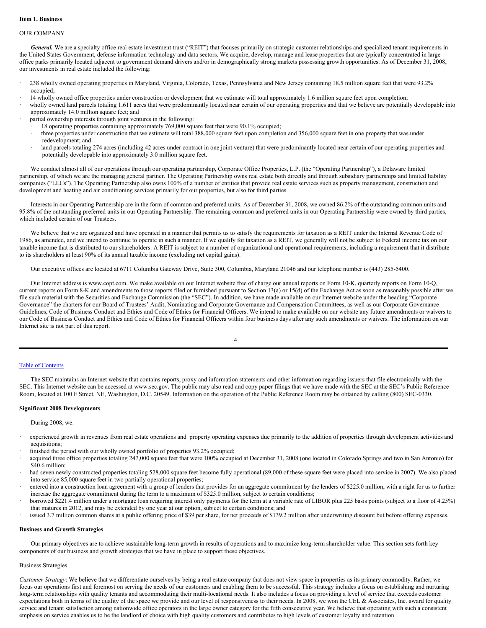### <span id="page-2-0"></span>**Item 1. Business**

### OUR COMPANY

General. We are a specialty office real estate investment trust ("REIT") that focuses primarily on strategic customer relationships and specialized tenant requirements in the United States Government, defense information technology and data sectors. We acquire, develop, manage and lease properties that are typically concentrated in large office parks primarily located adjacent to government demand drivers and/or in demographically strong markets possessing growth opportunities. As of December 31, 2008, our investments in real estate included the following:

- · 238 wholly owned operating properties in Maryland, Virginia, Colorado, Texas, Pennsylvania and New Jersey containing 18.5 million square feet that were 93.2% occupied;
- · 14 wholly owned office properties under construction or development that we estimate will total approximately 1.6 million square feet upon completion;
- wholly owned land parcels totaling 1,611 acres that were predominantly located near certain of our operating properties and that we believe are potentially developable into approximately 14.0 million square feet; and
- partial ownership interests through joint ventures in the following:
	- 18 operating properties containing approximately 769,000 square feet that were 90.1% occupied;
	- · three properties under construction that we estimate will total 388,000 square feet upon completion and 356,000 square feet in one property that was under redevelopment; and
	- land parcels totaling 274 acres (including 42 acres under contract in one joint venture) that were predominantly located near certain of our operating properties and potentially developable into approximately 3.0 million square feet.

We conduct almost all of our operations through our operating partnership, Corporate Office Properties, L.P. (the "Operating Partnership"), a Delaware limited partnership, of which we are the managing general partner. The Operating Partnership owns real estate both directly and through subsidiary partnerships and limited liability companies ("LLCs"). The Operating Partnership also owns 100% of a number of entities that provide real estate services such as property management, construction and development and heating and air conditioning services primarily for our properties, but also for third parties.

Interests in our Operating Partnership are in the form of common and preferred units. As of December 31, 2008, we owned 86.2% of the outstanding common units and 95.8% of the outstanding preferred units in our Operating Partnership. The remaining common and preferred units in our Operating Partnership were owned by third parties, which included certain of our Trustees.

We believe that we are organized and have operated in a manner that permits us to satisfy the requirements for taxation as a REIT under the Internal Revenue Code of 1986, as amended, and we intend to continue to operate in such a manner. If we qualify for taxation as a REIT, we generally will not be subject to Federal income tax on our taxable income that is distributed to our shareholders. A REIT is subject to a number of organizational and operational requirements, including a requirement that it distribute to its shareholders at least 90% of its annual taxable income (excluding net capital gains).

Our executive offices are located at 6711 Columbia Gateway Drive, Suite 300, Columbia, Maryland 21046 and our telephone number is (443) 285-5400.

Our Internet address is www.copt.com. We make available on our Internet website free of charge our annual reports on Form 10-K, quarterly reports on Form 10-Q, current reports on Form 8-K and amendments to those reports filed or furnished pursuant to Section 13(a) or 15(d) of the Exchange Act as soon as reasonably possible after we file such material with the Securities and Exchange Commission (the "SEC"). In addition, we have made available on our Internet website under the heading "Corporate Governance" the charters for our Board of Trustees' Audit, Nominating and Corporate Governance and Compensation Committees, as well as our Corporate Governance Guidelines, Code of Business Conduct and Ethics and Code of Ethics for Financial Officers. We intend to make available on our website any future amendments or waivers to our Code of Business Conduct and Ethics and Code of Ethics for Financial Officers within four business days after any such amendments or waivers. The information on our Internet site is not part of this report.

### Table of [Contents](#page-1-0)

The SEC maintains an Internet website that contains reports, proxy and information statements and other information regarding issuers that file electronically with the SEC. This Internet website can be accessed at www.sec.gov. The public may also read and copy paper filings that we have made with the SEC at the SEC's Public Reference Room, located at 100 F Street, NE, Washington, D.C. 20549. Information on the operation of the Public Reference Room may be obtained by calling (800) SEC-0330.

### **Significant 2008 Developments**

During 2008, we:

- · experienced growth in revenues from real estate operations and property operating expenses due primarily to the addition of properties through development activities and acquisitions;
- finished the period with our wholly owned portfolio of properties 93.2% occupied;
- acquired three office properties totaling 247,000 square feet that were 100% occupied at December 31, 2008 (one located in Colorado Springs and two in San Antonio) for \$40.6 million:
- had seven newly constructed properties totaling 528,000 square feet become fully operational (89,000 of these square feet were placed into service in 2007). We also placed into service 85,000 square feet in two partially operational properties;
- entered into a construction loan agreement with a group of lenders that provides for an aggregate commitment by the lenders of \$225.0 million, with a right for us to further increase the aggregate commitment during the term to a maximum of \$325.0 million, subject to certain conditions;
- · borrowed \$221.4 million under a mortgage loan requiring interest only payments for the term at a variable rate of LIBOR plus 225 basis points (subject to a floor of 4.25%) that matures in 2012, and may be extended by one year at our option, subject to certain conditions; and
- · issued 3.7 million common shares at a public offering price of \$39 per share, for net proceeds of \$139.2 million after underwriting discount but before offering expenses.

### **Business and Growth Strategies**

Our primary objectives are to achieve sustainable long-term growth in results of operations and to maximize long-term shareholder value. This section sets forth key components of our business and growth strategies that we have in place to support these objectives.

### Business Strategies

*Customer Strategy*: We believe that we differentiate ourselves by being a real estate company that does not view space in properties as its primary commodity. Rather, we focus our operations first and foremost on serving the needs of our customers and enabling them to be successful. This strategy includes a focus on establishing and nurturing long-term relationships with quality tenants and accommodating their multi-locational needs. It also includes a focus on providing a level of service that exceeds customer expectations both in terms of the quality of the space we provide and our level of responsiveness to their needs. In 2008, we won the CEL & Associates, Inc. award for quality service and tenant satisfaction among nationwide office operators in the large owner category for the fifth consecutive year. We believe that operating with such a consistent emphasis on service enables us to be the landlord of choice with high quality customers and contributes to high levels of customer loyalty and retention.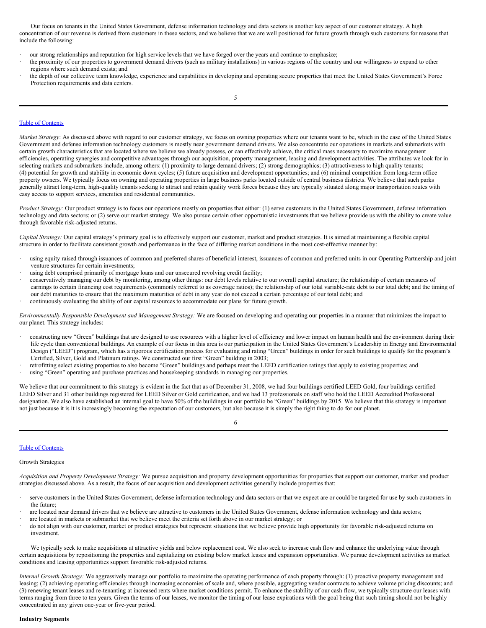Our focus on tenants in the United States Government, defense information technology and data sectors is another key aspect of our customer strategy. A high concentration of our revenue is derived from customers in these sectors, and we believe that we are well positioned for future growth through such customers for reasons that include the following:

- our strong relationships and reputation for high service levels that we have forged over the years and continue to emphasize;
- the proximity of our properties to government demand drivers (such as military installations) in various regions of the country and our willingness to expand to other regions where such demand exists; and
- the depth of our collective team knowledge, experience and capabilities in developing and operating secure properties that meet the United States Government's Force Protection requirements and data centers.

### Table of [Contents](#page-1-0)

*Market Strategy*: As discussed above with regard to our customer strategy, we focus on owning properties where our tenants want to be, which in the case of the United States Government and defense information technology customers is mostly near government demand drivers. We also concentrate our operations in markets and submarkets with certain growth characteristics that are located where we believe we already possess, or can effectively achieve, the critical mass necessary to maximize management efficiencies, operating synergies and competitive advantages through our acquisition, property management, leasing and development activities. The attributes we look for in selecting markets and submarkets include, among others: (1) proximity to large demand drivers; (2) strong demographics; (3) attractiveness to high quality tenants; (4) potential for growth and stability in economic down cycles; (5) future acquisition and development opportunities; and (6) minimal competition from long-term office property owners. We typically focus on owning and operating properties in large business parks located outside of central business districts. We believe that such parks generally attract long-term, high-quality tenants seeking to attract and retain quality work forces because they are typically situated along major transportation routes with easy access to support services, amenities and residential communities.

*Product Strategy:* Our product strategy is to focus our operations mostly on properties that either: (1) serve customers in the United States Government, defense information technology and data sectors; or (2) serve our market strategy. We also pursue certain other opportunistic investments that we believe provide us with the ability to create value through favorable risk-adjusted returns.

*Capital Strategy:* Our capital strategy's primary goal is to effectively support our customer, market and product strategies. It is aimed at maintaining a flexible capital structure in order to facilitate consistent growth and performance in the face of differing market conditions in the most cost-effective manner by:

- using equity raised through issuances of common and preferred shares of beneficial interest, issuances of common and preferred units in our Operating Partnership and joint venture structures for certain investments;
- using debt comprised primarily of mortgage loans and our unsecured revolving credit facility;
- · conservatively managing our debt by monitoring, among other things: our debt levels relative to our overall capital structure; the relationship of certain measures of earnings to certain financing cost requirements (commonly referred to as coverage ratios); the relationship of our total variable-rate debt to our total debt; and the timing of our debt maturities to ensure that the maximum maturities of debt in any year do not exceed a certain percentage of our total debt; and · continuously evaluating the ability of our capital resources to accommodate our plans for future growth.
- 

*Environmentally Responsible Development and Management Strategy:* We are focused on developing and operating our properties in a manner that minimizes the impact to our planet. This strategy includes:

- · constructing new "Green" buildings that are designed to use resources with a higher level of efficiency and lower impact on human health and the environment during their life cycle than conventional buildings. An example of our focus in this area is our participation in the United States Government's Leadership in Energy and Environmental Design ("LEED") program, which has a rigorous certification process for evaluating and rating "Green" buildings in order for such buildings to qualify for the program's Certified, Silver, Gold and Platinum ratings. We constructed our first "Green" building in 2003;
- retrofitting select existing properties to also become "Green" buildings and perhaps meet the LEED certification ratings that apply to existing properties; and using "Green" operating and purchase practices and housekeeping standards in managing our properties.
- 

We believe that our commitment to this strategy is evident in the fact that as of December 31, 2008, we had four buildings certified LEED Gold, four buildings certified LEED Silver and 31 other buildings registered for LEED Silver or Gold certification, and we had 13 professionals on staff who hold the LEED Accredited Professional designation. We also have established an internal goal to have 50% of the buildings in our portfolio be "Green" buildings by 2015. We believe that this strategy is important not just because it is it is increasingly becoming the expectation of our customers, but also because it is simply the right thing to do for our planet.

## 6

### Table of [Contents](#page-1-0)

### Growth Strategies

*Acquisition and Property Development Strategy:* We pursue acquisition and property development opportunities for properties that support our customer, market and product strategies discussed above. As a result, the focus of our acquisition and development activities generally include properties that:

- serve customers in the United States Government, defense information technology and data sectors or that we expect are or could be targeted for use by such customers in the future;
- are located near demand drivers that we believe are attractive to customers in the United States Government, defense information technology and data sectors;
- are located in markets or submarket that we believe meet the criteria set forth above in our market strategy; or
- do not align with our customer, market or product strategies but represent situations that we believe provide high opportunity for favorable risk-adjusted returns on investment.

We typically seek to make acquisitions at attractive yields and below replacement cost. We also seek to increase cash flow and enhance the underlying value through certain acquisitions by repositioning the properties and capitalizing on existing below market leases and expansion opportunities. We pursue development activities as market conditions and leasing opportunities support favorable risk-adjusted returns.

*Internal Growth Strategy:* We aggressively manage our portfolio to maximize the operating performance of each property through: (1) proactive property management and leasing; (2) achieving operating efficiencies through increasing economies of scale and, where possible, aggregating vendor contracts to achieve volume pricing discounts; and (3) renewing tenant leases and re-tenanting at increased rents where market conditions permit. To enhance the stability of our cash flow, we typically structure our leases with terms ranging from three to ten years. Given the terms of our leases, we monitor the timing of our lease expirations with the goal being that such timing should not be highly concentrated in any given one-year or five-year period.

#### **Industry Segments**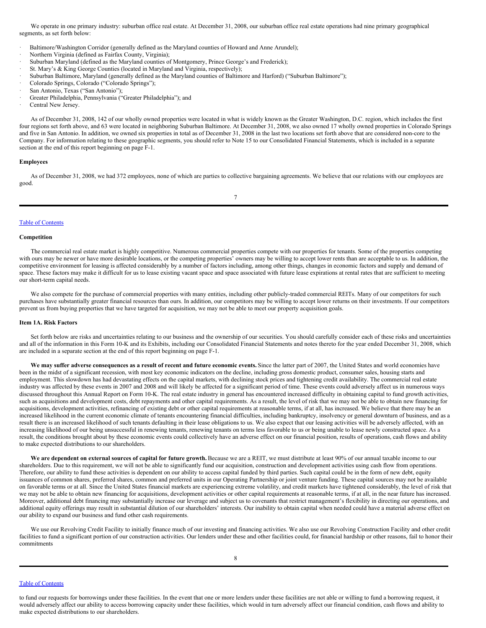We operate in one primary industry: suburban office real estate. At December 31, 2008, our suburban office real estate operations had nine primary geographical segments, as set forth below:

- Baltimore/Washington Corridor (generally defined as the Maryland counties of Howard and Anne Arundel);
- Northern Virginia (defined as Fairfax County, Virginia);
- Suburban Maryland (defined as the Maryland counties of Montgomery, Prince George's and Frederick);
- St. Mary's & King George Counties (located in Maryland and Virginia, respectively);
- Suburban Baltimore, Maryland (generally defined as the Maryland counties of Baltimore and Harford) ("Suburban Baltimore");
- · Colorado Springs, Colorado ("Colorado Springs");
- San Antonio, Texas ("San Antonio");
- Greater Philadelphia, Pennsylvania ("Greater Philadelphia"); and
- Central New Jersey.

As of December 31, 2008, 142 of our wholly owned properties were located in what is widely known as the Greater Washington, D.C. region, which includes the first four regions set forth above, and 63 were located in neighboring Suburban Baltimore. At December 31, 2008, we also owned 17 wholly owned properties in Colorado Springs and five in San Antonio. In addition, we owned six properties in total as of December 31, 2008 in the last two locations set forth above that are considered non-core to the Company. For information relating to these geographic segments, you should refer to Note 15 to our Consolidated Financial Statements, which is included in a separate section at the end of this report beginning on page F-1.

#### **Employees**

As of December 31, 2008, we had 372 employees, none of which are parties to collective bargaining agreements. We believe that our relations with our employees are good.

### Table of [Contents](#page-1-0)

#### **Competition**

The commercial real estate market is highly competitive. Numerous commercial properties compete with our properties for tenants. Some of the properties competing with ours may be newer or have more desirable locations, or the competing properties' owners may be willing to accept lower rents than are acceptable to us. In addition, the competitive environment for leasing is affected considerably by a number of factors including, among other things, changes in economic factors and supply and demand of space. These factors may make it difficult for us to lease existing vacant space and space associated with future lease expirations at rental rates that are sufficient to meeting our short-term capital needs.

We also compete for the purchase of commercial properties with many entities, including other publicly-traded commercial REITs. Many of our competitors for such purchases have substantially greater financial resources than ours. In addition, our competitors may be willing to accept lower returns on their investments. If our competitors prevent us from buying properties that we have targeted for acquisition, we may not be able to meet our property acquisition goals.

### <span id="page-4-0"></span>**Item 1A. Risk Factors**

Set forth below are risks and uncertainties relating to our business and the ownership of our securities. You should carefully consider each of these risks and uncertainties and all of the information in this Form 10-K and its Exhibits, including our Consolidated Financial Statements and notes thereto for the year ended December 31, 2008, which are included in a separate section at the end of this report beginning on page F-1.

We may suffer adverse consequences as a result of recent and future economic events. Since the latter part of 2007, the United States and world economies have been in the midst of a significant recession, with most key economic indicators on the decline, including gross domestic product, consumer sales, housing starts and employment. This slowdown has had devastating effects on the capital markets, with declining stock prices and tightening credit availability. The commercial real estate industry was affected by these events in 2007 and 2008 and will likely be affected for a significant period of time. These events could adversely affect us in numerous ways discussed throughout this Annual Report on Form 10-K. The real estate industry in general has encountered increased difficulty in obtaining capital to fund growth activities, such as acquisitions and development costs, debt repayments and other capital requirements. As a result, the level of risk that we may not be able to obtain new financing for acquisitions, development activities, refinancing of existing debt or other capital requirements at reasonable terms, if at all, has increased. We believe that there may be an increased likelihood in the current economic climate of tenants encountering financial difficulties, including bankruptcy, insolvency or general downturn of business, and as a result there is an increased likelihood of such tenants defaulting in their lease obligations to us. We also expect that our leasing activities will be adversely affected, with an increasing likelihood of our being unsuccessful in renewing tenants, renewing tenants on terms less favorable to us or being unable to lease newly constructed space. As a result, the conditions brought about by these economic events could collectively have an adverse effect on our financial position, results of operations, cash flows and ability to make expected distributions to our shareholders.

We are dependent on external sources of capital for future growth. Because we are a REIT, we must distribute at least 90% of our annual taxable income to our shareholders. Due to this requirement, we will not be able to significantly fund our acquisition, construction and development activities using cash flow from operations. Therefore, our ability to fund these activities is dependent on our ability to access capital funded by third parties. Such capital could be in the form of new debt, equity issuances of common shares, preferred shares, common and preferred units in our Operating Partnership or joint venture funding. These capital sources may not be available on favorable terms or at all. Since the United States financial markets are experiencing extreme volatility, and credit markets have tightened considerably, the level of risk that we may not be able to obtain new financing for acquisitions, development activities or other capital requirements at reasonable terms, if at all, in the near future has increased. Moreover, additional debt financing may substantially increase our leverage and subject us to covenants that restrict management's flexibility in directing our operations, and additional equity offerings may result in substantial dilution of our shareholders' interests. Our inability to obtain capital when needed could have a material adverse effect on our ability to expand our business and fund other cash requirements.

We use our Revolving Credit Facility to initially finance much of our investing and financing activities. We also use our Revolving Construction Facility and other credit facilities to fund a significant portion of our construction activities. Our lenders under these and other facilities could, for financial hardship or other reasons, fail to honor their commitments

#### Table of [Contents](#page-1-0)

to fund our requests for borrowings under these facilities. In the event that one or more lenders under these facilities are not able or willing to fund a borrowing request, it would adversely affect our ability to access borrowing capacity under these facilities, which would in turn adversely affect our financial condition, cash flows and ability to make expected distributions to our shareholders.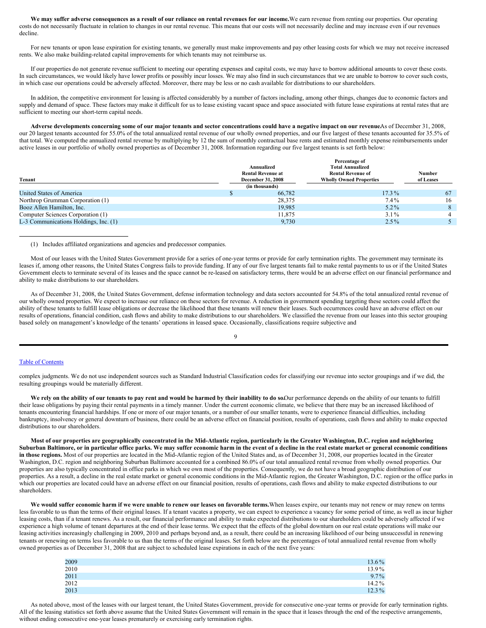We may suffer adverse consequences as a result of our reliance on rental revenues for our income. We earn revenue from renting our properties. Our operating costs do not necessarily fluctuate in relation to changes in our rental revenue. This means that our costs will not necessarily decline and may increase even if our revenues decline.

For new tenants or upon lease expiration for existing tenants, we generally must make improvements and pay other leasing costs for which we may not receive increased rents. We also make building-related capital improvements for which tenants may not reimburse us.

If our properties do not generate revenue sufficient to meeting our operating expenses and capital costs, we may have to borrow additional amounts to cover these costs. In such circumstances, we would likely have lower profits or possibly incur losses. We may also find in such circumstances that we are unable to borrow to cover such costs, in which case our operations could be adversely affected. Moreover, there may be less or no cash available for distributions to our shareholders.

In addition, the competitive environment for leasing is affected considerably by a number of factors including, among other things, changes due to economic factors and supply and demand of space. These factors may make it difficult for us to lease existing vacant space and space associated with future lease expirations at rental rates that are sufficient to meeting our short-term capital needs.

Adverse developments concerning some of our major tenants and sector concentrations could have a negative impact on our revenueAs of December 31, 2008, our 20 largest tenants accounted for 55.0% of the total annualized rental revenue of our wholly owned properties, and our five largest of these tenants accounted for 35.5% of that total. We computed the annualized rental revenue by multiplying by 12 the sum of monthly contractual base rents and estimated monthly expense reimbursements under active leases in our portfolio of wholly owned properties as of December 31, 2008. Information regarding our five largest tenants is set forth below:

|                                       |  |                          | Percentage of                  |           |  |
|---------------------------------------|--|--------------------------|--------------------------------|-----------|--|
|                                       |  | Annualized               | <b>Total Annualized</b>        |           |  |
|                                       |  | <b>Rental Revenue at</b> | <b>Rental Revenue of</b>       | Number    |  |
| Tenant                                |  | December 31, 2008        | <b>Wholly Owned Properties</b> | of Leases |  |
|                                       |  | (in thousands)           |                                |           |  |
| United States of America              |  | 66,782                   | $17.3\%$                       | 67        |  |
| Northrop Grumman Corporation (1)      |  | 28,375                   | $7.4\%$                        | 16        |  |
| Booz Allen Hamilton, Inc.             |  | 19.985                   | $5.2\%$                        |           |  |
| Computer Sciences Corporation (1)     |  | 11.875                   | $3.1\%$                        |           |  |
| L-3 Communications Holdings, Inc. (1) |  | 9.730                    | $2.5\%$                        |           |  |

### (1) Includes affiliated organizations and agencies and predecessor companies.

Most of our leases with the United States Government provide for a series of one-year terms or provide for early termination rights. The government may terminate its leases if, among other reasons, the United States Congress fails to provide funding. If any of our five largest tenants fail to make rental payments to us or if the United States Government elects to terminate several of its leases and the space cannot be re-leased on satisfactory terms, there would be an adverse effect on our financial performance and ability to make distributions to our shareholders.

As of December 31, 2008, the United States Government, defense information technology and data sectors accounted for 54.8% of the total annualized rental revenue of our wholly owned properties. We expect to increase our reliance on these sectors for revenue. A reduction in government spending targeting these sectors could affect the ability of these tenants to fulfill lease obligations or decrease the likelihood that these tenants will renew their leases. Such occurrences could have an adverse effect on our results of operations, financial condition, cash flows and ability to make distributions to our shareholders. We classified the revenue from our leases into this sector grouping based solely on management's knowledge of the tenants' operations in leased space. Occasionally, classifications require subjective and

### 9

### Table of [Contents](#page-1-0)

complex judgments. We do not use independent sources such as Standard Industrial Classification codes for classifying our revenue into sector groupings and if we did, the resulting groupings would be materially different.

We rely on the ability of our tenants to pay rent and would be harmed by their inability to do so.Our performance depends on the ability of our tenants to fulfill their lease obligations by paying their rental payments in a timely manner. Under the current economic climate, we believe that there may be an increased likelihood of tenants encountering financial hardships. If one or more of our major tenants, or a number of our smaller tenants, were to experience financial difficulties, including bankruptcy, insolvency or general downturn of business, there could be an adverse effect on financial position, results of operations, cash flows and ability to make expected distributions to our shareholders.

Most of our properties are geographically concentrated in the Mid-Atlantic region, particularly in the Greater Washington, D.C. region and neighboring Suburban Baltimore, or in particular office parks. We may suffer economic harm in the event of a decline in the real estate market or general economic conditions **in those regions.** Most of our properties are located in the Mid-Atlantic region of the United States and, as of December 31, 2008, our properties located in the Greater Washington, D.C. region and neighboring Suburban Baltimore accounted for a combined 86.0% of our total annualized rental revenue from wholly owned properties. Our properties are also typically concentrated in office parks in which we own most of the properties. Consequently, we do not have a broad geographic distribution of our properties. As a result, a decline in the real estate market or general economic conditions in the Mid-Atlantic region, the Greater Washington, D.C. region or the office parks in which our properties are located could have an adverse effect on our financial position, results of operations, cash flows and ability to make expected distributions to our shareholders.

We would suffer economic harm if we were unable to renew our leases on favorable terms. When leases expire, our tenants may not renew or may renew on terms less favorable to us than the terms of their original leases. If a tenant vacates a property, we can expect to experience a vacancy for some period of time, as well as incur higher leasing costs, than if a tenant renews. As a result, our financial performance and ability to make expected distributions to our shareholders could be adversely affected if we experience a high volume of tenant departures at the end of their lease terms. We expect that the effects of the global downturn on our real estate operations will make our leasing activities increasingly challenging in 2009, 2010 and perhaps beyond and, as a result, there could be an increasing likelihood of our being unsuccessful in renewing tenants or renewing on terms less favorable to us than the terms of the original leases. Set forth below are the percentages of total annualized rental revenue from wholly owned properties as of December 31, 2008 that are subject to scheduled lease expirations in each of the next five years:

| 2009 | $13.6\%$ |
|------|----------|
| 2010 | 13.9%    |
| 2011 | $9.7\%$  |
| 2012 | $14.2\%$ |
| 2013 | 12.3%    |

As noted above, most of the leases with our largest tenant, the United States Government, provide for consecutive one-year terms or provide for early termination rights. All of the leasing statistics set forth above assume that the United States Government will remain in the space that it leases through the end of the respective arrangements, without ending consecutive one-year leases prematurely or exercising early termination rights.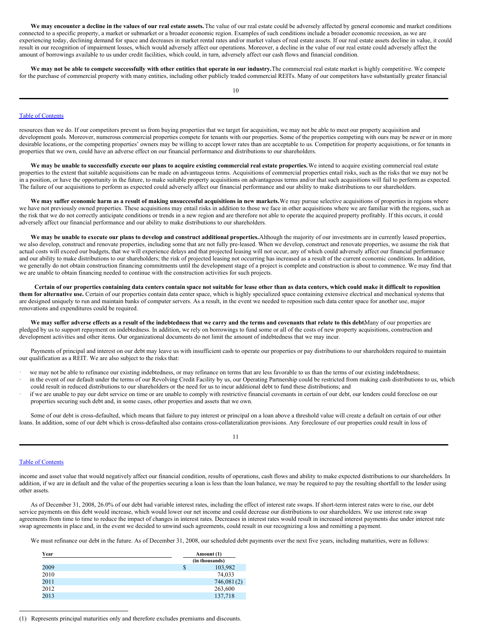We may encounter a decline in the values of our real estate assets. The value of our real estate could be adversely affected by general economic and market conditions connected to a specific property, a market or submarket or a broader economic region. Examples of such conditions include a broader economic recession, as we are experiencing today, declining demand for space and decreases in market rental rates and/or market values of real estate assets. If our real estate assets decline in value, it could result in our recognition of impairment losses, which would adversely affect our operations. Moreover, a decline in the value of our real estate could adversely affect the amount of borrowings available to us under credit facilities, which could, in turn, adversely affect our cash flows and financial condition.

We may not be able to compete successfully with other entities that operate in our industry. The commercial real estate market is highly competitive. We compete for the purchase of commercial property with many entities, including other publicly traded commercial REITs. Many of our competitors have substantially greater financial

### Table of [Contents](#page-1-0)

resources than we do. If our competitors prevent us from buying properties that we target for acquisition, we may not be able to meet our property acquisition and development goals. Moreover, numerous commercial properties compete for tenants with our properties. Some of the properties competing with ours may be newer or in more desirable locations, or the competing properties' owners may be willing to accept lower rates than are acceptable to us. Competition for property acquisitions, or for tenants in properties that we own, could have an adverse effect on our financial performance and distributions to our shareholders.

We may be unable to successfully execute our plans to acquire existing commercial real estate properties. We intend to acquire existing commercial real estate properties to the extent that suitable acquisitions can be made on advantageous terms. Acquisitions of commercial properties entail risks, such as the risks that we may not be in a position, or have the opportunity in the future, to make suitable property acquisitions on advantageous terms and/or that such acquisitions will fail to perform as expected. The failure of our acquisitions to perform as expected could adversely affect our financial performance and our ability to make distributions to our shareholders.

We may suffer economic harm as a result of making unsuccessful acquisitions in new markets. We may pursue selective acquisitions of properties in regions where we have not previously owned properties. These acquisitions may entail risks in addition to those we face in other acquisitions where we are familiar with the regions, such as the risk that we do not correctly anticipate conditions or trends in a new region and are therefore not able to operate the acquired property profitably. If this occurs, it could adversely affect our financial performance and our ability to make distributions to our shareholders.

We may be unable to execute our plans to develop and construct additional properties. Although the majority of our investments are in currently leased properties, we also develop, construct and renovate properties, including some that are not fully pre-leased. When we develop, construct and renovate properties, we assume the risk that actual costs will exceed our budgets, that we will experience delays and that projected leasing will not occur, any of which could adversely affect our financial performance and our ability to make distributions to our shareholders; the risk of projected leasing not occurring has increased as a result of the current economic conditions. In addition, we generally do not obtain construction financing commitments until the development stage of a project is complete and construction is about to commence. We may find that we are unable to obtain financing needed to continue with the construction activities for such projects.

Certain of our properties containing data centers contain space not suitable for lease other than as data centers, which could make it difficult to reposition **them for alternative use.** Certain of our properties contain data center space, which is highly specialized space containing extensive electrical and mechanical systems that are designed uniquely to run and maintain banks of computer servers. As a result, in the event we needed to reposition such data center space for another use, major renovations and expenditures could be required.

We may suffer adverse effects as a result of the indebtedness that we carry and the terms and covenants that relate to this debtMany of our properties are pledged by us to support repayment on indebtedness. In addition, we rely on borrowings to fund some or all of the costs of new property acquisitions, construction and development activities and other items. Our organizational documents do not limit the amount of indebtedness that we may incur.

Payments of principal and interest on our debt may leave us with insufficient cash to operate our properties or pay distributions to our shareholders required to maintain our qualification as a REIT. We are also subject to the risks that:

- we may not be able to refinance our existing indebtedness, or may refinance on terms that are less favorable to us than the terms of our existing indebtedness;
- in the event of our default under the terms of our Revolving Credit Facility by us, our Operating Partnership could be restricted from making cash distributions to us, which could result in reduced distributions to our shareholders or the need for us to incur additional debt to fund these distributions; and
- · if we are unable to pay our debt service on time or are unable to comply with restrictive financial covenants in certain of our debt, our lenders could foreclose on our properties securing such debt and, in some cases, other properties and assets that we own.

Some of our debt is cross-defaulted, which means that failure to pay interest or principal on a loan above a threshold value will create a default on certain of our other loans. In addition, some of our debt which is cross-defaulted also contains cross-collateralization provisions. Any foreclosure of our properties could result in loss of

#### 11

### Table of [Contents](#page-1-0)

income and asset value that would negatively affect our financial condition, results of operations, cash flows and ability to make expected distributions to our shareholders. In addition, if we are in default and the value of the properties securing a loan is less than the loan balance, we may be required to pay the resulting shortfall to the lender using other assets.

As of December 31, 2008, 26.0% of our debt had variable interest rates, including the effect of interest rate swaps. If short-term interest rates were to rise, our debt service payments on this debt would increase, which would lower our net income and could decrease our distributions to our shareholders. We use interest rate swap agreements from time to time to reduce the impact of changes in interest rates. Decreases in interest rates would result in increased interest payments due under interest rate swap agreements in place and, in the event we decided to unwind such agreements, could result in our recognizing a loss and remitting a payment.

We must refinance our debt in the future. As of December 31, 2008, our scheduled debt payments over the next five years, including maturities, were as follows:

| Year |   | Amount (1)     |
|------|---|----------------|
|      |   | (in thousands) |
| 2009 | S | 103,982        |
| 2010 |   | 74,033         |
| 2011 |   | 746,081(2)     |
| 2012 |   | 263,600        |
| 2013 |   | 137,718        |

<sup>(1)</sup> Represents principal maturities only and therefore excludes premiums and discounts.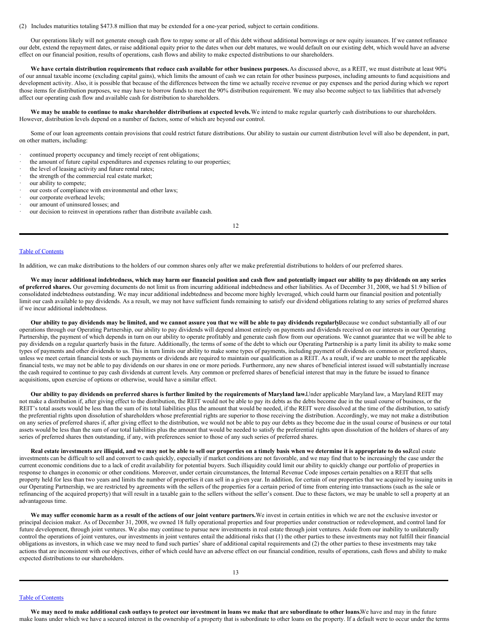(2) Includes maturities totaling \$473.8 million that may be extended for a one-year period, subject to certain conditions.

Our operations likely will not generate enough cash flow to repay some or all of this debt without additional borrowings or new equity issuances. If we cannot refinance our debt, extend the repayment dates, or raise additional equity prior to the dates when our debt matures, we would default on our existing debt, which would have an adverse effect on our financial position, results of operations, cash flows and ability to make expected distributions to our shareholders.

We have certain distribution requirements that reduce cash available for other business purposes. As discussed above, as a REIT, we must distribute at least 90% of our annual taxable income (excluding capital gains), which limits the amount of cash we can retain for other business purposes, including amounts to fund acquisitions and development activity. Also, it is possible that because of the differences between the time we actually receive revenue or pay expenses and the period during which we report those items for distribution purposes, we may have to borrow funds to meet the 90% distribution requirement. We may also become subject to tax liabilities that adversely affect our operating cash flow and available cash for distribution to shareholders.

We may be unable to continue to make shareholder distributions at expected levels. We intend to make regular quarterly cash distributions to our shareholders. However, distribution levels depend on a number of factors, some of which are beyond our control.

Some of our loan agreements contain provisions that could restrict future distributions. Our ability to sustain our current distribution level will also be dependent, in part, on other matters, including:

- continued property occupancy and timely receipt of rent obligations;
- the amount of future capital expenditures and expenses relating to our properties;
- the level of leasing activity and future rental rates;
- the strength of the commercial real estate market;
- our ability to compete;
- our costs of compliance with environmental and other laws;
- our corporate overhead levels;
- our amount of uninsured losses; and
- our decision to reinvest in operations rather than distribute available cash.

12

#### Table of [Contents](#page-1-0)

In addition, we can make distributions to the holders of our common shares only after we make preferential distributions to holders of our preferred shares.

We may incur additional indebtedness, which may harm our financial position and cash flow and potentially impact our ability to pay dividends on any series **of preferred shares.** Our governing documents do not limit us from incurring additional indebtedness and other liabilities. As of December 31, 2008, we had \$1.9 billion of consolidated indebtedness outstanding. We may incur additional indebtedness and become more highly leveraged, which could harm our financial position and potentially limit our cash available to pay dividends. As a result, we may not have sufficient funds remaining to satisfy our dividend obligations relating to any series of preferred shares if we incur additional indebtedness.

Our ability to pay dividends may be limited, and we cannot assure you that we will be able to pay dividends regularlyBecause we conduct substantially all of our operations through our Operating Partnership, our ability to pay dividends will depend almost entirely on payments and dividends received on our interests in our Operating Partnership, the payment of which depends in turn on our ability to operate profitably and generate cash flow from our operations. We cannot guarantee that we will be able to pay dividends on a regular quarterly basis in the future. Additionally, the terms of some of the debt to which our Operating Partnership is a party limit its ability to make some types of payments and other dividends to us. This in turn limits our ability to make some types of payments, including payment of dividends on common or preferred shares, unless we meet certain financial tests or such payments or dividends are required to maintain our qualification as a REIT. As a result, if we are unable to meet the applicable financial tests, we may not be able to pay dividends on our shares in one or more periods. Furthermore, any new shares of beneficial interest issued will substantially increase the cash required to continue to pay cash dividends at current levels. Any common or preferred shares of beneficial interest that may in the future be issued to finance acquisitions, upon exercise of options or otherwise, would have a similar effect.

Our ability to pay dividends on preferred shares is further limited by the requirements of Maryland law.Under applicable Maryland law, a Maryland REIT may not make a distribution if, after giving effect to the distribution, the REIT would not be able to pay its debts as the debts become due in the usual course of business, or the REIT's total assets would be less than the sum of its total liabilities plus the amount that would be needed, if the REIT were dissolved at the time of the distribution, to satisfy the preferential rights upon dissolution of shareholders whose preferential rights are superior to those receiving the distribution. Accordingly, we may not make a distribution on any series of preferred shares if, after giving effect to the distribution, we would not be able to pay our debts as they become due in the usual course of business or our total assets would be less than the sum of our total liabilities plus the amount that would be needed to satisfy the preferential rights upon dissolution of the holders of shares of any series of preferred shares then outstanding, if any, with preferences senior to those of any such series of preferred shares.

Real estate investments are illiquid, and we may not be able to sell our properties on a timely basis when we determine it is appropriate to do soReal estate investments can be difficult to sell and convert to cash quickly, especially if market conditions are not favorable, and we may find that to be increasingly the case under the current economic conditions due to a lack of credit availability for potential buyers. Such illiquidity could limit our ability to quickly change our portfolio of properties in response to changes in economic or other conditions. Moreover, under certain circumstances, the Internal Revenue Code imposes certain penalties on a REIT that sells property held for less than two years and limits the number of properties it can sell in a given year. In addition, for certain of our properties that we acquired by issuing units in our Operating Partnership, we are restricted by agreements with the sellers of the properties for a certain period of time from entering into transactions (such as the sale or refinancing of the acquired property) that will result in a taxable gain to the sellers without the seller's consent. Due to these factors, we may be unable to sell a property at an advantageous time.

We may suffer economic harm as a result of the actions of our joint venture partners. We invest in certain entities in which we are not the exclusive investor or principal decision maker. As of December 31, 2008, we owned 18 fully operational properties and four properties under construction or redevelopment, and control land for future development, through joint ventures. We also may continue to pursue new investments in real estate through joint ventures. Aside from our inability to unilaterally control the operations of joint ventures, our investments in joint ventures entail the additional risks that (1) the other parties to these investments may not fulfill their financial obligations as investors, in which case we may need to fund such parties' share of additional capital requirements and (2) the other parties to these investments may take actions that are inconsistent with our objectives, either of which could have an adverse effect on our financial condition, results of operations, cash flows and ability to make expected distributions to our shareholders.

# Table of [Contents](#page-1-0)

We may need to make additional cash outlays to protect our investment in loans we make that are subordinate to other loans. We have and may in the future make loans under which we have a secured interest in the ownership of a property that is subordinate to other loans on the property. If a default were to occur under the terms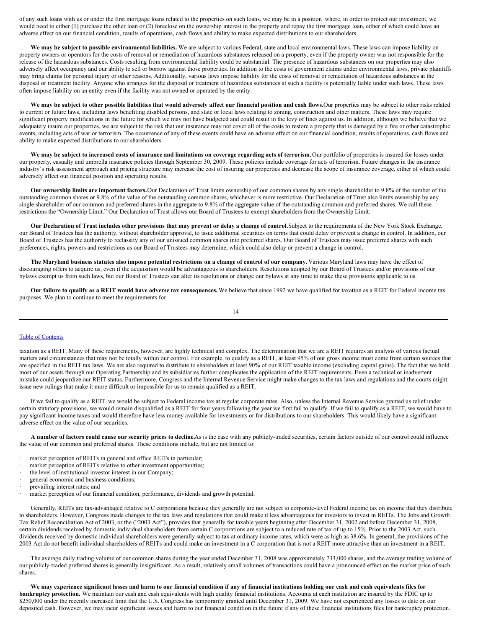of any such loans with us or under the first mortgage loans related to the properties on such loans, we may be in a position where, in order to protect our investment, we would need to either (1) purchase the other loan or (2) foreclose on the ownership interest in the property and repay the first mortgage loan, either of which could have an adverse effect on our financial condition, results of operations, cash flows and ability to make expected distributions to our shareholders.

**We may be subject to possible environmental liabilities.** We are subject to various Federal, state and local environmental laws. These laws can impose liability on property owners or operators for the costs of removal or remediation of hazardous substances released on a property, even if the property owner was not responsible for the release of the hazardous substances. Costs resulting from environmental liability could be substantial. The presence of hazardous substances on our properties may also adversely affect occupancy and our ability to sell or borrow against those properties. In addition to the costs of government claims under environmental laws, private plaintiffs may bring claims for personal injury or other reasons. Additionally, various laws impose liability for the costs of removal or remediation of hazardous substances at the disposal or treatment facility. Anyone who arranges for the disposal or treatment of hazardous substances at such a facility is potentially liable under such laws. These laws often impose liability on an entity even if the facility was not owned or operated by the entity.

We may be subject to other possible liabilities that would adversely affect our financial position and cash flows. Our properties may be subject to other risks related to current or future laws, including laws benefiting disabled persons, and state or local laws relating to zoning, construction and other matters. These laws may require significant property modifications in the future for which we may not have budgeted and could result in the levy of fines against us. In addition, although we believe that we adequately insure our properties, we are subject to the risk that our insurance may not cover all of the costs to restore a property that is damaged by a fire or other catastrophic events, including acts of war or terrorism. The occurrence of any of these events could have an adverse effect on our financial condition, results of operations, cash flows and ability to make expected distributions to our shareholders.

We may be subject to increased costs of insurance and limitations on coverage regarding acts of terrorism. Our portfolio of properties is insured for losses under our property, casualty and umbrella insurance policies through September 30, 2009. These policies include coverage for acts of terrorism. Future changes in the insurance industry's risk assessment approach and pricing structure may increase the cost of insuring our properties and decrease the scope of insurance coverage, either of which could adversely affect our financial position and operating results.

**Our ownership limits are important factors.**Our Declaration of Trust limits ownership of our common shares by any single shareholder to 9.8% of the number of the outstanding common shares or 9.8% of the value of the outstanding common shares, whichever is more restrictive. Our Declaration of Trust also limits ownership by any single shareholder of our common and preferred shares in the aggregate to 9.8% of the aggregate value of the outstanding common and preferred shares. We call these restrictions the "Ownership Limit." Our Declaration of Trust allows our Board of Trustees to exempt shareholders from the Ownership Limit.

Our Declaration of Trust includes other provisions that may prevent or delay a change of control. Subject to the requirements of the New York Stock Exchange, our Board of Trustees has the authority, without shareholder approval, to issue additional securities on terms that could delay or prevent a change in control. In addition, our Board of Trustees has the authority to reclassify any of our unissued common shares into preferred shares. Our Board of Trustees may issue preferred shares with such preferences, rights, powers and restrictions as our Board of Trustees may determine, which could also delay or prevent a change in control.

The Maryland business statutes also impose potential restrictions on a change of control of our company. Various Maryland laws may have the effect of discouraging offers to acquire us, even if the acquisition would be advantageous to shareholders. Resolutions adopted by our Board of Trustees and/or provisions of our bylaws exempt us from such laws, but our Board of Trustees can alter its resolutions or change our bylaws at any time to make these provisions applicable to us.

Our failure to qualify as a REIT would have adverse tax consequences. We believe that since 1992 we have qualified for taxation as a REIT for Federal income tax purposes. We plan to continue to meet the requirements for

14

#### Table of [Contents](#page-1-0)

taxation as a REIT. Many of these requirements, however, are highly technical and complex. The determination that we are a REIT requires an analysis of various factual matters and circumstances that may not be totally within our control. For example, to qualify as a REIT, at least 95% of our gross income must come from certain sources that are specified in the REIT tax laws. We are also required to distribute to shareholders at least 90% of our REIT taxable income (excluding capital gains). The fact that we hold most of our assets through our Operating Partnership and its subsidiaries further complicates the application of the REIT requirements. Even a technical or inadvertent mistake could jeopardize our REIT status. Furthermore, Congress and the Internal Revenue Service might make changes to the tax laws and regulations and the courts might issue new rulings that make it more difficult or impossible for us to remain qualified as a REIT.

If we fail to qualify as a REIT, we would be subject to Federal income tax at regular corporate rates. Also, unless the Internal Revenue Service granted us relief under certain statutory provisions, we would remain disqualified as a REIT for four years following the year we first fail to qualify. If we fail to qualify as a REIT, we would have to pay significant income taxes and would therefore have less money available for investments or for distributions to our shareholders. This would likely have a significant adverse effect on the value of our securities.

A number of factors could cause our security prices to decline.As is the case with any publicly-traded securities, certain factors outside of our control could influence the value of our common and preferred shares. These conditions include, but are not limited to:

- market perception of REITs in general and office REITs in particular;
- market perception of REITs relative to other investment opportunities;
- the level of institutional investor interest in our Company;
- general economic and business conditions;
- prevailing interest rates; and

market perception of our financial condition, performance, dividends and growth potential.

Generally, REITs are tax-advantaged relative to C corporations because they generally are not subject to corporate-level Federal income tax on income that they distribute to shareholders. However, Congress made changes to the tax laws and regulations that could make it less advantageous for investors to invest in REITs. The Jobs and Growth Tax Relief Reconciliation Act of 2003, or the ("2003 Act"), provides that generally for taxable years beginning after December 31, 2002 and before December 31, 2008, certain dividends received by domestic individual shareholders from certain C corporations are subject to a reduced rate of tax of up to 15%. Prior to the 2003 Act, such dividends received by domestic individual shareholders were generally subject to tax at ordinary income rates, which were as high as 38.6%. In general, the provisions of the 2003 Act do not benefit individual shareholders of REITs and could make an investment in a C corporation that is not a REIT more attractive than an investment in a REIT.

The average daily trading volume of our common shares during the year ended December 31, 2008 was approximately 733,000 shares, and the average trading volume of our publicly-traded preferred shares is generally insignificant. As a result, relatively small volumes of transactions could have a pronounced effect on the market price of such shares.

We may experience significant losses and harm to our financial condition if any of financial institutions holding our cash and cash equivalents files for **bankruptcy protection.** We maintain our cash and cash equivalents with high quality financial institutions. Accounts at each institution are insured by the FDIC up to \$250,000 under the recently increased limit that the U.S. Congress has temporarily granted until December 31, 2009. We have not experienced any losses to date on our deposited cash. However, we may incur significant losses and harm to our financial condition in the future if any of these financial institutions files for bankruptcy protection.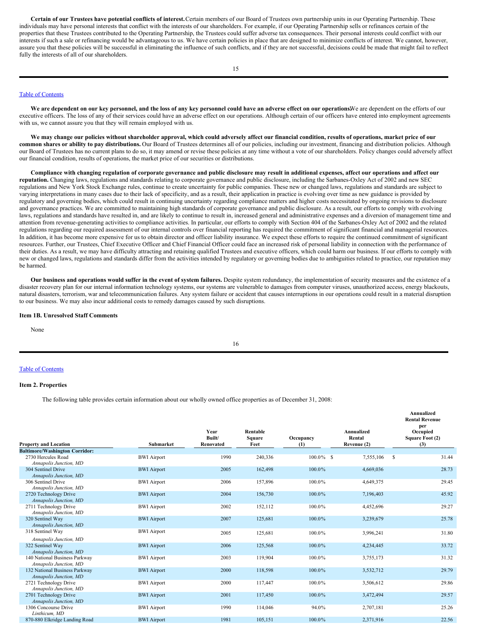**Certain of our Trustees have potential conflicts of interest.**Certain members of our Board of Trustees own partnership units in our Operating Partnership. These individuals may have personal interests that conflict with the interests of our shareholders. For example, if our Operating Partnership sells or refinances certain of the properties that these Trustees contributed to the Operating Partnership, the Trustees could suffer adverse tax consequences. Their personal interests could conflict with our interests if such a sale or refinancing would be advantageous to us. We have certain policies in place that are designed to minimize conflicts of interest. We cannot, however, assure you that these policies will be successful in eliminating the influence of such conflicts, and if they are not successful, decisions could be made that might fail to reflect fully the interests of all of our shareholders.

### Table of [Contents](#page-1-0)

We are dependent on our key personnel, and the loss of any key personnel could have an adverse effect on our operations We are dependent on the efforts of our executive officers. The loss of any of their services could have an adverse effect on our operations. Although certain of our officers have entered into employment agreements with us, we cannot assure you that they will remain employed with us.

We may change our policies without shareholder approval, which could adversely affect our financial condition, results of operations, market price of our **common shares or ability to pay distributions.** Our Board of Trustees determines all of our policies, including our investment, financing and distribution policies. Although our Board of Trustees has no current plans to do so, it may amend or revise these policies at any time without a vote of our shareholders. Policy changes could adversely affect our financial condition, results of operations, the market price of our securities or distributions.

Compliance with changing regulation of corporate governance and public disclosure may result in additional expenses, affect our operations and affect our **reputation.** Changing laws, regulations and standards relating to corporate governance and public disclosure, including the Sarbanes-Oxley Act of 2002 and new SEC regulations and New York Stock Exchange rules, continue to create uncertainty for public companies. These new or changed laws, regulations and standards are subject to varying interpretations in many cases due to their lack of specificity, and as a result, their application in practice is evolving over time as new guidance is provided by regulatory and governing bodies, which could result in continuing uncertainty regarding compliance matters and higher costs necessitated by ongoing revisions to disclosure and governance practices. We are committed to maintaining high standards of corporate governance and public disclosure. As a result, our efforts to comply with evolving laws, regulations and standards have resulted in, and are likely to continue to result in, increased general and administrative expenses and a diversion of management time and attention from revenue-generating activities to compliance activities. In particular, our efforts to comply with Section 404 of the Sarbanes-Oxley Act of 2002 and the related regulations regarding our required assessment of our internal controls over financial reporting has required the commitment of significant financial and managerial resources. In addition, it has become more expensive for us to obtain director and officer liability insurance. We expect these efforts to require the continued commitment of significant resources. Further, our Trustees, Chief Executive Officer and Chief Financial Officer could face an increased risk of personal liability in connection with the performance of their duties. As a result, we may have difficulty attracting and retaining qualified Trustees and executive officers, which could harm our business. If our efforts to comply with new or changed laws, regulations and standards differ from the activities intended by regulatory or governing bodies due to ambiguities related to practice, our reputation may be harmed.

Our business and operations would suffer in the event of system failures. Despite system redundancy, the implementation of security measures and the existence of a disaster recovery plan for our internal information technology systems, our systems are vulnerable to damages from computer viruses, unauthorized access, energy blackouts, natural disasters, terrorism, war and telecommunication failures. Any system failure or accident that causes interruptions in our operations could result in a material disruption to our business. We may also incur additional costs to remedy damages caused by such disruptions.

#### **Item 1B. Unresolved Staff Comments**

<span id="page-9-0"></span>None

**Annualized**

### Table of [Contents](#page-1-0)

#### **Item 2. Properties**

<span id="page-9-1"></span>The following table provides certain information about our wholly owned office properties as of December 31, 2008:

| <b>Property and Location</b>                            | <b>Submarket</b>   | Year<br>Built/<br>Renovated | Rentable<br>Square<br>Feet | Occupancy<br>(1) | Annualized<br>Rental<br>Revenue (2) | <b>Rental Revenue</b><br>per<br>Occupied<br>Square Foot (2)<br>(3) |
|---------------------------------------------------------|--------------------|-----------------------------|----------------------------|------------------|-------------------------------------|--------------------------------------------------------------------|
| <b>Baltimore/Washington Corridor:</b>                   |                    |                             |                            |                  |                                     |                                                                    |
| 2730 Hercules Road<br>Annapolis Junction, MD            | <b>BWI</b> Airport | 1990                        | 240,336                    | $100.0\%$ \$     | 7,555,106                           | 31.44<br><sup>\$</sup>                                             |
| 304 Sentinel Drive<br>Annapolis Junction, MD            | <b>BWI</b> Airport | 2005                        | 162,498                    | 100.0%           | 4,669,036                           | 28.73                                                              |
| 306 Sentinel Drive<br>Annapolis Junction, MD            | <b>BWI</b> Airport | 2006                        | 157,896                    | 100.0%           | 4,649,375                           | 29.45                                                              |
| 2720 Technology Drive<br>Annapolis Junction, MD         | <b>BWI</b> Airport | 2004                        | 156,730                    | 100.0%           | 7,196,403                           | 45.92                                                              |
| 2711 Technology Drive<br>Annapolis Junction, MD         | <b>BWI</b> Airport | 2002                        | 152,112                    | 100.0%           | 4,452,696                           | 29.27                                                              |
| 320 Sentinel Way<br>Annapolis Junction, MD              | <b>BWI</b> Airport | 2007                        | 125,681                    | 100.0%           | 3,239,679                           | 25.78                                                              |
| 318 Sentinel Way<br>Annapolis Junction, MD              | <b>BWI</b> Airport | 2005                        | 125,681                    | 100.0%           | 3,996,241                           | 31.80                                                              |
| 322 Sentinel Way<br>Annapolis Junction, MD              | <b>BWI</b> Airport | 2006                        | 125,568                    | 100.0%           | 4,234,445                           | 33.72                                                              |
| 140 National Business Parkway<br>Annapolis Junction, MD | <b>BWI</b> Airport | 2003                        | 119,904                    | 100.0%           | 3,755,173                           | 31.32                                                              |
| 132 National Business Parkway<br>Annapolis Junction, MD | <b>BWI</b> Airport | 2000                        | 118,598                    | 100.0%           | 3,532,712                           | 29.79                                                              |
| 2721 Technology Drive<br>Annapolis Junction, MD         | <b>BWI</b> Airport | 2000                        | 117,447                    | 100.0%           | 3,506,612                           | 29.86                                                              |
| 2701 Technology Drive<br>Annapolis Junction, MD         | <b>BWI</b> Airport | 2001                        | 117,450                    | 100.0%           | 3,472,494                           | 29.57                                                              |
| 1306 Concourse Drive<br>Linthicum, MD                   | <b>BWI</b> Airport | 1990                        | 114,046                    | 94.0%            | 2,707,181                           | 25.26                                                              |
| 870-880 Elkridge Landing Road                           | <b>BWI</b> Airport | 1981                        | 105,151                    | 100.0%           | 2,371,916                           | 22.56                                                              |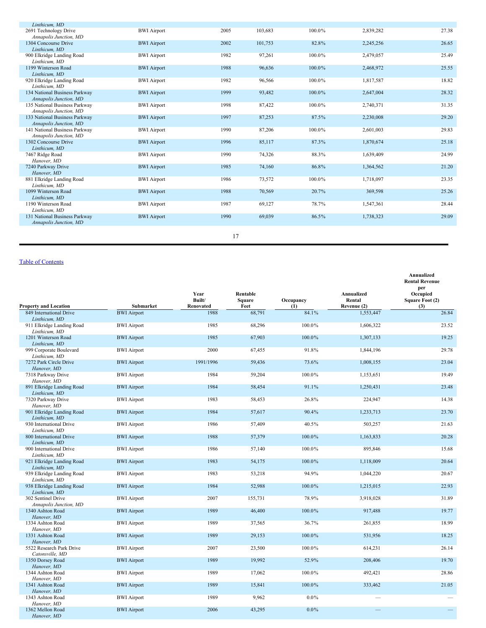| Linthicum, MD<br>2691 Technology Drive                  | <b>BWI</b> Airport | 2005 | 103,683 | 100.0% | 2,839,282 | 27.38 |
|---------------------------------------------------------|--------------------|------|---------|--------|-----------|-------|
| Annapolis Junction, MD                                  |                    |      |         |        |           |       |
| 1304 Concourse Drive                                    | <b>BWI</b> Airport | 2002 | 101,753 | 82.8%  | 2,245,256 | 26.65 |
| Linthicum, MD                                           |                    |      |         |        |           |       |
| 900 Elkridge Landing Road                               | <b>BWI</b> Airport | 1982 | 97,261  | 100.0% | 2,479,057 | 25.49 |
| Linthicum, MD                                           |                    |      |         |        |           |       |
| 1199 Winterson Road                                     | <b>BWI</b> Airport | 1988 | 96,636  | 100.0% | 2,468,972 | 25.55 |
| Linthicum, MD                                           |                    |      |         |        |           |       |
| 920 Elkridge Landing Road                               | <b>BWI</b> Airport | 1982 | 96,566  | 100.0% | 1,817,587 | 18.82 |
| Linthicum, MD                                           |                    |      |         |        |           |       |
| 134 National Business Parkway<br>Annapolis Junction, MD | <b>BWI</b> Airport | 1999 | 93,482  | 100.0% | 2,647,004 | 28.32 |
| 135 National Business Parkway                           | <b>BWI</b> Airport | 1998 | 87,422  | 100.0% | 2,740,371 | 31.35 |
| Annapolis Junction, MD                                  |                    |      |         |        |           |       |
| 133 National Business Parkway                           | <b>BWI</b> Airport | 1997 | 87,253  | 87.5%  | 2,230,008 | 29.20 |
| Annapolis Junction, MD                                  |                    |      |         |        |           |       |
| 141 National Business Parkway                           | <b>BWI</b> Airport | 1990 | 87,206  | 100.0% | 2,601,003 | 29.83 |
| Annapolis Junction, MD                                  |                    |      |         |        |           |       |
| 1302 Concourse Drive                                    | <b>BWI</b> Airport | 1996 | 85,117  | 87.3%  | 1,870,674 | 25.18 |
| Linthicum, MD                                           |                    |      |         |        |           |       |
| 7467 Ridge Road                                         | <b>BWI</b> Airport | 1990 | 74,326  | 88.3%  | 1,639,409 | 24.99 |
| Hanover, MD                                             |                    | 1985 |         | 86.8%  |           | 21.20 |
| 7240 Parkway Drive<br>Hanover, MD                       | <b>BWI</b> Airport |      | 74,160  |        | 1,364,562 |       |
| 881 Elkridge Landing Road                               | <b>BWI</b> Airport | 1986 | 73,572  | 100.0% | 1,718,097 | 23.35 |
| Linthicum, MD                                           |                    |      |         |        |           |       |
| 1099 Winterson Road                                     | <b>BWI</b> Airport | 1988 | 70,569  | 20.7%  | 369,598   | 25.26 |
| Linthicum, MD                                           |                    |      |         |        |           |       |
| 1190 Winterson Road                                     | <b>BWI</b> Airport | 1987 | 69,127  | 78.7%  | 1,547,361 | 28.44 |
| Linthicum, MD                                           |                    |      |         |        |           |       |
| 131 National Business Parkway                           | <b>BWI</b> Airport | 1990 | 69,039  | 86.5%  | 1,738,323 | 29.09 |
| Annapolis Junction, MD                                  |                    |      |         |        |           |       |
|                                                         |                    |      |         |        |           |       |
|                                                         |                    | 17   |         |        |           |       |

*Hanover, MD*

| <b>Property and Location</b>                 | Submarket          | Year<br>Built/<br>Renovated | Rentable<br>Square<br>Feet | Occupancy<br>(1) | Annualized<br>Rental<br>Revenue (2) | Annualized<br><b>Rental Revenue</b><br>per<br>Occupied<br>Square Foot (2)<br>(3) |
|----------------------------------------------|--------------------|-----------------------------|----------------------------|------------------|-------------------------------------|----------------------------------------------------------------------------------|
| 849 International Drive                      | <b>BWI</b> Airport | 1988                        | 68,791                     | 84.1%            | 1,553,447                           | 26.84                                                                            |
| Linthicum, MD                                |                    |                             |                            |                  |                                     |                                                                                  |
| 911 Elkridge Landing Road<br>Linthicum, MD   | <b>BWI</b> Airport | 1985                        | 68,296                     | 100.0%           | 1,606,322                           | 23.52                                                                            |
| 1201 Winterson Road<br>Linthicum, MD         | <b>BWI</b> Airport | 1985                        | 67.903                     | 100.0%           | 1,307,133                           | 19.25                                                                            |
| 999 Corporate Boulevard<br>Linthicum, MD     | <b>BWI</b> Airport | 2000                        | 67,455                     | 91.8%            | 1,844,196                           | 29.78                                                                            |
| 7272 Park Circle Drive<br>Hanover, MD        | <b>BWI</b> Airport | 1991/1996                   | 59,436                     | 73.6%            | 1,008,155                           | 23.04                                                                            |
| 7318 Parkway Drive<br>Hanover, MD            | <b>BWI</b> Airport | 1984                        | 59,204                     | 100.0%           | 1,153,651                           | 19.49                                                                            |
| 891 Elkridge Landing Road<br>Linthicum, MD   | <b>BWI</b> Airport | 1984                        | 58,454                     | 91.1%            | 1,250,431                           | 23.48                                                                            |
| 7320 Parkway Drive<br>Hanover, MD            | <b>BWI</b> Airport | 1983                        | 58,453                     | 26.8%            | 224,947                             | 14.38                                                                            |
| 901 Elkridge Landing Road<br>Linthicum, MD   | <b>BWI</b> Airport | 1984                        | 57,617                     | 90.4%            | 1,233,713                           | 23.70                                                                            |
| 930 International Drive<br>Linthicum, MD     | <b>BWI</b> Airport | 1986                        | 57,409                     | 40.5%            | 503,257                             | 21.63                                                                            |
| 800 International Drive<br>Linthicum, MD     | <b>BWI</b> Airport | 1988                        | 57,379                     | 100.0%           | 1,163,833                           | 20.28                                                                            |
| 900 International Drive<br>Linthicum, MD     | <b>BWI</b> Airport | 1986                        | 57,140                     | 100.0%           | 895,846                             | 15.68                                                                            |
| 921 Elkridge Landing Road<br>Linthicum, MD   | <b>BWI</b> Airport | 1983                        | 54,175                     | 100.0%           | 1,118,009                           | 20.64                                                                            |
| 939 Elkridge Landing Road<br>Linthicum, MD   | <b>BWI</b> Airport | 1983                        | 53,218                     | 94.9%            | 1,044,220                           | 20.67                                                                            |
| 938 Elkridge Landing Road<br>Linthicum, MD   | <b>BWI</b> Airport | 1984                        | 52,988                     | 100.0%           | 1,215,015                           | 22.93                                                                            |
| 302 Sentinel Drive<br>Annapolis Junction, MD | <b>BWI</b> Airport | 2007                        | 155,731                    | 78.9%            | 3,918,028                           | 31.89                                                                            |
| 1340 Ashton Road<br>Hanover, MD              | <b>BWI</b> Airport | 1989                        | 46,400                     | 100.0%           | 917,488                             | 19.77                                                                            |
| 1334 Ashton Road<br>Hanover, MD              | <b>BWI</b> Airport | 1989                        | 37,565                     | 36.7%            | 261,855                             | 18.99                                                                            |
| 1331 Ashton Road<br>Hanover, MD              | <b>BWI</b> Airport | 1989                        | 29,153                     | 100.0%           | 531,956                             | 18.25                                                                            |
| 5522 Research Park Drive<br>Catonsville, MD  | <b>BWI</b> Airport | 2007                        | 23,500                     | 100.0%           | 614,231                             | 26.14                                                                            |
| 1350 Dorsey Road<br>Hanover, MD              | <b>BWI</b> Airport | 1989                        | 19,992                     | 52.9%            | 208,406                             | 19.70                                                                            |
| 1344 Ashton Road<br>Hanover, MD              | <b>BWI</b> Airport | 1989                        | 17,062                     | 100.0%           | 492,421                             | 28.86                                                                            |
| 1341 Ashton Road<br>Hanover, MD              | <b>BWI</b> Airport | 1989                        | 15,841                     | 100.0%           | 333,462                             | 21.05                                                                            |
| 1343 Ashton Road<br>Hanover, MD              | <b>BWI</b> Airport | 1989                        | 9,962                      | $0.0\%$          |                                     |                                                                                  |
| 1362 Mellon Road                             | <b>BWI</b> Airport | 2006                        | 43,295                     | $0.0\%$          |                                     |                                                                                  |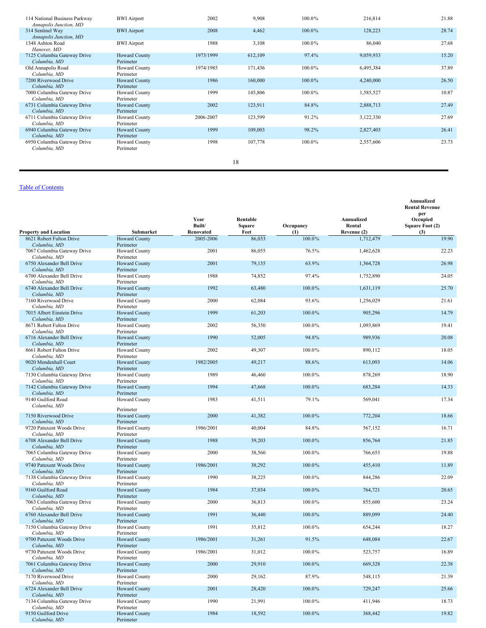| 114 National Business Parkway<br>Annapolis Junction, MD | <b>BWI</b> Airport                | 2002      | 9,908   | 100.0%    | 216,814   | 21.88 |
|---------------------------------------------------------|-----------------------------------|-----------|---------|-----------|-----------|-------|
| 314 Sentinel Way<br>Annapolis Junction, MD              | <b>BWI</b> Airport                | 2008      | 4,462   | $100.0\%$ | 128,223   | 28.74 |
| 1348 Ashton Road<br>Hanover, MD                         | <b>BWI</b> Airport                | 1988      | 3,108   | 100.0%    | 86,040    | 27.68 |
| 7125 Columbia Gateway Drive<br>Columbia, MD             | <b>Howard County</b><br>Perimeter | 1973/1999 | 612,109 | 97.4%     | 9,059,933 | 15.20 |
| Old Annapolis Road<br>Columbia, MD                      | <b>Howard County</b><br>Perimeter | 1974/1985 | 171.436 | 100.0%    | 6,495,384 | 37.89 |
| 7200 Riverwood Drive<br>Columbia, MD                    | <b>Howard County</b><br>Perimeter | 1986      | 160,000 | $100.0\%$ | 4,240,000 | 26.50 |
| 7000 Columbia Gateway Drive<br>Columbia, MD             | <b>Howard County</b><br>Perimeter | 1999      | 145,806 | 100.0%    | 1,585,527 | 10.87 |
| 6731 Columbia Gateway Drive<br>Columbia, MD             | <b>Howard County</b><br>Perimeter | 2002      | 123,911 | 84.8%     | 2,888,713 | 27.49 |
| 6711 Columbia Gateway Drive<br>Columbia, MD             | <b>Howard County</b><br>Perimeter | 2006-2007 | 123,599 | 91.2%     | 3,122,330 | 27.69 |
| 6940 Columbia Gateway Drive<br>Columbia, MD             | <b>Howard County</b><br>Perimeter | 1999      | 109,003 | 98.2%     | 2,827,403 | 26.41 |
| 6950 Columbia Gateway Drive<br>Columbia, MD             | <b>Howard County</b><br>Perimeter | 1998      | 107,778 | 100.0%    | 2,557,606 | 23.73 |

#### 1 8

#### Table of [C](#page-1-0)ontents

| Submarket<br>Renovated<br>Feet<br>(1)<br>Revenue (2)<br>(3)<br>100.0%<br>19.90<br><b>Howard County</b><br>2005-2006<br>86,033<br>1,712,479<br>8621 Robert Fulton Drive<br>Perimeter<br>Columbia, MD<br>2001<br>76.5%<br>22.23<br>7067 Columbia Gateway Drive<br>Howard County<br>86,055<br>1,462,628<br>Columbia, MD<br>Perimeter<br>2001<br>63.9%<br>26.98<br>6750 Alexander Bell Drive<br><b>Howard County</b><br>79,135<br>1,364,728<br>Columbia, MD<br>Perimeter<br>Howard County<br>24.05<br>6700 Alexander Bell Drive<br>1988<br>74,852<br>97.4%<br>1,752,890<br>Perimeter<br>Columbia, MD<br>1992<br>25.70<br>6740 Alexander Bell Drive<br><b>Howard County</b><br>63,480<br>100.0%<br>1,631,119<br>Columbia, MD<br>Perimeter<br>93.6%<br>7160 Riverwood Drive<br><b>Howard County</b><br>2000<br>62,084<br>1,256,029<br>21.61<br>Columbia, MD<br>Perimeter<br>1999<br>14.79<br>7015 Albert Einstein Drive<br><b>Howard County</b><br>61,203<br>100.0%<br>905,296<br>Columbia, MD<br>Perimeter<br>2002<br>19.41<br>8671 Robert Fulton Drive<br>Howard County<br>56,350<br>100.0%<br>1,093,869<br>Perimeter<br>Columbia, MD<br>1990<br>94.8%<br>989,936<br>20.08<br>6716 Alexander Bell Drive<br><b>Howard County</b><br>52,005<br>Perimeter<br>Columbia, MD<br>Howard County<br>18.05<br>8661 Robert Fulton Drive<br>2002<br>49,307<br>100.0%<br>890,112<br>Columbia, MD<br>Perimeter<br>88.6%<br>14.06<br>9020 Mendenhall Court<br><b>Howard County</b><br>1982/2005<br>49,217<br>613,093<br>Perimeter<br>Columbia, MD<br>1989<br>100.0%<br>18.90<br>7130 Columbia Gateway Drive<br>Howard County<br>46,460<br>878,269<br>Columbia, MD<br>Perimeter<br>1994<br>14.33<br>7142 Columbia Gateway Drive<br><b>Howard County</b><br>47,668<br>100.0%<br>683,284<br>Columbia, MD<br>Perimeter<br>9140 Guilford Road<br>17.34<br>Howard County<br>1983<br>41,511<br>79.1%<br>569,041<br>Columbia, MD<br>Perimeter<br>2000<br>18.66<br>7150 Riverwood Drive<br><b>Howard County</b><br>41,382<br>100.0%<br>772,204<br>Perimeter<br>Columbia, MD<br>9720 Patuxent Woods Drive<br>Howard County<br>1986/2001<br>40,004<br>84.8%<br>567,152<br>16.71<br>Columbia, MD<br>Perimeter<br>1988<br>21.85<br>6708 Alexander Bell Drive<br><b>Howard County</b><br>39,203<br>100.0%<br>856,764<br>Columbia, MD<br>Perimeter<br>2000<br>100.0%<br>766,653<br>19.88<br>7065 Columbia Gateway Drive<br>Howard County<br>38,560<br>Columbia, MD<br>Perimeter<br>11.89<br>9740 Patuxent Woods Drive<br><b>Howard County</b><br>1986/2001<br>38,292<br>100.0%<br>455,410<br>Columbia, MD<br>Perimeter<br>1990<br>22.09<br>7138 Columbia Gateway Drive<br>Howard County<br>38,225<br>100.0%<br>844,286<br>Columbia, MD<br>Perimeter<br>9160 Guilford Road<br>1984<br>764,721<br><b>Howard County</b><br>37,034<br>100.0%<br>20.65<br>Perimeter<br>Columbia, MD<br>7063 Columbia Gateway Drive<br>Howard County<br>2000<br>36,813<br>100.0%<br>855,600<br>23.24<br>Columbia, MD<br>Perimeter<br>1991<br>100.0%<br>889,099<br>24.40<br>6760 Alexander Bell Drive<br><b>Howard County</b><br>36,440<br>Perimeter<br>Columbia, MD<br>1991<br>7150 Columbia Gateway Drive<br>Howard County<br>35,812<br>100.0%<br>654,244<br>18.27<br>Columbia, MD<br>Perimeter<br>91.5%<br>648,084<br>22.67<br>9700 Patuxent Woods Drive<br><b>Howard County</b><br>1986/2001<br>31,261<br>Columbia, MD<br>Perimeter<br>31,012<br>100.0%<br>16.89<br>9730 Patuxent Woods Drive<br><b>Howard County</b><br>1986/2001<br>523,757<br>Columbia, MD<br>Perimeter<br>7061 Columbia Gateway Drive<br><b>Howard County</b><br>2000<br>29,910<br>100.0%<br>669,328<br>22.38<br>Columbia, MD<br>Perimeter<br>7170 Riverwood Drive<br>Howard County<br>2000<br>29,162<br>87.9%<br>548,115<br>21.39<br>Columbia, MD<br>Perimeter<br>2001<br>6724 Alexander Bell Drive<br><b>Howard County</b><br>100.0%<br>729,247<br>25.66<br>28,420<br>Columbia, MD<br>Perimeter<br>Howard County<br>1990<br>7134 Columbia Gateway Drive<br>21,991<br>100.0%<br>411,946<br>18.73 |                              |           | Year<br>Built/ | Rentable<br>Square | Occupancy | Annualized<br>Rental | Annualized<br><b>Rental Revenue</b><br>per<br>Occupied<br>Square Foot (2) |
|------------------------------------------------------------------------------------------------------------------------------------------------------------------------------------------------------------------------------------------------------------------------------------------------------------------------------------------------------------------------------------------------------------------------------------------------------------------------------------------------------------------------------------------------------------------------------------------------------------------------------------------------------------------------------------------------------------------------------------------------------------------------------------------------------------------------------------------------------------------------------------------------------------------------------------------------------------------------------------------------------------------------------------------------------------------------------------------------------------------------------------------------------------------------------------------------------------------------------------------------------------------------------------------------------------------------------------------------------------------------------------------------------------------------------------------------------------------------------------------------------------------------------------------------------------------------------------------------------------------------------------------------------------------------------------------------------------------------------------------------------------------------------------------------------------------------------------------------------------------------------------------------------------------------------------------------------------------------------------------------------------------------------------------------------------------------------------------------------------------------------------------------------------------------------------------------------------------------------------------------------------------------------------------------------------------------------------------------------------------------------------------------------------------------------------------------------------------------------------------------------------------------------------------------------------------------------------------------------------------------------------------------------------------------------------------------------------------------------------------------------------------------------------------------------------------------------------------------------------------------------------------------------------------------------------------------------------------------------------------------------------------------------------------------------------------------------------------------------------------------------------------------------------------------------------------------------------------------------------------------------------------------------------------------------------------------------------------------------------------------------------------------------------------------------------------------------------------------------------------------------------------------------------------------------------------------------------------------------------------------------------------------------------------------------------------------------------------------------------------------------------------------------------------------------------------------------------------------------------------------------------------------------------------------------------------------------------------------------------------------------------------|------------------------------|-----------|----------------|--------------------|-----------|----------------------|---------------------------------------------------------------------------|
|                                                                                                                                                                                                                                                                                                                                                                                                                                                                                                                                                                                                                                                                                                                                                                                                                                                                                                                                                                                                                                                                                                                                                                                                                                                                                                                                                                                                                                                                                                                                                                                                                                                                                                                                                                                                                                                                                                                                                                                                                                                                                                                                                                                                                                                                                                                                                                                                                                                                                                                                                                                                                                                                                                                                                                                                                                                                                                                                                                                                                                                                                                                                                                                                                                                                                                                                                                                                                                                                                                                                                                                                                                                                                                                                                                                                                                                                                                                                                                                                                  | <b>Property and Location</b> |           |                |                    |           |                      |                                                                           |
|                                                                                                                                                                                                                                                                                                                                                                                                                                                                                                                                                                                                                                                                                                                                                                                                                                                                                                                                                                                                                                                                                                                                                                                                                                                                                                                                                                                                                                                                                                                                                                                                                                                                                                                                                                                                                                                                                                                                                                                                                                                                                                                                                                                                                                                                                                                                                                                                                                                                                                                                                                                                                                                                                                                                                                                                                                                                                                                                                                                                                                                                                                                                                                                                                                                                                                                                                                                                                                                                                                                                                                                                                                                                                                                                                                                                                                                                                                                                                                                                                  |                              |           |                |                    |           |                      |                                                                           |
|                                                                                                                                                                                                                                                                                                                                                                                                                                                                                                                                                                                                                                                                                                                                                                                                                                                                                                                                                                                                                                                                                                                                                                                                                                                                                                                                                                                                                                                                                                                                                                                                                                                                                                                                                                                                                                                                                                                                                                                                                                                                                                                                                                                                                                                                                                                                                                                                                                                                                                                                                                                                                                                                                                                                                                                                                                                                                                                                                                                                                                                                                                                                                                                                                                                                                                                                                                                                                                                                                                                                                                                                                                                                                                                                                                                                                                                                                                                                                                                                                  |                              |           |                |                    |           |                      |                                                                           |
|                                                                                                                                                                                                                                                                                                                                                                                                                                                                                                                                                                                                                                                                                                                                                                                                                                                                                                                                                                                                                                                                                                                                                                                                                                                                                                                                                                                                                                                                                                                                                                                                                                                                                                                                                                                                                                                                                                                                                                                                                                                                                                                                                                                                                                                                                                                                                                                                                                                                                                                                                                                                                                                                                                                                                                                                                                                                                                                                                                                                                                                                                                                                                                                                                                                                                                                                                                                                                                                                                                                                                                                                                                                                                                                                                                                                                                                                                                                                                                                                                  |                              |           |                |                    |           |                      |                                                                           |
|                                                                                                                                                                                                                                                                                                                                                                                                                                                                                                                                                                                                                                                                                                                                                                                                                                                                                                                                                                                                                                                                                                                                                                                                                                                                                                                                                                                                                                                                                                                                                                                                                                                                                                                                                                                                                                                                                                                                                                                                                                                                                                                                                                                                                                                                                                                                                                                                                                                                                                                                                                                                                                                                                                                                                                                                                                                                                                                                                                                                                                                                                                                                                                                                                                                                                                                                                                                                                                                                                                                                                                                                                                                                                                                                                                                                                                                                                                                                                                                                                  |                              |           |                |                    |           |                      |                                                                           |
|                                                                                                                                                                                                                                                                                                                                                                                                                                                                                                                                                                                                                                                                                                                                                                                                                                                                                                                                                                                                                                                                                                                                                                                                                                                                                                                                                                                                                                                                                                                                                                                                                                                                                                                                                                                                                                                                                                                                                                                                                                                                                                                                                                                                                                                                                                                                                                                                                                                                                                                                                                                                                                                                                                                                                                                                                                                                                                                                                                                                                                                                                                                                                                                                                                                                                                                                                                                                                                                                                                                                                                                                                                                                                                                                                                                                                                                                                                                                                                                                                  |                              |           |                |                    |           |                      |                                                                           |
|                                                                                                                                                                                                                                                                                                                                                                                                                                                                                                                                                                                                                                                                                                                                                                                                                                                                                                                                                                                                                                                                                                                                                                                                                                                                                                                                                                                                                                                                                                                                                                                                                                                                                                                                                                                                                                                                                                                                                                                                                                                                                                                                                                                                                                                                                                                                                                                                                                                                                                                                                                                                                                                                                                                                                                                                                                                                                                                                                                                                                                                                                                                                                                                                                                                                                                                                                                                                                                                                                                                                                                                                                                                                                                                                                                                                                                                                                                                                                                                                                  |                              |           |                |                    |           |                      |                                                                           |
|                                                                                                                                                                                                                                                                                                                                                                                                                                                                                                                                                                                                                                                                                                                                                                                                                                                                                                                                                                                                                                                                                                                                                                                                                                                                                                                                                                                                                                                                                                                                                                                                                                                                                                                                                                                                                                                                                                                                                                                                                                                                                                                                                                                                                                                                                                                                                                                                                                                                                                                                                                                                                                                                                                                                                                                                                                                                                                                                                                                                                                                                                                                                                                                                                                                                                                                                                                                                                                                                                                                                                                                                                                                                                                                                                                                                                                                                                                                                                                                                                  |                              |           |                |                    |           |                      |                                                                           |
|                                                                                                                                                                                                                                                                                                                                                                                                                                                                                                                                                                                                                                                                                                                                                                                                                                                                                                                                                                                                                                                                                                                                                                                                                                                                                                                                                                                                                                                                                                                                                                                                                                                                                                                                                                                                                                                                                                                                                                                                                                                                                                                                                                                                                                                                                                                                                                                                                                                                                                                                                                                                                                                                                                                                                                                                                                                                                                                                                                                                                                                                                                                                                                                                                                                                                                                                                                                                                                                                                                                                                                                                                                                                                                                                                                                                                                                                                                                                                                                                                  |                              |           |                |                    |           |                      |                                                                           |
|                                                                                                                                                                                                                                                                                                                                                                                                                                                                                                                                                                                                                                                                                                                                                                                                                                                                                                                                                                                                                                                                                                                                                                                                                                                                                                                                                                                                                                                                                                                                                                                                                                                                                                                                                                                                                                                                                                                                                                                                                                                                                                                                                                                                                                                                                                                                                                                                                                                                                                                                                                                                                                                                                                                                                                                                                                                                                                                                                                                                                                                                                                                                                                                                                                                                                                                                                                                                                                                                                                                                                                                                                                                                                                                                                                                                                                                                                                                                                                                                                  |                              |           |                |                    |           |                      |                                                                           |
|                                                                                                                                                                                                                                                                                                                                                                                                                                                                                                                                                                                                                                                                                                                                                                                                                                                                                                                                                                                                                                                                                                                                                                                                                                                                                                                                                                                                                                                                                                                                                                                                                                                                                                                                                                                                                                                                                                                                                                                                                                                                                                                                                                                                                                                                                                                                                                                                                                                                                                                                                                                                                                                                                                                                                                                                                                                                                                                                                                                                                                                                                                                                                                                                                                                                                                                                                                                                                                                                                                                                                                                                                                                                                                                                                                                                                                                                                                                                                                                                                  |                              |           |                |                    |           |                      |                                                                           |
|                                                                                                                                                                                                                                                                                                                                                                                                                                                                                                                                                                                                                                                                                                                                                                                                                                                                                                                                                                                                                                                                                                                                                                                                                                                                                                                                                                                                                                                                                                                                                                                                                                                                                                                                                                                                                                                                                                                                                                                                                                                                                                                                                                                                                                                                                                                                                                                                                                                                                                                                                                                                                                                                                                                                                                                                                                                                                                                                                                                                                                                                                                                                                                                                                                                                                                                                                                                                                                                                                                                                                                                                                                                                                                                                                                                                                                                                                                                                                                                                                  |                              |           |                |                    |           |                      |                                                                           |
|                                                                                                                                                                                                                                                                                                                                                                                                                                                                                                                                                                                                                                                                                                                                                                                                                                                                                                                                                                                                                                                                                                                                                                                                                                                                                                                                                                                                                                                                                                                                                                                                                                                                                                                                                                                                                                                                                                                                                                                                                                                                                                                                                                                                                                                                                                                                                                                                                                                                                                                                                                                                                                                                                                                                                                                                                                                                                                                                                                                                                                                                                                                                                                                                                                                                                                                                                                                                                                                                                                                                                                                                                                                                                                                                                                                                                                                                                                                                                                                                                  |                              |           |                |                    |           |                      |                                                                           |
|                                                                                                                                                                                                                                                                                                                                                                                                                                                                                                                                                                                                                                                                                                                                                                                                                                                                                                                                                                                                                                                                                                                                                                                                                                                                                                                                                                                                                                                                                                                                                                                                                                                                                                                                                                                                                                                                                                                                                                                                                                                                                                                                                                                                                                                                                                                                                                                                                                                                                                                                                                                                                                                                                                                                                                                                                                                                                                                                                                                                                                                                                                                                                                                                                                                                                                                                                                                                                                                                                                                                                                                                                                                                                                                                                                                                                                                                                                                                                                                                                  |                              |           |                |                    |           |                      |                                                                           |
|                                                                                                                                                                                                                                                                                                                                                                                                                                                                                                                                                                                                                                                                                                                                                                                                                                                                                                                                                                                                                                                                                                                                                                                                                                                                                                                                                                                                                                                                                                                                                                                                                                                                                                                                                                                                                                                                                                                                                                                                                                                                                                                                                                                                                                                                                                                                                                                                                                                                                                                                                                                                                                                                                                                                                                                                                                                                                                                                                                                                                                                                                                                                                                                                                                                                                                                                                                                                                                                                                                                                                                                                                                                                                                                                                                                                                                                                                                                                                                                                                  |                              |           |                |                    |           |                      |                                                                           |
|                                                                                                                                                                                                                                                                                                                                                                                                                                                                                                                                                                                                                                                                                                                                                                                                                                                                                                                                                                                                                                                                                                                                                                                                                                                                                                                                                                                                                                                                                                                                                                                                                                                                                                                                                                                                                                                                                                                                                                                                                                                                                                                                                                                                                                                                                                                                                                                                                                                                                                                                                                                                                                                                                                                                                                                                                                                                                                                                                                                                                                                                                                                                                                                                                                                                                                                                                                                                                                                                                                                                                                                                                                                                                                                                                                                                                                                                                                                                                                                                                  |                              |           |                |                    |           |                      |                                                                           |
|                                                                                                                                                                                                                                                                                                                                                                                                                                                                                                                                                                                                                                                                                                                                                                                                                                                                                                                                                                                                                                                                                                                                                                                                                                                                                                                                                                                                                                                                                                                                                                                                                                                                                                                                                                                                                                                                                                                                                                                                                                                                                                                                                                                                                                                                                                                                                                                                                                                                                                                                                                                                                                                                                                                                                                                                                                                                                                                                                                                                                                                                                                                                                                                                                                                                                                                                                                                                                                                                                                                                                                                                                                                                                                                                                                                                                                                                                                                                                                                                                  |                              |           |                |                    |           |                      |                                                                           |
|                                                                                                                                                                                                                                                                                                                                                                                                                                                                                                                                                                                                                                                                                                                                                                                                                                                                                                                                                                                                                                                                                                                                                                                                                                                                                                                                                                                                                                                                                                                                                                                                                                                                                                                                                                                                                                                                                                                                                                                                                                                                                                                                                                                                                                                                                                                                                                                                                                                                                                                                                                                                                                                                                                                                                                                                                                                                                                                                                                                                                                                                                                                                                                                                                                                                                                                                                                                                                                                                                                                                                                                                                                                                                                                                                                                                                                                                                                                                                                                                                  |                              |           |                |                    |           |                      |                                                                           |
|                                                                                                                                                                                                                                                                                                                                                                                                                                                                                                                                                                                                                                                                                                                                                                                                                                                                                                                                                                                                                                                                                                                                                                                                                                                                                                                                                                                                                                                                                                                                                                                                                                                                                                                                                                                                                                                                                                                                                                                                                                                                                                                                                                                                                                                                                                                                                                                                                                                                                                                                                                                                                                                                                                                                                                                                                                                                                                                                                                                                                                                                                                                                                                                                                                                                                                                                                                                                                                                                                                                                                                                                                                                                                                                                                                                                                                                                                                                                                                                                                  |                              |           |                |                    |           |                      |                                                                           |
|                                                                                                                                                                                                                                                                                                                                                                                                                                                                                                                                                                                                                                                                                                                                                                                                                                                                                                                                                                                                                                                                                                                                                                                                                                                                                                                                                                                                                                                                                                                                                                                                                                                                                                                                                                                                                                                                                                                                                                                                                                                                                                                                                                                                                                                                                                                                                                                                                                                                                                                                                                                                                                                                                                                                                                                                                                                                                                                                                                                                                                                                                                                                                                                                                                                                                                                                                                                                                                                                                                                                                                                                                                                                                                                                                                                                                                                                                                                                                                                                                  |                              |           |                |                    |           |                      |                                                                           |
|                                                                                                                                                                                                                                                                                                                                                                                                                                                                                                                                                                                                                                                                                                                                                                                                                                                                                                                                                                                                                                                                                                                                                                                                                                                                                                                                                                                                                                                                                                                                                                                                                                                                                                                                                                                                                                                                                                                                                                                                                                                                                                                                                                                                                                                                                                                                                                                                                                                                                                                                                                                                                                                                                                                                                                                                                                                                                                                                                                                                                                                                                                                                                                                                                                                                                                                                                                                                                                                                                                                                                                                                                                                                                                                                                                                                                                                                                                                                                                                                                  |                              |           |                |                    |           |                      |                                                                           |
|                                                                                                                                                                                                                                                                                                                                                                                                                                                                                                                                                                                                                                                                                                                                                                                                                                                                                                                                                                                                                                                                                                                                                                                                                                                                                                                                                                                                                                                                                                                                                                                                                                                                                                                                                                                                                                                                                                                                                                                                                                                                                                                                                                                                                                                                                                                                                                                                                                                                                                                                                                                                                                                                                                                                                                                                                                                                                                                                                                                                                                                                                                                                                                                                                                                                                                                                                                                                                                                                                                                                                                                                                                                                                                                                                                                                                                                                                                                                                                                                                  |                              |           |                |                    |           |                      |                                                                           |
|                                                                                                                                                                                                                                                                                                                                                                                                                                                                                                                                                                                                                                                                                                                                                                                                                                                                                                                                                                                                                                                                                                                                                                                                                                                                                                                                                                                                                                                                                                                                                                                                                                                                                                                                                                                                                                                                                                                                                                                                                                                                                                                                                                                                                                                                                                                                                                                                                                                                                                                                                                                                                                                                                                                                                                                                                                                                                                                                                                                                                                                                                                                                                                                                                                                                                                                                                                                                                                                                                                                                                                                                                                                                                                                                                                                                                                                                                                                                                                                                                  |                              |           |                |                    |           |                      |                                                                           |
|                                                                                                                                                                                                                                                                                                                                                                                                                                                                                                                                                                                                                                                                                                                                                                                                                                                                                                                                                                                                                                                                                                                                                                                                                                                                                                                                                                                                                                                                                                                                                                                                                                                                                                                                                                                                                                                                                                                                                                                                                                                                                                                                                                                                                                                                                                                                                                                                                                                                                                                                                                                                                                                                                                                                                                                                                                                                                                                                                                                                                                                                                                                                                                                                                                                                                                                                                                                                                                                                                                                                                                                                                                                                                                                                                                                                                                                                                                                                                                                                                  |                              |           |                |                    |           |                      |                                                                           |
|                                                                                                                                                                                                                                                                                                                                                                                                                                                                                                                                                                                                                                                                                                                                                                                                                                                                                                                                                                                                                                                                                                                                                                                                                                                                                                                                                                                                                                                                                                                                                                                                                                                                                                                                                                                                                                                                                                                                                                                                                                                                                                                                                                                                                                                                                                                                                                                                                                                                                                                                                                                                                                                                                                                                                                                                                                                                                                                                                                                                                                                                                                                                                                                                                                                                                                                                                                                                                                                                                                                                                                                                                                                                                                                                                                                                                                                                                                                                                                                                                  |                              |           |                |                    |           |                      |                                                                           |
|                                                                                                                                                                                                                                                                                                                                                                                                                                                                                                                                                                                                                                                                                                                                                                                                                                                                                                                                                                                                                                                                                                                                                                                                                                                                                                                                                                                                                                                                                                                                                                                                                                                                                                                                                                                                                                                                                                                                                                                                                                                                                                                                                                                                                                                                                                                                                                                                                                                                                                                                                                                                                                                                                                                                                                                                                                                                                                                                                                                                                                                                                                                                                                                                                                                                                                                                                                                                                                                                                                                                                                                                                                                                                                                                                                                                                                                                                                                                                                                                                  |                              |           |                |                    |           |                      |                                                                           |
|                                                                                                                                                                                                                                                                                                                                                                                                                                                                                                                                                                                                                                                                                                                                                                                                                                                                                                                                                                                                                                                                                                                                                                                                                                                                                                                                                                                                                                                                                                                                                                                                                                                                                                                                                                                                                                                                                                                                                                                                                                                                                                                                                                                                                                                                                                                                                                                                                                                                                                                                                                                                                                                                                                                                                                                                                                                                                                                                                                                                                                                                                                                                                                                                                                                                                                                                                                                                                                                                                                                                                                                                                                                                                                                                                                                                                                                                                                                                                                                                                  |                              |           |                |                    |           |                      |                                                                           |
|                                                                                                                                                                                                                                                                                                                                                                                                                                                                                                                                                                                                                                                                                                                                                                                                                                                                                                                                                                                                                                                                                                                                                                                                                                                                                                                                                                                                                                                                                                                                                                                                                                                                                                                                                                                                                                                                                                                                                                                                                                                                                                                                                                                                                                                                                                                                                                                                                                                                                                                                                                                                                                                                                                                                                                                                                                                                                                                                                                                                                                                                                                                                                                                                                                                                                                                                                                                                                                                                                                                                                                                                                                                                                                                                                                                                                                                                                                                                                                                                                  |                              |           |                |                    |           |                      |                                                                           |
|                                                                                                                                                                                                                                                                                                                                                                                                                                                                                                                                                                                                                                                                                                                                                                                                                                                                                                                                                                                                                                                                                                                                                                                                                                                                                                                                                                                                                                                                                                                                                                                                                                                                                                                                                                                                                                                                                                                                                                                                                                                                                                                                                                                                                                                                                                                                                                                                                                                                                                                                                                                                                                                                                                                                                                                                                                                                                                                                                                                                                                                                                                                                                                                                                                                                                                                                                                                                                                                                                                                                                                                                                                                                                                                                                                                                                                                                                                                                                                                                                  |                              |           |                |                    |           |                      |                                                                           |
|                                                                                                                                                                                                                                                                                                                                                                                                                                                                                                                                                                                                                                                                                                                                                                                                                                                                                                                                                                                                                                                                                                                                                                                                                                                                                                                                                                                                                                                                                                                                                                                                                                                                                                                                                                                                                                                                                                                                                                                                                                                                                                                                                                                                                                                                                                                                                                                                                                                                                                                                                                                                                                                                                                                                                                                                                                                                                                                                                                                                                                                                                                                                                                                                                                                                                                                                                                                                                                                                                                                                                                                                                                                                                                                                                                                                                                                                                                                                                                                                                  |                              |           |                |                    |           |                      |                                                                           |
|                                                                                                                                                                                                                                                                                                                                                                                                                                                                                                                                                                                                                                                                                                                                                                                                                                                                                                                                                                                                                                                                                                                                                                                                                                                                                                                                                                                                                                                                                                                                                                                                                                                                                                                                                                                                                                                                                                                                                                                                                                                                                                                                                                                                                                                                                                                                                                                                                                                                                                                                                                                                                                                                                                                                                                                                                                                                                                                                                                                                                                                                                                                                                                                                                                                                                                                                                                                                                                                                                                                                                                                                                                                                                                                                                                                                                                                                                                                                                                                                                  |                              |           |                |                    |           |                      |                                                                           |
|                                                                                                                                                                                                                                                                                                                                                                                                                                                                                                                                                                                                                                                                                                                                                                                                                                                                                                                                                                                                                                                                                                                                                                                                                                                                                                                                                                                                                                                                                                                                                                                                                                                                                                                                                                                                                                                                                                                                                                                                                                                                                                                                                                                                                                                                                                                                                                                                                                                                                                                                                                                                                                                                                                                                                                                                                                                                                                                                                                                                                                                                                                                                                                                                                                                                                                                                                                                                                                                                                                                                                                                                                                                                                                                                                                                                                                                                                                                                                                                                                  |                              |           |                |                    |           |                      |                                                                           |
|                                                                                                                                                                                                                                                                                                                                                                                                                                                                                                                                                                                                                                                                                                                                                                                                                                                                                                                                                                                                                                                                                                                                                                                                                                                                                                                                                                                                                                                                                                                                                                                                                                                                                                                                                                                                                                                                                                                                                                                                                                                                                                                                                                                                                                                                                                                                                                                                                                                                                                                                                                                                                                                                                                                                                                                                                                                                                                                                                                                                                                                                                                                                                                                                                                                                                                                                                                                                                                                                                                                                                                                                                                                                                                                                                                                                                                                                                                                                                                                                                  |                              |           |                |                    |           |                      |                                                                           |
|                                                                                                                                                                                                                                                                                                                                                                                                                                                                                                                                                                                                                                                                                                                                                                                                                                                                                                                                                                                                                                                                                                                                                                                                                                                                                                                                                                                                                                                                                                                                                                                                                                                                                                                                                                                                                                                                                                                                                                                                                                                                                                                                                                                                                                                                                                                                                                                                                                                                                                                                                                                                                                                                                                                                                                                                                                                                                                                                                                                                                                                                                                                                                                                                                                                                                                                                                                                                                                                                                                                                                                                                                                                                                                                                                                                                                                                                                                                                                                                                                  |                              |           |                |                    |           |                      |                                                                           |
|                                                                                                                                                                                                                                                                                                                                                                                                                                                                                                                                                                                                                                                                                                                                                                                                                                                                                                                                                                                                                                                                                                                                                                                                                                                                                                                                                                                                                                                                                                                                                                                                                                                                                                                                                                                                                                                                                                                                                                                                                                                                                                                                                                                                                                                                                                                                                                                                                                                                                                                                                                                                                                                                                                                                                                                                                                                                                                                                                                                                                                                                                                                                                                                                                                                                                                                                                                                                                                                                                                                                                                                                                                                                                                                                                                                                                                                                                                                                                                                                                  |                              |           |                |                    |           |                      |                                                                           |
|                                                                                                                                                                                                                                                                                                                                                                                                                                                                                                                                                                                                                                                                                                                                                                                                                                                                                                                                                                                                                                                                                                                                                                                                                                                                                                                                                                                                                                                                                                                                                                                                                                                                                                                                                                                                                                                                                                                                                                                                                                                                                                                                                                                                                                                                                                                                                                                                                                                                                                                                                                                                                                                                                                                                                                                                                                                                                                                                                                                                                                                                                                                                                                                                                                                                                                                                                                                                                                                                                                                                                                                                                                                                                                                                                                                                                                                                                                                                                                                                                  |                              |           |                |                    |           |                      |                                                                           |
|                                                                                                                                                                                                                                                                                                                                                                                                                                                                                                                                                                                                                                                                                                                                                                                                                                                                                                                                                                                                                                                                                                                                                                                                                                                                                                                                                                                                                                                                                                                                                                                                                                                                                                                                                                                                                                                                                                                                                                                                                                                                                                                                                                                                                                                                                                                                                                                                                                                                                                                                                                                                                                                                                                                                                                                                                                                                                                                                                                                                                                                                                                                                                                                                                                                                                                                                                                                                                                                                                                                                                                                                                                                                                                                                                                                                                                                                                                                                                                                                                  |                              |           |                |                    |           |                      |                                                                           |
|                                                                                                                                                                                                                                                                                                                                                                                                                                                                                                                                                                                                                                                                                                                                                                                                                                                                                                                                                                                                                                                                                                                                                                                                                                                                                                                                                                                                                                                                                                                                                                                                                                                                                                                                                                                                                                                                                                                                                                                                                                                                                                                                                                                                                                                                                                                                                                                                                                                                                                                                                                                                                                                                                                                                                                                                                                                                                                                                                                                                                                                                                                                                                                                                                                                                                                                                                                                                                                                                                                                                                                                                                                                                                                                                                                                                                                                                                                                                                                                                                  |                              |           |                |                    |           |                      |                                                                           |
|                                                                                                                                                                                                                                                                                                                                                                                                                                                                                                                                                                                                                                                                                                                                                                                                                                                                                                                                                                                                                                                                                                                                                                                                                                                                                                                                                                                                                                                                                                                                                                                                                                                                                                                                                                                                                                                                                                                                                                                                                                                                                                                                                                                                                                                                                                                                                                                                                                                                                                                                                                                                                                                                                                                                                                                                                                                                                                                                                                                                                                                                                                                                                                                                                                                                                                                                                                                                                                                                                                                                                                                                                                                                                                                                                                                                                                                                                                                                                                                                                  |                              |           |                |                    |           |                      |                                                                           |
|                                                                                                                                                                                                                                                                                                                                                                                                                                                                                                                                                                                                                                                                                                                                                                                                                                                                                                                                                                                                                                                                                                                                                                                                                                                                                                                                                                                                                                                                                                                                                                                                                                                                                                                                                                                                                                                                                                                                                                                                                                                                                                                                                                                                                                                                                                                                                                                                                                                                                                                                                                                                                                                                                                                                                                                                                                                                                                                                                                                                                                                                                                                                                                                                                                                                                                                                                                                                                                                                                                                                                                                                                                                                                                                                                                                                                                                                                                                                                                                                                  |                              |           |                |                    |           |                      |                                                                           |
|                                                                                                                                                                                                                                                                                                                                                                                                                                                                                                                                                                                                                                                                                                                                                                                                                                                                                                                                                                                                                                                                                                                                                                                                                                                                                                                                                                                                                                                                                                                                                                                                                                                                                                                                                                                                                                                                                                                                                                                                                                                                                                                                                                                                                                                                                                                                                                                                                                                                                                                                                                                                                                                                                                                                                                                                                                                                                                                                                                                                                                                                                                                                                                                                                                                                                                                                                                                                                                                                                                                                                                                                                                                                                                                                                                                                                                                                                                                                                                                                                  |                              |           |                |                    |           |                      |                                                                           |
|                                                                                                                                                                                                                                                                                                                                                                                                                                                                                                                                                                                                                                                                                                                                                                                                                                                                                                                                                                                                                                                                                                                                                                                                                                                                                                                                                                                                                                                                                                                                                                                                                                                                                                                                                                                                                                                                                                                                                                                                                                                                                                                                                                                                                                                                                                                                                                                                                                                                                                                                                                                                                                                                                                                                                                                                                                                                                                                                                                                                                                                                                                                                                                                                                                                                                                                                                                                                                                                                                                                                                                                                                                                                                                                                                                                                                                                                                                                                                                                                                  |                              |           |                |                    |           |                      |                                                                           |
|                                                                                                                                                                                                                                                                                                                                                                                                                                                                                                                                                                                                                                                                                                                                                                                                                                                                                                                                                                                                                                                                                                                                                                                                                                                                                                                                                                                                                                                                                                                                                                                                                                                                                                                                                                                                                                                                                                                                                                                                                                                                                                                                                                                                                                                                                                                                                                                                                                                                                                                                                                                                                                                                                                                                                                                                                                                                                                                                                                                                                                                                                                                                                                                                                                                                                                                                                                                                                                                                                                                                                                                                                                                                                                                                                                                                                                                                                                                                                                                                                  |                              |           |                |                    |           |                      |                                                                           |
|                                                                                                                                                                                                                                                                                                                                                                                                                                                                                                                                                                                                                                                                                                                                                                                                                                                                                                                                                                                                                                                                                                                                                                                                                                                                                                                                                                                                                                                                                                                                                                                                                                                                                                                                                                                                                                                                                                                                                                                                                                                                                                                                                                                                                                                                                                                                                                                                                                                                                                                                                                                                                                                                                                                                                                                                                                                                                                                                                                                                                                                                                                                                                                                                                                                                                                                                                                                                                                                                                                                                                                                                                                                                                                                                                                                                                                                                                                                                                                                                                  |                              |           |                |                    |           |                      |                                                                           |
|                                                                                                                                                                                                                                                                                                                                                                                                                                                                                                                                                                                                                                                                                                                                                                                                                                                                                                                                                                                                                                                                                                                                                                                                                                                                                                                                                                                                                                                                                                                                                                                                                                                                                                                                                                                                                                                                                                                                                                                                                                                                                                                                                                                                                                                                                                                                                                                                                                                                                                                                                                                                                                                                                                                                                                                                                                                                                                                                                                                                                                                                                                                                                                                                                                                                                                                                                                                                                                                                                                                                                                                                                                                                                                                                                                                                                                                                                                                                                                                                                  |                              |           |                |                    |           |                      |                                                                           |
|                                                                                                                                                                                                                                                                                                                                                                                                                                                                                                                                                                                                                                                                                                                                                                                                                                                                                                                                                                                                                                                                                                                                                                                                                                                                                                                                                                                                                                                                                                                                                                                                                                                                                                                                                                                                                                                                                                                                                                                                                                                                                                                                                                                                                                                                                                                                                                                                                                                                                                                                                                                                                                                                                                                                                                                                                                                                                                                                                                                                                                                                                                                                                                                                                                                                                                                                                                                                                                                                                                                                                                                                                                                                                                                                                                                                                                                                                                                                                                                                                  |                              |           |                |                    |           |                      |                                                                           |
|                                                                                                                                                                                                                                                                                                                                                                                                                                                                                                                                                                                                                                                                                                                                                                                                                                                                                                                                                                                                                                                                                                                                                                                                                                                                                                                                                                                                                                                                                                                                                                                                                                                                                                                                                                                                                                                                                                                                                                                                                                                                                                                                                                                                                                                                                                                                                                                                                                                                                                                                                                                                                                                                                                                                                                                                                                                                                                                                                                                                                                                                                                                                                                                                                                                                                                                                                                                                                                                                                                                                                                                                                                                                                                                                                                                                                                                                                                                                                                                                                  |                              |           |                |                    |           |                      |                                                                           |
|                                                                                                                                                                                                                                                                                                                                                                                                                                                                                                                                                                                                                                                                                                                                                                                                                                                                                                                                                                                                                                                                                                                                                                                                                                                                                                                                                                                                                                                                                                                                                                                                                                                                                                                                                                                                                                                                                                                                                                                                                                                                                                                                                                                                                                                                                                                                                                                                                                                                                                                                                                                                                                                                                                                                                                                                                                                                                                                                                                                                                                                                                                                                                                                                                                                                                                                                                                                                                                                                                                                                                                                                                                                                                                                                                                                                                                                                                                                                                                                                                  | Columbia, MD                 | Perimeter |                |                    |           |                      |                                                                           |
| 9150 Guilford Drive<br><b>Howard County</b><br>1984<br>19.82<br>18,592<br>100.0%<br>368,442<br>Columbia, MD<br>Perimeter                                                                                                                                                                                                                                                                                                                                                                                                                                                                                                                                                                                                                                                                                                                                                                                                                                                                                                                                                                                                                                                                                                                                                                                                                                                                                                                                                                                                                                                                                                                                                                                                                                                                                                                                                                                                                                                                                                                                                                                                                                                                                                                                                                                                                                                                                                                                                                                                                                                                                                                                                                                                                                                                                                                                                                                                                                                                                                                                                                                                                                                                                                                                                                                                                                                                                                                                                                                                                                                                                                                                                                                                                                                                                                                                                                                                                                                                                         |                              |           |                |                    |           |                      |                                                                           |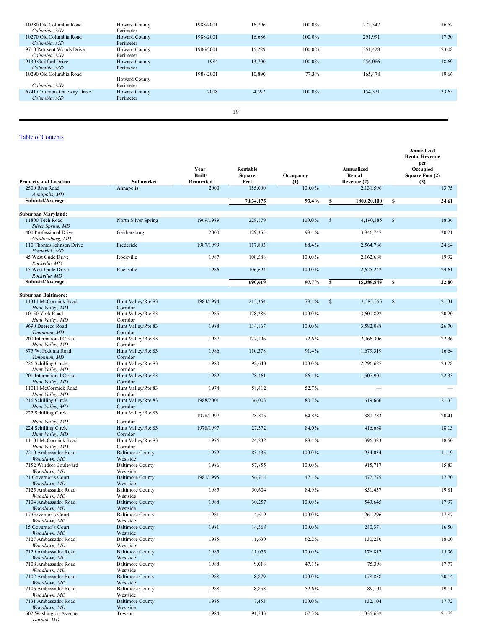| 10280 Old Columbia Road<br>Columbia, MD     | <b>Howard County</b><br>Perimeter | 1988/2001 | 16,796 | $100.0\%$ | 277,547 | 16.52 |
|---------------------------------------------|-----------------------------------|-----------|--------|-----------|---------|-------|
| 10270 Old Columbia Road<br>Columbia, MD     | <b>Howard County</b><br>Perimeter | 1988/2001 | 16.686 | $100.0\%$ | 291,991 | 17.50 |
| 9710 Patuxent Woods Drive<br>Columbia, MD   | <b>Howard County</b><br>Perimeter | 1986/2001 | 15,229 | $100.0\%$ | 351,428 | 23.08 |
| 9130 Guilford Drive<br>Columbia, MD         | <b>Howard County</b><br>Perimeter | 1984      | 13,700 | $100.0\%$ | 256,086 | 18.69 |
| 10290 Old Columbia Road<br>Columbia, MD     | <b>Howard County</b><br>Perimeter | 1988/2001 | 10.890 | 77.3%     | 165,478 | 19.66 |
| 6741 Columbia Gateway Drive<br>Columbia, MD | <b>Howard County</b><br>Perimeter | 2008      | 4,592  | $100.0\%$ | 154.521 | 33.65 |
|                                             |                                   |           | 19     |           |         |       |

| <b>Property and Location</b>            | Submarket                           | Year<br>Built/<br>Renovated | Rentable<br>Square<br>Feet | Occupancy<br>(1) |              | Annualized<br>Rental<br>Revenue (2) |              | Annualized<br><b>Rental Revenue</b><br>per<br>Occupied<br>Square Foot (2) |
|-----------------------------------------|-------------------------------------|-----------------------------|----------------------------|------------------|--------------|-------------------------------------|--------------|---------------------------------------------------------------------------|
| 2500 Riva Road                          | Annapolis                           | 2000                        | 155,000                    | 100.0%           |              | 2,131,596                           |              | (3)<br>13.75                                                              |
| Annapolis, MD                           |                                     |                             |                            |                  |              |                                     |              |                                                                           |
| Subtotal/Average                        |                                     |                             | 7,834,175                  | 93.4%            | \$           | 180,020,100                         | S            | 24.61                                                                     |
|                                         |                                     |                             |                            |                  |              |                                     |              |                                                                           |
| Suburban Maryland:<br>11800 Tech Road   |                                     |                             | 228,179                    |                  |              |                                     |              | 18.36                                                                     |
| Silver Spring, MD                       | North Silver Spring                 | 1969/1989                   |                            | 100.0%           | $\mathbb{S}$ | 4,190,385                           | $\mathbb{S}$ |                                                                           |
| 400 Professional Drive                  | Gaithersburg                        | 2000                        | 129,355                    | 98.4%            |              | 3,846,747                           |              | 30.21                                                                     |
| Gaithersburg, MD                        |                                     |                             |                            |                  |              |                                     |              |                                                                           |
| 110 Thomas Johnson Drive                | Frederick                           | 1987/1999                   | 117,803                    | 88.4%            |              | 2,564,786                           |              | 24.64                                                                     |
| Frederick, MD<br>45 West Gude Drive     | Rockville                           | 1987                        | 108,588                    | 100.0%           |              | 2,162,688                           |              | 19.92                                                                     |
| Rockville, MD                           |                                     |                             |                            |                  |              |                                     |              |                                                                           |
| 15 West Gude Drive                      | Rockville                           | 1986                        | 106,694                    | 100.0%           |              | 2,625,242                           |              | 24.61                                                                     |
| Rockville, MD                           |                                     |                             |                            |                  |              |                                     |              |                                                                           |
| Subtotal/Average                        |                                     |                             | 690,619                    | 97.7%            | S            | 15,389,848                          | S            | 22.80                                                                     |
| <b>Suburban Baltimore:</b>              |                                     |                             |                            |                  |              |                                     |              |                                                                           |
| 11311 McCormick Road                    | Hunt Valley/Rte 83                  | 1984/1994                   | 215,364                    | 78.1%            | $\mathbb{S}$ | 3,585,555                           | $\mathbb{S}$ | 21.31                                                                     |
| Hunt Valley, MD                         | Corridor                            |                             |                            |                  |              |                                     |              |                                                                           |
| 10150 York Road                         | Hunt Valley/Rte 83                  | 1985                        | 178,286                    | 100.0%           |              | 3,601,892                           |              | 20.20                                                                     |
| Hunt Valley, MD<br>9690 Deereco Road    | Corridor<br>Hunt Valley/Rte 83      | 1988                        | 134,167                    | 100.0%           |              | 3,582,088                           |              | 26.70                                                                     |
| Timonium, MD                            | Corridor                            |                             |                            |                  |              |                                     |              |                                                                           |
| 200 International Circle                | Hunt Valley/Rte 83                  | 1987                        | 127,196                    | 72.6%            |              | 2,066,306                           |              | 22.36                                                                     |
| Hunt Valley, MD                         | Corridor                            |                             |                            |                  |              |                                     |              |                                                                           |
| 375 W. Padonia Road<br>Timonium, MD     | Hunt Valley/Rte 83<br>Corridor      | 1986                        | 110,378                    | 91.4%            |              | 1,679,319                           |              | 16.64                                                                     |
| 226 Schilling Circle                    | Hunt Valley/Rte 83                  | 1980                        | 98,640                     | 100.0%           |              | 2,296,627                           |              | 23.28                                                                     |
| Hunt Valley, MD                         | Corridor                            |                             |                            |                  |              |                                     |              |                                                                           |
| 201 International Circle                | Hunt Valley/Rte 83                  | 1982                        | 78,461                     | 86.1%            |              | 1,507,901                           |              | 22.33                                                                     |
| Hunt Valley, MD<br>11011 McCormick Road | Corridor<br>Hunt Valley/Rte 83      | 1974                        | 58,412                     | 52.7%            |              |                                     |              |                                                                           |
| Hunt Valley, MD                         | Corridor                            |                             |                            |                  |              |                                     |              |                                                                           |
| 216 Schilling Circle                    | Hunt Valley/Rte 83                  | 1988/2001                   | 36,003                     | 80.7%            |              | 619,666                             |              | 21.33                                                                     |
| Hunt Valley, MD                         | Corridor                            |                             |                            |                  |              |                                     |              |                                                                           |
| 222 Schilling Circle                    | Hunt Valley/Rte 83                  | 1978/1997                   | 28,805                     | 64.8%            |              | 380,783                             |              | 20.41                                                                     |
| Hunt Valley, MD                         | Corridor                            |                             |                            |                  |              |                                     |              |                                                                           |
| 224 Schilling Circle<br>Hunt Valley, MD | Hunt Valley/Rte 83<br>Corridor      | 1978/1997                   | 27,372                     | 84.0%            |              | 416,688                             |              | 18.13                                                                     |
| 11101 McCormick Road                    | Hunt Valley/Rte 83                  | 1976                        | 24,232                     | 88.4%            |              | 396,323                             |              | 18.50                                                                     |
| Hunt Valley, MD                         | Corridor                            |                             |                            |                  |              |                                     |              |                                                                           |
| 7210 Ambassador Road<br>Woodlawn, MD    | <b>Baltimore County</b><br>Westside | 1972                        | 83,435                     | 100.0%           |              | 934,034                             |              | 11.19                                                                     |
| 7152 Windsor Boulevard                  | <b>Baltimore County</b>             | 1986                        | 57,855                     | 100.0%           |              | 915,717                             |              | 15.83                                                                     |
| Woodlawn, MD                            | Westside                            |                             |                            |                  |              |                                     |              |                                                                           |
| 21 Governor's Court                     | <b>Baltimore County</b>             | 1981/1995                   | 56,714                     | 47.1%            |              | 472,775                             |              | 17.70                                                                     |
| Woodlawn, MD<br>7125 Ambassador Road    | Westside<br><b>Baltimore County</b> | 1985                        | 50,604                     | 84.9%            |              | 851,437                             |              | 19.81                                                                     |
| Woodlawn, MD                            | Westside                            |                             |                            |                  |              |                                     |              |                                                                           |
| 7104 Ambassador Road                    | <b>Baltimore County</b>             | 1988                        | 30,257                     | 100.0%           |              | 543,645                             |              | 17.97                                                                     |
| Woodlawn, MD                            | Westside                            |                             |                            |                  |              |                                     |              |                                                                           |
| 17 Governor's Court<br>Woodlawn. MD     | <b>Baltimore County</b><br>Westside | 1981                        | 14,619                     | 100.0%           |              | 261,296                             |              | 17.87                                                                     |
| 15 Governor's Court                     | <b>Baltimore County</b>             | 1981                        | 14,568                     | 100.0%           |              | 240,371                             |              | 16.50                                                                     |
| Woodlawn, MD                            | Westside                            |                             |                            |                  |              |                                     |              |                                                                           |
| 7127 Ambassador Road                    | <b>Baltimore County</b>             | 1985                        | 11,630                     | 62.2%            |              | 130,230                             |              | 18.00                                                                     |
| Woodlawn, MD<br>7129 Ambassador Road    | Westside<br><b>Baltimore County</b> | 1985                        | 11,075                     | 100.0%           |              | 176,812                             |              | 15.96                                                                     |
| Woodlawn, MD                            | Westside                            |                             |                            |                  |              |                                     |              |                                                                           |
| 7108 Ambassador Road                    | <b>Baltimore County</b>             | 1988                        | 9,018                      | 47.1%            |              | 75,398                              |              | 17.77                                                                     |
| Woodlawn, MD<br>7102 Ambassador Road    | Westside                            |                             |                            |                  |              |                                     |              |                                                                           |
| Woodlawn, MD                            | <b>Baltimore County</b><br>Westside | 1988                        | 8,879                      | 100.0%           |              | 178,858                             |              | 20.14                                                                     |
| 7106 Ambassador Road                    | <b>Baltimore County</b>             | 1988                        | 8,858                      | 52.6%            |              | 89,101                              |              | 19.11                                                                     |
| Woodlawn, MD                            | Westside                            |                             |                            |                  |              |                                     |              |                                                                           |
| 7131 Ambassador Road<br>Woodlawn, MD    | <b>Baltimore County</b><br>Westside | 1985                        | 7,453                      | 100.0%           |              | 132,104                             |              | 17.72                                                                     |
| 502 Washington Avenue                   | Towson                              | 1984                        | 91,343                     | 67.3%            |              | 1,335,632                           |              | 21.72                                                                     |
| Towson, MD                              |                                     |                             |                            |                  |              |                                     |              |                                                                           |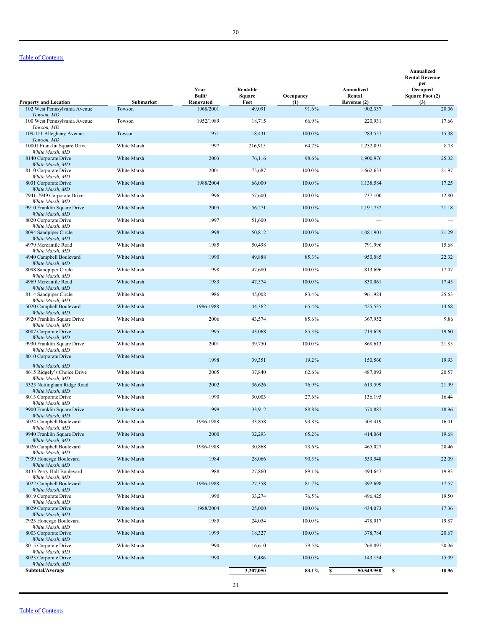|                                                              |                     |                        |                    |              |                        | Annualized<br><b>Rental Revenue</b>       |
|--------------------------------------------------------------|---------------------|------------------------|--------------------|--------------|------------------------|-------------------------------------------|
|                                                              |                     | Year<br>Built/         | Rentable<br>Square | Occupancy    | Annualized<br>Rental   | per<br>Occupied<br><b>Square Foot (2)</b> |
| <b>Property and Location</b><br>102 West Pennsylvania Avenue | Submarket<br>Towson | Renovated<br>1968/2001 | Feet<br>49,091     | (1)<br>91.6% | Revenue (2)<br>902,337 | (3)<br>20.06                              |
| Towson, MD<br>100 West Pennsylvania Avenue                   | Towson              | 1952/1989              | 18,715             | 66.9%        | 220,931                | 17.66                                     |
| Towson, MD<br>109-111 Allegheny Avenue                       | Towson              | 1971                   | 18,431             | 100.0%       | 283,557                | 15.38                                     |
| Towson, MD<br>10001 Franklin Square Drive                    | White Marsh         | 1997                   | 216,915            | 64.7%        | 1,232,091              | 8.78                                      |
| White Marsh, MD<br>8140 Corporate Drive                      | White Marsh         | 2003                   | 76,116             | 98.6%        | 1,900,976              | 25.32                                     |
| White Marsh, MD<br>8110 Corporate Drive<br>White Marsh, MD   | White Marsh         | 2001                   | 75,687             | 100.0%       | 1,662,633              | 21.97                                     |
| 8031 Corporate Drive<br>White Marsh, MD                      | White Marsh         | 1988/2004              | 66,000             | 100.0%       | 1,138,584              | 17.25                                     |
| 7941-7949 Corporate Drive<br>White Marsh, MD                 | White Marsh         | 1996                   | 57,600             | 100.0%       | 737,100                | 12.80                                     |
| 9910 Franklin Square Drive<br>White Marsh, MD                | White Marsh         | 2005                   | 56,271             | 100.0%       | 1,191,732              | 21.18                                     |
| 8020 Corporate Drive<br>White Marsh, MD                      | White Marsh         | 1997                   | 51,600             | 100.0%       |                        |                                           |
| 8094 Sandpiper Circle<br>White Marsh, MD                     | White Marsh         | 1998                   | 50,812             | 100.0%       | 1,081,901              | 21.29                                     |
| 4979 Mercantile Road<br>White Marsh, MD                      | White Marsh         | 1985                   | 50,498             | 100.0%       | 791,996                | 15.68                                     |
| 4940 Campbell Boulevard<br>White Marsh, MD                   | White Marsh         | 1990                   | 49,888             | 85.3%        | 950,085                | 22.32                                     |
| 8098 Sandpiper Circle<br>White Marsh, MD                     | White Marsh         | 1998                   | 47,680             | 100.0%       | 813,696                | 17.07                                     |
| 4969 Mercantile Road<br>White Marsh, MD                      | White Marsh         | 1983                   | 47,574             | 100.0%       | 830,061                | 17.45                                     |
| 8114 Sandpiper Circle<br>White Marsh, MD                     | White Marsh         | 1986                   | 45,008             | 83.4%        | 961,924                | 25.63                                     |
| 5020 Campbell Boulevard<br>White Marsh, MD                   | White Marsh         | 1986-1988              | 44,362             | 65.4%        | 425,535                | 14.68                                     |
| 9920 Franklin Square Drive<br>White Marsh, MD                | White Marsh         | 2006                   | 43,574             | 85.6%        | 367,952                | 9.86                                      |
| 8007 Corporate Drive<br>White Marsh, MD                      | White Marsh         | 1995                   | 43,068             | 85.3%        | 719,629                | 19.60                                     |
| 9930 Franklin Square Drive<br>White Marsh, MD                | White Marsh         | 2001                   | 39,750             | 100.0%       | 868,613                | 21.85                                     |
| 8010 Corporate Drive<br>White Marsh, MD                      | White Marsh         | 1998                   | 39,351             | 19.2%        | 150,560                | 19.93                                     |
| 8615 Ridgely's Choice Drive<br>White Marsh, MD               | White Marsh         | 2005                   | 37,840             | 62.6%        | 487,093                | 20.57                                     |
| 5325 Nottingham Ridge Road<br>White Marsh, MD                | White Marsh         | 2002                   | 36,626             | 76.9%        | 619,599                | 21.99                                     |
| 8013 Corporate Drive<br>White Marsh, MD                      | White Marsh         | 1990                   | 30,003             | 27.6%        | 136,195                | 16.44                                     |
| 9900 Franklin Square Drive<br>White Marsh, MD                | White Marsh         | 1999                   | 33,912             | 88.8%        | 570,887                | 18.96                                     |
| 5024 Campbell Boulevard<br>White Marsh, MD                   | White Marsh         | 1986-1988              | 33,858             | 93.8%        | 508,419                | 16.01                                     |
| 9940 Franklin Square Drive<br>White Marsh, MD                | White Marsh         | 2000                   | 32,293             | 65.2%        | 414,064                | 19.68                                     |
| 5026 Campbell Boulevard<br>White Marsh, MD                   | White Marsh         | 1986-1988              | 30,868             | 73.6%        | 465,027                | 20.46                                     |
| 7939 Honeygo Boulevard<br>White Marsh, MD                    | White Marsh         | 1984                   | 28,066             | 90.3%        | 559,548                | 22.09                                     |
| 8133 Perry Hall Boulevard<br>White Marsh, MD                 | White Marsh         | 1988                   | 27,860             | 89.1%        | 494,647                | 19.93                                     |
| 5022 Campbell Boulevard<br>White Marsh, MD                   | White Marsh         | 1986-1988              | 27,358             | 81.7%        | 392,698                | 17.57                                     |
| 8019 Corporate Drive<br>White Marsh, MD                      | White Marsh         | 1990                   | 33,274             | 76.5%        | 496,425                | 19.50                                     |
| 8029 Corporate Drive<br>White Marsh, MD                      | White Marsh         | 1988/2004              | 25,000             | 100.0%       | 434,073                | 17.36                                     |
| 7923 Honeygo Boulevard<br>White Marsh, MD                    | White Marsh         | 1985                   | 24,054             | 100.0%       | 478,017                | 19.87                                     |
| 8003 Corporate Drive<br>White Marsh, MD                      | White Marsh         | 1999                   | 18,327             | 100.0%       | 378,784                | 20.67                                     |
| 8015 Corporate Drive<br>White Marsh, MD                      | White Marsh         | 1990                   | 16,610             | 79.5%        | 268,897                | 20.36                                     |
| 8023 Corporate Drive<br>White Marsh, MD                      | White Marsh         | 1990                   | 9,486              | 100.0%       | 143,134                | 15.09                                     |
| Subtotal/Average                                             |                     |                        | 3,207,050          | 83.1%        | 50,549,958<br>\$       | \$<br>18.96                               |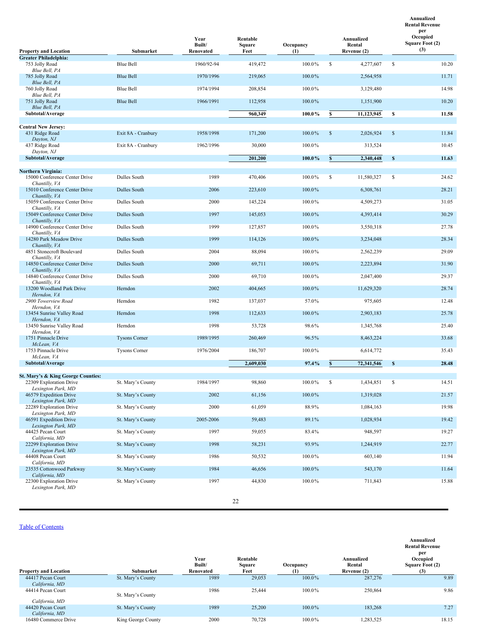|                                                |                      | Year                | Rentable       |                  |              | Annualized            |                    | Annualized<br><b>Rental Revenue</b><br>per<br>Occupied |
|------------------------------------------------|----------------------|---------------------|----------------|------------------|--------------|-----------------------|--------------------|--------------------------------------------------------|
| <b>Property and Location</b>                   | Submarket            | Built/<br>Renovated | Square<br>Feet | Occupancy<br>(1) |              | Rental<br>Revenue (2) |                    | Square Foot (2)<br>(3)                                 |
| <b>Greater Philadelphia:</b><br>753 Jolly Road | <b>Blue Bell</b>     | 1960/92-94          | 419,472        | 100.0%           | $\mathbb{S}$ | 4,277,607             | $\mathbf{\hat{s}}$ | 10.20                                                  |
| Blue Bell, PA<br>785 Jolly Road                | <b>Blue Bell</b>     | 1970/1996           | 219,065        | 100.0%           |              | 2,564,958             |                    | 11.71                                                  |
| Blue Bell, PA<br>760 Jolly Road                | <b>Blue Bell</b>     | 1974/1994           | 208,854        | 100.0%           |              | 3,129,480             |                    | 14.98                                                  |
| Blue Bell, PA<br>751 Jolly Road                | <b>Blue Bell</b>     | 1966/1991           | 112,958        | 100.0%           |              | 1,151,900             |                    | 10.20                                                  |
| Blue Bell, PA<br>Subtotal/Average              |                      |                     | 960,349        | 100.0%           | \$           | 11,123,945            | S                  | 11.58                                                  |
|                                                |                      |                     |                |                  |              |                       |                    |                                                        |
| <b>Central New Jersey:</b><br>431 Ridge Road   | Exit 8A - Cranbury   | 1958/1998           | 171,200        | 100.0%           | $\mathbb{S}$ | 2,026,924             | $\mathbb{S}$       | 11.84                                                  |
| Dayton, NJ<br>437 Ridge Road                   | Exit 8A - Cranbury   | 1962/1996           | 30,000         | 100.0%           |              | 313,524               |                    | 10.45                                                  |
| Dayton, NJ<br>Subtotal/Average                 |                      |                     | 201,200        | 100.0%           | $\mathbf{s}$ | 2,340,448             | \$                 | 11.63                                                  |
| Northern Virginia:                             |                      |                     |                |                  |              |                       |                    |                                                        |
| 15000 Conference Center Drive<br>Chantilly, VA | Dulles South         | 1989                | 470,406        | 100.0%           | \$           | 11,580,327            | \$                 | 24.62                                                  |
| 15010 Conference Center Drive<br>Chantilly, VA | <b>Dulles South</b>  | 2006                | 223,610        | 100.0%           |              | 6,308,761             |                    | 28.21                                                  |
| 15059 Conference Center Drive<br>Chantilly, VA | Dulles South         | 2000                | 145,224        | 100.0%           |              | 4,509,273             |                    | 31.05                                                  |
| 15049 Conference Center Drive<br>Chantilly, VA | Dulles South         | 1997                | 145,053        | 100.0%           |              | 4,393,414             |                    | 30.29                                                  |
| 14900 Conference Center Drive<br>Chantilly, VA | Dulles South         | 1999                | 127,857        | 100.0%           |              | 3,550,318             |                    | 27.78                                                  |
| 14280 Park Meadow Drive<br>Chantilly, VA       | Dulles South         | 1999                | 114,126        | 100.0%           |              | 3,234,048             |                    | 28.34                                                  |
| 4851 Stonecroft Boulevard<br>Chantilly, VA     | Dulles South         | 2004                | 88,094         | 100.0%           |              | 2,562,239             |                    | 29.09                                                  |
| 14850 Conference Center Drive<br>Chantilly, VA | Dulles South         | 2000                | 69,711         | 100.0%           |              | 2,223,894             |                    | 31.90                                                  |
| 14840 Conference Center Drive<br>Chantilly, VA | Dulles South         | 2000                | 69,710         | 100.0%           |              | 2,047,400             |                    | 29.37                                                  |
| 13200 Woodland Park Drive<br>Herndon, VA       | Herndon              | 2002                | 404,665        | 100.0%           |              | 11,629,320            |                    | 28.74                                                  |
| 2900 Towerview Road<br>Herndon, VA             | Herndon              | 1982                | 137,037        | 57.0%            |              | 975,605               |                    | 12.48                                                  |
| 13454 Sunrise Valley Road<br>Herndon, VA       | Herndon              | 1998                | 112,633        | 100.0%           |              | 2,903,183             |                    | 25.78                                                  |
| 13450 Sunrise Valley Road<br>Herndon, VA       | Herndon              | 1998                | 53,728         | 98.6%            |              | 1,345,768             |                    | 25.40                                                  |
| 1751 Pinnacle Drive<br>McLean, VA              | <b>Tysons Corner</b> | 1989/1995           | 260,469        | 96.5%            |              | 8,463,224             |                    | 33.68                                                  |
| 1753 Pinnacle Drive<br>McLean, VA              | <b>Tysons Corner</b> | 1976/2004           | 186,707        | 100.0%           |              | 6,614,772             |                    | 35.43                                                  |
| Subtotal/Average                               |                      |                     | 2,609,030      | 97.4%            | $\mathbf{s}$ | 72,341,546            | \$                 | 28.48                                                  |
| St. Mary's & King George Counties:             |                      |                     |                |                  |              |                       |                    |                                                        |
| 22309 Exploration Drive<br>Lexington Park, MD  | St. Mary's County    | 1984/1997           | 98,860         | 100.0%           | \$           | 1,434,851             | <sup>\$</sup>      | 14.51                                                  |
| 46579 Expedition Drive<br>Lexington Park, MD   | St. Mary's County    | 2002                | 61,156         | 100.0%           |              | 1,319,028             |                    | 21.57                                                  |
| 22289 Exploration Drive<br>Lexington Park, MD  | St. Mary's County    | 2000                | 61,059         | 88.9%            |              | 1,084,163             |                    | 19.98                                                  |
| 46591 Expedition Drive<br>Lexington Park, MD   | St. Mary's County    | 2005-2006           | 59,483         | 89.1%            |              | 1,028,934             |                    | 19.42                                                  |
| 44425 Pecan Court<br>California, MD            | St. Mary's County    | 1997                | 59,055         | 83.4%            |              | 948,597               |                    | 19.27                                                  |
| 22299 Exploration Drive<br>Lexington Park, MD  | St. Mary's County    | 1998                | 58,231         | 93.9%            |              | 1,244,919             |                    | 22.77                                                  |
| 44408 Pecan Court<br>California, MD            | St. Mary's County    | 1986                | 50,532         | 100.0%           |              | 603,140               |                    | 11.94                                                  |
| 23535 Cottonwood Parkway<br>California, MD     | St. Mary's County    | 1984                | 46,656         | 100.0%           |              | 543,170               |                    | 11.64                                                  |
| 22300 Exploration Drive<br>Lexington Park, MD  | St. Mary's County    | 1997                | 44,830         | 100.0%           |              | 711,843               |                    | 15.88                                                  |

22

| <b>Property and Location</b>        | Submarket          | Year<br>Built/<br>Renovated | Rentable<br>Square<br>Feet | Occupancy<br><b>A</b> | Annualized<br>Rental<br>Revenue (2) | Annualized<br><b>Rental Revenue</b><br>per<br>Occupied<br>Square Foot (2)<br>(3) |
|-------------------------------------|--------------------|-----------------------------|----------------------------|-----------------------|-------------------------------------|----------------------------------------------------------------------------------|
| 44417 Pecan Court<br>California, MD | St. Mary's County  | 1989                        | 29,053                     | 100.0%                | 287,276                             | 9.89                                                                             |
| 44414 Pecan Court<br>California, MD | St. Mary's County  | 1986                        | 25,444                     | 100.0%                | 250,864                             | 9.86                                                                             |
| 44420 Pecan Court<br>California, MD | St. Mary's County  | 1989                        | 25,200                     | 100.0%                | 183,268                             | 7.27                                                                             |
| 16480 Commerce Drive                | King George County | 2000                        | 70.728                     | 100.0%                | 1,283,525                           | 18.15                                                                            |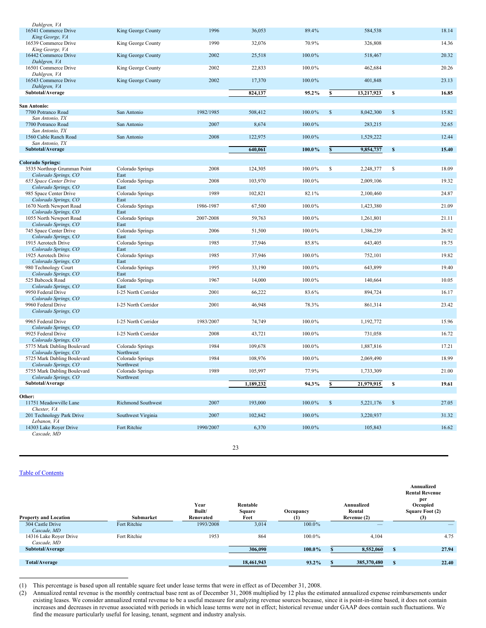| Dahlgren, VA                                   |                           |           |           |           |              |            |             |       |
|------------------------------------------------|---------------------------|-----------|-----------|-----------|--------------|------------|-------------|-------|
| 16541 Commerce Drive                           | King George County        | 1996      | 36,053    | 89.4%     |              | 584,538    |             | 18.14 |
| King George, VA                                |                           |           |           |           |              |            |             |       |
| 16539 Commerce Drive                           | King George County        | 1990      | 32,076    | 70.9%     |              | 326,808    |             | 14.36 |
| King George, VA<br>16442 Commerce Drive        |                           | 2002      | 25,518    | 100.0%    |              | 518,467    |             | 20.32 |
| Dahlgren, VA                                   | King George County        |           |           |           |              |            |             |       |
| 16501 Commerce Drive                           | King George County        | 2002      | 22,833    | 100.0%    |              | 462,684    |             | 20.26 |
| Dahlgren, VA                                   |                           |           |           |           |              |            |             |       |
| 16543 Commerce Drive                           | King George County        | 2002      | 17,370    | 100.0%    |              | 401,848    |             | 23.13 |
| Dahlgren, VA                                   |                           |           |           |           |              |            |             |       |
| Subtotal/Average                               |                           |           | 824,137   | 95.2%     | S            | 13,217,923 | S           | 16.85 |
|                                                |                           |           |           |           |              |            |             |       |
| San Antonio:                                   |                           |           |           |           |              |            |             |       |
| 7700 Potranco Road                             | San Antonio               | 1982/1985 | 508,412   | 100.0%    | $\mathbb{S}$ | 8,042,300  | \$          | 15.82 |
| San Antonio, TX<br>7700 Potranco Road          | San Antonio               | 2007      | 8,674     | 100.0%    |              | 283,215    |             | 32.65 |
| San Antonio, TX                                |                           |           |           |           |              |            |             |       |
| 1560 Cable Ranch Road                          | San Antonio               | 2008      | 122,975   | 100.0%    |              | 1,529,222  |             | 12.44 |
| San Antonio, TX                                |                           |           |           |           |              |            |             |       |
| Subtotal/Average                               |                           |           | 640,061   | $100.0\%$ | \$           | 9,854,737  | $\mathbb S$ | 15.40 |
|                                                |                           |           |           |           |              |            |             |       |
| <b>Colorado Springs:</b>                       |                           |           |           |           |              |            |             |       |
| 3535 Northrop Grumman Point                    | Colorado Springs          | 2008      | 124,305   | 100.0%    | \$           | 2,248,377  | \$          | 18.09 |
| Colorado Springs, CO                           | East                      |           |           |           |              |            |             |       |
| 655 Space Center Drive                         | Colorado Springs          | 2008      | 103,970   | 100.0%    |              | 2,009,106  |             | 19.32 |
| Colorado Springs, CO                           | East                      |           |           |           |              |            |             |       |
| 985 Space Center Drive<br>Colorado Springs, CO | Colorado Springs<br>East  | 1989      | 102,821   | 82.1%     |              | 2,100,460  |             | 24.87 |
| 1670 North Newport Road                        | Colorado Springs          | 1986-1987 | 67,500    | 100.0%    |              | 1,423,380  |             | 21.09 |
| Colorado Springs, CO                           | East                      |           |           |           |              |            |             |       |
| 1055 North Newport Road                        | Colorado Springs          | 2007-2008 | 59,763    | 100.0%    |              | 1,261,801  |             | 21.11 |
| Colorado Springs, CO                           | East                      |           |           |           |              |            |             |       |
| 745 Space Center Drive                         | Colorado Springs          | 2006      | 51,500    | 100.0%    |              | 1,386,239  |             | 26.92 |
| Colorado Springs, CO                           | East                      |           |           |           |              |            |             |       |
| 1915 Aerotech Drive                            | Colorado Springs          | 1985      | 37,946    | 85.8%     |              | 643,405    |             | 19.75 |
| Colorado Springs, CO                           | East                      |           |           |           |              |            |             |       |
| 1925 Aerotech Drive                            | Colorado Springs          | 1985      | 37,946    | 100.0%    |              | 752,101    |             | 19.82 |
| Colorado Springs, CO                           | East                      | 1995      |           | 100.0%    |              |            |             | 19.40 |
| 980 Technology Court<br>Colorado Springs, CO   | Colorado Springs<br>East  |           | 33,190    |           |              | 643,899    |             |       |
| 525 Babcock Road                               | Colorado Springs          | 1967      | 14,000    | 100.0%    |              | 140,664    |             | 10.05 |
| Colorado Springs, CO                           | East                      |           |           |           |              |            |             |       |
| 9950 Federal Drive                             | I-25 North Corridor       | 2001      | 66,222    | 83.6%     |              | 894,724    |             | 16.17 |
| Colorado Springs, CO                           |                           |           |           |           |              |            |             |       |
| 9960 Federal Drive                             | I-25 North Corridor       | 2001      | 46,948    | 78.3%     |              | 861,314    |             | 23.42 |
| Colorado Springs, CO                           |                           |           |           |           |              |            |             |       |
| 9965 Federal Drive                             | I-25 North Corridor       | 1983/2007 | 74,749    | 100.0%    |              | 1,192,772  |             | 15.96 |
| Colorado Springs, CO                           |                           |           |           |           |              |            |             |       |
| 9925 Federal Drive                             | I-25 North Corridor       | 2008      | 43,721    | 100.0%    |              | 731,058    |             | 16.72 |
| Colorado Springs, CO                           |                           |           |           |           |              |            |             |       |
| 5775 Mark Dabling Boulevard                    | Colorado Springs          | 1984      | 109,678   | 100.0%    |              | 1,887,816  |             | 17.21 |
| Colorado Springs, CO                           | Northwest                 |           |           |           |              |            |             |       |
| 5725 Mark Dabling Boulevard                    | Colorado Springs          | 1984      | 108,976   | 100.0%    |              | 2,069,490  |             | 18.99 |
| Colorado Springs, CO                           | Northwest                 |           |           |           |              |            |             |       |
| 5755 Mark Dabling Boulevard                    | Colorado Springs          | 1989      | 105,997   | 77.9%     |              | 1,733,309  |             | 21.00 |
| Colorado Springs, CO                           | Northwest                 |           |           |           |              |            |             |       |
| Subtotal/Average                               |                           |           | 1,189,232 | 94.3%     | \$           | 21,979,915 | S           | 19.61 |
| Other:                                         |                           |           |           |           |              |            |             |       |
| 11751 Meadowville Lane                         | <b>Richmond Southwest</b> | 2007      | 193,000   | 100.0%    | $\mathbb{S}$ | 5,221,176  | $\$$        | 27.05 |
| Chester, VA                                    |                           |           |           |           |              |            |             |       |
| 201 Technology Park Drive                      | Southwest Virginia        | 2007      | 102,842   | 100.0%    |              | 3,220,937  |             | 31.32 |
| Lebanon, VA                                    |                           |           |           |           |              |            |             |       |
| 14303 Lake Royer Drive                         | Fort Ritchie              | 1990/2007 | 6,370     | 100.0%    |              | 105,843    |             | 16.62 |
| Cascade, MD                                    |                           |           |           |           |              |            |             |       |
|                                                |                           |           |           |           |              |            |             |       |

# 23

### Table of [Contents](#page-1-0)

| <b>Property and Location</b> | Submarket    | Year<br>Built/<br>Renovated | Rentable<br><b>Square</b><br>Feet | Occupancy<br>(1) | Annualized<br>Rental<br>Revenue (2) |   | Annualized<br><b>Rental Revenue</b><br>per<br>Occupied<br>Square Foot (2)<br>(3) |
|------------------------------|--------------|-----------------------------|-----------------------------------|------------------|-------------------------------------|---|----------------------------------------------------------------------------------|
| 304 Castle Drive             | Fort Ritchie | 1993/2008                   | 3,014                             | 100.0%           |                                     |   |                                                                                  |
| Cascade, MD                  |              |                             |                                   |                  |                                     |   |                                                                                  |
| 14316 Lake Royer Drive       | Fort Ritchie | 1953                        | 864                               | 100.0%           | 4,104                               |   | 4.75                                                                             |
| Cascade, MD                  |              |                             |                                   |                  |                                     |   |                                                                                  |
| Subtotal/Average             |              |                             | 306,090                           | $100.0\%$        | 8,552,060                           | S | 27.94                                                                            |
|                              |              |                             |                                   |                  |                                     |   |                                                                                  |
| Total/Average                |              |                             | 18,461,943                        | 93.2%            | 385,370,480                         | S | 22.40                                                                            |
|                              |              |                             |                                   |                  |                                     |   |                                                                                  |

(1) This percentage is based upon all rentable square feet under lease terms that were in effect as of December 31, 2008. Annualized rental revenue is the monthly contractual base rent as of December 31, 2008 multiplied by 12 plus the estimated annualized expense reimbursements under existing leases. We consider annualized rental revenue to be a useful measure for analyzing revenue sources because, since it is point-in-time based, it does not contain existing leases. We consider annualized rental reven increases and decreases in revenue associated with periods in which lease terms were not in effect; historical revenue under GAAP does contain such fluctuations. We find the measure particularly useful for leasing, tenant, segment and industry analysis.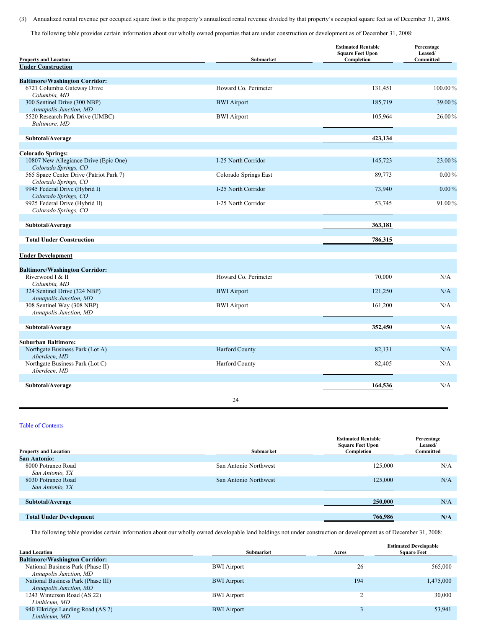(3) Annualized rental revenue per occupied square foot is the property's annualized rental revenue divided by that property's occupied square feet as of December 31, 2008.

The following table provides certain information about our wholly owned properties that are under construction or development as of December 31, 2008:

| <b>Property and Location</b><br>Submarket                     | <b>Estimated Rentable</b><br><b>Square Feet Upon</b><br>Completion | Percentage<br>Leased/<br><b>Committed</b> |          |
|---------------------------------------------------------------|--------------------------------------------------------------------|-------------------------------------------|----------|
| <b>Under Construction</b>                                     |                                                                    |                                           |          |
|                                                               |                                                                    |                                           |          |
| <b>Baltimore/Washington Corridor:</b>                         |                                                                    |                                           |          |
| 6721 Columbia Gateway Drive                                   | Howard Co. Perimeter                                               | 131,451                                   | 100.00%  |
| Columbia, MD                                                  |                                                                    |                                           |          |
| 300 Sentinel Drive (300 NBP)                                  | <b>BWI</b> Airport                                                 | 185,719                                   | 39.00%   |
| Annapolis Junction, MD                                        |                                                                    |                                           |          |
| 5520 Research Park Drive (UMBC)                               | <b>BWI</b> Airport                                                 | 105,964                                   | 26.00%   |
| Baltimore, MD                                                 |                                                                    |                                           |          |
|                                                               |                                                                    |                                           |          |
| Subtotal/Average                                              |                                                                    | 423,134                                   |          |
|                                                               |                                                                    |                                           |          |
| <b>Colorado Springs:</b>                                      | I-25 North Corridor                                                |                                           | 23.00%   |
| 10807 New Allegiance Drive (Epic One)<br>Colorado Springs, CO |                                                                    | 145,723                                   |          |
| 565 Space Center Drive (Patriot Park 7)                       | Colorado Springs East                                              | 89.773                                    | $0.00\%$ |
| Colorado Springs, CO                                          |                                                                    |                                           |          |
| 9945 Federal Drive (Hybrid I)                                 | I-25 North Corridor                                                | 73,940                                    | $0.00\%$ |
| Colorado Springs, CO                                          |                                                                    |                                           |          |
| 9925 Federal Drive (Hybrid II)                                | I-25 North Corridor                                                | 53,745                                    | 91.00%   |
| Colorado Springs, CO                                          |                                                                    |                                           |          |
|                                                               |                                                                    |                                           |          |
| Subtotal/Average                                              |                                                                    | 363,181                                   |          |
|                                                               |                                                                    |                                           |          |
| <b>Total Under Construction</b>                               |                                                                    | 786,315                                   |          |
|                                                               |                                                                    |                                           |          |
| <b>Under Development</b>                                      |                                                                    |                                           |          |
| <b>Baltimore/Washington Corridor:</b>                         |                                                                    |                                           |          |
| Riverwood I & II                                              | Howard Co. Perimeter                                               | 70,000                                    | N/A      |
| Columbia, MD                                                  |                                                                    |                                           |          |
| 324 Sentinel Drive (324 NBP)                                  | <b>BWI</b> Airport                                                 | 121,250                                   | N/A      |
| Annapolis Junction, MD                                        |                                                                    |                                           |          |
| 308 Sentinel Way (308 NBP)                                    | <b>BWI</b> Airport                                                 | 161,200                                   | N/A      |
| Annapolis Junction, MD                                        |                                                                    |                                           |          |
|                                                               |                                                                    |                                           |          |
| Subtotal/Average                                              |                                                                    | 352,450                                   | N/A      |
|                                                               |                                                                    |                                           |          |
| <b>Suburban Baltimore:</b>                                    |                                                                    |                                           |          |
| Northgate Business Park (Lot A)<br>Aberdeen, MD               | <b>Harford County</b>                                              | 82,131                                    | N/A      |
| Northgate Business Park (Lot C)<br>Aberdeen, MD               | Harford County                                                     | 82,405                                    | N/A      |
| Subtotal/Average                                              |                                                                    | 164,536                                   | N/A      |
|                                                               |                                                                    |                                           |          |
|                                                               | 24                                                                 |                                           |          |

## Table of [Contents](#page-1-0)

| <b>Property and Location</b>          | Submarket             | <b>Estimated Rentable</b><br><b>Square Feet Upon</b><br>Completion | Percentage<br>Leased/<br>Committed |
|---------------------------------------|-----------------------|--------------------------------------------------------------------|------------------------------------|
| <b>San Antonio:</b>                   |                       |                                                                    |                                    |
| 8000 Potranco Road<br>San Antonio, TX | San Antonio Northwest | 125,000                                                            | N/A                                |
| 8030 Potranco Road<br>San Antonio, TX | San Antonio Northwest | 125,000                                                            | N/A                                |
|                                       |                       |                                                                    |                                    |
| Subtotal/Average                      |                       | 250,000                                                            | N/A                                |
|                                       |                       |                                                                    |                                    |
| <b>Total Under Development</b>        |                       | 766,986                                                            | N/A                                |

The following table provides certain information about our wholly owned developable land holdings not under construction or development as of December 31, 2008:

| <b>Land Location</b>                                         | Submarket          | Acres | <b>Estimated Developable</b><br><b>Square Feet</b> |
|--------------------------------------------------------------|--------------------|-------|----------------------------------------------------|
| <b>Baltimore/Washington Corridor:</b>                        |                    |       |                                                    |
| National Business Park (Phase II)<br>Annapolis Junction, MD  | <b>BWI</b> Airport | 26    | 565,000                                            |
| National Business Park (Phase III)<br>Annapolis Junction, MD | <b>BWI</b> Airport | 194   | 1,475,000                                          |
| 1243 Winterson Road (AS 22)<br>Linthicum, MD                 | <b>BWI</b> Airport | ∠     | 30,000                                             |
| 940 Elkridge Landing Road (AS 7)<br>Linthicum, MD            | <b>BWI</b> Airport |       | 53,941                                             |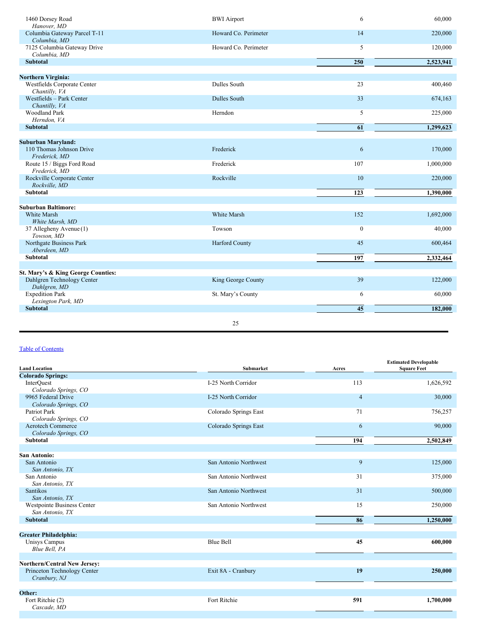| 1460 Dorsey Road<br>Hanover, MD                       | <b>BWI</b> Airport    | 6                | 60,000    |
|-------------------------------------------------------|-----------------------|------------------|-----------|
| Columbia Gateway Parcel T-11                          | Howard Co. Perimeter  | 14               | 220,000   |
| Columbia, MD                                          |                       |                  |           |
| 7125 Columbia Gateway Drive                           | Howard Co. Perimeter  | 5                | 120,000   |
| Columbia, MD                                          |                       |                  |           |
| <b>Subtotal</b>                                       |                       | 250              | 2,523,941 |
| <b>Northern Virginia:</b>                             |                       |                  |           |
| Westfields Corporate Center                           | Dulles South          | 23               | 400,460   |
| Chantilly, VA                                         |                       |                  |           |
| Westfields - Park Center                              | Dulles South          | 33               | 674,163   |
| Chantilly, VA                                         |                       |                  |           |
| <b>Woodland Park</b>                                  | Herndon               | 5                | 225,000   |
| Herndon, VA                                           |                       |                  |           |
| <b>Subtotal</b>                                       |                       | 61               | 1,299,623 |
|                                                       |                       |                  |           |
| <b>Suburban Maryland:</b><br>110 Thomas Johnson Drive | Frederick             | 6                | 170,000   |
| Frederick, MD                                         |                       |                  |           |
| Route 15 / Biggs Ford Road                            | Frederick             | 107              | 1,000,000 |
| Frederick, MD                                         |                       |                  |           |
| Rockville Corporate Center                            | Rockville             | 10               | 220,000   |
| Rockville, MD                                         |                       |                  |           |
| Subtotal                                              |                       | 123              | 1,390,000 |
|                                                       |                       |                  |           |
| <b>Suburban Baltimore:</b>                            |                       |                  |           |
| White Marsh                                           | White Marsh           | 152              | 1,692,000 |
| White Marsh, MD<br>37 Allegheny Avenue (1)            | Towson                | $\boldsymbol{0}$ | 40,000    |
| Towson, MD                                            |                       |                  |           |
| Northgate Business Park                               | <b>Harford County</b> | 45               | 600,464   |
| Aberdeen, MD                                          |                       |                  |           |
| <b>Subtotal</b>                                       |                       | 197              | 2,332,464 |
|                                                       |                       |                  |           |
| St. Mary's & King George Counties:                    |                       |                  |           |
| Dahlgren Technology Center                            | King George County    | 39               | 122,000   |
| Dahlgren, MD<br><b>Expedition Park</b>                |                       | 6                |           |
| Lexington Park, MD                                    | St. Mary's County     |                  | 60,000    |
| <b>Subtotal</b>                                       |                       | 45               | 182,000   |
|                                                       |                       |                  |           |
|                                                       | 25                    |                  |           |

### Table of [C](#page-1-0)ontents

| <b>Land Location</b>                | Submarket             | Acres          | <b>Estimated Developable</b><br><b>Square Feet</b> |
|-------------------------------------|-----------------------|----------------|----------------------------------------------------|
| <b>Colorado Springs:</b>            |                       |                |                                                    |
| InterQuest                          | I-25 North Corridor   | 113            | 1,626,592                                          |
| Colorado Springs, CO                |                       |                |                                                    |
| 9965 Federal Drive                  | I-25 North Corridor   | $\overline{4}$ | 30,000                                             |
| Colorado Springs, CO                |                       |                |                                                    |
| Patriot Park                        | Colorado Springs East | 71             | 756,257                                            |
| Colorado Springs, CO                |                       |                |                                                    |
| <b>Aerotech Commerce</b>            | Colorado Springs East | 6              | 90,000                                             |
| Colorado Springs, CO                |                       |                |                                                    |
| <b>Subtotal</b>                     |                       | 194            | 2,502,849                                          |
|                                     |                       |                |                                                    |
| San Antonio:                        |                       |                |                                                    |
| San Antonio                         | San Antonio Northwest | 9              | 125,000                                            |
| San Antonio, TX                     |                       |                |                                                    |
| San Antonio                         | San Antonio Northwest | 31             | 375,000                                            |
| San Antonio, TX                     |                       |                |                                                    |
| <b>Santikos</b>                     | San Antonio Northwest | 31             | 500,000                                            |
| San Antonio, TX                     |                       |                |                                                    |
| <b>Westpointe Business Center</b>   | San Antonio Northwest | 15             | 250,000                                            |
| San Antonio, TX                     |                       |                |                                                    |
| <b>Subtotal</b>                     |                       | 86             | 1,250,000                                          |
|                                     |                       |                |                                                    |
| <b>Greater Philadelphia:</b>        |                       |                |                                                    |
| Unisys Campus                       | <b>Blue Bell</b>      | 45             | 600,000                                            |
| Blue Bell, PA                       |                       |                |                                                    |
| <b>Northern/Central New Jersey:</b> |                       |                |                                                    |
| Princeton Technology Center         | Exit 8A - Cranbury    | 19             | 250,000                                            |
| Cranbury, NJ                        |                       |                |                                                    |
|                                     |                       |                |                                                    |
| Other:                              |                       |                |                                                    |
| Fort Ritchie (2)                    | Fort Ritchie          | 591            | 1,700,000                                          |
| Cascade, MD                         |                       |                |                                                    |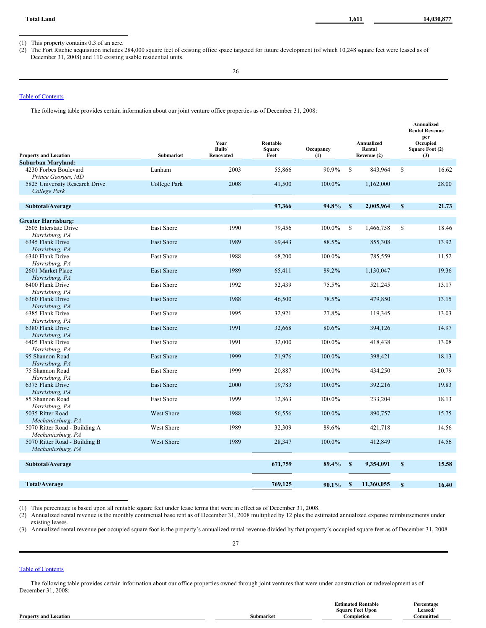(1) This property contains 0.3 of an acre.

(2) The Fort Ritchie acquisition includes 284,000 square feet of existing office space targeted for future development (of which 10,248 square feet were leased as of December 31, 2008) and 110 existing usable residential units.

# Table of [Contents](#page-1-0)

The following table provides certain information about our joint venture office properties as of December 31, 2008:

| <b>Property and Location</b>                       | Submarket           | Year<br>Built/<br>Renovated | Rentable<br><b>Square</b><br>Feet | Occupancy<br>(1) |               | Annualized<br>Rental<br>Revenue (2) |               | Annualized<br><b>Rental Revenue</b><br>per<br>Occupied<br>Square Foot (2)<br>(3) |
|----------------------------------------------------|---------------------|-----------------------------|-----------------------------------|------------------|---------------|-------------------------------------|---------------|----------------------------------------------------------------------------------|
| <b>Suburban Maryland:</b>                          |                     |                             |                                   |                  |               |                                     |               |                                                                                  |
| 4230 Forbes Boulevard<br>Prince Georges, MD        | Lanham              | 2003                        | 55,866                            | 90.9%            | <sup>S</sup>  | 843,964                             | <sup>\$</sup> | 16.62                                                                            |
| 5825 University Research Drive<br>College Park     | <b>College Park</b> | 2008                        | 41,500                            | 100.0%           |               | 1,162,000                           |               | 28.00                                                                            |
| Subtotal/Average                                   |                     |                             | 97,366                            | 94.8%            | S             | 2,005,964                           | $\mathbf{s}$  | 21.73                                                                            |
| <b>Greater Harrisburg:</b>                         |                     |                             |                                   |                  |               |                                     |               |                                                                                  |
| 2605 Interstate Drive<br>Harrisburg, PA            | <b>East Shore</b>   | 1990                        | 79,456                            | $100.0\%$        | <sup>\$</sup> | 1,466,758                           | \$            | 18.46                                                                            |
| 6345 Flank Drive<br>Harrisburg, PA                 | <b>East Shore</b>   | 1989                        | 69,443                            | 88.5%            |               | 855,308                             |               | 13.92                                                                            |
| 6340 Flank Drive<br>Harrisburg, PA                 | <b>East Shore</b>   | 1988                        | 68,200                            | 100.0%           |               | 785,559                             |               | 11.52                                                                            |
| 2601 Market Place<br>Harrisburg, PA                | <b>East Shore</b>   | 1989                        | 65,411                            | 89.2%            |               | 1,130,047                           |               | 19.36                                                                            |
| 6400 Flank Drive<br>Harrisburg, PA                 | <b>East Shore</b>   | 1992                        | 52,439                            | 75.5%            |               | 521,245                             |               | 13.17                                                                            |
| 6360 Flank Drive<br>Harrisburg, PA                 | <b>East Shore</b>   | 1988                        | 46,500                            | 78.5%            |               | 479,850                             |               | 13.15                                                                            |
| 6385 Flank Drive<br>Harrisburg, PA                 | East Shore          | 1995                        | 32,921                            | 27.8%            |               | 119,345                             |               | 13.03                                                                            |
| 6380 Flank Drive<br>Harrisburg, PA                 | <b>East Shore</b>   | 1991                        | 32,668                            | 80.6%            |               | 394,126                             |               | 14.97                                                                            |
| 6405 Flank Drive<br>Harrisburg, PA                 | <b>East Shore</b>   | 1991                        | 32,000                            | 100.0%           |               | 418,438                             |               | 13.08                                                                            |
| 95 Shannon Road<br>Harrisburg, PA                  | <b>East Shore</b>   | 1999                        | 21,976                            | 100.0%           |               | 398,421                             |               | 18.13                                                                            |
| 75 Shannon Road<br>Harrisburg, PA                  | <b>East Shore</b>   | 1999                        | 20,887                            | 100.0%           |               | 434,250                             |               | 20.79                                                                            |
| 6375 Flank Drive<br>Harrisburg, PA                 | <b>East Shore</b>   | 2000                        | 19,783                            | 100.0%           |               | 392,216                             |               | 19.83                                                                            |
| 85 Shannon Road<br>Harrisburg, PA                  | <b>East Shore</b>   | 1999                        | 12,863                            | 100.0%           |               | 233,204                             |               | 18.13                                                                            |
| 5035 Ritter Road<br>Mechanicsburg, PA              | <b>West Shore</b>   | 1988                        | 56,556                            | 100.0%           |               | 890,757                             |               | 15.75                                                                            |
| 5070 Ritter Road - Building A<br>Mechanicsburg, PA | West Shore          | 1989                        | 32,309                            | 89.6%            |               | 421,718                             |               | 14.56                                                                            |
| 5070 Ritter Road - Building B<br>Mechanicsburg, PA | <b>West Shore</b>   | 1989                        | 28,347                            | 100.0%           |               | 412,849                             |               | 14.56                                                                            |
| Subtotal/Average                                   |                     |                             | 671,759                           | 89.4%            | $\mathbf{s}$  | 9,354,091                           | $\mathbf{s}$  | 15.58                                                                            |
| <b>Total/Average</b>                               |                     |                             | 769,125                           | 90.1%            | S             | 11,360,055                          | $\mathbf{s}$  | 16.40                                                                            |
|                                                    |                     |                             |                                   |                  |               |                                     |               |                                                                                  |

(1) This percentage is based upon all rentable square feet under lease terms that were in effect as of December 31, 2008.

(2) Annualized rental revenue is the monthly contractual base rent as of December 31, 2008 multiplied by 12 plus the estimated annualized expense reimbursements under existing leases.

(3) Annualized rental revenue per occupied square foot is the property's annualized rental revenue divided by that property's occupied square feet as of December 31, 2008.

27

### Table of [Contents](#page-1-0)

The following table provides certain information about our office properties owned through joint ventures that were under construction or redevelopment as of December 31, 2008:

| <b>Property and</b><br>Location | submarket | `^mpletion | mitter |
|---------------------------------|-----------|------------|--------|

**Estimated Rentable Percentage Square Feet Upon Leased/**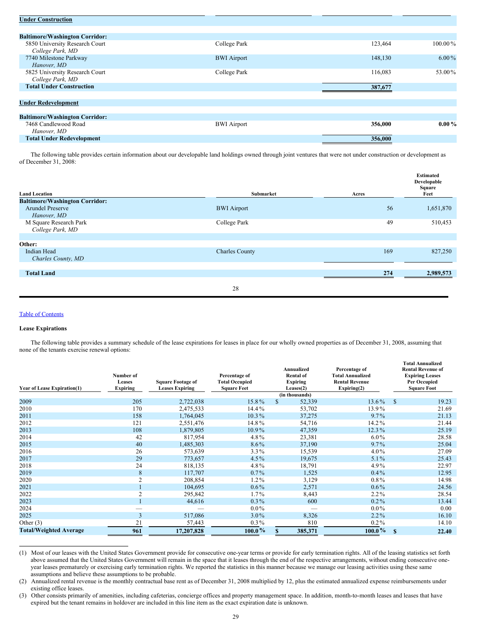| <b>Under Construction</b>             |                    |         |          |
|---------------------------------------|--------------------|---------|----------|
|                                       |                    |         |          |
| <b>Baltimore/Washington Corridor:</b> |                    |         |          |
| 5850 University Research Court        | College Park       | 123,464 | 100.00%  |
| College Park, MD                      |                    |         |          |
| 7740 Milestone Parkway                | <b>BWI</b> Airport | 148,130 | $6.00\%$ |
| Hanover, MD                           |                    |         |          |
| 5825 University Research Court        | College Park       | 116,083 | 53.00%   |
| College Park, MD                      |                    |         |          |
| <b>Total Under Construction</b>       |                    | 387,677 |          |
|                                       |                    |         |          |
| <b>Under Redevelopment</b>            |                    |         |          |
|                                       |                    |         |          |
| <b>Baltimore/Washington Corridor:</b> |                    |         |          |
| 7468 Candlewood Road                  | <b>BWI</b> Airport | 356,000 | $0.00\%$ |
| Hanover, MD                           |                    |         |          |
| <b>Total Under Redevelopment</b>      |                    | 356,000 |          |

The following table provides certain information about our developable land holdings owned through joint ventures that were not under construction or development as of December 31, 2008:

|                                            |                       |       | <b>Estimated</b><br>Developable<br>Square |
|--------------------------------------------|-----------------------|-------|-------------------------------------------|
| <b>Land Location</b>                       | <b>Submarket</b>      | Acres | Feet                                      |
| <b>Baltimore/Washington Corridor:</b>      |                       |       |                                           |
| <b>Arundel Preserve</b><br>Hanover, MD     | <b>BWI</b> Airport    | 56    | 1,651,870                                 |
| M Square Research Park<br>College Park, MD | College Park          | 49    | 510,453                                   |
| Other:                                     |                       |       |                                           |
| Indian Head<br>Charles County, MD          | <b>Charles County</b> | 169   | 827,250                                   |
|                                            |                       |       |                                           |
| <b>Total Land</b>                          |                       | 274   | 2,989,573                                 |
|                                            | 28                    |       |                                           |

## Table of [Contents](#page-1-0)

### **Lease Expirations**

The following table provides a summary schedule of the lease expirations for leases in place for our wholly owned properties as of December 31, 2008, assuming that none of the tenants exercise renewal options:

| <b>Year of Lease Expiration(1)</b> | Number of<br>Leases<br><b>Expiring</b> | <b>Square Footage of</b><br><b>Leases Expiring</b> | Percentage of<br><b>Total Occupied</b><br><b>Square Feet</b> | Annualized<br><b>Rental of</b><br><b>Expiring</b><br>Leases(2)<br>(in thousands) | Percentage of<br><b>Total Annualized</b><br><b>Rental Revenue</b><br>Expiring $(2)$ |               | <b>Total Annualized</b><br><b>Rental Revenue of</b><br><b>Expiring Leases</b><br>Per Occupied<br><b>Square Foot</b> |
|------------------------------------|----------------------------------------|----------------------------------------------------|--------------------------------------------------------------|----------------------------------------------------------------------------------|-------------------------------------------------------------------------------------|---------------|---------------------------------------------------------------------------------------------------------------------|
| 2009                               | 205                                    | 2,722,038                                          | 15.8%                                                        | \$<br>52,339                                                                     | $13.6\%$                                                                            | <sup>\$</sup> | 19.23                                                                                                               |
| 2010                               | 170                                    | 2,475,533                                          | $14.4\%$                                                     | 53,702                                                                           | 13.9%                                                                               |               | 21.69                                                                                                               |
| 2011                               | 158                                    | 1,764,045                                          | $10.3\%$                                                     | 37,275                                                                           | $9.7\%$                                                                             |               | 21.13                                                                                                               |
| 2012                               | 121                                    | 2,551,476                                          | 14.8%                                                        | 54,716                                                                           | 14.2%                                                                               |               | 21.44                                                                                                               |
| 2013                               | 108                                    | 1,879,805                                          | $10.9\%$                                                     | 47,359                                                                           | $12.3\%$                                                                            |               | 25.19                                                                                                               |
| 2014                               | 42                                     | 817,954                                            | 4.8%                                                         | 23,381                                                                           | $6.0\%$                                                                             |               | 28.58                                                                                                               |
| 2015                               | 40                                     | 1,485,303                                          | $8.6\%$                                                      | 37,190                                                                           | $9.7\%$                                                                             |               | 25.04                                                                                                               |
| 2016                               | 26                                     | 573,639                                            | $3.3\%$                                                      | 15,539                                                                           | 4.0%                                                                                |               | 27.09                                                                                                               |
| 2017                               | 29                                     | 773,657                                            | $4.5\%$                                                      | 19,675                                                                           | $5.1\%$                                                                             |               | 25.43                                                                                                               |
| 2018                               | 24                                     | 818,135                                            | 4.8%                                                         | 18,791                                                                           | 4.9%                                                                                |               | 22.97                                                                                                               |
| 2019                               | 8                                      | 117,707                                            | $0.7\%$                                                      | 1,525                                                                            | $0.4\%$                                                                             |               | 12.95                                                                                                               |
| 2020                               | 2                                      | 208,854                                            | $1.2\%$                                                      | 3,129                                                                            | $0.8\%$                                                                             |               | 14.98                                                                                                               |
| 2021                               |                                        | 104,695                                            | $0.6\%$                                                      | 2,571                                                                            | $0.6\%$                                                                             |               | 24.56                                                                                                               |
| 2022                               | 2                                      | 295,842                                            | $1.7\%$                                                      | 8,443                                                                            | $2.2\%$                                                                             |               | 28.54                                                                                                               |
| 2023                               |                                        | 44,616                                             | $0.3\%$                                                      | 600                                                                              | $0.2\%$                                                                             |               | 13.44                                                                                                               |
| 2024                               | --                                     |                                                    | $0.0\%$                                                      |                                                                                  | $0.0\%$                                                                             |               | 0.00                                                                                                                |
| 2025                               | $\overline{3}$                         | 517,086                                            | $3.0\%$                                                      | 8,326                                                                            | $2.2\%$                                                                             |               | 16.10                                                                                                               |
| Other $(3)$                        | 21                                     | 57,443                                             | $0.3\%$                                                      | 810                                                                              | $0.2\%$                                                                             |               | 14.10                                                                                                               |
| <b>Total/Weighted Average</b>      | 961                                    | 17,207,828                                         | $100.0\%$                                                    | \$<br>385,371                                                                    | $100.0\%$                                                                           | <sup>\$</sup> | 22.40                                                                                                               |

<sup>(1)</sup> Most of our leases with the United States Government provide for consecutive one-year terms or provide for early termination rights. All of the leasing statistics set forth above assumed that the United States Government will remain in the space that it leases through the end of the respective arrangements, without ending consecutive oneyear leases prematurely or exercising early termination rights. We reported the statistics in this manner because we manage our leasing activities using these same assumptions and believe these assumptions to be probable.

<sup>(2)</sup> Annualized rental revenue is the monthly contractual base rent as of December 31, 2008 multiplied by 12, plus the estimated annualized expense reimbursements under existing office leases.

<sup>(3)</sup> Other consists primarily of amenities, including cafeterias, concierge offices and property management space. In addition, month-to-month leases and leases that have expired but the tenant remains in holdover are included in this line item as the exact expiration date is unknown.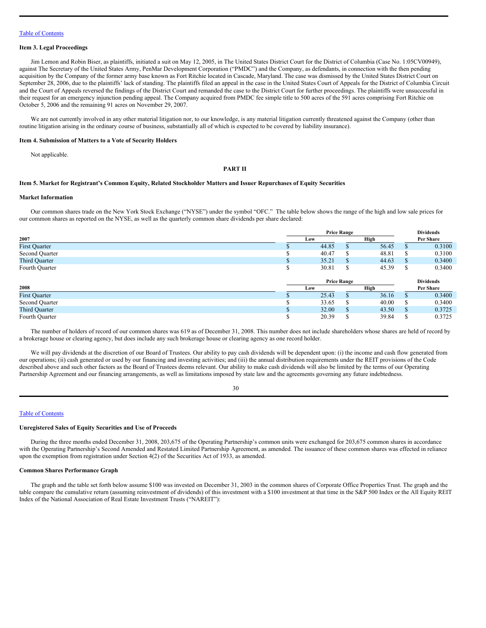#### <span id="page-20-0"></span>**Item 3. Legal Proceedings**

Jim Lemon and Robin Biser, as plaintiffs, initiated a suit on May 12, 2005, in The United States District Court for the District of Columbia (Case No. 1:05CV00949), against The Secretary of the United States Army, PenMar Development Corporation ("PMDC") and the Company, as defendants, in connection with the then pending acquisition by the Company of the former army base known as Fort Ritchie located in Cascade, Maryland. The case was dismissed by the United States District Court on September 28, 2006, due to the plaintiffs' lack of standing. The plaintiffs filed an appeal in the case in the United States Court of Appeals for the District of Columbia Circuit and the Court of Appeals reversed the findings of the District Court and remanded the case to the District Court for further proceedings. The plaintiffs were unsuccessful in their request for an emergency injunction pending appeal. The Company acquired from PMDC fee simple title to 500 acres of the 591 acres comprising Fort Ritchie on October 5, 2006 and the remaining 91 acres on November 29, 2007.

We are not currently involved in any other material litigation nor, to our knowledge, is any material litigation currently threatened against the Company (other than routine litigation arising in the ordinary course of business, substantially all of which is expected to be covered by liability insurance).

### **Item 4. Submission of Matters to a Vote of Security Holders**

Not applicable.

#### <span id="page-20-3"></span><span id="page-20-2"></span><span id="page-20-1"></span>**PART II**

### Item 5. Market for Registrant's Common Equity, Related Stockholder Matters and Issuer Repurchases of Equity Securities

### **Market Information**

Our common shares trade on the New York Stock Exchange ("NYSE") under the symbol "OFC." The table below shows the range of the high and low sale prices for our common shares as reported on the NYSE, as well as the quarterly common share dividends per share declared:

|                      |    | <b>Price Range</b> |               |       |     | <b>Dividends</b> |
|----------------------|----|--------------------|---------------|-------|-----|------------------|
| 2007                 |    | Low                |               | High  |     | Per Share        |
| <b>First Quarter</b> |    | 44.85              | S             | 56.45 |     | 0.3100           |
| Second Quarter       |    | 40.47              | S             | 48.81 | S   | 0.3100           |
| <b>Third Quarter</b> |    | 35.21              | <sup>S</sup>  | 44.63 | S   | 0.3400           |
| Fourth Quarter       | J. | 30.81              | \$            | 45.39 | S   | 0.3400           |
|                      |    | <b>Price Range</b> |               |       |     | <b>Dividends</b> |
| 2008                 |    | Low                |               | High  |     | Per Share        |
| <b>First Quarter</b> |    | 25.43              | \$            | 36.16 |     | 0.3400           |
| Second Quarter       |    | 33.65              | S             | 40.00 |     | 0.3400           |
| <b>Third Quarter</b> |    | 32.00              | <sup>\$</sup> | 43.50 | \$. | 0.3725           |
| Fourth Quarter       |    | 20.39              |               | 39.84 |     | 0.3725           |

The number of holders of record of our common shares was 619 as of December 31, 2008. This number does not include shareholders whose shares are held of record by a brokerage house or clearing agency, but does include any such brokerage house or clearing agency as one record holder.

We will pay dividends at the discretion of our Board of Trustees. Our ability to pay cash dividends will be dependent upon: (i) the income and cash flow generated from our operations; (ii) cash generated or used by our financing and investing activities; and (iii) the annual distribution requirements under the REIT provisions of the Code described above and such other factors as the Board of Trustees deems relevant. Our ability to make cash dividends will also be limited by the terms of our Operating Partnership Agreement and our financing arrangements, as well as limitations imposed by state law and the agreements governing any future indebtedness.

### Table of [Contents](#page-1-0)

### **Unregistered Sales of Equity Securities and Use of Proceeds**

During the three months ended December 31, 2008, 203,675 of the Operating Partnership's common units were exchanged for 203,675 common shares in accordance with the Operating Partnership's Second Amended and Restated Limited Partnership Agreement, as amended. The issuance of these common shares was effected in reliance upon the exemption from registration under Section 4(2) of the Securities Act of 1933, as amended.

# **Common Shares Performance Graph**

The graph and the table set forth below assume \$100 was invested on December 31, 2003 in the common shares of Corporate Office Properties Trust. The graph and the table compare the cumulative return (assuming reinvestment of dividends) of this investment with a \$100 investment at that time in the S&P 500 Index or the All Equity REIT Index of the National Association of Real Estate Investment Trusts ("NAREIT"):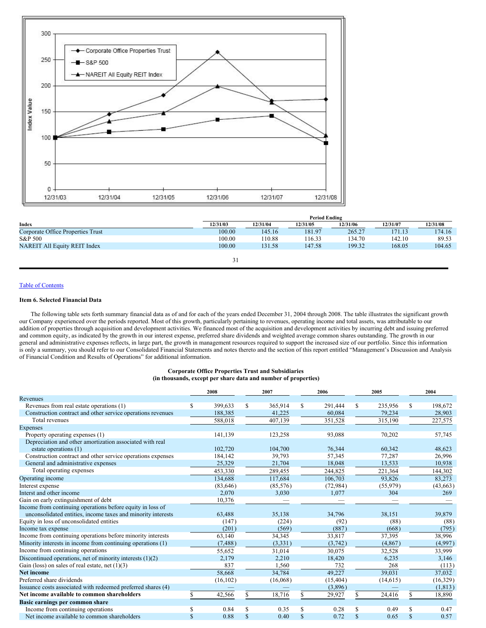

|                                     |          | <b>Period Ending</b> |          |          |          |          |  |
|-------------------------------------|----------|----------------------|----------|----------|----------|----------|--|
| Index                               | 12/31/03 | 12/31/04             | 12/31/05 | 12/31/06 | 12/31/07 | 12/31/08 |  |
| Corporate Office Properties Trust   | 100.00   | 145.16               | 181.97   | 265.27   | 171.13   | 174.16   |  |
| S&P 500                             | 100.00   | 110.88               | 116.33   | 134.70   | 142.10   | 89.53    |  |
| <b>NAREIT All Equity REIT Index</b> | 100.00   | 131.58               | 147.58   | 199.32   | 168.05   | 104.65   |  |
|                                     |          |                      |          |          |          |          |  |
|                                     |          |                      |          |          |          |          |  |

### <span id="page-21-0"></span>**Item 6. Selected Financial Data**

The following table sets forth summary financial data as of and for each of the years ended December 31, 2004 through 2008. The table illustrates the significant growth our Company experienced over the periods reported. Most of this growth, particularly pertaining to revenues, operating income and total assets, was attributable to our addition of properties through acquisition and development activities. We financed most of the acquisition and development activities by incurring debt and issuing preferred and common equity, as indicated by the growth in our interest expense, preferred share dividends and weighted average common shares outstanding. The growth in our general and administrative expenses reflects, in large part, the growth in management resources required to support the increased size of our portfolio. Since this information is only a summary, you should refer to our Consolidated Financial Statements and notes thereto and the section of this report entitled "Management's Discussion and Analysis of Financial Condition and Results of Operations" for additional information.

### **Corporate Office Properties Trust and Subsidiaries (in thousands, except per share data and number of properties)**

|                                                              |     | 2008      |                         | 2007      |              | 2006      |               | 2005     |   | 2004      |
|--------------------------------------------------------------|-----|-----------|-------------------------|-----------|--------------|-----------|---------------|----------|---|-----------|
| Revenues                                                     |     |           |                         |           |              |           |               |          |   |           |
| Revenues from real estate operations (1)                     | S   | 399,633   | \$                      | 365,914   | S.           | 291,444   | <sup>\$</sup> | 235,956  | S | 198,672   |
| Construction contract and other service operations revenues  |     | 188,385   |                         | 41,225    |              | 60,084    |               | 79,234   |   | 28,903    |
| Total revenues                                               |     | 588,018   |                         | 407,139   |              | 351,528   |               | 315,190  |   | 227,575   |
| <b>Expenses</b>                                              |     |           |                         |           |              |           |               |          |   |           |
| Property operating expenses (1)                              |     | 141,139   |                         | 123,258   |              | 93,088    |               | 70,202   |   | 57,745    |
| Depreciation and other amortization associated with real     |     |           |                         |           |              |           |               |          |   |           |
| estate operations (1)                                        |     | 102,720   |                         | 104,700   |              | 76,344    |               | 60,342   |   | 48,623    |
| Construction contract and other service operations expenses  |     | 184,142   |                         | 39,793    |              | 57,345    |               | 77,287   |   | 26,996    |
| General and administrative expenses                          |     | 25,329    |                         | 21,704    |              | 18,048    |               | 13,533   |   | 10,938    |
| Total operating expenses                                     |     | 453,330   |                         | 289,455   |              | 244,825   |               | 221,364  |   | 144,302   |
| Operating income                                             |     | 134,688   |                         | 117,684   |              | 106,703   |               | 93,826   |   | 83,273    |
| Interest expense                                             |     | (83, 646) |                         | (85, 576) |              | (72, 984) |               | (55,979) |   | (43, 663) |
| Interst and other income                                     |     | 2,070     |                         | 3,030     |              | 1,077     |               | 304      |   | 269       |
| Gain on early extinguishment of debt                         |     | 10,376    |                         |           |              |           |               |          |   |           |
| Income from continuing operations before equity in loss of   |     |           |                         |           |              |           |               |          |   |           |
| unconsolidated entities, income taxes and minority interests |     | 63,488    |                         | 35,138    |              | 34,796    |               | 38,151   |   | 39,879    |
| Equity in loss of unconsolidated entities                    |     | (147)     |                         | (224)     |              | (92)      |               | (88)     |   | (88)      |
| Income tax expense                                           |     | (201)     |                         | (569)     |              | (887)     |               | (668)    |   | (795)     |
| Income from continuing operations before minority interests  |     | 63,140    |                         | 34,345    |              | 33,817    |               | 37,395   |   | 38,996    |
| Minority interests in income from continuing operations (1)  |     | (7, 488)  |                         | (3,331)   |              | (3,742)   |               | (4, 867) |   | (4,997)   |
| Income from continuing operations                            |     | 55,652    |                         | 31,014    |              | 30,075    |               | 32,528   |   | 33,999    |
| Discontinued operations, net of minority interests $(1)(2)$  |     | 2,179     |                         | 2,210     |              | 18,420    |               | 6,235    |   | 3,146     |
| Gain (loss) on sales of real estate, net $(1)(3)$            |     | 837       |                         | 1,560     |              | 732       |               | 268      |   | (113)     |
| <b>Net income</b>                                            |     | 58,668    |                         | 34,784    |              | 49,227    |               | 39,031   |   | 37,032    |
| Preferred share dividends                                    |     | (16, 102) |                         | (16,068)  |              | (15, 404) |               | (14,615) |   | (16, 329) |
| Issuance costs associated with redeemed preferred shares (4) |     |           |                         |           |              | (3,896)   |               |          |   | (1, 813)  |
| Net income available to common shareholders                  |     | 42,566    |                         | 18,716    | \$           | 29,927    | \$            | 24,416   | S | 18,890    |
| Basic earnings per common share                              |     |           |                         |           |              |           |               |          |   |           |
| Income from continuing operations                            | S   | 0.84      | \$                      | 0.35      | S.           | 0.28      |               | 0.49     | S | 0.47      |
| Net income available to common shareholders                  | \$. | 0.88      | $\overline{\mathbf{S}}$ | 0.40      | $\mathbb{S}$ | 0.72      | $\mathbb{S}$  | 0.65     | S | 0.57      |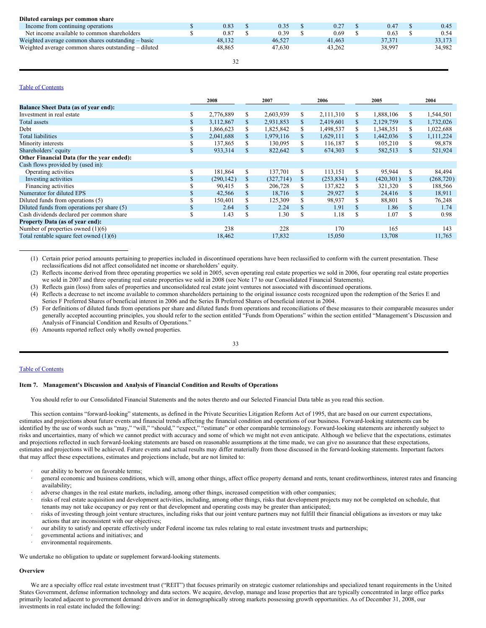| Diluted earnings per common share                    |        |        |        |        |        |
|------------------------------------------------------|--------|--------|--------|--------|--------|
| Income from continuing operations                    | 0.83   | 0.35   | 0.27   | 0.47   | 0.45   |
| Net income available to common shareholders          | 0.87   | 0.39   | 0.69   | 0.63   | 0.54   |
| Weighted average common shares outstanding – basic   | 48.132 | 46.527 | 41.463 | 37.371 | 33,173 |
| Weighted average common shares outstanding – diluted | 48.865 | 47.630 | 43.262 | 38.997 | 34,982 |
|                                                      |        |        |        |        |        |
|                                                      | 32     |        |        |        |        |

|                                             |     | 2008       |     | 2007      |    | 2006       |               | 2005       |    | 2004       |
|---------------------------------------------|-----|------------|-----|-----------|----|------------|---------------|------------|----|------------|
| <b>Balance Sheet Data (as of year end):</b> |     |            |     |           |    |            |               |            |    |            |
| Investment in real estate                   | S   | 2,776,889  | S.  | 2,603,939 | \$ | 2,111,310  | S.            | 1,888,106  | S. | 1,544,501  |
| Total assets                                | \$  | 3,112,867  | S.  | 2,931,853 | \$ | 2,419,601  | \$            | 2,129,759  | S  | 1,732,026  |
| Debt                                        | S   | 1,866,623  | \$  | 1,825,842 | \$ | 1,498,537  | S.            | 1,348,351  | S. | 1,022,688  |
| <b>Total liabilities</b>                    | \$  | 2,041,688  | S.  | 1,979,116 | \$ | 1,629,111  | <sup>\$</sup> | 1,442,036  | S. | 1,111,224  |
| Minority interests                          |     | 137,865    |     | 130,095   | \$ | 116,187    | S             | 105,210    |    | 98,878     |
| Shareholders' equity                        | \$. | 933,314    |     | 822,642   | \$ | 674,303    | <sup>\$</sup> | 582,513    |    | 521,924    |
| Other Financial Data (for the year ended):  |     |            |     |           |    |            |               |            |    |            |
| Cash flows provided by (used in):           |     |            |     |           |    |            |               |            |    |            |
| Operating activities                        | S   | 181,864    | S.  | 137,701   | S. | 113,151    | S             | 95,944     | S. | 84,494     |
| Investing activities                        | S   | (290, 142) | S.  | (327,714) | \$ | (253, 834) | <sup>S</sup>  | (420, 301) | S  | (268, 720) |
| Financing activities                        |     | 90,415     |     | 206,728   | \$ | 137,822    | S             | 321,320    |    | 188,566    |
| Numerator for diluted EPS                   |     | 42,566     |     | 18,716    | \$ | 29,927     | <sup>\$</sup> | 24,416     |    | 18,911     |
| Diluted funds from operations (5)           |     | 150,401    | \$  | 125,309   | \$ | 98,937     | \$            | 88,801     | ъ. | 76,248     |
| Diluted funds from operations per share (5) | \$  | 2.64       | \$. | 2.24      | \$ | 1.91       | <sup>\$</sup> | 1.86       | S  | 1.74       |
| Cash dividends declared per common share    | S   | 1.43       | S   | 1.30      | \$ | 1.18       | \$.           | 1.07       | S  | 0.98       |
| Property Data (as of year end):             |     |            |     |           |    |            |               |            |    |            |
| Number of properties owned $(1)(6)$         |     | 238        |     | 228       |    | 170        |               | 165        |    | 143        |
| Total rentable square feet owned $(1)(6)$   |     | 18,462     |     | 17,832    |    | 15,050     |               | 13,708     |    | 11,765     |

(1) Certain prior period amounts pertaining to properties included in discontinued operations have been reclassified to conform with the current presentation. These reclassifications did not affect consolidated net income or shareholders' equity.

(2) Reflects income derived from three operating properties we sold in 2005, seven operating real estate properties we sold in 2006, four operating real estate properties we sold in 2007 and three operating real estate properties we sold in 2008 (see Note 17 to our Consolidated Financial Statements).

(3) Reflects gain (loss) from sales of properties and unconsolidated real estate joint ventures not associated with discontinued operations.

(4) Reflects a decrease to net income available to common shareholders pertaining to the original issuance costs recognized upon the redemption of the Series E and Series F Preferred Shares of beneficial interest in 2006 and the Series B Preferred Shares of beneficial interest in 2004.

(5) For definitions of diluted funds from operations per share and diluted funds from operations and reconciliations of these measures to their comparable measures under generally accepted accounting principles, you should refer to the section entitled "Funds from Operations" within the section entitled "Management's Discussion and Analysis of Financial Condition and Results of Operations."

(6) Amounts reported reflect only wholly owned properties.

<span id="page-22-0"></span>33

### Table of [Contents](#page-1-0)

### **Item 7. Management's Discussion and Analysis of Financial Condition and Results of Operations**

You should refer to our Consolidated Financial Statements and the notes thereto and our Selected Financial Data table as you read this section.

This section contains "forward-looking" statements, as defined in the Private Securities Litigation Reform Act of 1995, that are based on our current expectations, estimates and projections about future events and financial trends affecting the financial condition and operations of our business. Forward-looking statements can be identified by the use of words such as "may," "will," "should," "expect," "estimate" or other comparable terminology. Forward-looking statements are inherently subject to risks and uncertainties, many of which we cannot predict with accuracy and some of which we might not even anticipate. Although we believe that the expectations, estimates and projections reflected in such forward-looking statements are based on reasonable assumptions at the time made, we can give no assurance that these expectations, estimates and projections will be achieved. Future events and actual results may differ materially from those discussed in the forward-looking statements. Important factors that may affect these expectations, estimates and projections include, but are not limited to:

- our ability to borrow on favorable terms;
- · general economic and business conditions, which will, among other things, affect office property demand and rents, tenant creditworthiness, interest rates and financing availability;
- adverse changes in the real estate markets, including, among other things, increased competition with other companies;
- · risks of real estate acquisition and development activities, including, among other things, risks that development projects may not be completed on schedule, that tenants may not take occupancy or pay rent or that development and operating costs may be greater than anticipated;
- · risks of investing through joint venture structures, including risks that our joint venture partners may not fulfill their financial obligations as investors or may take actions that are inconsistent with our objectives;
- our ability to satisfy and operate effectively under Federal income tax rules relating to real estate investment trusts and partnerships;
- · governmental actions and initiatives; and
- environmental requirements.

We undertake no obligation to update or supplement forward-looking statements.

### **Overview**

We are a specialty office real estate investment trust ("REIT") that focuses primarily on strategic customer relationships and specialized tenant requirements in the United States Government, defense information technology and data sectors. We acquire, develop, manage and lease properties that are typically concentrated in large office parks primarily located adjacent to government demand drivers and/or in demographically strong markets possessing growth opportunities. As of December 31, 2008, our investments in real estate included the following: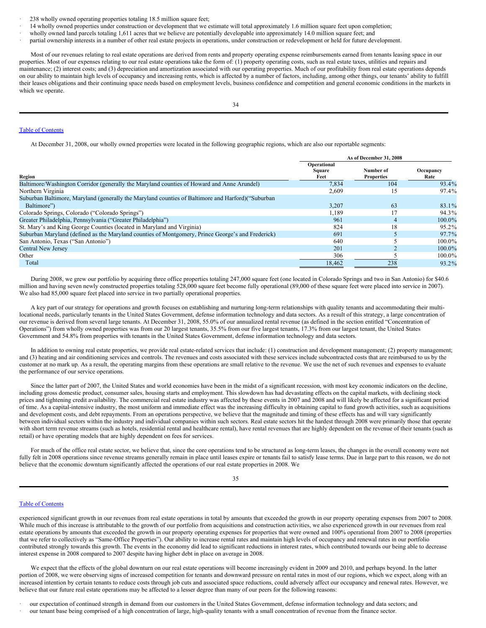- 238 wholly owned operating properties totaling 18.5 million square feet;
- · 14 wholly owned properties under construction or development that we estimate will total approximately 1.6 million square feet upon completion;
- wholly owned land parcels totaling 1,611 acres that we believe are potentially developable into approximately 14.0 million square feet; and
- partial ownership interests in a number of other real estate projects in operations, under construction or redevelopment or held for future development.

Most of our revenues relating to real estate operations are derived from rents and property operating expense reimbursements earned from tenants leasing space in our properties. Most of our expenses relating to our real estate operations take the form of: (1) property operating costs, such as real estate taxes, utilities and repairs and maintenance; (2) interest costs; and (3) depreciation and amortization associated with our operating properties. Much of our profitability from real estate operations depends on our ability to maintain high levels of occupancy and increasing rents, which is affected by a number of factors, including, among other things, our tenants' ability to fulfill their leases obligations and their continuing space needs based on employment levels, business confidence and competition and general economic conditions in the markets in which we operate.

### Table of [Contents](#page-1-0)

At December 31, 2008, our wholly owned properties were located in the following geographic regions, which are also our reportable segments:

|                                                                                                    |                               | As of December 31, 2008        |                   |
|----------------------------------------------------------------------------------------------------|-------------------------------|--------------------------------|-------------------|
| Region                                                                                             | Operational<br>Square<br>Feet | Number of<br><b>Properties</b> | Occupancy<br>Rate |
| Baltimore/Washington Corridor (generally the Maryland counties of Howard and Anne Arundel)         | 7.834                         | 104                            | 93.4%             |
| Northern Virginia                                                                                  | 2,609                         | 15                             | 97.4%             |
| Suburban Baltimore, Maryland (generally the Maryland counties of Baltimore and Harford) ("Suburban |                               |                                |                   |
| Baltimore")                                                                                        | 3.207                         | 63                             | 83.1%             |
| Colorado Springs, Colorado ("Colorado Springs")                                                    | 1,189                         |                                | 94.3%             |
| Greater Philadelphia, Pennsylvania ("Greater Philadelphia")                                        | 961                           |                                | 100.0%            |
| St. Mary's and King George Counties (located in Maryland and Virginia)                             | 824                           | 18                             | 95.2%             |
| Suburban Maryland (defined as the Maryland counties of Montgomery, Prince George's and Frederick)  | 691                           |                                | 97.7%             |
| San Antonio, Texas ("San Antonio")                                                                 | 640                           |                                | 100.0%            |
| <b>Central New Jersey</b>                                                                          | 201                           |                                | 100.0%            |
| Other                                                                                              | 306                           |                                | 100.0%            |
| Total                                                                                              | 18,462                        | 238                            | 93.2%             |

During 2008, we grew our portfolio by acquiring three office properties totaling 247,000 square feet (one located in Colorado Springs and two in San Antonio) for \$40.6 million and having seven newly constructed properties totaling 528,000 square feet become fully operational (89,000 of these square feet were placed into service in 2007). We also had 85,000 square feet placed into service in two partially operational properties.

A key part of our strategy for operations and growth focuses on establishing and nurturing long-term relationships with quality tenants and accommodating their multilocational needs, particularly tenants in the United States Government, defense information technology and data sectors. As a result of this strategy, a large concentration of our revenue is derived from several large tenants. At December 31, 2008, 55.0% of our annualized rental revenue (as defined in the section entitled "Concentration of Operations") from wholly owned properties was from our 20 largest tenants, 35.5% from our five largest tenants, 17.3% from our largest tenant, the United States Government and 54.8% from properties with tenants in the United States Government, defense information technology and data sectors.

In addition to owning real estate properties, we provide real estate-related services that include: (1) construction and development management; (2) property management; and (3) heating and air conditioning services and controls. The revenues and costs associated with these services include subcontracted costs that are reimbursed to us by the customer at no mark up. As a result, the operating margins from these operations are small relative to the revenue. We use the net of such revenues and expenses to evaluate the performance of our service operations.

Since the latter part of 2007, the United States and world economies have been in the midst of a significant recession, with most key economic indicators on the decline. including gross domestic product, consumer sales, housing starts and employment. This slowdown has had devastating effects on the capital markets, with declining stock prices and tightening credit availability. The commercial real estate industry was affected by these events in 2007 and 2008 and will likely be affected for a significant period of time. As a capital-intensive industry, the most uniform and immediate effect was the increasing difficulty in obtaining capital to fund growth activities, such as acquisitions and development costs, and debt repayments. From an operations perspective, we believe that the magnitude and timing of these effects has and will vary significantly between individual sectors within the industry and individual companies within such sectors. Real estate sectors hit the hardest through 2008 were primarily those that operate with short term revenue streams (such as hotels, residential rental and healthcare rental), have rental revenues that are highly dependent on the revenue of their tenants (such as retail) or have operating models that are highly dependent on fees for services.

For much of the office real estate sector, we believe that, since the core operations tend to be structured as long-term leases, the changes in the overall economy were not fully felt in 2008 operations since revenue streams generally remain in place until leases expire or tenants fail to satisfy lease terms. Due in large part to this reason, we do not believe that the economic downturn significantly affected the operations of our real estate properties in 2008. We

#### 35

#### Table of [Contents](#page-1-0)

experienced significant growth in our revenues from real estate operations in total by amounts that exceeded the growth in our property operating expenses from 2007 to 2008. While much of this increase is attributable to the growth of our portfolio from acquisitions and construction activities, we also experienced growth in our revenues from real estate operations by amounts that exceeded the growth in our property operating expenses for properties that were owned and 100% operational from 2007 to 2008 (properties that we refer to collectively as "Same-Office Properties"). Our ability to increase rental rates and maintain high levels of occupancy and renewal rates in our portfolio contributed strongly towards this growth. The events in the economy did lead to significant reductions in interest rates, which contributed towards our being able to decrease interest expense in 2008 compared to 2007 despite having higher debt in place on average in 2008.

We expect that the effects of the global downturn on our real estate operations will become increasingly evident in 2009 and 2010, and perhaps beyond. In the latter portion of 2008, we were observing signs of increased competition for tenants and downward pressure on rental rates in most of our regions, which we expect, along with an increased intention by certain tenants to reduce costs through job cuts and associated space reductions, could adversely affect our occupancy and renewal rates. However, we believe that our future real estate operations may be affected to a lesser degree than many of our peers for the following reasons:

· our expectation of continued strength in demand from our customers in the United States Government, defense information technology and data sectors; and

· our tenant base being comprised of a high concentration of large, high-quality tenants with a small concentration of revenue from the finance sector.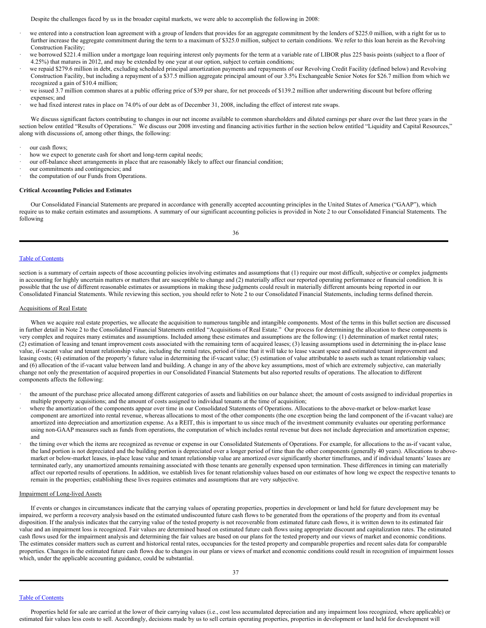Despite the challenges faced by us in the broader capital markets, we were able to accomplish the following in 2008:

- we entered into a construction loan agreement with a group of lenders that provides for an aggregate commitment by the lenders of \$225.0 million, with a right for us to further increase the aggregate commitment during the term to a maximum of \$325.0 million, subject to certain conditions. We refer to this loan herein as the Revolving Construction Facility;
- we borrowed \$221.4 million under a mortgage loan requiring interest only payments for the term at a variable rate of LIBOR plus 225 basis points (subject to a floor of 4.25%) that matures in 2012, and may be extended by one year at our option, subject to certain conditions;
- · we repaid \$279.6 million in debt, excluding scheduled principal amortization payments and repayments of our Revolving Credit Facility (defined below) and Revolving Construction Facility, but including a repayment of a \$37.5 million aggregate principal amount of our 3.5% Exchangeable Senior Notes for \$26.7 million from which we recognized a gain of \$10.4 million;
- we issued 3.7 million common shares at a public offering price of \$39 per share, for net proceeds of \$139.2 million after underwriting discount but before offering expenses; and
- we had fixed interest rates in place on 74.0% of our debt as of December 31, 2008, including the effect of interest rate swaps.

We discuss significant factors contributing to changes in our net income available to common shareholders and diluted earnings per share over the last three years in the section below entitled "Results of Operations." We discuss our 2008 investing and financing activities further in the section below entitled "Liquidity and Capital Resources," along with discussions of, among other things, the following:

- our cash flows;
- how we expect to generate cash for short and long-term capital needs;
- our off-balance sheet arrangements in place that are reasonably likely to affect our financial condition;
- our commitments and contingencies; and
- the computation of our Funds from Operations.

### **Critical Accounting Policies and Estimates**

Our Consolidated Financial Statements are prepared in accordance with generally accepted accounting principles in the United States of America ("GAAP"), which require us to make certain estimates and assumptions. A summary of our significant accounting policies is provided in Note 2 to our Consolidated Financial Statements. The following

#### Table of [Contents](#page-1-0)

section is a summary of certain aspects of those accounting policies involving estimates and assumptions that (1) require our most difficult, subjective or complex judgments in accounting for highly uncertain matters or matters that are susceptible to change and (2) materially affect our reported operating performance or financial condition. It is possible that the use of different reasonable estimates or assumptions in making these judgments could result in materially different amounts being reported in our Consolidated Financial Statements. While reviewing this section, you should refer to Note 2 to our Consolidated Financial Statements, including terms defined therein.

#### Acquisitions of Real Estate

When we acquire real estate properties, we allocate the acquisition to numerous tangible and intangible components. Most of the terms in this bullet section are discussed in further detail in Note 2 to the Consolidated Financial Statements entitled "Acquisitions of Real Estate." Our process for determining the allocation to these components is very complex and requires many estimates and assumptions. Included among these estimates and assumptions are the following: (1) determination of market rental rates; (2) estimation of leasing and tenant improvement costs associated with the remaining term of acquired leases; (3) leasing assumptions used in determining the in-place lease value, if-vacant value and tenant relationship value, including the rental rates, period of time that it will take to lease vacant space and estimated tenant improvement and leasing costs; (4) estimation of the property's future value in determining the if-vacant value; (5) estimation of value attributable to assets such as tenant relationship values; and (6) allocation of the if-vacant value between land and building. A change in any of the above key assumptions, most of which are extremely subjective, can materially change not only the presentation of acquired properties in our Consolidated Financial Statements but also reported results of operations. The allocation to different components affects the following:

- the amount of the purchase price allocated among different categories of assets and liabilities on our balance sheet; the amount of costs assigned to individual properties in multiple property acquisitions; and the amount of costs assigned to individual tenants at the time of acquisition;
- where the amortization of the components appear over time in our Consolidated Statements of Operations. Allocations to the above-market or below-market lease component are amortized into rental revenue, whereas allocations to most of the other components (the one exception being the land component of the if-vacant value) are amortized into depreciation and amortization expense. As a REIT, this is important to us since much of the investment community evaluates our operating performance using non-GAAP measures such as funds from operations, the computation of which includes rental revenue but does not include depreciation and amortization expense; and
- the timing over which the items are recognized as revenue or expense in our Consolidated Statements of Operations. For example, for allocations to the as-if vacant value, the land portion is not depreciated and the building portion is depreciated over a longer period of time than the other components (generally 40 years). Allocations to abovemarket or below-market leases, in-place lease value and tenant relationship value are amortized over significantly shorter timeframes, and if individual tenants' leases are terminated early, any unamortized amounts remaining associated with those tenants are generally expensed upon termination. These differences in timing can materially affect our reported results of operations. In addition, we establish lives for tenant relationship values based on our estimates of how long we expect the respective tenants to remain in the properties; establishing these lives requires estimates and assumptions that are very subjective.

#### Impairment of Long-lived Assets

If events or changes in circumstances indicate that the carrying values of operating properties, properties in development or land held for future development may be impaired, we perform a recovery analysis based on the estimated undiscounted future cash flows to be generated from the operations of the property and from its eventual disposition. If the analysis indicates that the carrying value of the tested property is not recoverable from estimated future cash flows, it is written down to its estimated fair value and an impairment loss is recognized. Fair values are determined based on estimated future cash flows using appropriate discount and capitalization rates. The estimated cash flows used for the impairment analysis and determining the fair values are based on our plans for the tested property and our views of market and economic conditions. The estimates consider matters such as current and historical rental rates, occupancies for the tested property and comparable properties and recent sales data for comparable properties. Changes in the estimated future cash flows due to changes in our plans or views of market and economic conditions could result in recognition of impairment losses which, under the applicable accounting guidance, could be substantial.

# Table of [Contents](#page-1-0)

Properties held for sale are carried at the lower of their carrying values (i.e., cost less accumulated depreciation and any impairment loss recognized, where applicable) or estimated fair values less costs to sell. Accordingly, decisions made by us to sell certain operating properties, properties in development or land held for development will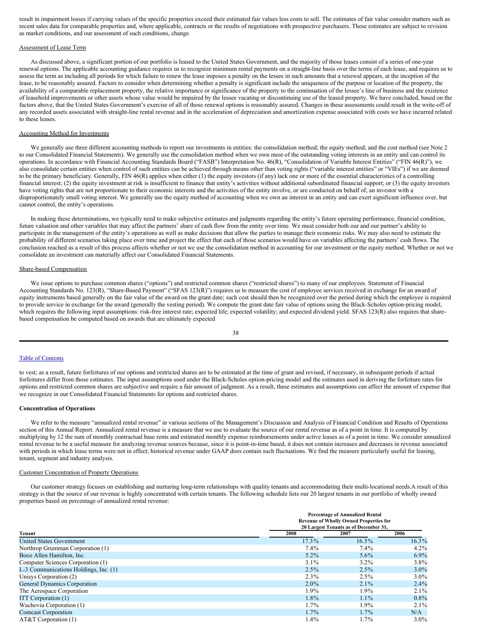result in impairment losses if carrying values of the specific properties exceed their estimated fair values less costs to sell. The estimates of fair value consider matters such as recent sales data for comparable properties and, where applicable, contracts or the results of negotiations with prospective purchasers. These estimates are subject to revision as market conditions, and our assessment of such conditions, change.

### Assessment of Lease Term

As discussed above, a significant portion of our portfolio is leased to the United States Government, and the majority of those leases consist of a series of one-year renewal options. The applicable accounting guidance requires us to recognize minimum rental payments on a straight-line basis over the terms of each lease, and requires us to assess the term as including all periods for which failure to renew the lease imposes a penalty on the lessee in such amounts that a renewal appears, at the inception of the lease, to be reasonably assured. Factors to consider when determining whether a penalty is significant include the uniqueness of the purpose or location of the property, the availability of a comparable replacement property, the relative importance or significance of the property to the continuation of the lessee's line of business and the existence of leasehold improvements or other assets whose value would be impaired by the lessee vacating or discontinuing use of the leased property. We have concluded, based on the factors above, that the United States Government's exercise of all of those renewal options is reasonably assured. Changes in these assessments could result in the write-off of any recorded assets associated with straight-line rental revenue and in the acceleration of depreciation and amortization expense associated with costs we have incurred related to these leases.

### Accounting Method for Investments

We generally use three different accounting methods to report our investments in entities: the consolidation method; the equity method; and the cost method (see Note 2 to our Consolidated Financial Statements). We generally use the consolidation method when we own most of the outstanding voting interests in an entity and can control its operations. In accordance with Financial Accounting Standards Board ("FASB") Interpretation No. 46(R), "Consolidation of Variable Interest Entities" ("FIN 46(R)"), we also consolidate certain entities when control of such entities can be achieved through means other than voting rights ("variable interest entities" or "VIEs") if we are deemed to be the primary beneficiary. Generally, FIN 46(R) applies when either (1) the equity investors (if any) lack one or more of the essential characteristics of a controlling financial interest; (2) the equity investment at risk is insufficient to finance that entity's activities without additional subordinated financial support; or (3) the equity investors have voting rights that are not proportionate to their economic interests and the activities of the entity involve, or are conducted on behalf of, an investor with a disproportionately small voting interest. We generally use the equity method of accounting when we own an interest in an entity and can exert significant influence over, but cannot control, the entity's operations.

In making these determinations, we typically need to make subjective estimates and judgments regarding the entity's future operating performance, financial condition, future valuation and other variables that may affect the partners' share of cash flow from the entity over time. We must consider both our and our partner's ability to participate in the management of the entity's operations as well as make decisions that allow the parties to manage their economic risks. We may also need to estimate the probability of different scenarios taking place over time and project the effect that each of those scenarios would have on variables affecting the partners' cash flows. The conclusion reached as a result of this process affects whether or not we use the consolidation method in accounting for our investment or the equity method. Whether or not we consolidate an investment can materially affect our Consolidated Financial Statements.

#### Share-based Compensation

We issue options to purchase common shares ("options") and restricted common shares ("restricted shares") to many of our employees. Statement of Financial Accounting Standards No. 123(R), "Share-Based Payment" ("SFAS 123(R)") requires us to measure the cost of employee services received in exchange for an award of equity instruments based generally on the fair value of the award on the grant date; such cost should then be recognized over the period during which the employee is required to provide service in exchange for the award (generally the vesting period). We compute the grant date fair value of options using the Black-Scholes option-pricing model, which requires the following input assumptions: risk-free interest rate; expected life; expected volatility; and expected dividend yield. SFAS 123(R) also requires that sharebased compensation be computed based on awards that are ultimately expected

#### 38

#### Table of [Contents](#page-1-0)

to vest; as a result, future forfeitures of our options and restricted shares are to be estimated at the time of grant and revised, if necessary, in subsequent periods if actual forfeitures differ from those estimates. The input assumptions used under the Black-Scholes option-pricing model and the estimates used in deriving the forfeiture rates for options and restricted common shares are subjective and require a fair amount of judgment. As a result, these estimates and assumptions can affect the amount of expense that we recognize in our Consolidated Financial Statements for options and restricted shares.

#### **Concentration of Operations**

We refer to the measure "annualized rental revenue" in various sections of the Management's Discussion and Analysis of Financial Condition and Results of Operations section of this Annual Report. Annualized rental revenue is a measure that we use to evaluate the source of our rental revenue as of a point in time. It is computed by multiplying by 12 the sum of monthly contractual base rents and estimated monthly expense reimbursements under active leases as of a point in time. We consider annualized rental revenue to be a useful measure for analyzing revenue sources because, since it is point-in-time based, it does not contain increases and decreases in revenue associated with periods in which lease terms were not in effect; historical revenue under GAAP does contain such fluctuations. We find the measure particularly useful for leasing, tenant, segment and industry analysis.

#### Customer Concentration of Property Operations

Our customer strategy focuses on establishing and nurturing long-term relationships with quality tenants and accommodating their multi-locational needs.A result of this strategy is that the source of our revenue is highly concentrated with certain tenants. The following schedule lists our 20 largest tenants in our portfolio of wholly owned properties based on percentage of annualized rental revenue:

|                                       |                                                                                        | <b>Percentage of Annualized Rental</b> |         |  |  |  |  |  |  |
|---------------------------------------|----------------------------------------------------------------------------------------|----------------------------------------|---------|--|--|--|--|--|--|
|                                       | <b>Revenue of Wholly Owned Properties for</b><br>20 Largest Tenants as of December 31, |                                        |         |  |  |  |  |  |  |
| Tenant                                | 2008                                                                                   | 2007                                   | 2006    |  |  |  |  |  |  |
| <b>United States Government</b>       | 17.3%                                                                                  | 16.3%                                  | 16.3%   |  |  |  |  |  |  |
| Northrop Grumman Corporation (1)      | 7.4%                                                                                   | $7.4\%$                                | $4.2\%$ |  |  |  |  |  |  |
| Booz Allen Hamilton, Inc.             | $5.2\%$                                                                                | $5.6\%$                                | $6.9\%$ |  |  |  |  |  |  |
| Computer Sciences Corporation (1)     | $3.1\%$                                                                                | $3.2\%$                                | $3.8\%$ |  |  |  |  |  |  |
| L-3 Communications Holdings, Inc. (1) | $2.5\%$                                                                                | $2.5\%$                                | $3.0\%$ |  |  |  |  |  |  |
| Unisys Corporation (2)                | $2.3\%$                                                                                | $2.5\%$                                | $3.0\%$ |  |  |  |  |  |  |
| <b>General Dynamics Corporation</b>   | $2.0\%$                                                                                | $2.1\%$                                | 2.4%    |  |  |  |  |  |  |
| The Aerospace Corporation             | 1.9%                                                                                   | 1.9%                                   | $2.1\%$ |  |  |  |  |  |  |
| <b>ITT</b> Corporation (1)            | 1.8%                                                                                   | $1.1\%$                                | $0.8\%$ |  |  |  |  |  |  |
| Wachovia Corporation (1)              | $1.7\%$                                                                                | 1.9%                                   | $2.1\%$ |  |  |  |  |  |  |
| <b>Comcast Corporation</b>            | $1.7\%$                                                                                | $1.7\%$                                | N/A     |  |  |  |  |  |  |
| $AT&T$ Corporation (1)                | $1.4\%$                                                                                | $1.7\%$                                | $3.0\%$ |  |  |  |  |  |  |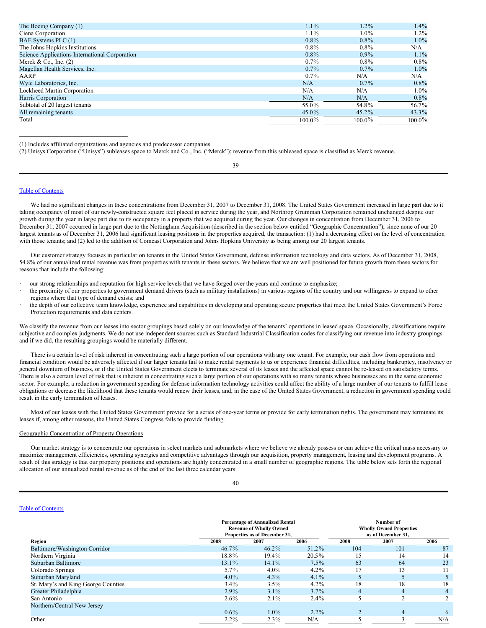| The Boeing Company (1)                         | $1.1\%$   | $1.2\%$   | 1.4%      |
|------------------------------------------------|-----------|-----------|-----------|
| Ciena Corporation                              | $1.1\%$   | $1.0\%$   | $1.2\%$   |
| BAE Systems PLC (1)                            | $0.8\%$   | $0.8\%$   | $1.0\%$   |
| The Johns Hopkins Institutions                 | $0.8\%$   | $0.8\%$   | N/A       |
| Science Applications International Corporation | $0.8\%$   | $0.9\%$   | $1.1\%$   |
| Merck & Co., Inc. $(2)$                        | $0.7\%$   | $0.8\%$   | $0.8\%$   |
| Magellan Health Services, Inc.                 | $0.7\%$   | $0.7\%$   | $1.0\%$   |
| AARP                                           | $0.7\%$   | N/A       | N/A       |
| Wyle Laboratories, Inc.                        | N/A       | $0.7\%$   | $0.8\%$   |
| Lockheed Martin Corporation                    | N/A       | N/A       | $1.0\%$   |
| Harris Corporation                             | N/A       | N/A       | $0.8\%$   |
| Subtotal of 20 largest tenants                 | 55.0%     | 54.8%     | 56.7%     |
| All remaining tenants                          | $45.0\%$  | $45.2\%$  | $43.3\%$  |
| Total                                          | $100.0\%$ | $100.0\%$ | $100.0\%$ |

(1) Includes affiliated organizations and agencies and predecessor companies.

(2) Unisys Corporation ("Unisys") subleases space to Merck and Co., Inc. ("Merck"); revenue from this subleased space is classified as Merck revenue.

### Table of [Contents](#page-1-0)

We had no significant changes in these concentrations from December 31, 2007 to December 31, 2008. The United States Government increased in large part due to it taking occupancy of most of our newly-constructed square feet placed in service during the year, and Northrop Grumman Corporation remained unchanged despite our growth during the year in large part due to its occupancy in a property that we acquired during the year. Our changes in concentration from December 31, 2006 to December 31, 2007 occurred in large part due to the Nottingham Acquisition (described in the section below entitled "Geographic Concentration"); since none of our 20 largest tenants as of December 31, 2006 had significant leasing positions in the properties acquired, the transaction: (1) had a decreasing effect on the level of concentration with those tenants; and (2) led to the addition of Comcast Corporation and Johns Hopkins University as being among our 20 largest tenants.

Our customer strategy focuses in particular on tenants in the United States Government, defense information technology and data sectors. As of December 31, 2008, 54.8% of our annualized rental revenue was from properties with tenants in these sectors. We believe that we are well positioned for future growth from these sectors for reasons that include the following:

- · our strong relationships and reputation for high service levels that we have forged over the years and continue to emphasize;
- the proximity of our properties to government demand drivers (such as military installations) in various regions of the country and our willingness to expand to other regions where that type of demand exists; and
- the depth of our collective team knowledge, experience and capabilities in developing and operating secure properties that meet the United States Government's Force Protection requirements and data centers.

We classify the revenue from our leases into sector groupings based solely on our knowledge of the tenants' operations in leased space. Occasionally, classifications require subjective and complex judgments. We do not use independent sources such as Standard Industrial Classification codes for classifying our revenue into industry groupings and if we did, the resulting groupings would be materially different.

There is a certain level of risk inherent in concentrating such a large portion of our operations with any one tenant. For example, our cash flow from operations and financial condition would be adversely affected if our larger tenants fail to make rental payments to us or experience financial difficulties, including bankruptcy, insolvency or general downturn of business, or if the United States Government elects to terminate several of its leases and the affected space cannot be re-leased on satisfactory terms. There is also a certain level of risk that is inherent in concentrating such a large portion of our operations with so many tenants whose businesses are in the same economic sector. For example, a reduction in government spending for defense information technology activities could affect the ability of a large number of our tenants to fulfill lease obligations or decrease the likelihood that these tenants would renew their leases, and, in the case of the United States Government, a reduction in government spending could result in the early termination of leases.

Most of our leases with the United States Government provide for a series of one-year terms or provide for early termination rights. The government may terminate its leases if, among other reasons, the United States Congress fails to provide funding.

#### Geographic Concentration of Property Operations

Our market strategy is to concentrate our operations in select markets and submarkets where we believe we already possess or can achieve the critical mass necessary to maximize management efficiencies, operating synergies and competitive advantages through our acquisition, property management, leasing and development programs. A result of this strategy is that our property positions and operations are highly concentrated in a small number of geographic regions. The table below sets forth the regional allocation of our annualized rental revenue as of the end of the last three calendar years:

### 40

|                                     |          | <b>Percentage of Annualized Rental</b><br><b>Revenue of Wholly Owned</b><br>Properties as of December 31, | Number of<br><b>Wholly Owned Properties</b><br>as of December 31, |                |                |      |
|-------------------------------------|----------|-----------------------------------------------------------------------------------------------------------|-------------------------------------------------------------------|----------------|----------------|------|
| Region                              | 2008     | 2007                                                                                                      | 2006                                                              | 2008           | 2007           | 2006 |
| Baltimore/Washington Corridor       | $46.7\%$ | $46.2\%$                                                                                                  | 51.2%                                                             | 104            | 101            | 87   |
| Northern Virginia                   | 18.8%    | 19.4%                                                                                                     | $20.5\%$                                                          | 15             | 14             | 14   |
| Suburban Baltimore                  | $13.1\%$ | 14.1%                                                                                                     | $7.5\%$                                                           | 63             | 64             | 23   |
| Colorado Springs                    | $5.7\%$  | $4.0\%$                                                                                                   | $4.2\%$                                                           | 17             | 13             | 11   |
| Suburban Maryland                   | $4.0\%$  | $4.3\%$                                                                                                   | $4.1\%$                                                           |                |                |      |
| St. Mary's and King George Counties | $3.4\%$  | $3.5\%$                                                                                                   | $4.2\%$                                                           | 18             | 18             | 18   |
| Greater Philadelphia                | $2.9\%$  | $3.1\%$                                                                                                   | $3.7\%$                                                           | $\overline{4}$ | 4              | 4    |
| San Antonio                         | $2.6\%$  | $2.1\%$                                                                                                   | $2.4\%$                                                           |                | $\sim$         |      |
| Northern/Central New Jersey         |          |                                                                                                           |                                                                   |                |                |      |
|                                     | $0.6\%$  | $1.0\%$                                                                                                   | $2.2\%$                                                           | $\mathcal{D}$  | $\overline{4}$ | 6    |
| Other                               | $2.2\%$  | $2.3\%$                                                                                                   | N/A                                                               |                | $\sim$         | N/A  |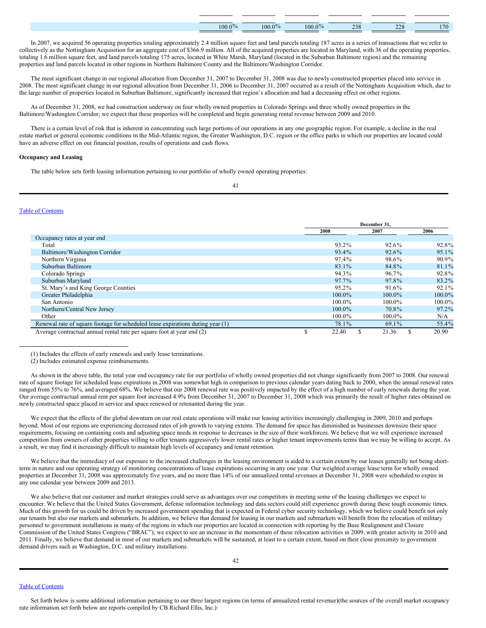| $100.0\%$ | $100.0\%$ | $100.0\%$ | 238 | 228 | 170 |
|-----------|-----------|-----------|-----|-----|-----|

In 2007, we acquired 56 operating properties totaling approximately 2.4 million square feet and land parcels totaling 187 acres in a series of transactions that we refer to collectively as the Nottingham Acquisition for an aggregate cost of \$366.9 million. All of the acquired properties are located in Maryland, with 36 of the operating properties, totaling 1.6 million square feet, and land parcels totaling 175 acres, located in White Marsh, Maryland (located in the Suburban Baltimore region) and the remaining properties and land parcels located in other regions in Northern Baltimore County and the Baltimore/Washington Corridor.

The most significant change in our regional allocation from December 31, 2007 to December 31, 2008 was due to newly-constructed properties placed into service in 2008. The most significant change in our regional allocation from December 31, 2006 to December 31, 2007 occurred as a result of the Nottingham Acquisition which, due to the large number of properties located in Suburban Baltimore, significantly increased that region's allocation and had a decreasing effect on other regions.

As of December 31, 2008, we had construction underway on four wholly owned properties in Colorado Springs and three wholly owned properties in the Baltimore/Washington Corridor; we expect that these properties will be completed and begin generating rental revenue between 2009 and 2010.

There is a certain level of risk that is inherent in concentrating such large portions of our operations in any one geographic region. For example, a decline in the real estate market or general economic conditions in the Mid-Atlantic region, the Greater Washington, D.C. region or the office parks in which our properties are located could have an adverse effect on our financial position, results of operations and cash flows.

### **Occupancy and Leasing**

The table below sets forth leasing information pertaining to our portfolio of wholly owned operating properties:

41

### Table of [Contents](#page-1-0)

|                                                                                |   | December 31. |           |           |  |  |
|--------------------------------------------------------------------------------|---|--------------|-----------|-----------|--|--|
|                                                                                |   | 2008         | 2007      | 2006      |  |  |
| Occupancy rates at year end                                                    |   |              |           |           |  |  |
| Total                                                                          |   | 93.2%        | 92.6%     | 92.8%     |  |  |
| Baltimore/Washington Corridor                                                  |   | 93.4%        | 92.6%     | $95.1\%$  |  |  |
| Northern Virginia                                                              |   | 97.4%        | 98.6%     | 90.9%     |  |  |
| Suburban Baltimore                                                             |   | 83.1%        | 84.8%     | 81.1%     |  |  |
| Colorado Springs                                                               |   | 94.3%        | 96.7%     | 92.8%     |  |  |
| Suburban Maryland                                                              |   | 97.7%        | 97.8%     | 83.2%     |  |  |
| St. Mary's and King George Counties                                            |   | 95.2%        | 91.6%     | 92.1%     |  |  |
| Greater Philadelphia                                                           |   | $100.0\%$    | $100.0\%$ | $100.0\%$ |  |  |
| San Antonio                                                                    |   | 100.0%       | 100.0%    | 100.0%    |  |  |
| Northern/Central New Jersey                                                    |   | $100.0\%$    | 70.8%     | 97.2%     |  |  |
| Other                                                                          |   | 100.0%       | 100.0%    | N/A       |  |  |
| Renewal rate of square footage for scheduled lease expirations during year (1) |   | 78.1%        | 69.1%     | 55.4%     |  |  |
| Average contractual annual rental rate per square foot at year end (2)         | ъ | 22.40        | 21.36     | 20.90     |  |  |

(1) Includes the effects of early renewals and early lease terminations.

(2) Includes estimated expense reimbursements.

As shown in the above table, the total year end occupancy rate for our portfolio of wholly owned properties did not change significantly from 2007 to 2008. Our renewal rate of square footage for scheduled lease expirations in 2008 was somewhat high in comparison to previous calendar years dating back to 2000, when the annual renewal rates ranged from 55% to 76%, and averaged 68%. We believe that our 2008 renewal rate was positively impacted by the effect of a high number of early renewals during the year. Our average contractual annual rent per square foot increased 4.9% from December 31, 2007 to December 31, 2008 which was primarily the result of higher rates obtained on newly constructed space placed in service and space renewed or retenanted during the year.

We expect that the effects of the global downturn on our real estate operations will make our leasing activities increasingly challenging in 2009, 2010 and perhaps beyond. Most of our regions are experiencing decreased rates of job growth to varying extents. The demand for space has diminished as businesses downsize their space requirements, focusing on containing costs and adjusting space needs in response to decreases in the size of their workforces. We believe that we will experience increased competition from owners of other properties willing to offer tenants aggressively lower rental rates or higher tenant improvements terms than we may be willing to accept. As a result, we may find it increasingly difficult to maintain high levels of occupancy and tenant retention.

We believe that the immediacy of our exposure to the increased challenges in the leasing environment is aided to a certain extent by our leases generally not being shortterm in nature and our operating strategy of monitoring concentrations of lease expirations occurring in any one year. Our weighted average lease term for wholly owned properties at December 31, 2008 was approximately five years, and no more than 14% of our annualized rental revenues at December 31, 2008 were scheduled to expire in any one calendar year between 2009 and 2013.

We also believe that our customer and market strategies could serve as advantages over our competitors in meeting some of the leasing challenges we expect to encounter. We believe that the United States Government, defense information technology and data sectors could still experience growth during these tough economic times. Much of this growth for us could be driven by increased government spending that is expected in Federal cyber security technology, which we believe could benefit not only our tenants but also our markets and submarkets. In addition, we believe that demand for leasing in our markets and submarkets will benefit from the relocation of military personnel to government installations in many of the regions in which our properties are located in connection with reporting by the Base Realignment and Closure Commission of the United States Congress ("BRAC"); we expect to see an increase in the momentum of these relocation activities in 2009, with greater activity in 2010 and 2011. Finally, we believe that demand in most of our markets and submarkets will be sustained, at least to a certain extent, based on their close proximity to government demand drivers such as Washington, D.C. and military installations.

### Table of [Contents](#page-1-0)

Set forth below is some additional information pertaining to our three largest regions (in terms of annualized rental revenue)(the sources of the overall market occupancy rate information set forth below are reports compiled by CB Richard Ellis, Inc.):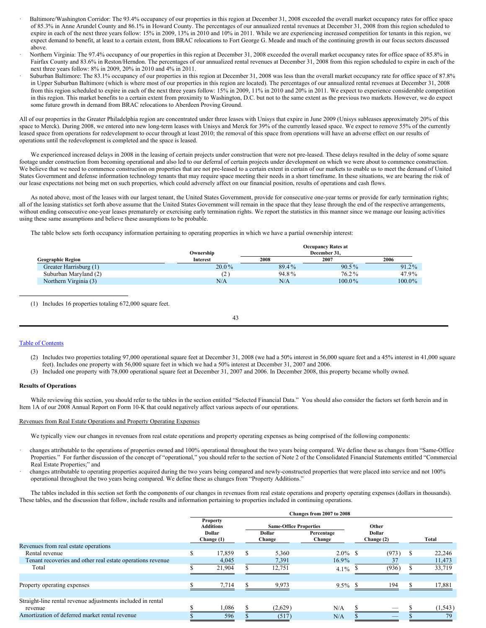- Baltimore/Washington Corridor: The 93.4% occupancy of our properties in this region at December 31, 2008 exceeded the overall market occupancy rates for office space of 85.3% in Anne Arundel County and 86.1% in Howard County. The percentages of our annualized rental revenues at December 31, 2008 from this region scheduled to expire in each of the next three years follow: 15% in 2009, 13% in 2010 and 10% in 2011. While we are experiencing increased competition for tenants in this region, we expect demand to benefit, at least to a certain extent, from BRAC relocations to Fort George G. Meade and much of the continuing growth in our focus sectors discussed above.
- Northern Virginia: The 97.4% occupancy of our properties in this region at December 31, 2008 exceeded the overall market occupancy rates for office space of 85.8% in Fairfax County and 83.6% in Reston/Herndon. The percentages of our annualized rental revenues at December 31, 2008 from this region scheduled to expire in each of the next three years follow: 8% in 2009, 20% in 2010 and 4% in 2011.
- Suburban Baltimore: The 83.1% occupancy of our properties in this region at December 31, 2008 was less than the overall market occupancy rate for office space of 87.8% in Upper Suburban Baltimore (which is where most of our properties in this region are located). The percentages of our annualized rental revenues at December 31, 2008 from this region scheduled to expire in each of the next three years follow: 15% in 2009, 11% in 2010 and 20% in 2011. We expect to experience considerable competition in this region. This market benefits to a certain extent from proximity to Washington, D.C. but not to the same extent as the previous two markets. However, we do expect some future growth in demand from BRAC relocations to Aberdeen Proving Ground.

All of our properties in the Greater Philadelphia region are concentrated under three leases with Unisys that expire in June 2009 (Unisys subleases approximately 20% of this space to Merck). During 2008, we entered into new long-term leases with Unisys and Merck for 39% of the currently leased space. We expect to remove 55% of the currently leased space from operations for redevelopment to occur through at least 2010; the removal of this space from operations will have an adverse effect on our results of operations until the redevelopment is completed and the space is leased.

We experienced increased delays in 2008 in the leasing of certain projects under construction that were not pre-leased. These delays resulted in the delay of some square footage under construction from becoming operational and also led to our deferral of certain projects under development on which we were about to commence construction. We believe that we need to commence construction on properties that are not pre-leased to a certain extent in certain of our markets to enable us to meet the demand of United States Government and defense information technology tenants that may require space meeting their needs in a short timeframe. In these situations, we are bearing the risk of our lease expectations not being met on such properties, which could adversely affect on our financial position, results of operations and cash flows.

As noted above, most of the leases with our largest tenant, the United States Government, provide for consecutive one-year terms or provide for early termination rights; all of the leasing statistics set forth above assume that the United States Government will remain in the space that they lease through the end of the respective arrangements, without ending consecutive one-year leases prematurely or exercising early termination rights. We report the statistics in this manner since we manage our leasing activities using these same assumptions and believe these assumptions to be probable.

The table below sets forth occupancy information pertaining to operating properties in which we have a partial ownership interest:

|                          |                 | <b>Occupancy Rates at</b> |           |          |  |  |  |  |  |
|--------------------------|-----------------|---------------------------|-----------|----------|--|--|--|--|--|
|                          | Ownership       | December 31.              |           |          |  |  |  |  |  |
| <b>Geographic Region</b> | <b>Interest</b> | 2008                      | 2007      | 2006     |  |  |  |  |  |
| Greater Harrisburg (1)   | $20.0\%$        | $89.4\%$                  | $90.5\%$  | $91.2\%$ |  |  |  |  |  |
| Suburban Maryland (2)    | $\sim$          | 94.8%                     | 76.2%     | 47.9%    |  |  |  |  |  |
| Northern Virginia (3)    | N/A             | N/A                       | $100.0\%$ | 100.0%   |  |  |  |  |  |

(1) Includes 16 properties totaling 672,000 square feet.

43

### Table of [Contents](#page-1-0)

- (2) Includes two properties totaling 97,000 operational square feet at December 31, 2008 (we had a 50% interest in 56,000 square feet and a 45% interest in 41,000 square feet). Includes one property with 56,000 square feet in which we had a 50% interest at December 31, 2007 and 2006.
- (3) Included one property with 78,000 operational square feet at December 31, 2007 and 2006. In December 2008, this property became wholly owned.

#### **Results of Operations**

While reviewing this section, you should refer to the tables in the section entitled "Selected Financial Data." You should also consider the factors set forth herein and in Item 1A of our 2008 Annual Report on Form 10-K that could negatively affect various aspects of our operations.

### Revenues from Real Estate Operations and Property Operating Expenses

We typically view our changes in revenues from real estate operations and property operating expenses as being comprised of the following components:

- · changes attributable to the operations of properties owned and 100% operational throughout the two years being compared. We define these as changes from "Same-Office Properties." For further discussion of the concept of "operational," you should refer to the section of Note 2 of the Consolidated Financial Statements entitled "Commercial Real Estate Properties;" and
- · changes attributable to operating properties acquired during the two years being compared and newly-constructed properties that were placed into service and not 100% operational throughout the two years being compared. We define these as changes from "Property Additions."

The tables included in this section set forth the components of our changes in revenues from real estate operations and property operating expenses (dollars in thousands). These tables, and the discussion that follow, include results and information pertaining to properties included in continuing operations.

|                                                             | Changes from 2007 to 2008    |        |  |                               |                      |  |                             |  |          |  |
|-------------------------------------------------------------|------------------------------|--------|--|-------------------------------|----------------------|--|-----------------------------|--|----------|--|
|                                                             | Property<br><b>Additions</b> |        |  | <b>Same-Office Properties</b> |                      |  | Other                       |  |          |  |
|                                                             | Dollar<br>Change (1)         |        |  | <b>Dollar</b><br>Change       | Percentage<br>Change |  | <b>Dollar</b><br>Change (2) |  | Total    |  |
| Revenues from real estate operations                        |                              |        |  |                               |                      |  |                             |  |          |  |
| Rental revenue                                              |                              | 17.859 |  | 5,360                         | $2.0\%$ \$           |  | (973)                       |  | 22,246   |  |
| Tenant recoveries and other real estate operations revenue  |                              | 4,045  |  | 7,391                         | $16.9\%$             |  | 37                          |  | 11,473   |  |
| Total                                                       |                              | 21,904 |  | 12,751                        | $4.1\%$              |  | (936)                       |  | 33,719   |  |
|                                                             |                              |        |  |                               |                      |  |                             |  |          |  |
| Property operating expenses                                 |                              | 7,714  |  | 9.973                         | $9.5\%$ \$           |  | 194                         |  | 17,881   |  |
| Straight-line rental revenue adjustments included in rental |                              |        |  |                               |                      |  |                             |  |          |  |
| revenue                                                     |                              | 1,086  |  | (2,629)                       | N/A                  |  |                             |  | (1, 543) |  |
| Amortization of deferred market rental revenue              |                              | 596    |  | (517)                         | N/A                  |  |                             |  | 79       |  |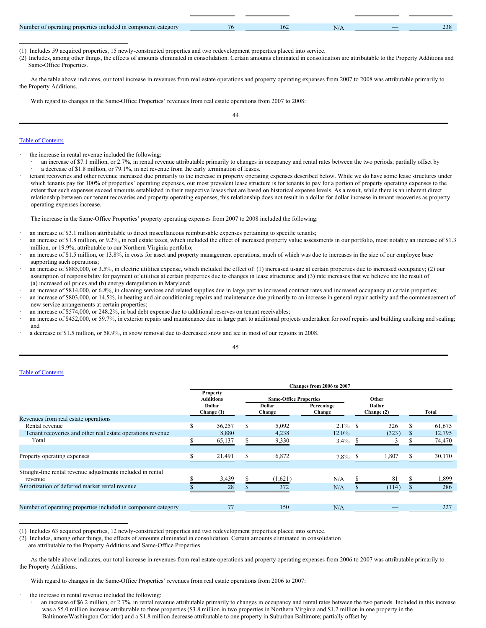| Numb.<br>properties included<br>category<br>1n<br>∠oerating ∗<br>i component c<br>ot oi | O. | $\mathbf{11.1}$ | _ | $\sim$<br>- 38. |
|-----------------------------------------------------------------------------------------|----|-----------------|---|-----------------|

(1) Includes 59 acquired properties, 15 newly-constructed properties and two redevelopment properties placed into service.

(2) Includes, among other things, the effects of amounts eliminated in consolidation. Certain amounts eliminated in consolidation are attributable to the Property Additions and Same-Office Properties.

As the table above indicates, our total increase in revenues from real estate operations and property operating expenses from 2007 to 2008 was attributable primarily to the Property Additions.

With regard to changes in the Same-Office Properties' revenues from real estate operations from 2007 to 2008:

44

### Table of [Contents](#page-1-0)

the increase in rental revenue included the following:

- an increase of \$7.1 million, or 2.7%, in rental revenue attributable primarily to changes in occupancy and rental rates between the two periods; partially offset by a decrease of \$1.8 million, or 79.1%, in net revenue from the early termination of leases.
- tenant recoveries and other revenue increased due primarily to the increase in property operating expenses described below. While we do have some lease structures under which tenants pay for 100% of properties' operating expenses, our most prevalent lease structure is for tenants to pay for a portion of property operating expenses to the extent that such expenses exceed amounts established in their respective leases that are based on historical expense levels. As a result, while there is an inherent direct relationship between our tenant recoveries and property operating expenses, this relationship does not result in a dollar for dollar increase in tenant recoveries as property operating expenses increase.

The increase in the Same-Office Properties' property operating expenses from 2007 to 2008 included the following:

- an increase of \$3.1 million attributable to direct miscellaneous reimbursable expenses pertaining to specific tenants;
- an increase of \$1.8 million, or 9.2%, in real estate taxes, which included the effect of increased property value assessments in our portfolio, most notably an increase of \$1.3 million, or 19.9%, attributable to our Northern Virginia portfolio;
- an increase of \$1.5 million, or 13.8%, in costs for asset and property management operations, much of which was due to increases in the size of our employee base supporting such operations;
- an increase of \$885,000, or 3.5%, in electric utilities expense, which included the effect of: (1) increased usage at certain properties due to increased occupancy; (2) our assumption of responsibility for payment of utilities at certain properties due to changes in lease structures; and (3) rate increases that we believe are the result of (a) increased oil prices and (b) energy deregulation in Maryland;
- an increase of \$814,000, or 6.8%, in cleaning services and related supplies due in large part to increased contract rates and increased occupancy at certain properties;
- an increase of \$803,000, or 14.5%, in heating and air conditioning repairs and maintenance due primarily to an increase in general repair activity and the commencement of new service arrangements at certain properties;
- an increase of \$574,000, or 248.2%, in bad debt expense due to additional reserves on tenant receivables;
- an increase of \$452,000, or 59.7%, in exterior repairs and maintenance due in large part to additional projects undertaken for roof repairs and building caulking and sealing; and
- a decrease of \$1.5 million, or 58.9%, in snow removal due to decreased snow and ice in most of our regions in 2008.

45

### Table of [Contents](#page-1-0)

|                                                               |                                     |        |   |                               | Changes from 2006 to 2007 |            |                        |  |        |
|---------------------------------------------------------------|-------------------------------------|--------|---|-------------------------------|---------------------------|------------|------------------------|--|--------|
|                                                               | <b>Property</b><br><b>Additions</b> |        |   | <b>Same-Office Properties</b> |                           |            | Other<br><b>Dollar</b> |  |        |
|                                                               | <b>Dollar</b><br>Change (1)         |        |   | <b>Dollar</b><br>Change       | Percentage<br>Change      | Change (2) |                        |  | Total  |
| Revenues from real estate operations                          |                                     |        |   |                               |                           |            |                        |  |        |
| Rental revenue                                                | \$                                  | 56,257 | x | 5,092                         | $2.1\%$ \$                |            | 326                    |  | 61,675 |
| Tenant recoveries and other real estate operations revenue    |                                     | 8,880  |   | 4,238                         | $12.0\%$                  |            | (323)                  |  | 12,795 |
| Total                                                         |                                     | 65,137 |   | 9,330                         | $3.4\%$                   |            |                        |  | 74,470 |
|                                                               |                                     |        |   |                               |                           |            |                        |  |        |
| Property operating expenses                                   |                                     | 21,491 |   | 6,872                         | $7.8\%$                   |            | 1,807                  |  | 30,170 |
|                                                               |                                     |        |   |                               |                           |            |                        |  |        |
| Straight-line rental revenue adjustments included in rental   |                                     |        |   |                               |                           |            |                        |  |        |
| revenue                                                       |                                     | 3,439  |   | (1,621)                       | N/A                       |            | 81                     |  | 1,899  |
| Amortization of deferred market rental revenue                |                                     | 28     |   | 372                           | N/A                       |            | (114)                  |  | 286    |
|                                                               |                                     |        |   |                               |                           |            |                        |  |        |
| Number of operating properties included in component category |                                     |        |   | 150                           | N/A                       |            |                        |  | 227    |

(1) Includes 63 acquired properties, 12 newly-constructed properties and two redevelopment properties placed into service.

(2) Includes, among other things, the effects of amounts eliminated in consolidation. Certain amounts eliminated in consolidation

are attributable to the Property Additions and Same-Office Properties.

As the table above indicates, our total increase in revenues from real estate operations and property operating expenses from 2006 to 2007 was attributable primarily to the Property Additions.

With regard to changes in the Same-Office Properties' revenues from real estate operations from 2006 to 2007:

the increase in rental revenue included the following:

an increase of \$6.2 million, or 2.7%, in rental revenue attributable primarily to changes in occupancy and rental rates between the two periods. Included in this increase was a \$5.0 million increase attributable to three properties (\$3.8 million in two properties in Northern Virginia and \$1.2 million in one property in the Baltimore/Washington Corridor) and a \$1.8 million decrease attributable to one property in Suburban Baltimore; partially offset by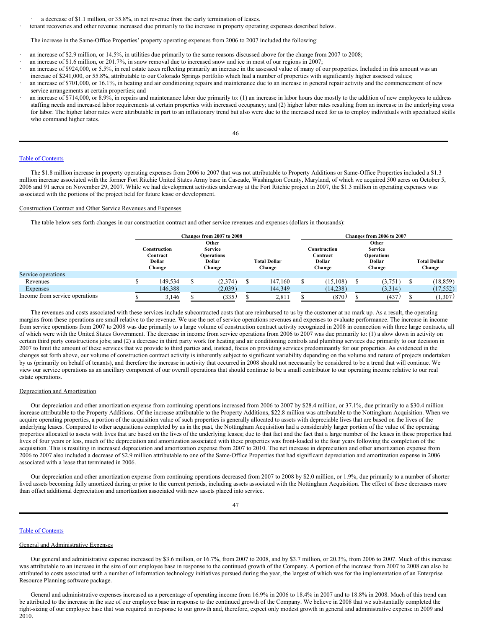a decrease of \$1.1 million, or 35.8%, in net revenue from the early termination of leases.

tenant recoveries and other revenue increased due primarily to the increase in property operating expenses described below.

The increase in the Same-Office Properties' property operating expenses from 2006 to 2007 included the following:

- · an increase of \$2.9 million, or 14.5%, in utilities due primarily to the same reasons discussed above for the change from 2007 to 2008;
- an increase of \$1.6 million, or 201.7%, in snow removal due to increased snow and ice in most of our regions in 2007;
- an increase of \$924,000, or 5.5%, in real estate taxes reflecting primarily an increase in the assessed value of many of our properties. Included in this amount was an
- increase of \$241,000, or 55.8%, attributable to our Colorado Springs portfolio which had a number of properties with significantly higher assessed values;
- an increase of \$701,000, or 16.1%, in heating and air conditioning repairs and maintenance due to an increase in general repair activity and the commencement of new service arrangements at certain properties; and
- an increase of \$714,000, or 8.9%, in repairs and maintenance labor due primarily to: (1) an increase in labor hours due mostly to the addition of new employees to address staffing needs and increased labor requirements at certain properties with increased occupancy; and (2) higher labor rates resulting from an increase in the underlying costs for labor. The higher labor rates were attributable in part to an inflationary trend but also were due to the increased need for us to employ individuals with specialized skills who command higher rates.

46

### Table of [Contents](#page-1-0)

The \$1.8 million increase in property operating expenses from 2006 to 2007 that was not attributable to Property Additions or Same-Office Properties included a \$1.3 million increase associated with the former Fort Ritchie United States Army base in Cascade, Washington County, Maryland, of which we acquired 500 acres on October 5, 2006 and 91 acres on November 29, 2007. While we had development activities underway at the Fort Ritchie project in 2007, the \$1.3 million in operating expenses was associated with the portions of the project held for future lease or development.

#### Construction Contract and Other Service Revenues and Expenses

The table below sets forth changes in our construction contract and other service revenues and expenses (dollars in thousands):

|                                |                                     |  | <b>Changes from 2007 to 2008</b>      |  |                               |              | Changes from 2006 to 2007    |  |                                       |  |                               |  |
|--------------------------------|-------------------------------------|--|---------------------------------------|--|-------------------------------|--------------|------------------------------|--|---------------------------------------|--|-------------------------------|--|
|                                | Other                               |  |                                       |  |                               |              |                              |  | Other                                 |  |                               |  |
|                                | Construction                        |  | <b>Service</b>                        |  |                               | Construction |                              |  | <b>Service</b>                        |  |                               |  |
|                                | Contract<br><b>Dollar</b><br>Change |  | <b>Operations</b><br>Dollar<br>Change |  | <b>Total Dollar</b><br>Change |              | Contract<br>Dollar<br>Change |  | <b>Operations</b><br>Dollar<br>Change |  | <b>Total Dollar</b><br>Change |  |
| Service operations             |                                     |  |                                       |  |                               |              |                              |  |                                       |  |                               |  |
| Revenues                       | 149.534                             |  | (2,374)                               |  | 147.160                       |              | (15, 108)                    |  | (3,751)                               |  | (18, 859)                     |  |
| Expenses                       | 146,388                             |  | (2,039)                               |  | 144,349                       |              | (14, 238)                    |  | (3,314)                               |  | (17, 552)                     |  |
| Income from service operations | 3,146                               |  | (335)                                 |  | 2,811                         |              | (870)                        |  | (437)                                 |  | (1,307)                       |  |

The revenues and costs associated with these services include subcontracted costs that are reimbursed to us by the customer at no mark up. As a result, the operating margins from these operations are small relative to the revenue. We use the net of service operations revenues and expenses to evaluate performance. The increase in income from service operations from 2007 to 2008 was due primarily to a large volume of construction contract activity recognized in 2008 in connection with three large contracts, all of which were with the United States Government. The decrease in income from service operations from 2006 to 2007 was due primarily to: (1) a slow down in activity on certain third party constructions jobs; and (2) a decrease in third party work for heating and air conditioning controls and plumbing services due primarily to our decision in 2007 to limit the amount of these services that we provide to third parties and, instead, focus on providing services predominantly for our properties. As evidenced in the changes set forth above, our volume of construction contract activity is inherently subject to significant variability depending on the volume and nature of projects undertaken by us (primarily on behalf of tenants), and therefore the increase in activity that occurred in 2008 should not necessarily be considered to be a trend that will continue. We view our service operations as an ancillary component of our overall operations that should continue to be a small contributor to our operating income relative to our real estate operations.

### Depreciation and Amortization

Our depreciation and other amortization expense from continuing operations increased from 2006 to 2007 by \$28.4 million, or 37.1%, due primarily to a \$30.4 million increase attributable to the Property Additions. Of the increase attributable to the Property Additions, \$22.8 million was attributable to the Nottingham Acquisition. When we acquire operating properties, a portion of the acquisition value of such properties is generally allocated to assets with depreciable lives that are based on the lives of the underlying leases. Compared to other acquisitions completed by us in the past, the Nottingham Acquisition had a considerably larger portion of the value of the operating properties allocated to assets with lives that are based on the lives of the underlying leases; due to that fact and the fact that a large number of the leases in these properties had lives of four years or less, much of the depreciation and amortization associated with these properties was front-loaded to the four years following the completion of the acquisition. This is resulting in increased depreciation and amortization expense from 2007 to 2010. The net increase in depreciation and other amortization expense from 2006 to 2007 also included a decrease of \$2.9 million attributable to one of the Same-Office Properties that had significant depreciation and amortization expense in 2006 associated with a lease that terminated in 2006.

Our depreciation and other amortization expense from continuing operations decreased from 2007 to 2008 by \$2.0 million, or 1.9%, due primarily to a number of shorter lived assets becoming fully amortized during or prior to the current periods, including assets associated with the Nottingham Acquisition. The effect of these decreases more than offset additional depreciation and amortization associated with new assets placed into service.

### Table of [Contents](#page-1-0)

#### General and Administrative Expenses

Our general and administrative expense increased by \$3.6 million, or 16.7%, from 2007 to 2008, and by \$3.7 million, or 20.3%, from 2006 to 2007. Much of this increase was attributable to an increase in the size of our employee base in response to the continued growth of the Company. A portion of the increase from 2007 to 2008 can also be attributed to costs associated with a number of information technology initiatives pursued during the year, the largest of which was for the implementation of an Enterprise Resource Planning software package.

General and administrative expenses increased as a percentage of operating income from 16.9% in 2006 to 18.4% in 2007 and to 18.8% in 2008. Much of this trend can be attributed to the increase in the size of our employee base in response to the continued growth of the Company. We believe in 2008 that we substantially completed the right-sizing of our employee base that was required in response to our growth and, therefore, expect only modest growth in general and administrative expense in 2009 and 2010.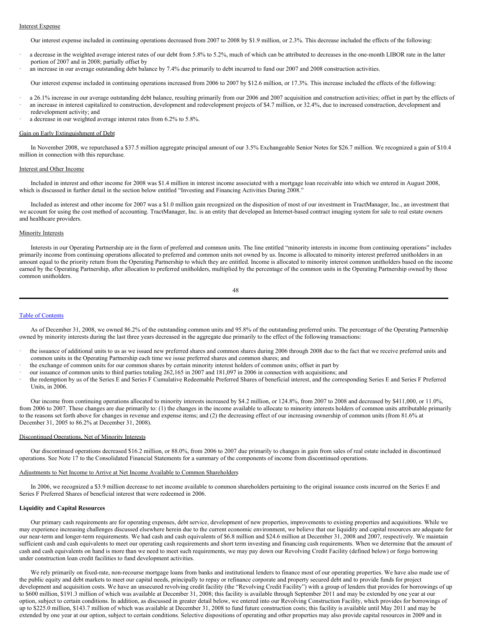#### Interest Expense

Our interest expense included in continuing operations decreased from 2007 to 2008 by \$1.9 million, or 2.3%. This decrease included the effects of the following:

- a decrease in the weighted average interest rates of our debt from 5.8% to 5.2%, much of which can be attributed to decreases in the one-month LIBOR rate in the latter portion of 2007 and in 2008; partially offset by
- an increase in our average outstanding debt balance by 7.4% due primarily to debt incurred to fund our 2007 and 2008 construction activities.

Our interest expense included in continuing operations increased from 2006 to 2007 by \$12.6 million, or 17.3%. This increase included the effects of the following:

- a 26.1% increase in our average outstanding debt balance, resulting primarily from our 2006 and 2007 acquisition and construction activities; offset in part by the effects of an increase in interest capitalized to construction, development and redevelopment projects of \$4.7 million, or 32.4%, due to increased construction, development and redevelopment activity; and
- a decrease in our weighted average interest rates from 6.2% to 5.8%.

#### Gain on Early Extinguishment of Debt

In November 2008, we repurchased a \$37.5 million aggregate principal amount of our 3.5% Exchangeable Senior Notes for \$26.7 million. We recognized a gain of \$10.4 million in connection with this repurchase.

#### Interest and Other Income

Included in interest and other income for 2008 was \$1.4 million in interest income associated with a mortgage loan receivable into which we entered in August 2008, which is discussed in further detail in the section below entitled "Investing and Financing Activities During 2008."

Included as interest and other income for 2007 was a \$1.0 million gain recognized on the disposition of most of our investment in TractManager, Inc., an investment that we account for using the cost method of accounting. TractManager, Inc. is an entity that developed an Internet-based contract imaging system for sale to real estate owners and healthcare providers.

#### **Minority Interests**

Interests in our Operating Partnership are in the form of preferred and common units. The line entitled "minority interests in income from continuing operations" includes primarily income from continuing operations allocated to preferred and common units not owned by us. Income is allocated to minority interest preferred unitholders in an amount equal to the priority return from the Operating Partnership to which they are entitled. Income is allocated to minority interest common unitholders based on the income earned by the Operating Partnership, after allocation to preferred unitholders, multiplied by the percentage of the common units in the Operating Partnership owned by those common unitholders.

```
48
```
#### Table of [Contents](#page-1-0)

As of December 31, 2008, we owned 86.2% of the outstanding common units and 95.8% of the outstanding preferred units. The percentage of the Operating Partnership owned by minority interests during the last three years decreased in the aggregate due primarily to the effect of the following transactions:

- the issuance of additional units to us as we issued new preferred shares and common shares during 2006 through 2008 due to the fact that we receive preferred units and common units in the Operating Partnership each time we issue preferred shares and common shares; and
- the exchange of common units for our common shares by certain minority interest holders of common units; offset in part by
- our issuance of common units to third parties totaling 262,165 in 2007 and 181,097 in 2006 in connection with acquisitions; and
- · the redemption by us of the Series E and Series F Cumulative Redeemable Preferred Shares of beneficial interest, and the corresponding Series E and Series F Preferred Units, in 2006.

Our income from continuing operations allocated to minority interests increased by \$4.2 million, or 124.8%, from 2007 to 2008 and decreased by \$411,000, or 11.0%, from 2006 to 2007. These changes are due primarily to: (1) the changes in the income available to allocate to minority interests holders of common units attributable primarily to the reasons set forth above for changes in revenue and expense items; and (2) the decreasing effect of our increasing ownership of common units (from 81.6% at December 31, 2005 to 86.2% at December 31, 2008).

#### Discontinued Operations, Net of Minority Interests

Our discontinued operations decreased \$16.2 million, or 88.0%, from 2006 to 2007 due primarily to changes in gain from sales of real estate included in discontinued operations. See Note 17 to the Consolidated Financial Statements for a summary of the components of income from discontinued operations.

#### Adjustments to Net Income to Arrive at Net Income Available to Common Shareholders

In 2006, we recognized a \$3.9 million decrease to net income available to common shareholders pertaining to the original issuance costs incurred on the Series E and Series F Preferred Shares of beneficial interest that were redeemed in 2006.

#### **Liquidity and Capital Resources**

Our primary cash requirements are for operating expenses, debt service, development of new properties, improvements to existing properties and acquisitions. While we may experience increasing challenges discussed elsewhere herein due to the current economic environment, we believe that our liquidity and capital resources are adequate for our near-term and longer-term requirements. We had cash and cash equivalents of \$6.8 million and \$24.6 million at December 31, 2008 and 2007, respectively. We maintain sufficient cash and cash equivalents to meet our operating cash requirements and short term investing and financing cash requirements. When we determine that the amount of cash and cash equivalents on hand is more than we need to meet such requirements, we may pay down our Revolving Credit Facility (defined below) or forgo borrowing under construction loan credit facilities to fund development activities.

We rely primarily on fixed-rate, non-recourse mortgage loans from banks and institutional lenders to finance most of our operating properties. We have also made use of the public equity and debt markets to meet our capital needs, principally to repay or refinance corporate and property secured debt and to provide funds for project development and acquisition costs. We have an unsecured revolving credit facility (the "Revolving Credit Facility") with a group of lenders that provides for borrowings of up to \$600 million, \$191.3 million of which was available at December 31, 2008; this facility is available through September 2011 and may be extended by one year at our option, subject to certain conditions. In addition, as discussed in greater detail below, we entered into our Revolving Construction Facility, which provides for borrowings of up to \$225.0 million, \$143.7 million of which was available at December 31, 2008 to fund future construction costs; this facility is available until May 2011 and may be extended by one year at our option, subject to certain conditions. Selective dispositions of operating and other properties may also provide capital resources in 2009 and in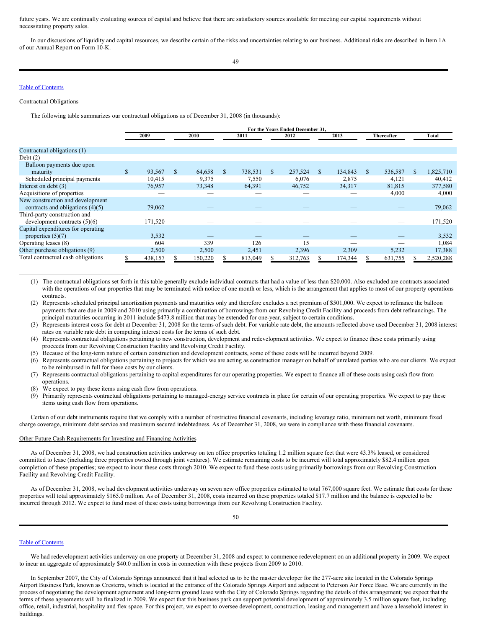future years. We are continually evaluating sources of capital and believe that there are satisfactory sources available for meeting our capital requirements without necessitating property sales.

In our discussions of liquidity and capital resources, we describe certain of the risks and uncertainties relating to our business. Additional risks are described in Item 1A of our Annual Report on Form 10-K.

### Table of [Contents](#page-1-0)

### Contractual Obligations

The following table summarizes our contractual obligations as of December 31, 2008 (in thousands):

|                                    | For the Years Ended December 31, |         |               |         |    |         |               |         |               |         |    |            |               |           |
|------------------------------------|----------------------------------|---------|---------------|---------|----|---------|---------------|---------|---------------|---------|----|------------|---------------|-----------|
|                                    |                                  | 2009    |               | 2010    |    | 2011    |               | 2012    |               | 2013    |    | Thereafter |               | Total     |
|                                    |                                  |         |               |         |    |         |               |         |               |         |    |            |               |           |
| Contractual obligations (1)        |                                  |         |               |         |    |         |               |         |               |         |    |            |               |           |
| Debt(2)                            |                                  |         |               |         |    |         |               |         |               |         |    |            |               |           |
| Balloon payments due upon          |                                  |         |               |         |    |         |               |         |               |         |    |            |               |           |
| maturity                           | \$                               | 93,567  | <sup>\$</sup> | 64,658  | \$ | 738,531 | <sup>\$</sup> | 257,524 | <sup>\$</sup> | 134,843 | -S | 536,587    | <sup>\$</sup> | 1,825,710 |
| Scheduled principal payments       |                                  | 10,415  |               | 9,375   |    | 7,550   |               | 6,076   |               | 2,875   |    | 4,121      |               | 40,412    |
| Interest on debt (3)               |                                  | 76,957  |               | 73,348  |    | 64,391  |               | 46,752  |               | 34,317  |    | 81,815     |               | 377,580   |
| Acquisitions of properties         |                                  |         |               |         |    |         |               |         |               |         |    | 4,000      |               | 4,000     |
| New construction and development   |                                  |         |               |         |    |         |               |         |               |         |    |            |               |           |
| contracts and obligations $(4)(5)$ |                                  | 79,062  |               |         |    |         |               |         |               |         |    |            |               | 79,062    |
| Third-party construction and       |                                  |         |               |         |    |         |               |         |               |         |    |            |               |           |
| development contracts $(5)(6)$     |                                  | 171,520 |               |         |    |         |               |         |               |         |    |            |               | 171,520   |
| Capital expenditures for operating |                                  |         |               |         |    |         |               |         |               |         |    |            |               |           |
| properties $(5)(7)$                |                                  | 3,532   |               |         |    |         |               |         |               |         |    |            |               | 3,532     |
| Operating leases (8)               |                                  | 604     |               | 339     |    | 126     |               | 15      |               |         |    |            |               | 1,084     |
| Other purchase obligations (9)     |                                  | 2,500   |               | 2,500   |    | 2,451   |               | 2,396   |               | 2,309   |    | 5,232      |               | 17,388    |
| Total contractual cash obligations |                                  | 438,157 |               | 150,220 |    | 813,049 |               | 312,763 |               | 174,344 |    | 631,755    |               | 2,520,288 |

(1) The contractual obligations set forth in this table generally exclude individual contracts that had a value of less than \$20,000. Also excluded are contracts associated with the operations of our properties that may be terminated with notice of one month or less, which is the arrangement that applies to most of our property operations contracts.

(2) Represents scheduled principal amortization payments and maturities only and therefore excludes a net premium of \$501,000. We expect to refinance the balloon payments that are due in 2009 and 2010 using primarily a combination of borrowings from our Revolving Credit Facility and proceeds from debt refinancings. The principal maturities occurring in 2011 include \$473.8 million that may be extended for one-year, subject to certain conditions.

(3) Represents interest costs for debt at December 31, 2008 for the terms of such debt. For variable rate debt, the amounts reflected above used December 31, 2008 interest rates on variable rate debt in computing interest costs for the terms of such debt.

(4) Represents contractual obligations pertaining to new construction, development and redevelopment activities. We expect to finance these costs primarily using proceeds from our Revolving Construction Facility and Revolving Credit Facility.

(5) Because of the long-term nature of certain construction and development contracts, some of these costs will be incurred beyond 2009.

(6) Represents contractual obligations pertaining to projects for which we are acting as construction manager on behalf of unrelated parties who are our clients. We expect to be reimbursed in full for these costs by our clients.

(7) Represents contractual obligations pertaining to capital expenditures for our operating properties. We expect to finance all of these costs using cash flow from operations.

- (8) We expect to pay these items using cash flow from operations.
- (9) Primarily represents contractual obligations pertaining to managed-energy service contracts in place for certain of our operating properties. We expect to pay these items using cash flow from operations.

Certain of our debt instruments require that we comply with a number of restrictive financial covenants, including leverage ratio, minimum net worth, minimum fixed charge coverage, minimum debt service and maximum secured indebtedness. As of December 31, 2008, we were in compliance with these financial covenants.

#### Other Future Cash Requirements for Investing and Financing Activities

As of December 31, 2008, we had construction activities underway on ten office properties totaling 1.2 million square feet that were 43.3% leased, or considered committed to lease (including three properties owned through joint ventures). We estimate remaining costs to be incurred will total approximately \$82.4 million upon completion of these properties; we expect to incur these costs through 2010. We expect to fund these costs using primarily borrowings from our Revolving Construction Facility and Revolving Credit Facility.

As of December 31, 2008, we had development activities underway on seven new office properties estimated to total 767,000 square feet. We estimate that costs for these properties will total approximately \$165.0 million. As of December 31, 2008, costs incurred on these properties totaled \$17.7 million and the balance is expected to be incurred through 2012. We expect to fund most of these costs using borrowings from our Revolving Construction Facility.

### Table of [Contents](#page-1-0)

We had redevelopment activities underway on one property at December 31, 2008 and expect to commence redevelopment on an additional property in 2009. We expect to incur an aggregate of approximately \$40.0 million in costs in connection with these projects from 2009 to 2010.

In September 2007, the City of Colorado Springs announced that it had selected us to be the master developer for the 277-acre site located in the Colorado Springs Airport Business Park, known as Cresterra, which is located at the entrance of the Colorado Springs Airport and adjacent to Peterson Air Force Base. We are currently in the process of negotiating the development agreement and long-term ground lease with the City of Colorado Springs regarding the details of this arrangement; we expect that the terms of these agreements will be finalized in 2009. We expect that this business park can support potential development of approximately 3.5 million square feet, including office, retail, industrial, hospitality and flex space. For this project, we expect to oversee development, construction, leasing and management and have a leasehold interest in buildings.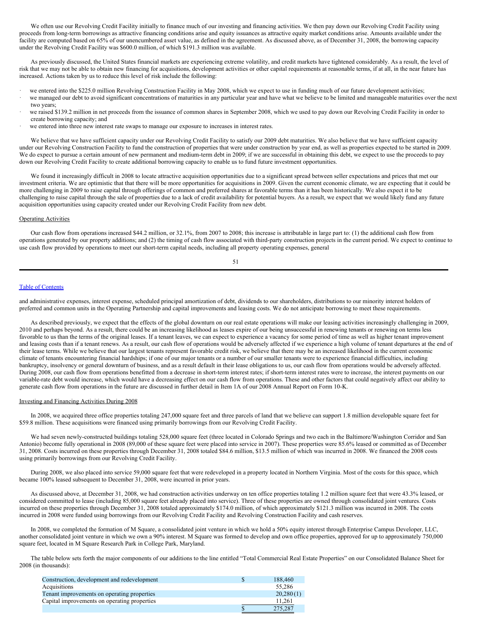We often use our Revolving Credit Facility initially to finance much of our investing and financing activities. We then pay down our Revolving Credit Facility using proceeds from long-term borrowings as attractive financing conditions arise and equity issuances as attractive equity market conditions arise. Amounts available under the facility are computed based on 65% of our unencumbered asset value, as defined in the agreement. As discussed above, as of December 31, 2008, the borrowing capacity under the Revolving Credit Facility was \$600.0 million, of which \$191.3 million was available.

As previously discussed, the United States financial markets are experiencing extreme volatility, and credit markets have tightened considerably. As a result, the level of risk that we may not be able to obtain new financing for acquisitions, development activities or other capital requirements at reasonable terms, if at all, in the near future has increased. Actions taken by us to reduce this level of risk include the following:

- we entered into the \$225.0 million Revolving Construction Facility in May 2008, which we expect to use in funding much of our future development activities; · we managed our debt to avoid significant concentrations of maturities in any particular year and have what we believe to be limited and manageable maturities over the next two years;
- · we raised \$139.2 million in net proceeds from the issuance of common shares in September 2008, which we used to pay down our Revolving Credit Facility in order to create borrowing capacity; and
- we entered into three new interest rate swaps to manage our exposure to increases in interest rates.

We believe that we have sufficient capacity under our Revolving Credit Facility to satisfy our 2009 debt maturities. We also believe that we have sufficient capacity under our Revolving Construction Facility to fund the construction of properties that were under construction by year end, as well as properties expected to be started in 2009. We do expect to pursue a certain amount of new permanent and medium-term debt in 2009; if we are successful in obtaining this debt, we expect to use the proceeds to pay down our Revolving Credit Facility to create additional borrowing capacity to enable us to fund future investment opportunities.

We found it increasingly difficult in 2008 to locate attractive acquisition opportunities due to a significant spread between seller expectations and prices that met our investment criteria. We are optimistic that that there will be more opportunities for acquisitions in 2009. Given the current economic climate, we are expecting that it could be more challenging in 2009 to raise capital through offerings of common and preferred shares at favorable terms than it has been historically. We also expect it to be challenging to raise capital through the sale of properties due to a lack of credit availability for potential buyers. As a result, we expect that we would likely fund any future acquisition opportunities using capacity created under our Revolving Credit Facility from new debt.

### Operating Activities

Our cash flow from operations increased \$44.2 million, or 32.1%, from 2007 to 2008; this increase is attributable in large part to: (1) the additional cash flow from operations generated by our property additions; and (2) the timing of cash flow associated with third-party construction projects in the current period. We expect to continue to use cash flow provided by operations to meet our short-term capital needs, including all property operating expenses, general

| I<br>I<br>$\sim$ |  |
|------------------|--|
|                  |  |

### Table of [Contents](#page-1-0)

and administrative expenses, interest expense, scheduled principal amortization of debt, dividends to our shareholders, distributions to our minority interest holders of preferred and common units in the Operating Partnership and capital improvements and leasing costs. We do not anticipate borrowing to meet these requirements.

As described previously, we expect that the effects of the global downturn on our real estate operations will make our leasing activities increasingly challenging in 2009, 2010 and perhaps beyond. As a result, there could be an increasing likelihood as leases expire of our being unsuccessful in renewing tenants or renewing on terms less favorable to us than the terms of the original leases. If a tenant leaves, we can expect to experience a vacancy for some period of time as well as higher tenant improvement and leasing costs than if a tenant renews. As a result, our cash flow of operations would be adversely affected if we experience a high volume of tenant departures at the end of their lease terms. While we believe that our largest tenants represent favorable credit risk, we believe that there may be an increased likelihood in the current economic climate of tenants encountering financial hardships; if one of our major tenants or a number of our smaller tenants were to experience financial difficulties, including bankruptcy, insolvency or general downturn of business, and as a result default in their lease obligations to us, our cash flow from operations would be adversely affected. During 2008, our cash flow from operations benefitted from a decrease in short-term interest rates; if short-term interest rates were to increase, the interest payments on our variable-rate debt would increase, which would have a decreasing effect on our cash flow from operations. These and other factors that could negatively affect our ability to generate cash flow from operations in the future are discussed in further detail in Item 1A of our 2008 Annual Report on Form 10-K.

#### Investing and Financing Activities During 2008

In 2008, we acquired three office properties totaling 247,000 square feet and three parcels of land that we believe can support 1.8 million developable square feet for \$59.8 million. These acquisitions were financed using primarily borrowings from our Revolving Credit Facility.

We had seven newly-constructed buildings totaling 528,000 square feet (three located in Colorado Springs and two each in the Baltimore/Washington Corridor and San Antonio) become fully operational in 2008 (89,000 of these square feet were placed into service in 2007). These properties were 85.6% leased or committed as of December 31, 2008. Costs incurred on these properties through December 31, 2008 totaled \$84.6 million, \$13.5 million of which was incurred in 2008. We financed the 2008 costs using primarily borrowings from our Revolving Credit Facility.

During 2008, we also placed into service 59,000 square feet that were redeveloped in a property located in Northern Virginia. Most of the costs for this space, which became 100% leased subsequent to December 31, 2008, were incurred in prior years.

As discussed above, at December 31, 2008, we had construction activities underway on ten office properties totaling 1.2 million square feet that were 43.3% leased, or considered committed to lease (including 85,000 square feet already placed into service). Three of these properties are owned through consolidated joint ventures. Costs incurred on these properties through December 31, 2008 totaled approximately \$174.0 million, of which approximately \$121.3 million was incurred in 2008. The costs incurred in 2008 were funded using borrowings from our Revolving Credit Facility and Revolving Construction Facility and cash reserves.

In 2008, we completed the formation of M Square, a consolidated joint venture in which we hold a 50% equity interest through Enterprise Campus Developer, LLC, another consolidated joint venture in which we own a 90% interest. M Square was formed to develop and own office properties, approved for up to approximately 750,000 square feet, located in M Square Research Park in College Park, Maryland.

The table below sets forth the major components of our additions to the line entitled "Total Commercial Real Estate Properties" on our Consolidated Balance Sheet for 2008 (in thousands):

| Construction, development and redevelopment  | 188,460   |
|----------------------------------------------|-----------|
| Acquisitions                                 | 55.286    |
| Tenant improvements on operating properties  | 20,280(1) |
| Capital improvements on operating properties | 11.261    |
|                                              | 275,287   |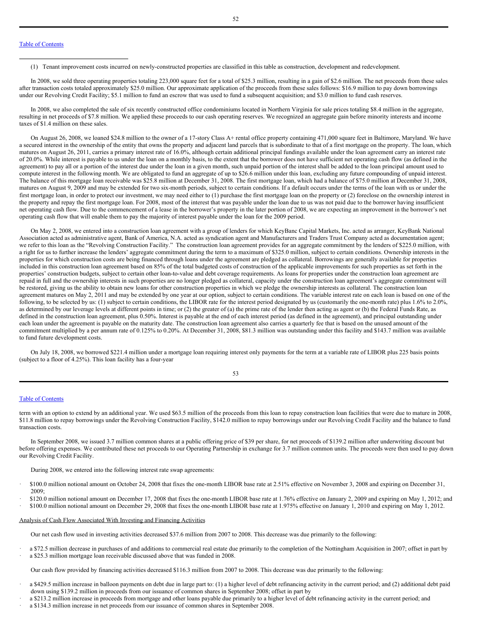(1) Tenant improvement costs incurred on newly-constructed properties are classified in this table as construction, development and redevelopment.

In 2008, we sold three operating properties totaling 223,000 square feet for a total of \$25.3 million, resulting in a gain of \$2.6 million. The net proceeds from these sales after transaction costs totaled approximately \$25.0 million. Our approximate application of the proceeds from these sales follows: \$16.9 million to pay down borrowings under our Revolving Credit Facility; \$5.1 million to fund an escrow that was used to fund a subsequent acquisition; and \$3.0 million to fund cash reserves.

In 2008, we also completed the sale of six recently constructed office condominiums located in Northern Virginia for sale prices totaling \$8.4 million in the aggregate, resulting in net proceeds of \$7.8 million. We applied these proceeds to our cash operating reserves. We recognized an aggregate gain before minority interests and income taxes of \$1.4 million on these sales.

On August 26, 2008, we loaned \$24.8 million to the owner of a 17-story Class A+ rental office property containing 471,000 square feet in Baltimore, Maryland. We have a secured interest in the ownership of the entity that owns the property and adjacent land parcels that is subordinate to that of a first mortgage on the property. The loan, which matures on August 26, 2011, carries a primary interest rate of 16.0%, although certain additional principal fundings available under the loan agreement carry an interest rate of 20.0%. While interest is payable to us under the loan on a monthly basis, to the extent that the borrower does not have sufficient net operating cash flow (as defined in the agreement) to pay all or a portion of the interest due under the loan in a given month, such unpaid portion of the interest shall be added to the loan principal amount used to compute interest in the following month. We are obligated to fund an aggregate of up to \$26.6 million under this loan, excluding any future compounding of unpaid interest. The balance of this mortgage loan receivable was \$25.8 million at December 31, 2008. The first mortgage loan, which had a balance of \$75.0 million at December 31, 2008, matures on August 9, 2009 and may be extended for two six-month periods, subject to certain conditions. If a default occurs under the terms of the loan with us or under the first mortgage loan, in order to protect our investment, we may need either to (1) purchase the first mortgage loan on the property or (2) foreclose on the ownership interest in the property and repay the first mortgage loan. For 2008, most of the interest that was payable under the loan due to us was not paid due to the borrower having insufficient net operating cash flow. Due to the commencement of a lease in the borrower's property in the later portion of 2008, we are expecting an improvement in the borrower's net operating cash flow that will enable them to pay the majority of interest payable under the loan for the 2009 period.

On May 2, 2008, we entered into a construction loan agreement with a group of lenders for which KeyBanc Capital Markets, Inc. acted as arranger, KeyBank National Association acted as administrative agent, Bank of America, N.A. acted as syndication agent and Manufacturers and Traders Trust Company acted as documentation agent; we refer to this loan as the "Revolving Construction Facility." The construction loan agreement provides for an aggregate commitment by the lenders of \$225.0 million, with a right for us to further increase the lenders' aggregate commitment during the term to a maximum of \$325.0 million, subject to certain conditions. Ownership interests in the properties for which construction costs are being financed through loans under the agreement are pledged as collateral. Borrowings are generally available for properties included in this construction loan agreement based on 85% of the total budgeted costs of construction of the applicable improvements for such properties as set forth in the properties' construction budgets, subject to certain other loan-to-value and debt coverage requirements. As loans for properties under the construction loan agreement are repaid in full and the ownership interests in such properties are no longer pledged as collateral, capacity under the construction loan agreement's aggregate commitment will be restored, giving us the ability to obtain new loans for other construction properties in which we pledge the ownership interests as collateral. The construction loan agreement matures on May 2, 2011 and may be extended by one year at our option, subject to certain conditions. The variable interest rate on each loan is based on one of the following, to be selected by us: (1) subject to certain conditions, the LIBOR rate for the interest period designated by us (customarily the one-month rate) plus 1.6% to 2.0%, as determined by our leverage levels at different points in time; or (2) the greater of (a) the prime rate of the lender then acting as agent or (b) the Federal Funds Rate, as defined in the construction loan agreement, plus 0.50%. Interest is payable at the end of each interest period (as defined in the agreement), and principal outstanding under each loan under the agreement is payable on the maturity date. The construction loan agreement also carries a quarterly fee that is based on the unused amount of the commitment multiplied by a per annum rate of 0.125% to 0.20%. At December 31, 2008, \$81.3 million was outstanding under this facility and \$143.7 million was available to fund future development costs.

On July 18, 2008, we borrowed \$221.4 million under a mortgage loan requiring interest only payments for the term at a variable rate of LIBOR plus 225 basis points (subject to a floor of 4.25%). This loan facility has a four-year

53

### Table of [Contents](#page-1-0)

term with an option to extend by an additional year. We used \$63.5 million of the proceeds from this loan to repay construction loan facilities that were due to mature in 2008, \$11.8 million to repay borrowings under the Revolving Construction Facility, \$142.0 million to repay borrowings under our Revolving Credit Facility and the balance to fund transaction costs.

In September 2008, we issued 3.7 million common shares at a public offering price of \$39 per share, for net proceeds of \$139.2 million after underwriting discount but before offering expenses. We contributed these net proceeds to our Operating Partnership in exchange for 3.7 million common units. The proceeds were then used to pay down our Revolving Credit Facility.

During 2008, we entered into the following interest rate swap agreements:

- · \$100.0 million notional amount on October 24, 2008 that fixes the one-month LIBOR base rate at 2.51% effective on November 3, 2008 and expiring on December 31, 2009;
- · \$120.0 million notional amount on December 17, 2008 that fixes the one-month LIBOR base rate at 1.76% effective on January 2, 2009 and expiring on May 1, 2012; and
- · \$100.0 million notional amount on December 29, 2008 that fixes the one-month LIBOR base rate at 1.975% effective on January 1, 2010 and expiring on May 1, 2012.

#### Analysis of Cash Flow Associated With Investing and Financing Activities

Our net cash flow used in investing activities decreased \$37.6 million from 2007 to 2008. This decrease was due primarily to the following:

a \$72.5 million decrease in purchases of and additions to commercial real estate due primarily to the completion of the Nottingham Acquisition in 2007; offset in part by · a \$25.3 million mortgage loan receivable discussed above that was funded in 2008.

Our cash flow provided by financing activities decreased \$116.3 million from 2007 to 2008. This decrease was due primarily to the following:

- a \$429.5 million increase in balloon payments on debt due in large part to: (1) a higher level of debt refinancing activity in the current period; and (2) additional debt paid down using \$139.2 million in proceeds from our issuance of common shares in September 2008; offset in part by
- a \$213.2 million increase in proceeds from mortgage and other loans payable due primarily to a higher level of debt refinancing activity in the current period; and
- · a \$134.3 million increase in net proceeds from our issuance of common shares in September 2008.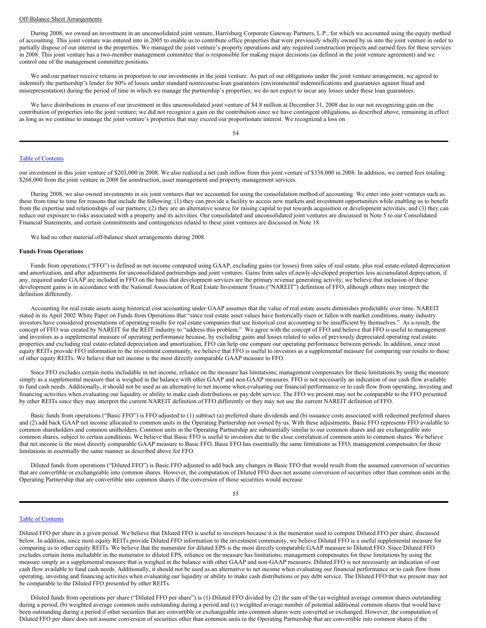#### Off-Balance Sheet Arrangements

During 2008, we owned an investment in an unconsolidated joint venture, Harrisburg Corporate Gateway Partners, L.P., for which we accounted using the equity method of accounting. This joint venture was entered into in 2005 to enable us to contribute office properties that were previously wholly owned by us into the joint venture in order to partially dispose of our interest in the properties. We managed the joint venture's property operations and any required construction projects and earned fees for these services in 2008. This joint venture has a two-member management committee that is responsible for making major decisions (as defined in the joint venture agreement) and we control one of the management committee positions.

We and our partner receive returns in proportion to our investments in the joint venture. As part of our obligations under the joint venture arrangement, we agreed to indemnify the partnership's lender for 80% of losses under standard nonrecourse loan guarantees (environmental indemnifications and guarantees against fraud and misrepresentation) during the period of time in which we manage the partnership's properties; we do not expect to incur any losses under these loan guarantees.

We have distributions in excess of our investment in this unconsolidated joint venture of \$4.8 million at December 31, 2008 due to our not recognizing gain on the contribution of properties into the joint venture; we did not recognize a gain on the contribution since we have contingent obligations, as described above, remaining in effect as long as we continue to manage the joint venture's properties that may exceed our proportionate interest. We recognized a loss on

#### Table of [Contents](#page-1-0)

our investment in this joint venture of \$203,000 in 2008. We also realized a net cash inflow from this joint venture of \$338,000 in 2008. In addition, we earned fees totaling \$268,000 from the joint venture in 2008 for construction, asset management and property management services.

During 2008, we also owned investments in six joint ventures that we accounted for using the consolidation method of accounting. We enter into joint ventures such as these from time to time for reasons that include the following: (1) they can provide a facility to access new markets and investment opportunities while enabling us to benefit from the expertise and relationships of our partners; (2) they are an alternative source for raising capital to put towards acquisition or development activities; and (3) they can reduce our exposure to risks associated with a property and its activities. Our consolidated and unconsolidated joint ventures are discussed in Note 5 to our Consolidated Financial Statements, and certain commitments and contingencies related to these joint ventures are discussed in Note 18.

We had no other material off-balance sheet arrangements during 2008.

### **Funds From Operations**

Funds from operations ("FFO") is defined as net income computed using GAAP, excluding gains (or losses) from sales of real estate, plus real estate-related depreciation and amortization, and after adjustments for unconsolidated partnerships and joint ventures. Gains from sales of newly-developed properties less accumulated depreciation, if any, required under GAAP are included in FFO on the basis that development services are the primary revenue generating activity; we believe that inclusion of these development gains is in accordance with the National Association of Real Estate Investment Trusts ("NAREIT") definition of FFO, although others may interpret the definition differently.

Accounting for real estate assets using historical cost accounting under GAAP assumes that the value of real estate assets diminishes predictably over time. NAREIT stated in its April 2002 White Paper on Funds from Operations that "since real estate asset values have historically risen or fallen with market conditions, many industry investors have considered presentations of operating results for real estate companies that use historical cost accounting to be insufficient by themselves." As a result, the concept of FFO was created by NAREIT for the REIT industry to "address this problem." We agree with the concept of FFO and believe that FFO is useful to management and investors as a supplemental measure of operating performance because, by excluding gains and losses related to sales of previously depreciated operating real estate properties and excluding real estate-related depreciation and amortization, FFO can help one compare our operating performance between periods. In addition, since most equity REITs provide FFO information to the investment community, we believe that FFO is useful to investors as a supplemental measure for comparing our results to those of other equity REITs. We believe that net income is the most directly comparable GAAP measure to FFO.

Since FFO excludes certain items includable in net income, reliance on the measure has limitations; management compensates for these limitations by using the measure simply as a supplemental measure that is weighed in the balance with other GAAP and non GAAP measures. FFO is not necessarily an indication of our cash flow available to fund cash needs. Additionally, it should not be used as an alternative to net income when evaluating our financial performance or to cash flow from operating, investing and financing activities when evaluating our liquidity or ability to make cash distributions or pay debt service. The FFO we present may not be comparable to the FFO presented by other REITs since they may interpret the current NAREIT definition of FFO differently or they may not use the current NAREIT definition of FFO.

Basic funds from operations ("Basic FFO") is FFO adjusted to (1) subtract (a) preferred share dividends and (b) issuance costs associated with redeemed preferred shares and (2) add back GAAP net income allocated to common units in the Operating Partnership not owned by us. With these adjustments, Basic FFO represents FFO available to common shareholders and common unitholders. Common units in the Operating Partnership are substantially similar to our common shares and are exchangeable into common shares, subject to certain conditions. We believe that Basic FFO is useful to investors due to the close correlation of common units to common shares. We believe that net income is the most directly comparable GAAP measure to Basic FFO. Basic FFO has essentially the same limitations as FFO; management compensates for these limitations in essentially the same manner as described above for FFO.

Diluted funds from operations ("Diluted FFO") is Basic FFO adjusted to add back any changes in Basic FFO that would result from the assumed conversion of securities that are convertible or exchangeable into common shares. However, the computation of Diluted FFO does not assume conversion of securities other than common units in the Operating Partnership that are convertible into common shares if the conversion of those securities would increase

55

#### Table of [Contents](#page-1-0)

Diluted FFO per share in a given period. We believe that Diluted FFO is useful to investors because it is the numerator used to compute Diluted FFO per share, discussed below. In addition, since most equity REITs provide Diluted FFO information to the investment community, we believe Diluted FFO is a useful supplemental measure for comparing us to other equity REITs. We believe that the numerator for diluted EPS is the most directly comparable GAAP measure to Diluted FFO. Since Diluted FFO excludes certain items includable in the numerator to diluted EPS, reliance on the measure has limitations; management compensates for these limitations by using the measure simply as a supplemental measure that is weighed in the balance with other GAAP and non-GAAP measures. Diluted FFO is not necessarily an indication of our cash flow available to fund cash needs. Additionally, it should not be used as an alternative to net income when evaluating our financial performance or to cash flow from operating, investing and financing activities when evaluating our liquidity or ability to make cash distributions or pay debt service. The Diluted FFO that we present may not be comparable to the Diluted FFO presented by other REITs.

Diluted funds from operations per share ("Diluted FFO per share") is (1) Diluted FFO divided by (2) the sum of the (a) weighted average common shares outstanding during a period, (b) weighted average common units outstanding during a period and (c) weighted average number of potential additional common shares that would have been outstanding during a period if other securities that are convertible or exchangeable into common shares were converted or exchanged. However, the computation of Diluted FFO per share does not assume conversion of securities other than common units in the Operating Partnership that are convertible into common shares if the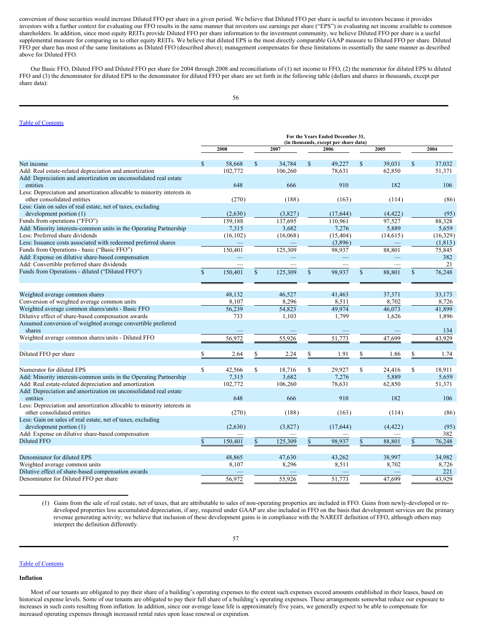conversion of those securities would increase Diluted FFO per share in a given period. We believe that Diluted FFO per share is useful to investors because it provides investors with a further context for evaluating our FFO results in the same manner that investors use earnings per share ("EPS") in evaluating net income available to common shareholders. In addition, since most equity REITs provide Diluted FFO per share information to the investment community, we believe Diluted FFO per share is a useful supplemental measure for comparing us to other equity REITs. We believe that diluted EPS is the most directly comparable GAAP measure to Diluted FFO per share. Diluted FFO per share has most of the same limitations as Diluted FFO (described above); management compensates for these limitations in essentially the same manner as described above for Diluted FFO.

Our Basic FFO, Diluted FFO and Diluted FFO per share for 2004 through 2008 and reconciliations of (1) net income to FFO, (2) the numerator for diluted EPS to diluted FFO and (3) the denominator for diluted EPS to the denominator for diluted FFO per share are set forth in the following table (dollars and shares in thousands, except per share data):

### Table of [Contents](#page-1-0)

|                                                                        | For the Years Ended December 31,<br>(in thousands, except per share data) |           |              |          |              |           |               |           |              |           |
|------------------------------------------------------------------------|---------------------------------------------------------------------------|-----------|--------------|----------|--------------|-----------|---------------|-----------|--------------|-----------|
|                                                                        |                                                                           | 2008      |              | 2007     |              | 2006      |               | 2005      |              | 2004      |
| Net income                                                             | $\mathbb{S}$                                                              | 58,668    | $\mathbf S$  | 34,784   | $\mathbf S$  | 49,227    | $\mathbf S$   | 39.031    | $\mathbb{S}$ | 37.032    |
| Add: Real estate-related depreciation and amortization                 |                                                                           | 102,772   |              | 106,260  |              | 78,631    |               | 62,850    |              | 51,371    |
| Add: Depreciation and amortization on unconsolidated real estate       |                                                                           |           |              |          |              |           |               |           |              |           |
| entities                                                               |                                                                           | 648       |              | 666      |              | 910       |               | 182       |              | 106       |
| Less: Depreciation and amortization allocable to minority interests in |                                                                           |           |              |          |              |           |               |           |              |           |
| other consolidated entities                                            |                                                                           | (270)     |              | (188)    |              | (163)     |               | (114)     |              | (86)      |
| Less: Gain on sales of real estate, net of taxes, excluding            |                                                                           |           |              |          |              |           |               |           |              |           |
| development portion (1)                                                |                                                                           | (2,630)   |              | (3,827)  |              | (17, 644) |               | (4, 422)  |              | (95)      |
| Funds from operations ("FFO")                                          |                                                                           | 159,188   |              | 137.695  |              | 110.961   |               | 97.527    |              | 88.328    |
| Add: Minority interests-common units in the Operating Partnership      |                                                                           | 7,315     |              | 3,682    |              | 7,276     |               | 5,889     |              | 5,659     |
| Less: Preferred share dividends                                        |                                                                           | (16, 102) |              | (16,068) |              | (15, 404) |               | (14, 615) |              | (16, 329) |
| Less: Issuance costs associated with redeemed preferred shares         |                                                                           |           |              |          |              | (3,896)   |               |           |              | (1, 813)  |
| Funds from Operations - basic ("Basic FFO")                            |                                                                           | 150,401   |              | 125,309  |              | 98,937    |               | 88,801    |              | 75,845    |
| Add: Expense on dilutive share-based compensation                      |                                                                           |           |              |          |              |           |               |           |              | 382       |
| Add: Convertible preferred share dividends                             |                                                                           |           |              |          |              |           |               |           |              | 21        |
| Funds from Operations - diluted ("Diluted FFO")                        | $\mathbb{S}$                                                              | 150,401   | $\mathbb{S}$ | 125,309  | $\mathbb{S}$ | 98,937    | $\mathbf S$   | 88,801    | $\mathbf S$  | 76,248    |
|                                                                        |                                                                           |           |              |          |              |           |               |           |              |           |
|                                                                        |                                                                           |           |              |          |              |           |               |           |              |           |
| Weighted average common shares                                         |                                                                           | 48,132    |              | 46,527   |              | 41,463    |               | 37,371    |              | 33,173    |
| Conversion of weighted average common units                            |                                                                           | 8,107     |              | 8,296    |              | 8,511     |               | 8,702     |              | 8,726     |
| Weighted average common shares/units - Basic FFO                       |                                                                           | 56,239    |              | 54,823   |              | 49.974    |               | 46.073    |              | 41.899    |
| Dilutive effect of share-based compensation awards                     |                                                                           | 733       |              | 1,103    |              | 1,799     |               | 1,626     |              | 1,896     |
| Assumed conversion of weighted average convertible preferred           |                                                                           |           |              |          |              |           |               |           |              |           |
| shares                                                                 |                                                                           |           |              |          |              |           |               |           |              | 134       |
| Weighted average common shares/units - Diluted FFO                     |                                                                           | 56,972    |              | 55,926   |              | 51,773    |               | 47,699    |              | 43,929    |
|                                                                        |                                                                           |           |              |          |              |           |               |           |              |           |
| Diluted FFO per share                                                  |                                                                           | 2.64      | \$           | 2.24     | \$.          | 1.91      | \$            | 1.86      |              | 1.74      |
|                                                                        |                                                                           |           |              |          |              |           |               |           |              |           |
| Numerator for diluted EPS                                              | $\mathbb{S}$                                                              | 42,566    | \$           | 18,716   | \$           | 29,927    | \$            | 24,416    | S            | 18,911    |
| Add: Minority interests-common units in the Operating Partnership      |                                                                           | 7,315     |              | 3,682    |              | 7,276     |               | 5,889     |              | 5,659     |
| Add: Real estate-related depreciation and amortization                 |                                                                           | 102,772   |              | 106,260  |              | 78,631    |               | 62,850    |              | 51,371    |
| Add: Depreciation and amortization on unconsolidated real estate       |                                                                           |           |              |          |              |           |               |           |              |           |
| entities                                                               |                                                                           | 648       |              | 666      |              | 910       |               | 182       |              | 106       |
| Less: Depreciation and amortization allocable to minority interests in |                                                                           |           |              |          |              |           |               |           |              |           |
| other consolidated entities                                            |                                                                           | (270)     |              | (188)    |              | (163)     |               | (114)     |              | (86)      |
| Less: Gain on sales of real estate, net of taxes, excluding            |                                                                           |           |              |          |              |           |               |           |              |           |
| development portion (1)                                                |                                                                           | (2,630)   |              | (3,827)  |              | (17, 644) |               | (4, 422)  |              | (95)      |
| Add: Expense on dilutive share-based compensation                      |                                                                           |           |              |          |              |           |               |           |              | 382       |
| Diluted FFO                                                            | $\mathbf{s}$                                                              | 150,401   | $\mathbb{S}$ | 125,309  | $\mathbf S$  | 98,937    | $\mathcal{S}$ | 88,801    | $\mathbb{S}$ | 76,248    |
|                                                                        |                                                                           |           |              |          |              |           |               |           |              |           |
| Denominator for diluted EPS                                            |                                                                           | 48,865    |              | 47,630   |              | 43,262    |               | 38,997    |              | 34,982    |
| Weighted average common units                                          |                                                                           | 8,107     |              | 8,296    |              | 8,511     |               | 8,702     |              | 8,726     |
| Dilutive effect of share-based compensation awards                     |                                                                           |           |              |          |              |           |               |           |              | 221       |
| Denominator for Diluted FFO per share                                  |                                                                           | 56,972    |              | 55,926   |              | 51,773    |               | 47,699    |              | 43,929    |

(1) Gains from the sale of real estate, net of taxes, that are attributable to sales of non-operating properties are included in FFO. Gains from newly-developed or redeveloped properties less accumulated depreciation, if any, required under GAAP are also included in FFO on the basis that development services are the primary revenue generating activity; we believe that inclusion of these development gains is in compliance with the NAREIT definition of FFO, although others may interpret the definition differently.

# Table of [Contents](#page-1-0)

# **Inflation**

Most of our tenants are obligated to pay their share of a building's operating expenses to the extent such expenses exceed amounts established in their leases, based on historical expense levels. Some of our tenants are obligated to pay their full share of a building's operating expenses. These arrangements somewhat reduce our exposure to increases in such costs resulting from inflation. In addition, since our average lease life is approximately five years, we generally expect to be able to compensate for increased operating expenses through increased rental rates upon lease renewal or expiration.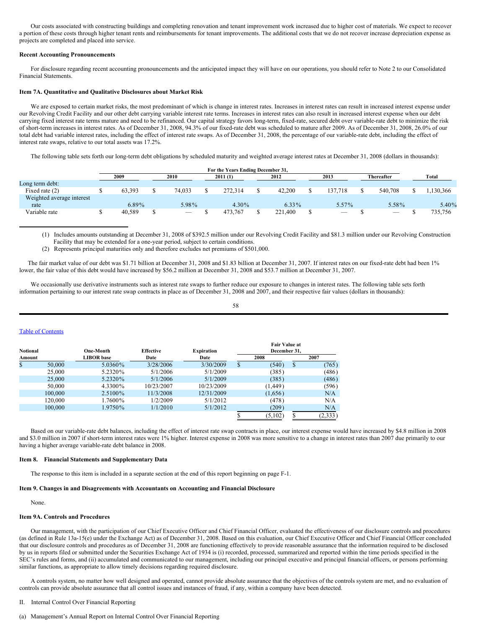Our costs associated with constructing buildings and completing renovation and tenant improvement work increased due to higher cost of materials. We expect to recover a portion of these costs through higher tenant rents and reimbursements for tenant improvements. The additional costs that we do not recover increase depreciation expense as projects are completed and placed into service.

# **Recent Accounting Pronouncements**

For disclosure regarding recent accounting pronouncements and the anticipated impact they will have on our operations, you should refer to Note 2 to our Consolidated Financial Statements.

### **Item 7A. Quantitative and Qualitative Disclosures about Market Risk**

We are exposed to certain market risks, the most predominant of which is change in interest rates. Increases in interest rates can result in increased interest expense under our Revolving Credit Facility and our other debt carrying variable interest rate terms. Increases in interest rates can also result in increased interest expense when our debt carrying fixed interest rate terms mature and need to be refinanced. Our capital strategy favors long-term, fixed-rate, secured debt over variable-rate debt to minimize the risk of short-term increases in interest rates. As of December 31, 2008, 94.3% of our fixed-rate debt was scheduled to mature after 2009. As of December 31, 2008, 26.0% of our total debt had variable interest rates, including the effect of interest rate swaps. As of December 31, 2008, the percentage of our variable-rate debt, including the effect of interest rate swaps, relative to our total assets was 17.2%.

The following table sets forth our long-term debt obligations by scheduled maturity and weighted average interest rates at December 31, 2008 (dollars in thousands):

|                           |        |                          | For the Years Ending December 31, |          |                          |                          |           |
|---------------------------|--------|--------------------------|-----------------------------------|----------|--------------------------|--------------------------|-----------|
|                           | 2009   | 2010                     | 2011(1)                           | 2012     | 2013                     | Thereafter               | Total     |
| Long term debt:           |        |                          |                                   |          |                          |                          |           |
| Fixed rate (2)            | 63.393 | 74.033                   | 272.314                           | 42,200   | 137.718                  | 540,708                  | 1,130,366 |
| Weighted average interest |        |                          |                                   |          |                          |                          |           |
| rate                      | 6.89%  | 5.98%                    | $4.30\%$                          | $6.33\%$ | 5.57%                    | 5.58%                    | 5.40%     |
| Variable rate             | 40,589 | $\overline{\phantom{a}}$ | 473.767                           | 221,400  | $\overline{\phantom{a}}$ | $\overline{\phantom{a}}$ | 735,756   |

(1) Includes amounts outstanding at December 31, 2008 of \$392.5 million under our Revolving Credit Facility and \$81.3 million under our Revolving Construction Facility that may be extended for a one-year period, subject to certain conditions.

(2) Represents principal maturities only and therefore excludes net premiums of \$501,000.

The fair market value of our debt was \$1.71 billion at December 31, 2008 and \$1.83 billion at December 31, 2007. If interest rates on our fixed-rate debt had been 1% lower, the fair value of this debt would have increased by \$56.2 million at December 31, 2008 and \$53.7 million at December 31, 2007.

We occasionally use derivative instruments such as interest rate swaps to further reduce our exposure to changes in interest rates. The following table sets forth information pertaining to our interest rate swap contracts in place as of December 31, 2008 and 2007, and their respective fair values (dollars in thousands):

| I<br>I<br>$\sim$ | I<br>×<br>۹<br>w |
|------------------|------------------|

# Table of [Contents](#page-1-0)

| <b>Notional</b> |         | One-Month         | <b>Effective</b> | <b>Expiration</b> |   | <b>Fair Value at</b><br>December 31. |   |          |
|-----------------|---------|-------------------|------------------|-------------------|---|--------------------------------------|---|----------|
| Amount          |         | <b>LIBOR</b> base | Date             | Date              |   | 2008                                 |   | 2007     |
| \$              | 50,000  | 5.0360%           | 3/28/2006        | 3/30/2009         | S | (540)                                | S | (765)    |
|                 | 25,000  | 5.2320%           | 5/1/2006         | 5/1/2009          |   | (385)                                |   | (486)    |
|                 | 25,000  | 5.2320%           | 5/1/2006         | 5/1/2009          |   | (385)                                |   | (486)    |
|                 | 50,000  | 4.3300\%          | 10/23/2007       | 10/23/2009        |   | (1, 449)                             |   | (596)    |
|                 | 100,000 | 2.5100\%          | 11/3/2008        | 12/31/2009        |   | (1,656)                              |   | N/A      |
|                 | 120,000 | 1.7600%           | 1/2/2009         | 5/1/2012          |   | (478)                                |   | N/A      |
|                 | 100,000 | 1.9750%           | 1/1/2010         | 5/1/2012          |   | (209)                                |   | N/A      |
|                 |         |                   |                  |                   |   | (5,102)                              |   | (2, 333) |

Based on our variable-rate debt balances, including the effect of interest rate swap contracts in place, our interest expense would have increased by \$4.8 million in 2008 and \$3.0 million in 2007 if short-term interest rates were 1% higher. Interest expense in 2008 was more sensitive to a change in interest rates than 2007 due primarily to our having a higher average variable-rate debt balance in 2008.

#### **Item 8. Financial Statements and Supplementary Data**

The response to this item is included in a separate section at the end of this report beginning on page F-1.

#### **Item 9. Changes in and Disagreements with Accountants on Accounting and Financial Disclosure**

### None.

# **Item 9A. Controls and Procedures**

Our management, with the participation of our Chief Executive Officer and Chief Financial Officer, evaluated the effectiveness of our disclosure controls and procedures (as defined in Rule 13a-15(e) under the Exchange Act) as of December 31, 2008. Based on this evaluation, our Chief Executive Officer and Chief Financial Officer concluded that our disclosure controls and procedures as of December 31, 2008 are functioning effectively to provide reasonable assurance that the information required to be disclosed by us in reports filed or submitted under the Securities Exchange Act of 1934 is (i) recorded, processed, summarized and reported within the time periods specified in the SEC's rules and forms, and (ii) accumulated and communicated to our management, including our principal executive and principal financial officers, or persons performing similar functions, as appropriate to allow timely decisions regarding required disclosure.

A controls system, no matter how well designed and operated, cannot provide absolute assurance that the objectives of the controls system are met, and no evaluation of controls can provide absolute assurance that all control issues and instances of fraud, if any, within a company have been detected.

- II. Internal Control Over Financial Reporting
- (a) Management's Annual Report on Internal Control Over Financial Reporting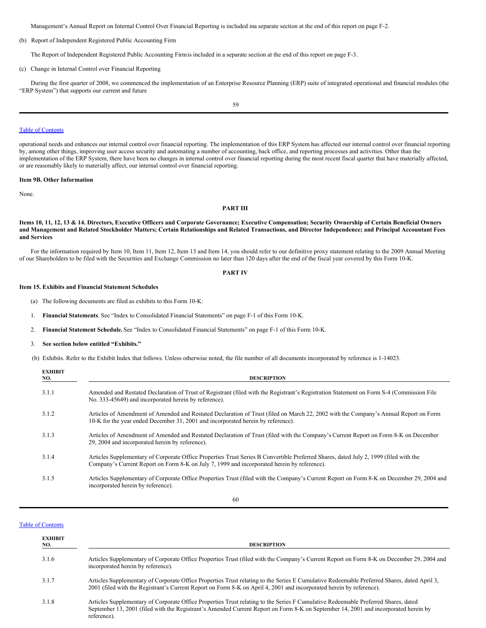Management's Annual Report on Internal Control Over Financial Reporting is included ina separate section at the end of this report on page F-2.

(b) Report of Independent Registered Public Accounting Firm

The Report of Independent Registered Public Accounting Firmis included in a separate section at the end of this report on page F-3.

### (c) Change in Internal Control over Financial Reporting

During the first quarter of 2008, we commenced the implementation of an Enterprise Resource Planning (ERP) suite of integrated operational and financial modules (the "ERP System") that supports our current and future

59

### Table of [Contents](#page-1-0)

operational needs and enhances our internal control over financial reporting. The implementation of this ERP System has affected our internal control over financial reporting by, among other things, improving user access security and automating a number of accounting, back office, and reporting processes and activities. Other than the implementation of the ERP System, there have been no changes in internal control over financial reporting during the most recent fiscal quarter that have materially affected, or are reasonably likely to materially affect, our internal control over financial reporting.

### **Item 9B. Other Information**

None.

# **PART III**

### Items 10, 11, 12, 13 & 14. Directors, Executive Officers and Corporate Governance; Executive Compensation; Security Ownership of Certain Beneficial Owners and Management and Related Stockholder Matters; Certain Relationships and Related Transactions, and Director Independence; and Principal Accountant Fees **and Services**

For the information required by Item 10, Item 11, Item 12, Item 13 and Item 14, you should refer to our definitive proxy statement relating to the 2009 Annual Meeting of our Shareholders to be filed with the Securities and Exchange Commission no later than 120 days after the end of the fiscal year covered by this Form 10-K.

#### **PART IV**

### **Item 15. Exhibits and Financial Statement Schedules**

- (a) The following documents are filed as exhibits to this Form 10-K:
- 1. **Financial Statements**. See "Index to Consolidated Financial Statements" on page F-1 of this Form 10-K.
- 2. **Financial Statement Schedule.** See "Index to Consolidated Financial Statements" on page F-1 of this Form 10-K.

### 3. **See section below entitled "Exhibits."**

reference).

(b) Exhibits. Refer to the Exhibit Index that follows. Unless otherwise noted, the file number of all documents incorporated by reference is 1-14023.

| <b>EXHIBIT</b><br>NO. | <b>DESCRIPTION</b>                                                                                                                                                                                                                   |
|-----------------------|--------------------------------------------------------------------------------------------------------------------------------------------------------------------------------------------------------------------------------------|
| 3.1.1                 | Amended and Restated Declaration of Trust of Registrant (filed with the Registrant's Registration Statement on Form S-4 (Commission File<br>No. 333-45649) and incorporated herein by reference).                                    |
| 3.1.2                 | Articles of Amendment of Amended and Restated Declaration of Trust (filed on March 22, 2002 with the Company's Annual Report on Form<br>10-K for the year ended December 31, 2001 and incorporated herein by reference).             |
| 3.1.3                 | Articles of Amendment of Amended and Restated Declaration of Trust (filed with the Company's Current Report on Form 8-K on December<br>29, 2004 and incorporated herein by reference).                                               |
| 3.1.4                 | Articles Supplementary of Corporate Office Properties Trust Series B Convertible Preferred Shares, dated July 2, 1999 (filed with the<br>Company's Current Report on Form 8-K on July 7, 1999 and incorporated herein by reference). |
| 3.1.5                 | Articles Supplementary of Corporate Office Properties Trust (filed with the Company's Current Report on Form 8-K on December 29, 2004 and<br>incorporated herein by reference).                                                      |
|                       |                                                                                                                                                                                                                                      |

60

#### Table of [Contents](#page-1-0)

| <b>EXHIBIT</b><br>NO. | <b>DESCRIPTION</b>                                                                                                                                                                                                                                                        |
|-----------------------|---------------------------------------------------------------------------------------------------------------------------------------------------------------------------------------------------------------------------------------------------------------------------|
| 3.1.6                 | Articles Supplementary of Corporate Office Properties Trust (filed with the Company's Current Report on Form 8-K on December 29, 2004 and<br>incorporated herein by reference).                                                                                           |
| 3.1.7                 | Articles Supplementary of Corporate Office Properties Trust relating to the Series E Cumulative Redeemable Preferred Shares, dated April 3,<br>2001 (filed with the Registrant's Current Report on Form 8-K on April 4, 2001 and incorporated herein by reference).       |
| 3.1.8                 | Articles Supplementary of Corporate Office Properties Trust relating to the Series F Cumulative Redeemable Preferred Shares, dated<br>September 13, 2001 (filed with the Registrant's Amended Current Report on Form 8-K on September 14, 2001 and incorporated herein by |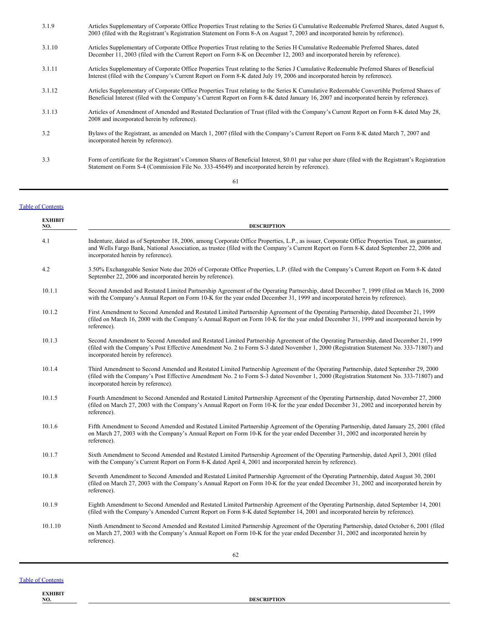| 3.1.9  | Articles Supplementary of Corporate Office Properties Trust relating to the Series G Cumulative Redeemable Preferred Shares, dated August 6,<br>2003 (filed with the Registrant's Registration Statement on Form 8-A on August 7, 2003 and incorporated herein by reference).        |
|--------|--------------------------------------------------------------------------------------------------------------------------------------------------------------------------------------------------------------------------------------------------------------------------------------|
| 3.1.10 | Articles Supplementary of Corporate Office Properties Trust relating to the Series H Cumulative Redeemable Preferred Shares, dated<br>December 11, 2003 (filed with the Current Report on Form 8-K on December 12, 2003 and incorporated herein by reference).                       |
| 3.1.11 | Articles Supplementary of Corporate Office Properties Trust relating to the Series J Cumulative Redeemable Preferred Shares of Beneficial<br>Interest (filed with the Company's Current Report on Form 8-K dated July 19, 2006 and incorporated herein by reference).                |
| 3.1.12 | Articles Supplementary of Corporate Office Properties Trust relating to the Series K Cumulative Redeemable Convertible Preferred Shares of<br>Beneficial Interest (filed with the Company's Current Report on Form 8-K dated January 16, 2007 and incorporated herein by reference). |
| 3.1.13 | Articles of Amendment of Amended and Restated Declaration of Trust (filed with the Company's Current Report on Form 8-K dated May 28,<br>2008 and incorporated herein by reference).                                                                                                 |
| 3.2    | Bylaws of the Registrant, as amended on March 1, 2007 (filed with the Company's Current Report on Form 8-K dated March 7, 2007 and<br>incorporated herein by reference).                                                                                                             |
| 3.3    | Form of certificate for the Registrant's Common Shares of Beneficial Interest, \$0.01 par value per share (filed with the Registrant's Registration<br>Statement on Form S-4 (Commission File No. 333-45649) and incorporated herein by reference).                                  |

61

# Table of [Contents](#page-1-0)

| <b>EXHIBIT</b><br>NO. | <b>DESCRIPTION</b>                                                                                                                                                                                                                                                                                                                |
|-----------------------|-----------------------------------------------------------------------------------------------------------------------------------------------------------------------------------------------------------------------------------------------------------------------------------------------------------------------------------|
| 4.1                   | Indenture, dated as of September 18, 2006, among Corporate Office Properties, L.P., as issuer, Corporate Office Properties Trust, as guarantor,<br>and Wells Fargo Bank, National Association, as trustee (filed with the Company's Current Report on Form 8-K dated September 22, 2006 and<br>incorporated herein by reference). |
| 4.2                   | 3.50% Exchangeable Senior Note due 2026 of Corporate Office Properties, L.P. (filed with the Company's Current Report on Form 8-K dated<br>September 22, 2006 and incorporated herein by reference).                                                                                                                              |
| 10.1.1                | Second Amended and Restated Limited Partnership Agreement of the Operating Partnership, dated December 7, 1999 (filed on March 16, 2000)<br>with the Company's Annual Report on Form 10-K for the year ended December 31, 1999 and incorporated herein by reference).                                                             |
| 10.1.2                | First Amendment to Second Amended and Restated Limited Partnership Agreement of the Operating Partnership, dated December 21, 1999<br>(filed on March 16, 2000 with the Company's Annual Report on Form 10-K for the year ended December 31, 1999 and incorporated herein by<br>reference).                                       |
| 10.1.3                | Second Amendment to Second Amended and Restated Limited Partnership Agreement of the Operating Partnership, dated December 21, 1999<br>(filed with the Company's Post Effective Amendment No. 2 to Form S-3 dated November 1, 2000 (Registration Statement No. 333-71807) and<br>incorporated herein by reference).               |
| 10.1.4                | Third Amendment to Second Amended and Restated Limited Partnership Agreement of the Operating Partnership, dated September 29, 2000<br>(filed with the Company's Post Effective Amendment No. 2 to Form S-3 dated November 1, 2000 (Registration Statement No. 333-71807) and<br>incorporated herein by reference).               |
| 10.1.5                | Fourth Amendment to Second Amended and Restated Limited Partnership Agreement of the Operating Partnership, dated November 27, 2000<br>(filed on March 27, 2003 with the Company's Annual Report on Form 10-K for the year ended December 31, 2002 and incorporated herein by<br>reference).                                      |
| 10.1.6                | Fifth Amendment to Second Amended and Restated Limited Partnership Agreement of the Operating Partnership, dated January 25, 2001 (filed<br>on March 27, 2003 with the Company's Annual Report on Form 10-K for the year ended December 31, 2002 and incorporated herein by<br>reference).                                        |
| 10.1.7                | Sixth Amendment to Second Amended and Restated Limited Partnership Agreement of the Operating Partnership, dated April 3, 2001 (filed<br>with the Company's Current Report on Form 8-K dated April 4, 2001 and incorporated herein by reference).                                                                                 |
| 10.1.8                | Seventh Amendment to Second Amended and Restated Limited Partnership Agreement of the Operating Partnership, dated August 30, 2001<br>(filed on March 27, 2003 with the Company's Annual Report on Form 10-K for the year ended December 31, 2002 and incorporated herein by<br>reference).                                       |
| 10.1.9                | Eighth Amendment to Second Amended and Restated Limited Partnership Agreement of the Operating Partnership, dated September 14, 2001<br>(filed with the Company's Amended Current Report on Form 8-K dated September 14, 2001 and incorporated herein by reference).                                                              |
| 10.1.10               | Ninth Amendment to Second Amended and Restated Limited Partnership Agreement of the Operating Partnership, dated October 6, 2001 (filed<br>on March 27, 2003 with the Company's Annual Report on Form 10-K for the year ended December 31, 2002 and incorporated herein by<br>reference).                                         |

Table of [Contents](#page-1-0)

**EXHIBIT**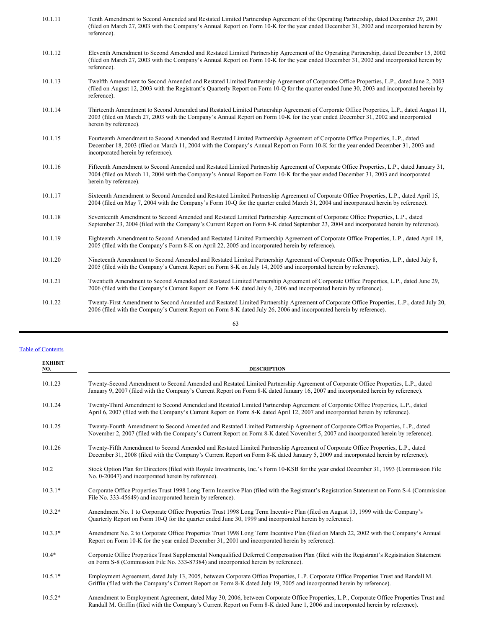| 10.1.11 | Tenth Amendment to Second Amended and Restated Limited Partnership Agreement of the Operating Partnership, dated December 29, 2001<br>(filed on March 27, 2003 with the Company's Annual Report on Form 10-K for the year ended December 31, 2002 and incorporated herein by<br>reference).              |
|---------|----------------------------------------------------------------------------------------------------------------------------------------------------------------------------------------------------------------------------------------------------------------------------------------------------------|
| 10.1.12 | Eleventh Amendment to Second Amended and Restated Limited Partnership Agreement of the Operating Partnership, dated December 15, 2002<br>(filed on March 27, 2003 with the Company's Annual Report on Form 10-K for the year ended December 31, 2002 and incorporated herein by<br>reference).           |
| 10.1.13 | Twelfth Amendment to Second Amended and Restated Limited Partnership Agreement of Corporate Office Properties, L.P., dated June 2, 2003<br>(filed on August 12, 2003 with the Registrant's Quarterly Report on Form 10-Q for the quarter ended June 30, 2003 and incorporated herein by<br>reference).   |
| 10.1.14 | Thirteenth Amendment to Second Amended and Restated Limited Partnership Agreement of Corporate Office Properties, L.P., dated August 11,<br>2003 (filed on March 27, 2003 with the Company's Annual Report on Form 10-K for the year ended December 31, 2002 and incorporated<br>herein by reference).   |
| 10.1.15 | Fourteenth Amendment to Second Amended and Restated Limited Partnership Agreement of Corporate Office Properties, L.P., dated<br>December 18, 2003 (filed on March 11, 2004 with the Company's Annual Report on Form 10-K for the year ended December 31, 2003 and<br>incorporated herein by reference). |
| 10.1.16 | Fifteenth Amendment to Second Amended and Restated Limited Partnership Agreement of Corporate Office Properties, L.P., dated January 31,<br>2004 (filed on March 11, 2004 with the Company's Annual Report on Form 10-K for the year ended December 31, 2003 and incorporated<br>herein by reference).   |
| 10.1.17 | Sixteenth Amendment to Second Amended and Restated Limited Partnership Agreement of Corporate Office Properties, L.P., dated April 15,<br>2004 (filed on May 7, 2004 with the Company's Form 10-O for the quarter ended March 31, 2004 and incorporated herein by reference).                            |
| 10.1.18 | Seventeenth Amendment to Second Amended and Restated Limited Partnership Agreement of Corporate Office Properties, L.P., dated<br>September 23, 2004 (filed with the Company's Current Report on Form 8-K dated September 23, 2004 and incorporated herein by reference).                                |
| 10.1.19 | Eighteenth Amendment to Second Amended and Restated Limited Partnership Agreement of Corporate Office Properties, L.P., dated April 18,<br>2005 (filed with the Company's Form 8-K on April 22, 2005 and incorporated herein by reference).                                                              |
| 10.1.20 | Nineteenth Amendment to Second Amended and Restated Limited Partnership Agreement of Corporate Office Properties, L.P., dated July 8,<br>2005 (filed with the Company's Current Report on Form 8-K on July 14, 2005 and incorporated herein by reference).                                               |
| 10.1.21 | Twentieth Amendment to Second Amended and Restated Limited Partnership Agreement of Corporate Office Properties, L.P., dated June 29,<br>2006 (filed with the Company's Current Report on Form 8-K dated July 6, 2006 and incorporated herein by reference).                                             |
| 10.1.22 | Twenty-First Amendment to Second Amended and Restated Limited Partnership Agreement of Corporate Office Properties, L.P., dated July 20,<br>2006 (filed with the Company's Current Report on Form 8-K dated July 26, 2006 and incorporated herein by reference).                                         |
|         |                                                                                                                                                                                                                                                                                                          |

63

# Table of [Contents](#page-1-0)

| <b>EXHIBIT</b><br>NO. | <b>DESCRIPTION</b>                                                                                                                                                                                                                                                           |
|-----------------------|------------------------------------------------------------------------------------------------------------------------------------------------------------------------------------------------------------------------------------------------------------------------------|
| 10.1.23               | Twenty-Second Amendment to Second Amended and Restated Limited Partnership Agreement of Corporate Office Properties, L.P., dated<br>January 9, 2007 (filed with the Company's Current Report on Form 8-K dated January 16, 2007 and incorporated herein by reference).       |
| 10.1.24               | Twenty-Third Amendment to Second Amended and Restated Limited Partnership Agreement of Corporate Office Properties, L.P., dated<br>April 6, 2007 (filed with the Company's Current Report on Form 8-K dated April 12, 2007 and incorporated herein by reference).            |
| 10.1.25               | Twenty-Fourth Amendment to Second Amended and Restated Limited Partnership Agreement of Corporate Office Properties, L.P., dated<br>November 2, 2007 (filed with the Company's Current Report on Form 8-K dated November 5, 2007 and incorporated herein by reference).      |
| 10.1.26               | Twenty-Fifth Amendment to Second Amended and Restated Limited Partnership Agreement of Corporate Office Properties, L.P., dated<br>December 31, 2008 (filed with the Company's Current Report on Form 8-K dated January 5, 2009 and incorporated herein by reference).       |
| 10.2                  | Stock Option Plan for Directors (filed with Royale Investments, Inc.'s Form 10-KSB for the year ended December 31, 1993 (Commission File<br>No. 0-20047) and incorporated herein by reference).                                                                              |
| $10.3.1*$             | Corporate Office Properties Trust 1998 Long Term Incentive Plan (filed with the Registrant's Registration Statement on Form S-4 (Commission<br>File No. 333-45649) and incorporated herein by reference).                                                                    |
| $10.3.2*$             | Amendment No. 1 to Corporate Office Properties Trust 1998 Long Term Incentive Plan (filed on August 13, 1999 with the Company's<br>Quarterly Report on Form 10-Q for the quarter ended June 30, 1999 and incorporated herein by reference).                                  |
| $10.3.3*$             | Amendment No. 2 to Corporate Office Properties Trust 1998 Long Term Incentive Plan (filed on March 22, 2002 with the Company's Annual<br>Report on Form 10-K for the year ended December 31, 2001 and incorporated herein by reference).                                     |
| $10.4*$               | Corporate Office Properties Trust Supplemental Nonqualified Deferred Compensation Plan (filed with the Registrant's Registration Statement<br>on Form S-8 (Commission File No. 333-87384) and incorporated herein by reference).                                             |
| $10.5.1*$             | Employment Agreement, dated July 13, 2005, between Corporate Office Properties, L.P. Corporate Office Properties Trust and Randall M.<br>Griffin (filed with the Company's Current Report on Form 8-K dated July 19, 2005 and incorporated herein by reference).             |
| $10.5.2*$             | Amendment to Employment Agreement, dated May 30, 2006, between Corporate Office Properties, L.P., Corporate Office Properties Trust and<br>Randall M. Griffin (filed with the Company's Current Report on Form 8-K dated June 1, 2006 and incorporated herein by reference). |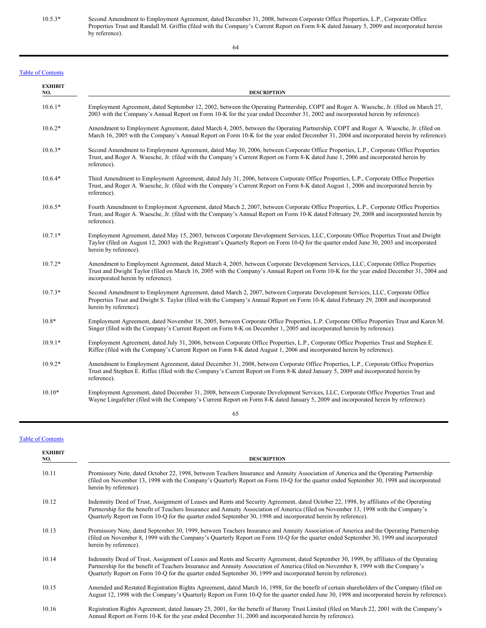10.5.3\* Second Amendment to Employment Agreement, dated December 31, 2008, between Corporate Office Properties, L.P., Corporate Office Properties Trust and Randall M. Griffin (filed with the Company's Current Report on Form 8-K dated January 5, 2009 and incorporated herein by reference).

64

# Table of [Contents](#page-1-0)

| <b>EXHIBIT</b><br>NO. | <b>DESCRIPTION</b>                                                                                                                                                                                                                                                                                                |
|-----------------------|-------------------------------------------------------------------------------------------------------------------------------------------------------------------------------------------------------------------------------------------------------------------------------------------------------------------|
| $10.6.1*$             | Employment Agreement, dated September 12, 2002, between the Operating Partnership, COPT and Roger A. Waesche, Jr. (filed on March 27,<br>2003 with the Company's Annual Report on Form 10-K for the year ended December 31, 2002 and incorporated herein by reference).                                           |
| $10.6.2*$             | Amendment to Employment Agreement, dated March 4, 2005, between the Operating Partnership, COPT and Roger A. Waesche, Jr. (filed on<br>March 16, 2005 with the Company's Annual Report on Form 10-K for the year ended December 31, 2004 and incorporated herein by reference).                                   |
| $10.6.3*$             | Second Amendment to Employment Agreement, dated May 30, 2006, between Corporate Office Properties, L.P., Corporate Office Properties<br>Trust, and Roger A. Waesche, Jr. (filed with the Company's Current Report on Form 8-K dated June 1, 2006 and incorporated herein by<br>reference).                        |
| $10.6.4*$             | Third Amendment to Employment Agreement, dated July 31, 2006, between Corporate Office Properties, L.P., Corporate Office Properties<br>Trust, and Roger A. Waesche, Jr. (filed with the Company's Current Report on Form 8-K dated August 1, 2006 and incorporated herein by<br>reference).                      |
| $10.6.5*$             | Fourth Amendment to Employment Agreement, dated March 2, 2007, between Corporate Office Properties, L.P., Corporate Office Properties<br>Trust, and Roger A. Waesche, Jr. (filed with the Company's Annual Report on Form 10-K dated February 29, 2008 and incorporated herein by<br>reference).                  |
| $10.7.1*$             | Employment Agreement, dated May 15, 2003, between Corporate Development Services, LLC, Corporate Office Properties Trust and Dwight<br>Taylor (filed on August 12, 2003 with the Registrant's Quarterly Report on Form 10-Q for the quarter ended June 30, 2003 and incorporated<br>herein by reference).         |
| $10.7.2*$             | Amendment to Employment Agreement, dated March 4, 2005, between Corporate Development Services, LLC, Corporate Office Properties<br>Trust and Dwight Taylor (filed on March 16, 2005 with the Company's Annual Report on Form 10-K for the year ended December 31, 2004 and<br>incorporated herein by reference). |
| $10.7.3*$             | Second Amendment to Employment Agreement, dated March 2, 2007, between Corporate Development Services, LLC, Corporate Office<br>Properties Trust and Dwight S. Taylor (filed with the Company's Annual Report on Form 10-K dated February 29, 2008 and incorporated<br>herein by reference).                      |
| $10.8*$               | Employment Agreement, dated November 18, 2005, between Corporate Office Properties, L.P. Corporate Office Properties Trust and Karen M.<br>Singer (filed with the Company's Current Report on Form 8-K on December 1, 2005 and incorporated herein by reference).                                                 |
| $10.9.1*$             | Employment Agreement, dated July 31, 2006, between Corporate Office Properties, L.P., Corporate Office Properties Trust and Stephen E.<br>Riffee (filed with the Company's Current Report on Form 8-K dated August 1, 2006 and incorporated herein by reference).                                                 |
| $10.9.2*$             | Amendment to Employment Agreement, dated December 31, 2008, between Corporate Office Properties, L.P., Corporate Office Properties<br>Trust and Stephen E. Riffee (filed with the Company's Current Report on Form 8-K dated January 5, 2009 and incorporated herein by<br>reference).                            |
| $10.10*$              | Employment Agreement, dated December 31, 2008, between Corporate Development Services, LLC, Corporate Office Properties Trust and<br>Wayne Lingafelter (filed with the Company's Current Report on Form 8-K dated January 5, 2009 and incorporated herein by reference).                                          |

65

# Table of [Contents](#page-1-0)

| <b>EXHIBIT</b><br>NO. | <b>DESCRIPTION</b>                                                                                                                                                                                                                                                                                                                                                                              |
|-----------------------|-------------------------------------------------------------------------------------------------------------------------------------------------------------------------------------------------------------------------------------------------------------------------------------------------------------------------------------------------------------------------------------------------|
| 10.11                 | Promissory Note, dated October 22, 1998, between Teachers Insurance and Annuity Association of America and the Operating Partnership<br>(filed on November 13, 1998 with the Company's Quarterly Report on Form 10-Q for the quarter ended September 30, 1998 and incorporated<br>herein by reference).                                                                                         |
| 10.12                 | Indemnity Deed of Trust, Assignment of Leases and Rents and Security Agreement, dated October 22, 1998, by affiliates of the Operating<br>Partnership for the benefit of Teachers Insurance and Annuity Association of America (filed on November 13, 1998 with the Company's<br>Quarterly Report on Form 10-Q for the quarter ended September 30, 1998 and incorporated herein by reference).  |
| 10.13                 | Promissory Note, dated September 30, 1999, between Teachers Insurance and Annuity Association of America and the Operating Partnership<br>(filed on November 8, 1999 with the Company's Quarterly Report on Form 10-Q for the quarter ended September 30, 1999 and incorporated<br>herein by reference).                                                                                        |
| 10.14                 | Indemnity Deed of Trust, Assignment of Leases and Rents and Security Agreement, dated September 30, 1999, by affiliates of the Operating<br>Partnership for the benefit of Teachers Insurance and Annuity Association of America (filed on November 8, 1999 with the Company's<br>Quarterly Report on Form 10-Q for the quarter ended September 30, 1999 and incorporated herein by reference). |
| 10.15                 | Amended and Restated Registration Rights Agreement, dated March 16, 1998, for the benefit of certain shareholders of the Company (filed on<br>August 12, 1998 with the Company's Quarterly Report on Form 10-Q for the quarter ended June 30, 1998 and incorporated herein by reference).                                                                                                       |
| 10.16                 | Registration Rights Agreement, dated January 25, 2001, for the benefit of Barony Trust Limited (filed on March 22, 2001 with the Company's<br>Annual Report on Form 10-K for the year ended December 31, 2000 and incorporated herein by reference).                                                                                                                                            |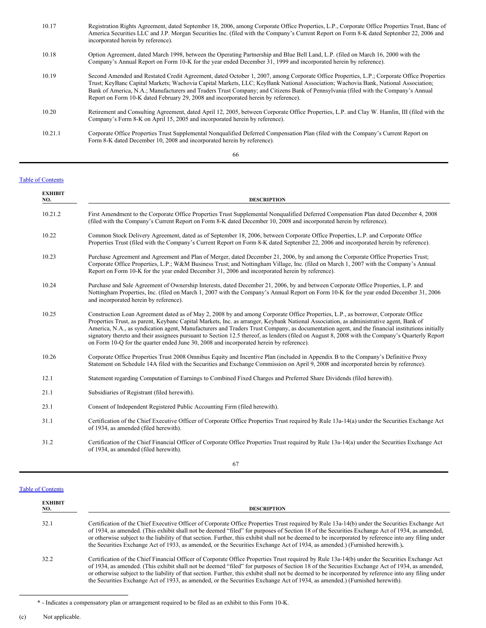| 10.17   | Registration Rights Agreement, dated September 18, 2006, among Corporate Office Properties, L.P., Corporate Office Properties Trust, Banc of<br>America Securities LLC and J.P. Morgan Securities Inc. (filed with the Company's Current Report on Form 8-K dated September 22, 2006 and<br>incorporated herein by reference).                                                                                                                                                                             |
|---------|------------------------------------------------------------------------------------------------------------------------------------------------------------------------------------------------------------------------------------------------------------------------------------------------------------------------------------------------------------------------------------------------------------------------------------------------------------------------------------------------------------|
| 10.18   | Option Agreement, dated March 1998, between the Operating Partnership and Blue Bell Land, L.P. (filed on March 16, 2000 with the<br>Company's Annual Report on Form 10-K for the year ended December 31, 1999 and incorporated herein by reference).                                                                                                                                                                                                                                                       |
| 10.19   | Second Amended and Restated Credit Agreement, dated October 1, 2007, among Corporate Office Properties, L.P.; Corporate Office Properties<br>Trust; KeyBanc Capital Markets; Wachovia Capital Markets, LLC; KeyBank National Association; Wachovia Bank, National Association;<br>Bank of America, N.A.; Manufacturers and Traders Trust Company; and Citizens Bank of Pennsylvania (filed with the Company's Annual<br>Report on Form 10-K dated February 29, 2008 and incorporated herein by reference). |
| 10.20   | Retirement and Consulting Agreement, dated April 12, 2005, between Corporate Office Properties, L.P. and Clay W. Hamlin, III (filed with the<br>Company's Form 8-K on April 15, 2005 and incorporated herein by reference).                                                                                                                                                                                                                                                                                |
| 10.21.1 | Corporate Office Properties Trust Supplemental Nonqualified Deferred Compensation Plan (filed with the Company's Current Report on<br>Form 8-K dated December 10, 2008 and incorporated herein by reference).                                                                                                                                                                                                                                                                                              |

66

# Table of [Contents](#page-1-0)

| <b>EXHIBIT</b><br>NO. | <b>DESCRIPTION</b>                                                                                                                                                                                                                                                                                                                                                                                                                                                                                                                                                                                                                                                          |
|-----------------------|-----------------------------------------------------------------------------------------------------------------------------------------------------------------------------------------------------------------------------------------------------------------------------------------------------------------------------------------------------------------------------------------------------------------------------------------------------------------------------------------------------------------------------------------------------------------------------------------------------------------------------------------------------------------------------|
| 10.21.2               | First Amendment to the Corporate Office Properties Trust Supplemental Nonqualified Deferred Compensation Plan dated December 4, 2008<br>(filed with the Company's Current Report on Form 8-K dated December 10, 2008 and incorporated herein by reference).                                                                                                                                                                                                                                                                                                                                                                                                                 |
| 10.22                 | Common Stock Delivery Agreement, dated as of September 18, 2006, between Corporate Office Properties, L.P. and Corporate Office<br>Properties Trust (filed with the Company's Current Report on Form 8-K dated September 22, 2006 and incorporated herein by reference).                                                                                                                                                                                                                                                                                                                                                                                                    |
| 10.23                 | Purchase Agreement and Agreement and Plan of Merger, dated December 21, 2006, by and among the Corporate Office Properties Trust;<br>Corporate Office Properties, L.P.; W&M Business Trust; and Nottingham Village, Inc. (filed on March 1, 2007 with the Company's Annual<br>Report on Form 10-K for the year ended December 31, 2006 and incorporated herein by reference).                                                                                                                                                                                                                                                                                               |
| 10.24                 | Purchase and Sale Agreement of Ownership Interests, dated December 21, 2006, by and between Corporate Office Properties, L.P. and<br>Nottingham Properties, Inc. (filed on March 1, 2007 with the Company's Annual Report on Form 10-K for the year ended December 31, 2006<br>and incorporated herein by reference).                                                                                                                                                                                                                                                                                                                                                       |
| 10.25                 | Construction Loan Agreement dated as of May 2, 2008 by and among Corporate Office Properties, L.P., as borrower, Corporate Office<br>Properties Trust, as parent, Keybanc Capital Markets, Inc. as arranger, Keybank National Association, as administrative agent, Bank of<br>America, N.A., as syndication agent, Manufacturers and Traders Trust Company, as documentation agent, and the financial institutions initially<br>signatory thereto and their assignees pursuant to Section 12.5 thereof, as lenders (filed on August 8, 2008 with the Company's Quarterly Report<br>on Form 10-Q for the quarter ended June 30, 2008 and incorporated herein by reference). |
| 10.26                 | Corporate Office Properties Trust 2008 Omnibus Equity and Incentive Plan (included in Appendix B to the Company's Definitive Proxy<br>Statement on Schedule 14A filed with the Securities and Exchange Commission on April 9, 2008 and incorporated herein by reference).                                                                                                                                                                                                                                                                                                                                                                                                   |
| 12.1                  | Statement regarding Computation of Earnings to Combined Fixed Charges and Preferred Share Dividends (filed herewith).                                                                                                                                                                                                                                                                                                                                                                                                                                                                                                                                                       |
| 21.1                  | Subsidiaries of Registrant (filed herewith).                                                                                                                                                                                                                                                                                                                                                                                                                                                                                                                                                                                                                                |
| 23.1                  | Consent of Independent Registered Public Accounting Firm (filed herewith).                                                                                                                                                                                                                                                                                                                                                                                                                                                                                                                                                                                                  |
| 31.1                  | Certification of the Chief Executive Officer of Corporate Office Properties Trust required by Rule 13a-14(a) under the Securities Exchange Act<br>of 1934, as amended (filed herewith).                                                                                                                                                                                                                                                                                                                                                                                                                                                                                     |
| 31.2                  | Certification of the Chief Financial Officer of Corporate Office Properties Trust required by Rule 13a-14(a) under the Securities Exchange Act<br>of 1934, as amended (filed herewith).                                                                                                                                                                                                                                                                                                                                                                                                                                                                                     |

67

# Table of [Contents](#page-1-0)

| <b>EXHIBIT</b><br>NO. | <b>DESCRIPTION</b>                                                                                                                                                                                                                                                                                                                                                                                                                                                                                                                                                                        |
|-----------------------|-------------------------------------------------------------------------------------------------------------------------------------------------------------------------------------------------------------------------------------------------------------------------------------------------------------------------------------------------------------------------------------------------------------------------------------------------------------------------------------------------------------------------------------------------------------------------------------------|
| 32.1                  | Certification of the Chief Executive Officer of Corporate Office Properties Trust required by Rule 13a-14(b) under the Securities Exchange Act<br>of 1934, as amended. (This exhibit shall not be deemed "filed" for purposes of Section 18 of the Securities Exchange Act of 1934, as amended,<br>or otherwise subject to the liability of that section. Further, this exhibit shall not be deemed to be incorporated by reference into any filing under<br>the Securities Exchange Act of 1933, as amended, or the Securities Exchange Act of 1934, as amended.) (Furnished herewith.). |
| 32.2                  | Certification of the Chief Financial Officer of Corporate Office Properties Trust required by Rule 13a-14(b) under the Securities Exchange Act<br>of 1934, as amended. (This exhibit shall not be deemed "filed" for purposes of Section 18 of the Securities Exchange Act of 1934, as amended,<br>or otherwise subject to the liability of that section. Further, this exhibit shall not be deemed to be incorporated by reference into any filing under<br>the Securities Exchange Act of 1933, as amended, or the Securities Exchange Act of 1934, as amended.) (Furnished herewith).  |

<sup>\*</sup> - Indicates a compensatory plan or arrangement required to be filed as an exhibit to this Form 10-K.

(c) Not applicable.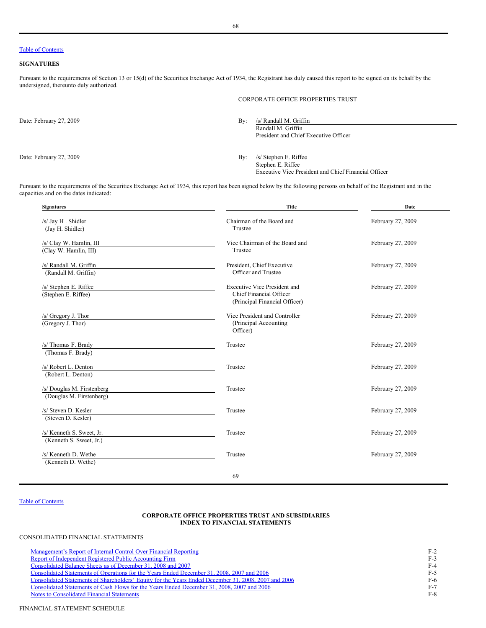### Table of [Contents](#page-1-0)

### **SIGNATURES**

Pursuant to the requirements of Section 13 or 15(d) of the Securities Exchange Act of 1934, the Registrant has duly caused this report to be signed on its behalf by the undersigned, thereunto duly authorized.

CORPORATE OFFICE PROPERTIES TRUST

Executive Vice President and Chief Financial Officer

Stephen E. Riffee

Date: February 27, 2009 By: /s/ Randall M. Griffin Randall M. Griffin President and Chief Executive Officer Date: February 27, 2009 By: /s/ Stephen E. Riffee

Pursuant to the requirements of the Securities Exchange Act of 1934, this report has been signed below by the following persons on behalf of the Registrant and in the capacities and on the dates indicated:

| <b>Signatures</b>                                      | <b>Title</b>                                                                                    | Date              |
|--------------------------------------------------------|-------------------------------------------------------------------------------------------------|-------------------|
| /s/ Jay H . Shidler<br>(Jay H. Shidler)                | Chairman of the Board and<br>Trustee                                                            | February 27, 2009 |
| /s/ Clay W. Hamlin, III<br>(Clay W. Hamlin, III)       | Vice Chairman of the Board and<br>Trustee                                                       | February 27, 2009 |
| /s/ Randall M. Griffin<br>(Randall M. Griffin)         | President, Chief Executive<br>Officer and Trustee                                               | February 27, 2009 |
| /s/ Stephen E. Riffee<br>(Stephen E. Riffee)           | <b>Executive Vice President and</b><br>Chief Financial Officer<br>(Principal Financial Officer) | February 27, 2009 |
| /s/ Gregory J. Thor<br>(Gregory J. Thor)               | Vice President and Controller<br>(Principal Accounting<br>Officer)                              | February 27, 2009 |
| /s/ Thomas F. Brady<br>(Thomas F. Brady)               | Trustee                                                                                         | February 27, 2009 |
| /s/ Robert L. Denton<br>(Robert L. Denton)             | Trustee                                                                                         | February 27, 2009 |
| /s/ Douglas M. Firstenberg<br>(Douglas M. Firstenberg) | Trustee                                                                                         | February 27, 2009 |
| /s/ Steven D. Kesler<br>(Steven D. Kesler)             | Trustee                                                                                         | February 27, 2009 |
| /s/ Kenneth S. Sweet, Jr.<br>(Kenneth S. Sweet, Jr.)   | Trustee                                                                                         | February 27, 2009 |
| /s/ Kenneth D. Wethe<br>(Kenneth D. Wethe)             | Trustee                                                                                         | February 27, 2009 |
|                                                        | 69                                                                                              |                   |

# Table of [Contents](#page-1-0)

# **CORPORATE OFFICE PROPERTIES TRUST AND SUBSIDIARIES INDEX TO FINANCIAL STATEMENTS**

# CONSOLIDATED FINANCIAL STATEMENTS

| Management's Report of Internal Control Over Financial Reporting                                     | $F-2$ |
|------------------------------------------------------------------------------------------------------|-------|
| Report of Independent Registered Public Accounting Firm                                              | $F-3$ |
| Consolidated Balance Sheets as of December 31, 2008 and 2007                                         | F-4   |
| Consolidated Statements of Operations for the Years Ended December 31, 2008, 2007 and 2006           | $F-5$ |
| Consolidated Statements of Shareholders' Equity for the Years Ended December 31, 2008, 2007 and 2006 | F-6   |
| Consolidated Statements of Cash Flows for the Years Ended December 31, 2008, 2007 and 2006           | $F-7$ |
| Notes to Consolidated Financial Statements                                                           | $F-8$ |
|                                                                                                      |       |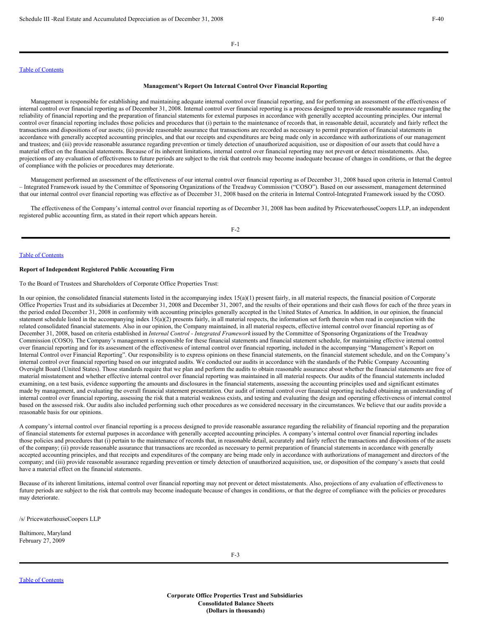# Table of [Contents](#page-1-0)

### <span id="page-44-0"></span>**Management's Report On Internal Control Over Financial Reporting**

Management is responsible for establishing and maintaining adequate internal control over financial reporting, and for performing an assessment of the effectiveness of internal control over financial reporting as of December 31, 2008. Internal control over financial reporting is a process designed to provide reasonable assurance regarding the reliability of financial reporting and the preparation of financial statements for external purposes in accordance with generally accepted accounting principles. Our internal control over financial reporting includes those policies and procedures that (i) pertain to the maintenance of records that, in reasonable detail, accurately and fairly reflect the transactions and dispositions of our assets; (ii) provide reasonable assurance that transactions are recorded as necessary to permit preparation of financial statements in accordance with generally accepted accounting principles, and that our receipts and expenditures are being made only in accordance with authorizations of our management and trustees; and (iii) provide reasonable assurance regarding prevention or timely detection of unauthorized acquisition, use or disposition of our assets that could have a material effect on the financial statements. Because of its inherent limitations, internal control over financial reporting may not prevent or detect misstatements. Also, projections of any evaluation of effectiveness to future periods are subject to the risk that controls may become inadequate because of changes in conditions, or that the degree of compliance with the policies or procedures may deteriorate.

Management performed an assessment of the effectiveness of our internal control over financial reporting as of December 31, 2008 based upon criteria in Internal Control – Integrated Framework issued by the Committee of Sponsoring Organizations of the Treadway Commission ("COSO"). Based on our assessment, management determined that our internal control over financial reporting was effective as of December 31, 2008 based on the criteria in Internal Control-Integrated Framework issued by the COSO.

The effectiveness of the Company's internal control over financial reporting as of December 31, 2008 has been audited by PricewaterhouseCoopers LLP, an independent registered public accounting firm, as stated in their report which appears herein.

#### Table of [Contents](#page-1-0)

#### <span id="page-44-1"></span>**Report of Independent Registered Public Accounting Firm**

To the Board of Trustees and Shareholders of Corporate Office Properties Trust:

In our opinion, the consolidated financial statements listed in the accompanying index 15(a)(1) present fairly, in all material respects, the financial position of Corporate Office Properties Trust and its subsidiaries at December 31, 2008 and December 31, 2007, and the results of their operations and their cash flows for each of the three years in the period ended December 31, 2008 in conformity with accounting principles generally accepted in the United States of America. In addition, in our opinion, the financial statement schedule listed in the accompanying index 15(a)(2) presents fairly, in all material respects, the information set forth therein when read in conjunction with the related consolidated financial statements. Also in our opinion, the Company maintained, in all material respects, effective internal control over financial reporting as of December 31, 2008, based on criteria established in *Internal Control - Integrated Framework* issued by the Committee of Sponsoring Organizations of the Treadway Commission (COSO). The Company's management is responsible for these financial statements and financial statement schedule, for maintaining effective internal control over financial reporting and for its assessment of the effectiveness of internal control over financial reporting, included in the accompanying "Management's Report on Internal Control over Financial Reporting". Our responsibility is to express opinions on these financial statements, on the financial statement schedule, and on the Company's internal control over financial reporting based on our integrated audits. We conducted our audits in accordance with the standards of the Public Company Accounting Oversight Board (United States). Those standards require that we plan and perform the audits to obtain reasonable assurance about whether the financial statements are free of material misstatement and whether effective internal control over financial reporting was maintained in all material respects. Our audits of the financial statements included examining, on a test basis, evidence supporting the amounts and disclosures in the financial statements, assessing the accounting principles used and significant estimates made by management, and evaluating the overall financial statement presentation. Our audit of internal control over financial reporting included obtaining an understanding of internal control over financial reporting, assessing the risk that a material weakness exists, and testing and evaluating the design and operating effectiveness of internal control based on the assessed risk. Our audits also included performing such other procedures as we considered necessary in the circumstances. We believe that our audits provide a reasonable basis for our opinions.

A company's internal control over financial reporting is a process designed to provide reasonable assurance regarding the reliability of financial reporting and the preparation of financial statements for external purposes in accordance with generally accepted accounting principles. A company's internal control over financial reporting includes those policies and procedures that (i) pertain to the maintenance of records that, in reasonable detail, accurately and fairly reflect the transactions and dispositions of the assets of the company; (ii) provide reasonable assurance that transactions are recorded as necessary to permit preparation of financial statements in accordance with generally accepted accounting principles, and that receipts and expenditures of the company are being made only in accordance with authorizations of management and directors of the company; and (iii) provide reasonable assurance regarding prevention or timely detection of unauthorized acquisition, use, or disposition of the company's assets that could have a material effect on the financial statements.

Because of its inherent limitations, internal control over financial reporting may not prevent or detect misstatements. Also, projections of any evaluation of effectiveness to future periods are subject to the risk that controls may become inadequate because of changes in conditions, or that the degree of compliance with the policies or procedures may deteriorate.

/s/ PricewaterhouseCoopers LLP

<span id="page-44-2"></span>Baltimore, Maryland February 27, 2009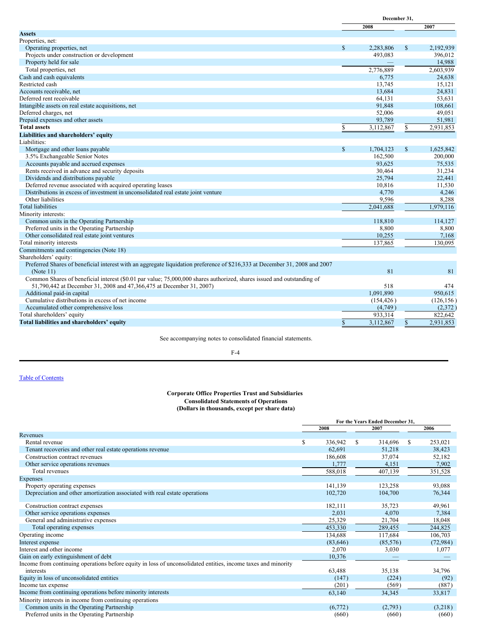|                                                                                                                             |              | December 31. |              |            |
|-----------------------------------------------------------------------------------------------------------------------------|--------------|--------------|--------------|------------|
|                                                                                                                             |              | 2008         |              | 2007       |
| <b>Assets</b>                                                                                                               |              |              |              |            |
| Properties, net:                                                                                                            |              |              |              |            |
| Operating properties, net                                                                                                   | $\mathbb{S}$ | 2,283,806    | $\mathbf S$  | 2,192,939  |
| Projects under construction or development                                                                                  |              | 493,083      |              | 396,012    |
| Property held for sale                                                                                                      |              |              |              | 14,988     |
| Total properties, net                                                                                                       |              | 2,776,889    |              | 2,603,939  |
| Cash and cash equivalents                                                                                                   |              | 6,775        |              | 24,638     |
| Restricted cash                                                                                                             |              | 13,745       |              | 15.121     |
| Accounts receivable, net                                                                                                    |              | 13,684       |              | 24,831     |
| Deferred rent receivable                                                                                                    |              | 64,131       |              | 53.631     |
| Intangible assets on real estate acquisitions, net                                                                          |              | 91,848       |              | 108,661    |
| Deferred charges, net                                                                                                       |              | 52,006       |              | 49,051     |
| Prepaid expenses and other assets                                                                                           |              | 93,789       |              | 51,981     |
| <b>Total assets</b>                                                                                                         | \$           | 3,112,867    | \$           | 2.931.853  |
| Liabilities and shareholders' equity                                                                                        |              |              |              |            |
| Liabilities:                                                                                                                |              |              |              |            |
| Mortgage and other loans payable                                                                                            | $\mathbf S$  | 1.704.123    | $\mathbb{S}$ | 1,625,842  |
| 3.5% Exchangeable Senior Notes                                                                                              |              | 162,500      |              | 200,000    |
| Accounts payable and accrued expenses                                                                                       |              | 93,625       |              | 75,535     |
| Rents received in advance and security deposits                                                                             |              | 30,464       |              | 31,234     |
| Dividends and distributions payable                                                                                         |              | 25.794       |              | 22,441     |
| Deferred revenue associated with acquired operating leases                                                                  |              | 10,816       |              | 11,530     |
| Distributions in excess of investment in unconsolidated real estate joint venture                                           |              | 4,770        |              | 4,246      |
| Other liabilities                                                                                                           |              | 9,596        |              | 8,288      |
| <b>Total liabilities</b>                                                                                                    |              | 2,041,688    |              | 1,979,116  |
| Minority interests:                                                                                                         |              |              |              |            |
| Common units in the Operating Partnership                                                                                   |              | 118,810      |              | 114,127    |
| Preferred units in the Operating Partnership                                                                                |              | 8.800        |              | 8.800      |
| Other consolidated real estate joint ventures                                                                               |              | 10,255       |              | 7,168      |
| Total minority interests                                                                                                    |              | 137,865      |              | 130,095    |
| Commitments and contingencies (Note 18)                                                                                     |              |              |              |            |
| Shareholders' equity:                                                                                                       |              |              |              |            |
| Preferred Shares of beneficial interest with an aggregate liquidation preference of \$216,333 at December 31, 2008 and 2007 |              |              |              |            |
| (Note 11)                                                                                                                   |              | 81           |              | 81         |
| Common Shares of beneficial interest (\$0.01 par value; 75,000,000 shares authorized, shares issued and outstanding of      |              |              |              |            |
| 51,790,442 at December 31, 2008 and 47,366,475 at December 31, 2007)                                                        |              | 518          |              | 474        |
| Additional paid-in capital                                                                                                  |              | 1,091,890    |              | 950.615    |
| Cumulative distributions in excess of net income                                                                            |              | (154, 426)   |              | (126, 156) |
| Accumulated other comprehensive loss                                                                                        |              | (4,749)      |              | (2,372)    |
| Total shareholders' equity                                                                                                  |              | 933,314      |              | 822.642    |
| Total liabilities and shareholders' equity                                                                                  | $\mathbb{S}$ | 3.112.867    | $\mathbb{S}$ | 2,931,853  |
|                                                                                                                             |              |              |              |            |

See accompanying notes to consolidated financial statements.

<span id="page-45-0"></span>F-4

Table of [Contents](#page-1-0)

#### **Corporate Office Properties Trust and Subsidiaries Consolidated Statements of Operations (Dollars in thousands, except per share data)**

|                                                                                                               | For the Years Ended December 31, |           |    |           |              |           |
|---------------------------------------------------------------------------------------------------------------|----------------------------------|-----------|----|-----------|--------------|-----------|
|                                                                                                               |                                  | 2008      |    | 2007      |              | 2006      |
| Revenues                                                                                                      |                                  |           |    |           |              |           |
| Rental revenue                                                                                                | S                                | 336,942   | S. | 314,696   | <sup>S</sup> | 253,021   |
| Tenant recoveries and other real estate operations revenue                                                    |                                  | 62.691    |    | 51,218    |              | 38,423    |
| Construction contract revenues                                                                                |                                  | 186,608   |    | 37,074    |              | 52,182    |
| Other service operations revenues                                                                             |                                  | 1,777     |    | 4,151     |              | 7,902     |
| Total revenues                                                                                                |                                  | 588,018   |    | 407,139   |              | 351,528   |
| <b>Expenses</b>                                                                                               |                                  |           |    |           |              |           |
| Property operating expenses                                                                                   |                                  | 141,139   |    | 123,258   |              | 93,088    |
| Depreciation and other amortization associated with real estate operations                                    |                                  | 102,720   |    | 104,700   |              | 76,344    |
| Construction contract expenses                                                                                |                                  | 182,111   |    | 35,723    |              | 49,961    |
| Other service operations expenses                                                                             |                                  | 2,031     |    | 4,070     |              | 7,384     |
| General and administrative expenses                                                                           |                                  | 25,329    |    | 21,704    |              | 18,048    |
| Total operating expenses                                                                                      |                                  | 453,330   |    | 289,455   |              | 244,825   |
| Operating income                                                                                              |                                  | 134,688   |    | 117,684   |              | 106,703   |
| Interest expense                                                                                              |                                  | (83, 646) |    | (85, 576) |              | (72, 984) |
| Interest and other income                                                                                     |                                  | 2,070     |    | 3,030     |              | 1,077     |
| Gain on early extinguishment of debt                                                                          |                                  | 10,376    |    |           |              |           |
| Income from continuing operations before equity in loss of unconsolidated entities, income taxes and minority |                                  |           |    |           |              |           |
| interests                                                                                                     |                                  | 63,488    |    | 35,138    |              | 34,796    |
| Equity in loss of unconsolidated entities                                                                     |                                  | (147)     |    | (224)     |              | (92)      |
| Income tax expense                                                                                            |                                  | (201)     |    | (569)     |              | (887)     |
| Income from continuing operations before minority interests                                                   |                                  | 63,140    |    | 34,345    |              | 33,817    |
| Minority interests in income from continuing operations                                                       |                                  |           |    |           |              |           |
| Common units in the Operating Partnership                                                                     |                                  | (6,772)   |    | (2,793)   |              | (3,218)   |
| Preferred units in the Operating Partnership                                                                  |                                  | (660)     |    | (660)     |              | (660)     |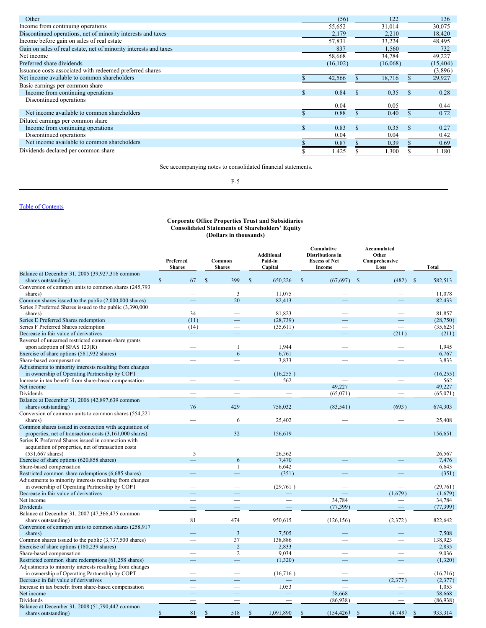| Other                                                             |    | (56)      |     | 122      |          | 136       |
|-------------------------------------------------------------------|----|-----------|-----|----------|----------|-----------|
| Income from continuing operations                                 |    | 55,652    |     | 31,014   |          | 30,075    |
| Discontinued operations, net of minority interests and taxes      |    | 2,179     |     | 2,210    |          | 18,420    |
| Income before gain on sales of real estate                        |    | 57,831    |     | 33,224   |          | 48,495    |
| Gain on sales of real estate, net of minority interests and taxes |    | 837       |     | 1,560    |          | 732       |
| Net income                                                        |    | 58,668    |     | 34,784   |          | 49,227    |
| Preferred share dividends                                         |    | (16, 102) |     | (16,068) |          | (15, 404) |
| Issuance costs associated with redeemed preferred shares          |    |           |     |          |          | (3,896)   |
| Net income available to common shareholders                       |    | 42,566    |     | 18,716   |          | 29,927    |
| Basic earnings per common share                                   |    |           |     |          |          |           |
| Income from continuing operations                                 | S. | 0.84      | \$. | 0.35     | <b>S</b> | 0.28      |
| Discontinued operations                                           |    |           |     |          |          |           |
|                                                                   |    | 0.04      |     | 0.05     |          | 0.44      |
| Net income available to common shareholders                       |    | 0.88      |     | 0.40     |          | 0.72      |
| Diluted earnings per common share                                 |    |           |     |          |          |           |
| Income from continuing operations                                 |    | 0.83      | \$  | 0.35     | <b>S</b> | 0.27      |
| Discontinued operations                                           |    | 0.04      |     | 0.04     |          | 0.42      |
| Net income available to common shareholders                       |    | 0.87      |     | 0.39     |          | 0.69      |
| Dividends declared per common share                               |    | 1.425     |     | 1.300    |          | 1.180     |

See accompanying notes to consolidated financial statements.

<span id="page-46-0"></span>F-5

# Table of [Contents](#page-1-0)

### **Corporate Office Properties Trust and Subsidiaries Consolidated Statements of Shareholders' Equity (Dollars in thousands)**

|                                                                                                           | Preferred<br><b>Shares</b> | Common<br><b>Shares</b>  | <b>Additional</b><br>Paid-in<br>Capital |               | Cumulative<br><b>Distributions</b> in<br><b>Excess of Net</b><br>Income |                    | Accumulated<br>Other<br>Comprehensive<br>Loss |               | <b>Total</b> |
|-----------------------------------------------------------------------------------------------------------|----------------------------|--------------------------|-----------------------------------------|---------------|-------------------------------------------------------------------------|--------------------|-----------------------------------------------|---------------|--------------|
| Balance at December 31, 2005 (39,927,316 common                                                           |                            |                          |                                         |               |                                                                         |                    |                                               |               |              |
| shares outstanding)                                                                                       | $\mathbb{S}$<br>67         | <sup>\$</sup><br>399     | $\mathbb{S}$<br>650,226                 | <sup>\$</sup> | (67, 697)                                                               | -S                 | (482)                                         | $\mathbf{s}$  | 582,513      |
| Conversion of common units to common shares (245,793)<br>shares)                                          |                            | 3                        | 11,075                                  |               |                                                                         |                    |                                               |               | 11,078       |
| Common shares issued to the public (2,000,000 shares)                                                     |                            | 20                       | 82,413                                  |               |                                                                         |                    |                                               |               | 82,433       |
| Series J Preferred Shares issued to the public (3,390,000                                                 |                            |                          |                                         |               |                                                                         |                    |                                               |               |              |
| shares)                                                                                                   | 34                         |                          | 81.823                                  |               |                                                                         |                    |                                               |               | 81.857       |
| Series E Preferred Shares redemption                                                                      | (11)                       |                          | (28, 739)                               |               |                                                                         |                    |                                               |               | (28, 750)    |
| Series F Preferred Shares redemption                                                                      | (14)                       | $\overline{\phantom{0}}$ | (35, 611)                               |               |                                                                         |                    |                                               |               | (35,625)     |
| Decrease in fair value of derivatives                                                                     |                            |                          |                                         |               |                                                                         |                    | (211)                                         |               | (211)        |
| Reversal of unearned restricted common share grants<br>upon adoption of SFAS 123(R)                       |                            | $\mathbf{1}$             | 1,944                                   |               |                                                                         |                    |                                               |               | 1,945        |
| Exercise of share options (581,932 shares)                                                                |                            | 6                        | 6.761                                   |               |                                                                         |                    |                                               |               | 6,767        |
| Share-based compensation                                                                                  |                            |                          | 3,833                                   |               |                                                                         |                    |                                               |               | 3,833        |
| Adjustments to minority interests resulting from changes                                                  |                            |                          |                                         |               |                                                                         |                    |                                               |               |              |
| in ownership of Operating Partnership by COPT                                                             |                            |                          | (16, 255)                               |               |                                                                         |                    |                                               |               | (16, 255)    |
| Increase in tax benefit from share-based compensation                                                     |                            |                          | 562                                     |               |                                                                         |                    |                                               |               | 562          |
| Net income                                                                                                |                            |                          |                                         |               | 49,227                                                                  |                    |                                               |               | 49,227       |
| Dividends                                                                                                 |                            |                          |                                         |               | (65,071)                                                                |                    |                                               |               | (65,071)     |
| Balance at December 31, 2006 (42,897,639 common                                                           |                            |                          |                                         |               |                                                                         |                    |                                               |               |              |
| shares outstanding)                                                                                       | 76                         | 429                      | 758,032                                 |               | (83, 541)                                                               |                    | (693)                                         |               | 674,303      |
| Conversion of common units to common shares (554,221                                                      |                            |                          |                                         |               |                                                                         |                    |                                               |               |              |
| shares)                                                                                                   |                            | 6                        | 25,402                                  |               |                                                                         |                    |                                               |               | 25,408       |
| Common shares issued in connection with acquisition of                                                    |                            |                          |                                         |               |                                                                         |                    |                                               |               |              |
| properties, net of transaction costs (3,161,000 shares)                                                   |                            | 32                       | 156,619                                 |               |                                                                         |                    |                                               |               | 156,651      |
| Series K Preferred Shares issued in connection with                                                       |                            |                          |                                         |               |                                                                         |                    |                                               |               |              |
| acquisition of properties, net of transaction costs                                                       |                            |                          |                                         |               |                                                                         |                    |                                               |               |              |
| $(531, 667$ shares)                                                                                       | 5                          |                          | 26,562                                  |               |                                                                         |                    |                                               |               | 26.567       |
| Exercise of share options (620,858 shares)                                                                |                            | 6                        | 7,470                                   |               |                                                                         |                    |                                               |               | 7,476        |
| Share-based compensation                                                                                  |                            | $\mathbf{1}$             | 6,642                                   |               |                                                                         |                    |                                               |               | 6,643        |
| Restricted common share redemptions (6,685 shares)                                                        |                            |                          | (351)                                   |               |                                                                         |                    |                                               |               | (351)        |
| Adjustments to minority interests resulting from changes<br>in ownership of Operating Partnership by COPT |                            |                          | (29,761)                                |               |                                                                         |                    | ÷,                                            |               | (29,761)     |
| Decrease in fair value of derivatives                                                                     |                            |                          |                                         |               |                                                                         |                    | (1,679)                                       |               | (1,679)      |
| Net income                                                                                                |                            | $\sim$                   | $\sim$                                  |               | 34,784                                                                  |                    |                                               |               | 34,784       |
| <b>Dividends</b>                                                                                          |                            |                          |                                         |               | (77, 399)                                                               |                    |                                               |               | (77, 399)    |
| Balance at December 31, 2007 (47,366,475 common                                                           |                            |                          |                                         |               |                                                                         |                    |                                               |               |              |
| shares outstanding)                                                                                       | 81                         | 474                      | 950,615                                 |               | (126, 156)                                                              |                    | (2,372)                                       |               | 822,642      |
| Conversion of common units to common shares (258,917)                                                     |                            |                          |                                         |               |                                                                         |                    |                                               |               |              |
| shares)                                                                                                   |                            | $\overline{3}$           | 7,505                                   |               |                                                                         |                    |                                               |               | 7,508        |
| Common shares issued to the public (3,737,500 shares)                                                     |                            | 37                       | 138,886                                 |               |                                                                         |                    | ÷,                                            |               | 138,923      |
| Exercise of share options (180,239 shares)                                                                |                            | $\overline{2}$           | 2,833                                   |               |                                                                         |                    | ÷.                                            |               | 2,835        |
| Share-based compensation                                                                                  |                            | 2                        | 9,034                                   |               |                                                                         |                    |                                               |               | 9,036        |
| Restricted common share redemptions (61,258 shares)                                                       |                            |                          | (1,320)                                 |               |                                                                         |                    |                                               |               | (1,320)      |
| Adjustments to minority interests resulting from changes                                                  |                            |                          |                                         |               |                                                                         |                    |                                               |               |              |
| in ownership of Operating Partnership by COPT                                                             |                            | ÷,                       | (16,716)                                |               |                                                                         |                    | ÷,                                            |               | (16, 716)    |
| Decrease in fair value of derivatives                                                                     |                            | $\overline{\phantom{a}}$ |                                         |               | $\overline{\phantom{a}}$                                                |                    | (2,377)                                       |               | (2,377)      |
| Increase in tax benefit from share-based compensation                                                     |                            |                          | 1,053                                   |               |                                                                         |                    |                                               |               | 1,053        |
| Net income                                                                                                |                            |                          |                                         |               | 58,668                                                                  |                    |                                               |               | 58,668       |
| Dividends                                                                                                 |                            |                          | ÷.                                      |               | (86,938)                                                                |                    | ÷,                                            |               | (86,938)     |
| Balance at December 31, 2008 (51,790,442 common                                                           |                            |                          |                                         |               |                                                                         |                    |                                               |               |              |
| shares outstanding)                                                                                       | 81<br>\$                   | 518<br>\$                | $\mathbf S$<br>1.091.890                | S             | (154.426)                                                               | $\mathbf{\hat{s}}$ | (4.749)                                       | <sup>\$</sup> | 933.314      |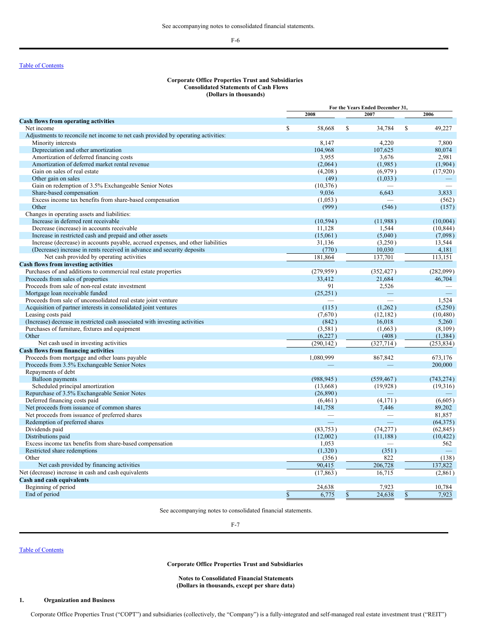<span id="page-47-0"></span>F-6

# Table of [Contents](#page-1-0)

#### **Corporate Office Properties Trust and Subsidiaries Consolidated Statements of Cash Flows (Dollars in thousands)**

|                                                                                      |                               |      | For the Years Ended December 31, |              |  |  |
|--------------------------------------------------------------------------------------|-------------------------------|------|----------------------------------|--------------|--|--|
|                                                                                      | 2008                          |      | 2007                             | 2006         |  |  |
| <b>Cash flows from operating activities</b>                                          |                               |      |                                  |              |  |  |
| Net income                                                                           | \$<br>58,668                  | \$   | 34,784                           | \$<br>49,227 |  |  |
| Adjustments to reconcile net income to net cash provided by operating activities:    | 8.147                         |      | 4.220                            | 7.800        |  |  |
| Minority interests                                                                   | 104,968                       |      | 107,625                          | 80,074       |  |  |
| Depreciation and other amortization                                                  |                               |      |                                  |              |  |  |
| Amortization of deferred financing costs                                             | 3,955                         |      | 3,676                            | 2,981        |  |  |
| Amortization of deferred market rental revenue                                       | (2,064)                       |      | (1,985)                          | (1,904)      |  |  |
| Gain on sales of real estate                                                         | (4,208)                       |      | (6,979)                          | (17, 920)    |  |  |
| Other gain on sales                                                                  | (49)                          |      | (1,033)                          | -            |  |  |
| Gain on redemption of 3.5% Exchangeable Senior Notes                                 | (10, 376)                     |      |                                  |              |  |  |
| Share-based compensation                                                             | 9,036                         |      | 6,643                            | 3,833        |  |  |
| Excess income tax benefits from share-based compensation                             | (1,053)                       |      |                                  | (562)        |  |  |
| Other                                                                                | (999)                         |      | (546)                            | (157)        |  |  |
| Changes in operating assets and liabilities:<br>Increase in deferred rent receivable |                               |      |                                  |              |  |  |
|                                                                                      | (10, 594)                     |      | (11,988)                         | (10,004)     |  |  |
| Decrease (increase) in accounts receivable                                           | 11,128                        |      | 1,544                            | (10, 844)    |  |  |
| Increase in restricted cash and prepaid and other assets                             | (15,061)                      |      | (5,040)                          | (7,098)      |  |  |
| Increase (decrease) in accounts payable, accrued expenses, and other liabilities     | 31,136                        |      | (3,250)                          | 13,544       |  |  |
| (Decrease) increase in rents received in advance and security deposits               | (770)                         |      | 10,030                           | 4,181        |  |  |
| Net cash provided by operating activities                                            | 181,864                       |      | 137,701                          | 113,151      |  |  |
| <b>Cash flows from investing activities</b>                                          |                               |      |                                  |              |  |  |
| Purchases of and additions to commercial real estate properties                      | (279, 959)                    |      | (352, 427)                       | (282,099)    |  |  |
| Proceeds from sales of properties                                                    | 33.412                        |      | 21,684                           | 46,704       |  |  |
| Proceeds from sale of non-real estate investment                                     | 91                            |      | 2,526                            |              |  |  |
| Mortgage loan receivable funded                                                      | (25, 251)                     |      |                                  |              |  |  |
| Proceeds from sale of unconsolidated real estate joint venture                       |                               |      |                                  | 1,524        |  |  |
| Acquisition of partner interests in consolidated joint ventures                      | (115)                         |      | (1,262)                          | (5,250)      |  |  |
| Leasing costs paid                                                                   | (7,670)                       |      | (12, 182)                        | (10, 480)    |  |  |
| (Increase) decrease in restricted cash associated with investing activities          | (842)                         |      | 16,018                           | 5,260        |  |  |
| Purchases of furniture, fixtures and equipment                                       | (3,581)                       |      | (1,663)                          | (8,109)      |  |  |
| Other                                                                                | (6,227)                       |      | (408)                            | (1, 384)     |  |  |
| Net cash used in investing activities                                                | (290, 142)                    |      | (327, 714)                       | (253, 834)   |  |  |
| <b>Cash flows from financing activities</b>                                          |                               |      |                                  |              |  |  |
| Proceeds from mortgage and other loans payable                                       | 1,080,999                     |      | 867,842                          | 673,176      |  |  |
| Proceeds from 3.5% Exchangeable Senior Notes                                         |                               |      |                                  | 200,000      |  |  |
| Repayments of debt                                                                   |                               |      |                                  |              |  |  |
| <b>Balloon</b> payments                                                              | (988, 945)                    |      | (559, 467)                       | (743, 274)   |  |  |
| Scheduled principal amortization                                                     | (13,668)                      |      | (19, 928)                        | (19,316)     |  |  |
| Repurchase of 3.5% Exchangeable Senior Notes                                         | (26,890)                      |      |                                  |              |  |  |
| Deferred financing costs paid                                                        | (6, 461)                      |      | (4,171)                          | (6,605)      |  |  |
| Net proceeds from issuance of common shares                                          | 141,758                       |      | 7,446                            | 89,202       |  |  |
| Net proceeds from issuance of preferred shares                                       | $\overbrace{\phantom{12332}}$ |      | $\overline{\phantom{0}}$         | 81,857       |  |  |
| Redemption of preferred shares                                                       |                               |      |                                  | (64, 375)    |  |  |
| Dividends paid                                                                       | (83,753)                      |      | (74, 277)                        | (62, 845)    |  |  |
| Distributions paid                                                                   | (12,002)                      |      | (11, 188)                        | (10, 422)    |  |  |
| Excess income tax benefits from share-based compensation                             | 1,053                         |      |                                  | 562          |  |  |
| Restricted share redemptions                                                         | (1,320)                       |      | (351)                            |              |  |  |
| Other                                                                                | (356)                         |      | 822                              | (138)        |  |  |
| Net cash provided by financing activities                                            | 90,415                        |      | 206,728                          | 137,822      |  |  |
| Net (decrease) increase in cash and cash equivalents                                 | (17, 863)                     |      | 16,715                           | (2,861)      |  |  |
| Cash and cash equivalents                                                            |                               |      |                                  |              |  |  |
| Beginning of period                                                                  | 24,638                        |      | 7,923                            | 10,784       |  |  |
| End of period                                                                        | \$<br>6,775                   | $\$$ | 24,638                           | \$<br>7,923  |  |  |

See accompanying notes to consolidated financial statements.

<span id="page-47-1"></span>F-7

# Table of [Contents](#page-1-0)

**Corporate Office Properties Trust and Subsidiaries**

**Notes to Consolidated Financial Statements (Dollars in thousands, except per share data)**

# **1. Organization and Business**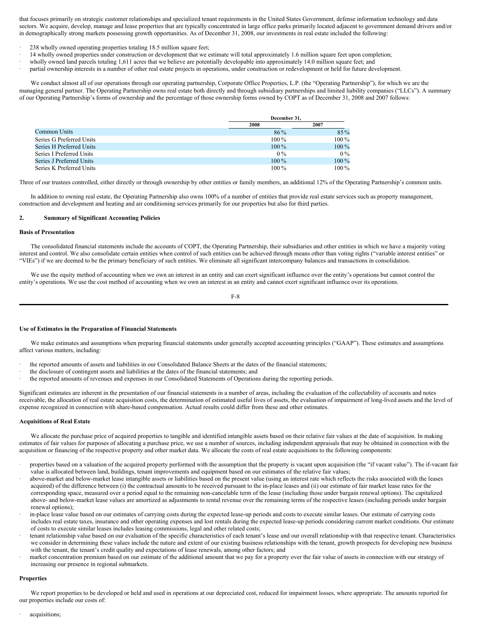that focuses primarily on strategic customer relationships and specialized tenant requirements in the United States Government, defense information technology and data sectors. We acquire, develop, manage and lease properties that are typically concentrated in large office parks primarily located adjacent to government demand drivers and/or in demographically strong markets possessing growth opportunities. As of December 31, 2008, our investments in real estate included the following:

- 238 wholly owned operating properties totaling 18.5 million square feet;
- · 14 wholly owned properties under construction or development that we estimate will total approximately 1.6 million square feet upon completion;
- wholly owned land parcels totaling 1,611 acres that we believe are potentially developable into approximately 14.0 million square feet; and
- partial ownership interests in a number of other real estate projects in operations, under construction or redevelopment or held for future development.

We conduct almost all of our operations through our operating partnership, Corporate Office Properties, L.P. (the "Operating Partnership"), for which we are the managing general partner. The Operating Partnership owns real estate both directly and through subsidiary partnerships and limited liability companies ("LLCs"). A summary of our Operating Partnership's forms of ownership and the percentage of those ownership forms owned by COPT as of December 31, 2008 and 2007 follows:

|                          |         | December 31. |  |  |  |  |
|--------------------------|---------|--------------|--|--|--|--|
|                          | 2008    | 2007         |  |  |  |  |
| Common Units             | $86\%$  | $85\%$       |  |  |  |  |
| Series G Preferred Units | $100\%$ | $100\%$      |  |  |  |  |
| Series H Preferred Units | $100\%$ | $100\%$      |  |  |  |  |
| Series I Preferred Units | $0\%$   | $0\%$        |  |  |  |  |
| Series J Preferred Units | $100\%$ | $100\%$      |  |  |  |  |
| Series K Preferred Units | $100\%$ | $100\%$      |  |  |  |  |

Three of our trustees controlled, either directly or through ownership by other entities or family members, an additional 12% of the Operating Partnership's common units.

In addition to owning real estate, the Operating Partnership also owns 100% of a number of entities that provide real estate services such as property management, construction and development and heating and air conditioning services primarily for our properties but also for third parties.

### **2. Summary of Significant Accounting Policies**

#### **Basis of Presentation**

The consolidated financial statements include the accounts of COPT, the Operating Partnership, their subsidiaries and other entities in which we have a majority voting interest and control. We also consolidate certain entities when control of such entities can be achieved through means other than voting rights ("variable interest entities" or "VIEs") if we are deemed to be the primary beneficiary of such entities. We eliminate all significant intercompany balances and transactions in consolidation.

We use the equity method of accounting when we own an interest in an entity and can exert significant influence over the entity's operations but cannot control the entity's operations. We use the cost method of accounting when we own an interest in an entity and cannot exert significant influence over its operations.

F-8

#### **Use of Estimates in the Preparation of Financial Statements**

We make estimates and assumptions when preparing financial statements under generally accepted accounting principles ("GAAP"). These estimates and assumptions affect various matters, including:

- · the reported amounts of assets and liabilities in our Consolidated Balance Sheets at the dates of the financial statements;
- the disclosure of contingent assets and liabilities at the dates of the financial statements; and
- the reported amounts of revenues and expenses in our Consolidated Statements of Operations during the reporting periods.

Significant estimates are inherent in the presentation of our financial statements in a number of areas, including the evaluation of the collectability of accounts and notes receivable, the allocation of real estate acquisition costs, the determination of estimated useful lives of assets, the evaluation of impairment of long-lived assets and the level of expense recognized in connection with share-based compensation. Actual results could differ from these and other estimates.

#### **Acquisitions of Real Estate**

We allocate the purchase price of acquired properties to tangible and identified intangible assets based on their relative fair values at the date of acquisition. In making estimates of fair values for purposes of allocating a purchase price, we use a number of sources, including independent appraisals that may be obtained in connection with the acquisition or financing of the respective property and other market data. We allocate the costs of real estate acquisitions to the following components:

- · properties based on a valuation of the acquired property performed with the assumption that the property is vacant upon acquisition (the "if vacant value"). The if-vacant fair value is allocated between land, buildings, tenant improvements and equipment based on our estimates of the relative fair values;
- above-market and below-market lease intangible assets or liabilities based on the present value (using an interest rate which reflects the risks associated with the leases acquired) of the difference between (i) the contractual amounts to be received pursuant to the in-place leases and (ii) our estimate of fair market lease rates for the corresponding space, measured over a period equal to the remaining non-cancelable term of the lease (including those under bargain renewal options). The capitalized above- and below-market lease values are amortized as adjustments to rental revenue over the remaining terms of the respective leases (including periods under bargain renewal options);
- · in-place lease value based on our estimates of carrying costs during the expected lease-up periods and costs to execute similar leases. Our estimate of carrying costs includes real estate taxes, insurance and other operating expenses and lost rentals during the expected lease-up periods considering current market conditions. Our estimate of costs to execute similar leases includes leasing commissions, legal and other related costs;
- tenant relationship value based on our evaluation of the specific characteristics of each tenant's lease and our overall relationship with that respective tenant. Characteristics we consider in determining these values include the nature and extent of our existing business relationships with the tenant, growth prospects for developing new business with the tenant, the tenant's credit quality and expectations of lease renewals, among other factors; and
- market concentration premium based on our estimate of the additional amount that we pay for a property over the fair value of assets in connection with our strategy of increasing our presence in regional submarkets.

#### **Properties**

We report properties to be developed or held and used in operations at our depreciated cost, reduced for impairment losses, where appropriate. The amounts reported for our properties include our costs of: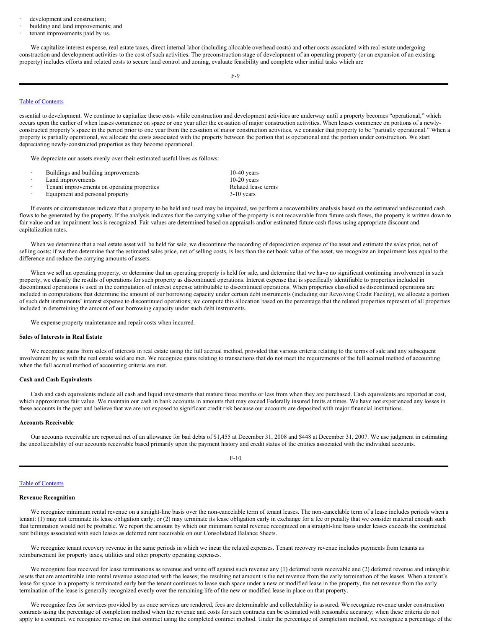- development and construction;
- building and land improvements; and
- tenant improvements paid by us.

We capitalize interest expense, real estate taxes, direct internal labor (including allocable overhead costs) and other costs associated with real estate undergoing construction and development activities to the cost of such activities. The preconstruction stage of development of an operating property (or an expansion of an existing property) includes efforts and related costs to secure land control and zoning, evaluate feasibility and complete other initial tasks which are

F-9

#### Table of [Contents](#page-1-0)

essential to development. We continue to capitalize these costs while construction and development activities are underway until a property becomes "operational," which occurs upon the earlier of when leases commence on space or one year after the cessation of major construction activities. When leases commence on portions of a newlyconstructed property's space in the period prior to one year from the cessation of major construction activities, we consider that property to be "partially operational." When a property is partially operational, we allocate the costs associated with the property between the portion that is operational and the portion under construction. We start depreciating newly-constructed properties as they become operational.

We depreciate our assets evenly over their estimated useful lives as follows:

Buildings and building improvements 10-40 years Land improvements<br>
Tenant improvements on operating properties<br>
Related lease terms<br>
Related lease terms Tenant improvements on operating properties Equipment and personal property 3-10 years

If events or circumstances indicate that a property to be held and used may be impaired, we perform a recoverability analysis based on the estimated undiscounted cash flows to be generated by the property. If the analysis indicates that the carrying value of the property is not recoverable from future cash flows, the property is written down to fair value and an impairment loss is recognized. Fair values are determined based on appraisals and/or estimated future cash flows using appropriate discount and capitalization rates.

When we determine that a real estate asset will be held for sale, we discontinue the recording of depreciation expense of the asset and estimate the sales price, net of selling costs; if we then determine that the estimated sales price, net of selling costs, is less than the net book value of the asset, we recognize an impairment loss equal to the difference and reduce the carrying amounts of assets.

When we sell an operating property, or determine that an operating property is held for sale, and determine that we have no significant continuing involvement in such property, we classify the results of operations for such property as discontinued operations. Interest expense that is specifically identifiable to properties included in discontinued operations is used in the computation of interest expense attributable to discontinued operations. When properties classified as discontinued operations are included in computations that determine the amount of our borrowing capacity under certain debt instruments (including our Revolving Credit Facility), we allocate a portion of such debt instruments' interest expense to discontinued operations; we compute this allocation based on the percentage that the related properties represent of all properties included in determining the amount of our borrowing capacity under such debt instruments.

We expense property maintenance and repair costs when incurred.

#### **Sales of Interests in Real Estate**

We recognize gains from sales of interests in real estate using the full accrual method, provided that various criteria relating to the terms of sale and any subsequent involvement by us with the real estate sold are met. We recognize gains relating to transactions that do not meet the requirements of the full accrual method of accounting when the full accrual method of accounting criteria are met.

#### **Cash and Cash Equivalents**

Cash and cash equivalents include all cash and liquid investments that mature three months or less from when they are purchased. Cash equivalents are reported at cost, which approximates fair value. We maintain our cash in bank accounts in amounts that may exceed Federally insured limits at times. We have not experienced any losses in these accounts in the past and believe that we are not exposed to significant credit risk because our accounts are deposited with major financial institutions.

### **Accounts Receivable**

Our accounts receivable are reported net of an allowance for bad debts of \$1,455 at December 31, 2008 and \$448 at December 31, 2007. We use judgment in estimating the uncollectability of our accounts receivable based primarily upon the payment history and credit status of the entities associated with the individual accounts.

### F-10

### Table of [Contents](#page-1-0)

#### **Revenue Recognition**

We recognize minimum rental revenue on a straight-line basis over the non-cancelable term of tenant leases. The non-cancelable term of a lease includes periods when a tenant: (1) may not terminate its lease obligation early; or (2) may terminate its lease obligation early in exchange for a fee or penalty that we consider material enough such that termination would not be probable. We report the amount by which our minimum rental revenue recognized on a straight-line basis under leases exceeds the contractual rent billings associated with such leases as deferred rent receivable on our Consolidated Balance Sheets.

We recognize tenant recovery revenue in the same periods in which we incur the related expenses. Tenant recovery revenue includes payments from tenants as reimbursement for property taxes, utilities and other property operating expenses.

We recognize fees received for lease terminations as revenue and write off against such revenue any (1) deferred rents receivable and (2) deferred revenue and intangible assets that are amortizable into rental revenue associated with the leases; the resulting net amount is the net revenue from the early termination of the leases. When a tenant's lease for space in a property is terminated early but the tenant continues to lease such space under a new or modified lease in the property, the net revenue from the early termination of the lease is generally recognized evenly over the remaining life of the new or modified lease in place on that property.

We recognize fees for services provided by us once services are rendered, fees are determinable and collectability is assured. We recognize revenue under construction contracts using the percentage of completion method when the revenue and costs for such contracts can be estimated with reasonable accuracy; when these criteria do not apply to a contract, we recognize revenue on that contract using the completed contract method. Under the percentage of completion method, we recognize a percentage of the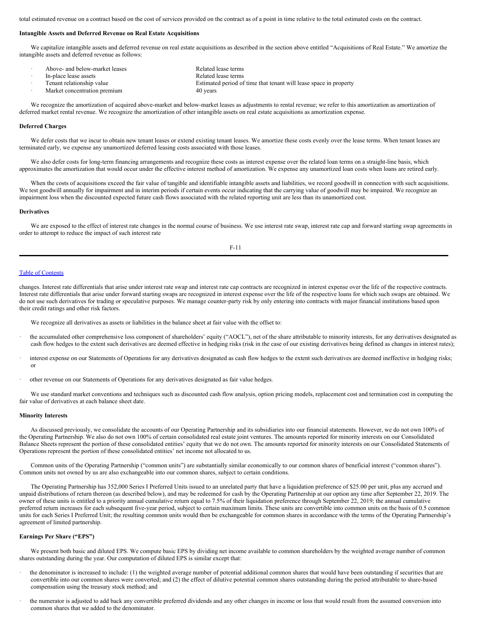total estimated revenue on a contract based on the cost of services provided on the contract as of a point in time relative to the total estimated costs on the contract.

# **Intangible Assets and Deferred Revenue on Real Estate Acquisitions**

We capitalize intangible assets and deferred revenue on real estate acquisitions as described in the section above entitled "Acquisitions of Real Estate." We amortize the intangible assets and deferred revenue as follows:

| Above- and below-market leases | Related lease terms                                               |
|--------------------------------|-------------------------------------------------------------------|
| In-place lease assets          | Related lease terms                                               |
| Tenant relationship value      | Estimated period of time that tenant will lease space in property |
| Market concentration premium   | 40 years                                                          |

We recognize the amortization of acquired above-market and below-market leases as adjustments to rental revenue; we refer to this amortization as amortization of deferred market rental revenue. We recognize the amortization of other intangible assets on real estate acquisitions as amortization expense.

#### **Deferred Charges**

We defer costs that we incur to obtain new tenant leases or extend existing tenant leases. We amortize these costs evenly over the lease terms. When tenant leases are terminated early, we expense any unamortized deferred leasing costs associated with those leases.

We also defer costs for long-term financing arrangements and recognize these costs as interest expense over the related loan terms on a straight-line basis, which approximates the amortization that would occur under the effective interest method of amortization. We expense any unamortized loan costs when loans are retired early.

When the costs of acquisitions exceed the fair value of tangible and identifiable intangible assets and liabilities, we record goodwill in connection with such acquisitions. We test goodwill annually for impairment and in interim periods if certain events occur indicating that the carrying value of goodwill may be impaired. We recognize an impairment loss when the discounted expected future cash flows associated with the related reporting unit are less than its unamortized cost.

#### **Derivatives**

We are exposed to the effect of interest rate changes in the normal course of business. We use interest rate swap, interest rate cap and forward starting swap agreements in order to attempt to reduce the impact of such interest rate

| _ |  |
|---|--|

#### Table of [Contents](#page-1-0)

changes. Interest rate differentials that arise under interest rate swap and interest rate cap contracts are recognized in interest expense over the life of the respective contracts. Interest rate differentials that arise under forward starting swaps are recognized in interest expense over the life of the respective loans for which such swaps are obtained. We do not use such derivatives for trading or speculative purposes. We manage counter-party risk by only entering into contracts with major financial institutions based upon their credit ratings and other risk factors.

We recognize all derivatives as assets or liabilities in the balance sheet at fair value with the offset to:

- the accumulated other comprehensive loss component of shareholders' equity ("AOCL"), net of the share attributable to minority interests, for any derivatives designated as cash flow hedges to the extent such derivatives are deemed effective in hedging risks (risk in the case of our existing derivatives being defined as changes in interest rates);
- · interest expense on our Statements of Operations for any derivatives designated as cash flow hedges to the extent such derivatives are deemed ineffective in hedging risks; or
- other revenue on our Statements of Operations for any derivatives designated as fair value hedges.

We use standard market conventions and techniques such as discounted cash flow analysis, option pricing models, replacement cost and termination cost in computing the fair value of derivatives at each balance sheet date.

#### **Minority Interests**

As discussed previously, we consolidate the accounts of our Operating Partnership and its subsidiaries into our financial statements. However, we do not own 100% of the Operating Partnership. We also do not own 100% of certain consolidated real estate joint ventures. The amounts reported for minority interests on our Consolidated Balance Sheets represent the portion of these consolidated entities' equity that we do not own. The amounts reported for minority interests on our Consolidated Statements of Operations represent the portion of these consolidated entities' net income not allocated to us.

Common units of the Operating Partnership ("common units") are substantially similar economically to our common shares of beneficial interest ("common shares"). Common units not owned by us are also exchangeable into our common shares, subject to certain conditions.

The Operating Partnership has 352,000 Series I Preferred Units issued to an unrelated party that have a liquidation preference of \$25.00 per unit, plus any accrued and unpaid distributions of return thereon (as described below), and may be redeemed for cash by the Operating Partnership at our option any time after September 22, 2019. The owner of these units is entitled to a priority annual cumulative return equal to 7.5% of their liquidation preference through September 22, 2019; the annual cumulative preferred return increases for each subsequent five-year period, subject to certain maximum limits. These units are convertible into common units on the basis of 0.5 common units for each Series I Preferred Unit; the resulting common units would then be exchangeable for common shares in accordance with the terms of the Operating Partnership's agreement of limited partnership.

#### **Earnings Per Share ("EPS")**

We present both basic and diluted EPS. We compute basic EPS by dividing net income available to common shareholders by the weighted average number of common shares outstanding during the year. Our computation of diluted EPS is similar except that:

- the denominator is increased to include: (1) the weighted average number of potential additional common shares that would have been outstanding if securities that are convertible into our common shares were converted; and (2) the effect of dilutive potential common shares outstanding during the period attributable to share-based compensation using the treasury stock method; and
- the numerator is adjusted to add back any convertible preferred dividends and any other changes in income or loss that would result from the assumed conversion into common shares that we added to the denominator.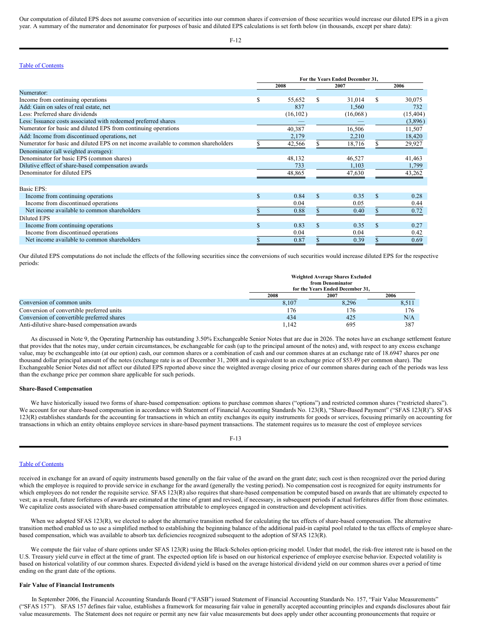Our computation of diluted EPS does not assume conversion of securities into our common shares if conversion of those securities would increase our diluted EPS in a given year. A summary of the numerator and denominator for purposes of basic and diluted EPS calculations is set forth below (in thousands, except per share data):

F-12

#### Table of [Contents](#page-1-0)

|                                                                                    | For the Years Ended December 31, |           |              |          |    |           |
|------------------------------------------------------------------------------------|----------------------------------|-----------|--------------|----------|----|-----------|
|                                                                                    |                                  | 2008      | 2007         |          |    | 2006      |
| Numerator:                                                                         |                                  |           |              |          |    |           |
| Income from continuing operations                                                  | S                                | 55,652    | \$.          | 31,014   | \$ | 30,075    |
| Add: Gain on sales of real estate, net                                             |                                  | 837       |              | 1,560    |    | 732       |
| Less: Preferred share dividends                                                    |                                  | (16, 102) |              | (16,068) |    | (15, 404) |
| Less: Issuance costs associated with redeemed preferred shares                     |                                  |           |              |          |    | (3,896)   |
| Numerator for basic and diluted EPS from continuing operations                     |                                  | 40,387    |              | 16,506   |    | 11,507    |
| Add: Income from discontinued operations, net                                      |                                  | 2,179     |              | 2,210    |    | 18,420    |
| Numerator for basic and diluted EPS on net income available to common shareholders |                                  | 42,566    |              | 18,716   |    | 29,927    |
| Denominator (all weighted averages):                                               |                                  |           |              |          |    |           |
| Denominator for basic EPS (common shares)                                          |                                  | 48,132    |              | 46,527   |    | 41,463    |
| Dilutive effect of share-based compensation awards                                 |                                  | 733       |              | 1,103    |    | 1,799     |
| Denominator for diluted EPS                                                        |                                  | 48,865    |              | 47,630   |    | 43,262    |
|                                                                                    |                                  |           |              |          |    |           |
| Basic EPS:                                                                         |                                  |           |              |          |    |           |
| Income from continuing operations                                                  | \$.                              | 0.84      | S            | 0.35     | \$ | 0.28      |
| Income from discontinued operations                                                |                                  | 0.04      |              | 0.05     |    | 0.44      |
| Net income available to common shareholders                                        |                                  | 0.88      |              | 0.40     | \$ | 0.72      |
| <b>Diluted EPS</b>                                                                 |                                  |           |              |          |    |           |
| Income from continuing operations                                                  | $\mathcal{S}$                    | 0.83      | $\mathbf{s}$ | 0.35     | \$ | 0.27      |
| Income from discontinued operations                                                |                                  | 0.04      |              | 0.04     |    | 0.42      |
| Net income available to common shareholders                                        | S                                | 0.87      | \$           | 0.39     | \$ | 0.69      |

Our diluted EPS computations do not include the effects of the following securities since the conversions of such securities would increase diluted EPS for the respective periods:

|                                               |       | Weighted Average Shares Excluded<br>from Denominator<br>for the Years Ended December 31. |       |
|-----------------------------------------------|-------|------------------------------------------------------------------------------------------|-------|
|                                               | 2008  | 2007                                                                                     | 2006  |
| Conversion of common units                    | 8,107 | 8.296                                                                                    | 8,511 |
| Conversion of convertible preferred units     | 176   | 176                                                                                      | 176   |
| Conversion of convertible preferred shares    | 434   | 425                                                                                      | N/A   |
| Anti-dilutive share-based compensation awards | .142  | 695                                                                                      | 387   |

As discussed in Note 9, the Operating Partnership has outstanding 3.50% Exchangeable Senior Notes that are due in 2026. The notes have an exchange settlement feature that provides that the notes may, under certain circumstances, be exchangeable for cash (up to the principal amount of the notes) and, with respect to any excess exchange value, may be exchangeable into (at our option) cash, our common shares or a combination of cash and our common shares at an exchange rate of 18.6947 shares per one thousand dollar principal amount of the notes (exchange rate is as of December 31, 2008 and is equivalent to an exchange price of \$53.49 per common share). The Exchangeable Senior Notes did not affect our diluted EPS reported above since the weighted average closing price of our common shares during each of the periods was less than the exchange price per common share applicable for such periods.

#### **Share-Based Compensation**

We have historically issued two forms of share-based compensation: options to purchase common shares ("options") and restricted common shares ("restricted shares"). We account for our share-based compensation in accordance with Statement of Financial Accounting Standards No. 123(R), "Share-Based Payment" ("SFAS 123(R)"). SFAS 123(R) establishes standards for the accounting for transactions in which an entity exchanges its equity instruments for goods or services, focusing primarily on accounting for transactions in which an entity obtains employee services in share-based payment transactions. The statement requires us to measure the cost of employee services

#### F-13

#### Table of [Contents](#page-1-0)

received in exchange for an award of equity instruments based generally on the fair value of the award on the grant date; such cost is then recognized over the period during which the employee is required to provide service in exchange for the award (generally the vesting period). No compensation cost is recognized for equity instruments for which employees do not render the requisite service. SFAS 123(R) also requires that share-based compensation be computed based on awards that are ultimately expected to vest; as a result, future forfeitures of awards are estimated at the time of grant and revised, if necessary, in subsequent periods if actual forfeitures differ from those estimates. We capitalize costs associated with share-based compensation attributable to employees engaged in construction and development activities.

When we adopted SFAS 123(R), we elected to adopt the alternative transition method for calculating the tax effects of share-based compensation. The alternative transition method enabled us to use a simplified method to establishing the beginning balance of the additional paid-in capital pool related to the tax effects of employee sharebased compensation, which was available to absorb tax deficiencies recognized subsequent to the adoption of SFAS 123(R).

We compute the fair value of share options under SFAS 123(R) using the Black-Scholes option-pricing model. Under that model, the risk-free interest rate is based on the U.S. Treasury yield curve in effect at the time of grant. The expected option life is based on our historical experience of employee exercise behavior. Expected volatility is based on historical volatility of our common shares. Expected dividend yield is based on the average historical dividend yield on our common shares over a period of time ending on the grant date of the options.

#### **Fair Value of Financial Instruments**

In September 2006, the Financial Accounting Standards Board ("FASB") issued Statement of Financial Accounting Standards No. 157, "Fair Value Measurements" ("SFAS 157"). SFAS 157 defines fair value, establishes a framework for measuring fair value in generally accepted accounting principles and expands disclosures about fair value measurements. The Statement does not require or permit any new fair value measurements but does apply under other accounting pronouncements that require or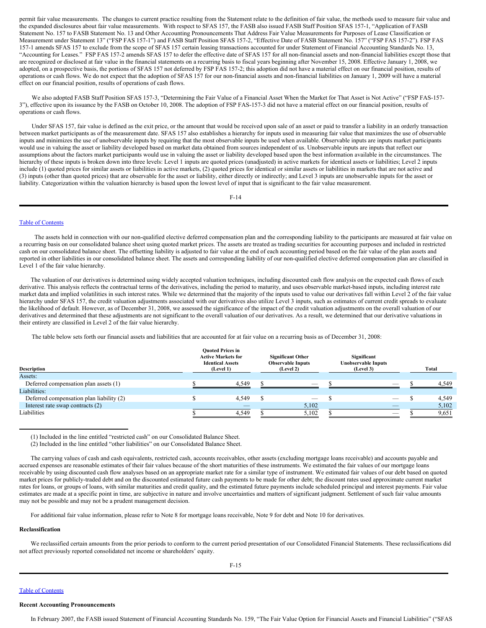permit fair value measurements. The changes to current practice resulting from the Statement relate to the definition of fair value, the methods used to measure fair value and the expanded disclosures about fair value measurements. With respect to SFAS 157, the FASB also issued FASB Staff Position SFAS 157-1, "Application of FASB Statement No. 157 to FASB Statement No. 13 and Other Accounting Pronouncements That Address Fair Value Measurements for Purposes of Lease Classification or Measurement under Statement 13" ("FSP FAS 157-1") and FASB Staff Position SFAS 157-2, "Effective Date of FASB Statement No. 157" ("FSP FAS 157-2"). FSP FAS 157-1 amends SFAS 157 to exclude from the scope of SFAS 157 certain leasing transactions accounted for under Statement of Financial Accounting Standards No. 13, "Accounting for Leases." FSP FAS 157-2 amends SFAS 157 to defer the effective date of SFAS 157 for all non-financial assets and non-financial liabilities except those that are recognized or disclosed at fair value in the financial statements on a recurring basis to fiscal years beginning after November 15, 2008. Effective January 1, 2008, we adopted, on a prospective basis, the portions of SFAS 157 not deferred by FSP FAS 157-2; this adoption did not have a material effect on our financial position, results of operations or cash flows. We do not expect that the adoption of SFAS 157 for our non-financial assets and non-financial liabilities on January 1, 2009 will have a material effect on our financial position, results of operations of cash flows.

We also adopted FASB Staff Position SFAS 157-3, "Determining the Fair Value of a Financial Asset When the Market for That Asset is Not Active" ("FSP FAS-157- 3"), effective upon its issuance by the FASB on October 10, 2008. The adoption of FSP FAS-157-3 did not have a material effect on our financial position, results of operations or cash flows.

Under SFAS 157, fair value is defined as the exit price, or the amount that would be received upon sale of an asset or paid to transfer a liability in an orderly transaction between market participants as of the measurement date. SFAS 157 also establishes a hierarchy for inputs used in measuring fair value that maximizes the use of observable inputs and minimizes the use of unobservable inputs by requiring that the most observable inputs be used when available. Observable inputs are inputs market participants would use in valuing the asset or liability developed based on market data obtained from sources independent of us. Unobservable inputs are inputs that reflect our assumptions about the factors market participants would use in valuing the asset or liability developed based upon the best information available in the circumstances. The hierarchy of these inputs is broken down into three levels: Level 1 inputs are quoted prices (unadjusted) in active markets for identical assets or liabilities; Level 2 inputs include (1) quoted prices for similar assets or liabilities in active markets, (2) quoted prices for identical or similar assets or liabilities in markets that are not active and (3) inputs (other than quoted prices) that are observable for the asset or liability, either directly or indirectly; and Level 3 inputs are unobservable inputs for the asset or liability. Categorization within the valuation hierarchy is based upon the lowest level of input that is significant to the fair value measurement.

F-14

#### Table of [Contents](#page-1-0)

The assets held in connection with our non-qualified elective deferred compensation plan and the corresponding liability to the participants are measured at fair value on a recurring basis on our consolidated balance sheet using quoted market prices. The assets are treated as trading securities for accounting purposes and included in restricted cash on our consolidated balance sheet. The offsetting liability is adjusted to fair value at the end of each accounting period based on the fair value of the plan assets and reported in other liabilities in our consolidated balance sheet. The assets and corresponding liability of our non-qualified elective deferred compensation plan are classified in Level 1 of the fair value hierarchy.

The valuation of our derivatives is determined using widely accepted valuation techniques, including discounted cash flow analysis on the expected cash flows of each derivative. This analysis reflects the contractual terms of the derivatives, including the period to maturity, and uses observable market-based inputs, including interest rate market data and implied volatilities in such interest rates. While we determined that the majority of the inputs used to value our derivatives fall within Level 2 of the fair value hierarchy under SFAS 157, the credit valuation adjustments associated with our derivatives also utilize Level 3 inputs, such as estimates of current credit spreads to evaluate the likelihood of default. However, as of December 31, 2008, we assessed the significance of the impact of the credit valuation adjustments on the overall valuation of our derivatives and determined that these adjustments are not significant to the overall valuation of our derivatives. As a result, we determined that our derivative valuations in their entirety are classified in Level 2 of the fair value hierarchy.

The table below sets forth our financial assets and liabilities that are accounted for at fair value on a recurring basis as of December 31, 2008:

|                                          | <b>Ouoted Prices in</b><br><b>Active Markets for</b><br><b>Identical Assets</b> | <b>Significant Other</b><br><b>Observable Inputs</b> | Significant<br><b>Unobservable Inputs</b> |       |
|------------------------------------------|---------------------------------------------------------------------------------|------------------------------------------------------|-------------------------------------------|-------|
| Description                              | (Level 1)                                                                       | (Level 2)                                            | (Level 3)                                 | Total |
| Assets:                                  |                                                                                 |                                                      |                                           |       |
| Deferred compensation plan assets (1)    | 4.549                                                                           | $\overline{\phantom{a}}$                             | _                                         | 4.549 |
| Liabilities:                             |                                                                                 |                                                      |                                           |       |
| Deferred compensation plan liability (2) | 4,549                                                                           | _                                                    | __                                        | 4,549 |
| Interest rate swap contracts (2)         | _                                                                               | 5,102                                                | _                                         | 5,102 |
| Liabilities                              | 4.549                                                                           | 5.102                                                | _                                         | 9,651 |

(1) Included in the line entitled "restricted cash" on our Consolidated Balance Sheet.

(2) Included in the line entitled "other liabilities" on our Consolidated Balance Sheet.

For additional fair value information, please refer to Note 8 for mortgage loans receivable, Note 9 for debt and Note 10 for derivatives.

#### **Reclassification**

We reclassified certain amounts from the prior periods to conform to the current period presentation of our Consolidated Financial Statements. These reclassifications did not affect previously reported consolidated net income or shareholders' equity.

#### Table of [Contents](#page-1-0)

# **Recent Accounting Pronouncements**

In February 2007, the FASB issued Statement of Financial Accounting Standards No. 159, "The Fair Value Option for Financial Assets and Financial Liabilities" ("SFAS

The carrying values of cash and cash equivalents, restricted cash, accounts receivables, other assets (excluding mortgage loans receivable) and accounts payable and accrued expenses are reasonable estimates of their fair values because of the short maturities of these instruments. We estimated the fair values of our mortgage loans receivable by using discounted cash flow analyses based on an appropriate market rate for a similar type of instrument. We estimated fair values of our debt based on quoted market prices for publicly-traded debt and on the discounted estimated future cash payments to be made for other debt; the discount rates used approximate current market rates for loans, or groups of loans, with similar maturities and credit quality, and the estimated future payments include scheduled principal and interest payments. Fair value estimates are made at a specific point in time, are subjective in nature and involve uncertainties and matters of significant judgment. Settlement of such fair value amounts may not be possible and may not be a prudent management decision.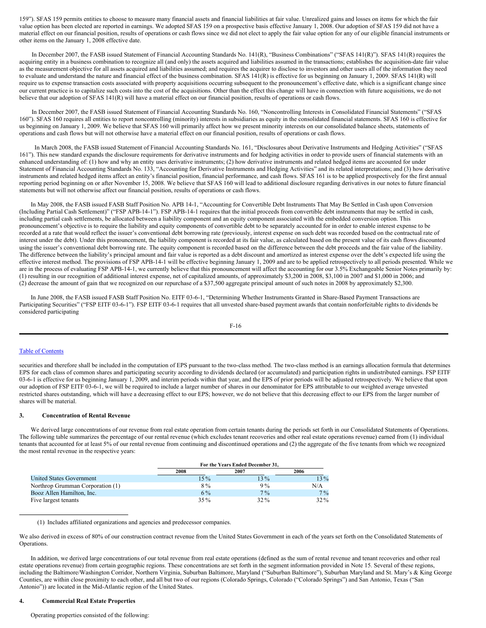159"). SFAS 159 permits entities to choose to measure many financial assets and financial liabilities at fair value. Unrealized gains and losses on items for which the fair value option has been elected are reported in earnings. We adopted SFAS 159 on a prospective basis effective January 1, 2008. Our adoption of SFAS 159 did not have a material effect on our financial position, results of operations or cash flows since we did not elect to apply the fair value option for any of our eligible financial instruments or other items on the January 1, 2008 effective date.

In December 2007, the FASB issued Statement of Financial Accounting Standards No. 141(R), "Business Combinations" ("SFAS 141(R)"). SFAS 141(R) requires the acquiring entity in a business combination to recognize all (and only) the assets acquired and liabilities assumed in the transactions; establishes the acquisition-date fair value as the measurement objective for all assets acquired and liabilities assumed; and requires the acquirer to disclose to investors and other users all of the information they need to evaluate and understand the nature and financial effect of the business combination. SFAS 141(R) is effective for us beginning on January 1, 2009. SFAS 141(R) will require us to expense transaction costs associated with property acquisitions occurring subsequent to the pronouncement's effective date, which is a significant change since our current practice is to capitalize such costs into the cost of the acquisitions. Other than the effect this change will have in connection with future acquisitions, we do not believe that our adoption of SFAS 141(R) will have a material effect on our financial position, results of operations or cash flows.

In December 2007, the FASB issued Statement of Financial Accounting Standards No. 160, "Noncontrolling Interests in Consolidated Financial Statements" ("SFAS 160"). SFAS 160 requires all entities to report noncontrolling (minority) interests in subsidiaries as equity in the consolidated financial statements. SFAS 160 is effective for us beginning on January 1, 2009. We believe that SFAS 160 will primarily affect how we present minority interests on our consolidated balance sheets, statements of operations and cash flows but will not otherwise have a material effect on our financial position, results of operations or cash flows.

In March 2008, the FASB issued Statement of Financial Accounting Standards No. 161, "Disclosures about Derivative Instruments and Hedging Activities" ("SFAS 161"). This new standard expands the disclosure requirements for derivative instruments and for hedging activities in order to provide users of financial statements with an enhanced understanding of: (1) how and why an entity uses derivative instruments; (2) how derivative instruments and related hedged items are accounted for under Statement of Financial Accounting Standards No. 133, "Accounting for Derivative Instruments and Hedging Activities" and its related interpretations; and (3) how derivative instruments and related hedged items affect an entity's financial position, financial performance, and cash flows. SFAS 161 is to be applied prospectively for the first annual reporting period beginning on or after November 15, 2008. We believe that SFAS 160 will lead to additional disclosure regarding derivatives in our notes to future financial statements but will not otherwise affect our financial position, results of operations or cash flows.

In May 2008, the FASB issued FASB Staff Position No. APB 14-1, "Accounting for Convertible Debt Instruments That May Be Settled in Cash upon Conversion (Including Partial Cash Settlement)" ("FSP APB-14-1"). FSP APB-14-1 requires that the initial proceeds from convertible debt instruments that may be settled in cash, including partial cash settlements, be allocated between a liability component and an equity component associated with the embedded conversion option. This pronouncement's objective is to require the liability and equity components of convertible debt to be separately accounted for in order to enable interest expense to be recorded at a rate that would reflect the issuer's conventional debt borrowing rate (previously, interest expense on such debt was recorded based on the contractual rate of interest under the debt). Under this pronouncement, the liability component is recorded at its fair value, as calculated based on the present value of its cash flows discounted using the issuer's conventional debt borrowing rate. The equity component is recorded based on the difference between the debt proceeds and the fair value of the liability. The difference between the liability's principal amount and fair value is reported as a debt discount and amortized as interest expense over the debt's expected life using the effective interest method. The provisions of FSP APB-14-1 will be effective beginning January 1, 2009 and are to be applied retrospectively to all periods presented. While we are in the process of evaluating FSP APB-14-1, we currently believe that this pronouncement will affect the accounting for our 3.5% Exchangeable Senior Notes primarily by: (1) resulting in our recognition of additional interest expense, net of capitalized amounts, of approximately \$3,200 in 2008, \$3,100 in 2007 and \$1,000 in 2006; and (2) decrease the amount of gain that we recognized on our repurchase of a \$37,500 aggregate principal amount of such notes in 2008 by approximately \$2,300.

In June 2008, the FASB issued FASB Staff Position No. EITF 03-6-1, "Determining Whether Instruments Granted in Share-Based Payment Transactions are Participating Securities" ("FSP EITF 03-6-1"). FSP EITF 03-6-1 requires that all unvested share-based payment awards that contain nonforfeitable rights to dividends be considered participating

$$
F-16
$$

### Table of [Contents](#page-1-0)

securities and therefore shall be included in the computation of EPS pursuant to the two-class method. The two-class method is an earnings allocation formula that determines EPS for each class of common shares and participating security according to dividends declared (or accumulated) and participation rights in undistributed earnings. FSP EITF 03-6-1 is effective for us beginning January 1, 2009, and interim periods within that year, and the EPS of prior periods will be adjusted retrospectively. We believe that upon our adoption of FSP EITF 03-6-1, we will be required to include a larger number of shares in our denominator for EPS attributable to our weighted average unvested restricted shares outstanding, which will have a decreasing effect to our EPS; however, we do not believe that this decreasing effect to our EPS from the larger number of shares will be material.

### **3. Concentration of Rental Revenue**

We derived large concentrations of our revenue from real estate operation from certain tenants during the periods set forth in our Consolidated Statements of Operations. The following table summarizes the percentage of our rental revenue (which excludes tenant recoveries and other real estate operations revenue) earned from (1) individual tenants that accounted for at least 5% of our rental revenue from continuing and discontinued operations and (2) the aggregate of the five tenants from which we recognized the most rental revenue in the respective years:

|                                  |        | For the Years Ended December 31, |        |
|----------------------------------|--------|----------------------------------|--------|
|                                  | 2008   | 2007                             | 2006   |
| <b>United States Government</b>  | $15\%$ | $13\%$                           | $13\%$ |
| Northrop Grumman Corporation (1) | $8\%$  | 9%                               | N/A    |
| Booz Allen Hamilton, Inc.        | $6\%$  | $7\%$                            | $7\%$  |
| Five largest tenants             | $35\%$ | 32 %                             | $32\%$ |

<sup>(1)</sup> Includes affiliated organizations and agencies and predecessor companies.

#### **4. Commercial Real Estate Properties**

We also derived in excess of 80% of our construction contract revenue from the United States Government in each of the years set forth on the Consolidated Statements of Operations.

In addition, we derived large concentrations of our total revenue from real estate operations (defined as the sum of rental revenue and tenant recoveries and other real estate operations revenue) from certain geographic regions. These concentrations are set forth in the segment information provided in Note 15. Several of these regions, including the Baltimore/Washington Corridor, Northern Virginia, Suburban Baltimore, Maryland ("Suburban Baltimore"), Suburban Maryland and St. Mary's & King George Counties, are within close proximity to each other, and all but two of our regions (Colorado Springs, Colorado ("Colorado Springs") and San Antonio, Texas ("San Antonio")) are located in the Mid-Atlantic region of the United States.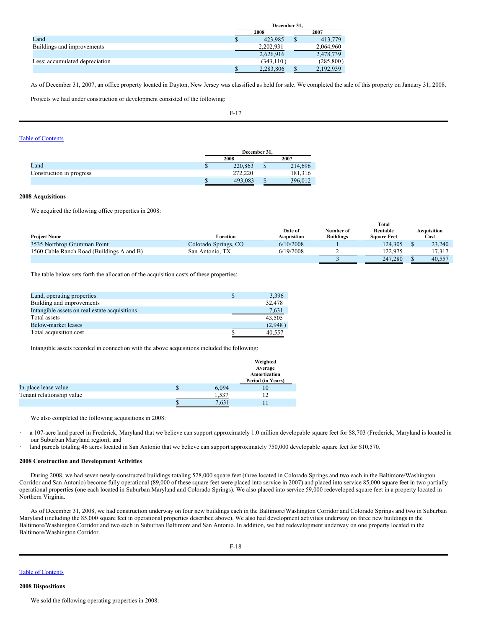|                                |            | December 31. |            |  |  |
|--------------------------------|------------|--------------|------------|--|--|
|                                | 2008       |              | 2007       |  |  |
| Land                           | 423.985    |              | 413,779    |  |  |
| Buildings and improvements     | 2,202,931  |              | 2,064,960  |  |  |
|                                | 2,626,916  |              | 2,478,739  |  |  |
| Less: accumulated depreciation | (343, 110) |              | (285, 800) |  |  |
|                                | 2,283,806  |              | 2,192,939  |  |  |

As of December 31, 2007, an office property located in Dayton, New Jersey was classified as held for sale. We completed the sale of this property on January 31, 2008.

Projects we had under construction or development consisted of the following:

F-17

### Table of [Contents](#page-1-0)

|                          | December 31. |   |         |  |
|--------------------------|--------------|---|---------|--|
|                          | 2008         |   | 2007    |  |
| Land                     | 220,863      | Φ | 214,696 |  |
| Construction in progress | 272,220      |   | 181,316 |  |
|                          | 493.083      |   | 396,012 |  |

# **2008 Acquisitions**

We acquired the following office properties in 2008:

|                                           |                      |                        |                               | <b>Total</b>                   |                     |
|-------------------------------------------|----------------------|------------------------|-------------------------------|--------------------------------|---------------------|
| <b>Project Name</b>                       | Location             | Date of<br>Acquisition | Number of<br><b>Buildings</b> | Rentable<br><b>Square Feet</b> | Acquisition<br>Cost |
| 3535 Northrop Grumman Point               | Colorado Springs, CO | 6/10/2008              |                               | 124.305                        | 23,240              |
| 1560 Cable Ranch Road (Buildings A and B) | San Antonio. TX      | 6/19/2008              |                               | 122.975                        | 17.317              |
|                                           |                      |                        |                               | 247.280                        | 40.557              |

The table below sets forth the allocation of the acquisition costs of these properties:

| Land, operating properties                    | 3,396   |
|-----------------------------------------------|---------|
| Building and improvements                     | 32,478  |
| Intangible assets on real estate acquisitions | 7,631   |
| Total assets                                  | 43.505  |
| Below-market leases                           | (2,948) |
| Total acquisition cost                        | 40.557  |

Intangible assets recorded in connection with the above acquisitions included the following:

|                           |       | Weighted<br>Average<br>Amortization<br>Period (in Years) |
|---------------------------|-------|----------------------------------------------------------|
| In-place lease value      | 6.094 | 10                                                       |
| Tenant relationship value | 1.537 | 12                                                       |
|                           | 7,631 |                                                          |

We also completed the following acquisitions in 2008:

- a 107-acre land parcel in Frederick, Maryland that we believe can support approximately 1.0 million developable square feet for \$8,703 (Frederick, Maryland is located in our Suburban Maryland region); and
- land parcels totaling 46 acres located in San Antonio that we believe can support approximately 750,000 developable square feet for \$10,570.

## **2008 Construction and Development Activities**

During 2008, we had seven newly-constructed buildings totaling 528,000 square feet (three located in Colorado Springs and two each in the Baltimore/Washington Corridor and San Antonio) become fully operational (89,000 of these square feet were placed into service in 2007) and placed into service 85,000 square feet in two partially operational properties (one each located in Suburban Maryland and Colorado Springs). We also placed into service 59,000 redeveloped square feet in a property located in Northern Virginia.

As of December 31, 2008, we had construction underway on four new buildings each in the Baltimore/Washington Corridor and Colorado Springs and two in Suburban Maryland (including the 85,000 square feet in operational properties described above). We also had development activities underway on three new buildings in the Baltimore/Washington Corridor and two each in Suburban Baltimore and San Antonio. In addition, we had redevelopment underway on one property located in the Baltimore/Washington Corridor.

# Table of [Contents](#page-1-0)

**2008 Dispositions**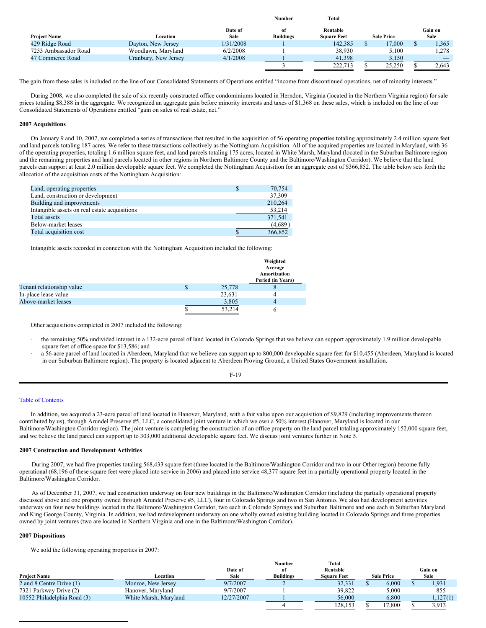|                      |                      |                 | Number                 | Total                          |                   |                 |
|----------------------|----------------------|-----------------|------------------------|--------------------------------|-------------------|-----------------|
| <b>Project Name</b>  | Location             | Date of<br>Sale | of<br><b>Buildings</b> | Rentable<br><b>Square Feet</b> | <b>Sale Price</b> | Gain on<br>Sale |
| 429 Ridge Road       | Dayton, New Jersey   | 1/31/2008       |                        | 142.385                        | 17.000            | 1,365           |
| 7253 Ambassador Road | Woodlawn, Maryland   | 6/2/2008        |                        | 38.930                         | 5.100             | 1.278           |
| 47 Commerce Road     | Cranbury, New Jersey | 4/1/2008        |                        | 41.398                         | 3,150             | _               |
|                      |                      |                 |                        | 222,713                        | 25,250            | 2.643           |

The gain from these sales is included on the line of our Consolidated Statements of Operations entitled "income from discontinued operations, net of minority interests."

During 2008, we also completed the sale of six recently constructed office condominiums located in Herndon, Virginia (located in the Northern Virginia region) for sale prices totaling \$8,388 in the aggregate. We recognized an aggregate gain before minority interests and taxes of \$1,368 on these sales, which is included on the line of our Consolidated Statements of Operations entitled "gain on sales of real estate, net."

### **2007 Acquisitions**

On January 9 and 10, 2007, we completed a series of transactions that resulted in the acquisition of 56 operating properties totaling approximately 2.4 million square feet and land parcels totaling 187 acres. We refer to these transactions collectively as the Nottingham Acquisition. All of the acquired properties are located in Maryland, with 36 of the operating properties, totaling 1.6 million square feet, and land parcels totaling 175 acres, located in White Marsh, Maryland (located in the Suburban Baltimore region and the remaining properties and land parcels located in other regions in Northern Baltimore County and the Baltimore/Washington Corridor). We believe that the land parcels can support at least 2.0 million developable square feet. We completed the Nottingham Acquisition for an aggregate cost of \$366,852. The table below sets forth the allocation of the acquisition costs of the Nottingham Acquisition:

| Land, operating properties                    | 70,754  |
|-----------------------------------------------|---------|
| Land, construction or development             | 37.309  |
| Building and improvements                     | 210,264 |
| Intangible assets on real estate acquisitions | 53,214  |
| Total assets                                  | 371,541 |
| Below-market leases                           | (4,689) |
| Total acquisition cost                        | 366,852 |

Intangible assets recorded in connection with the Nottingham Acquisition included the following:

|                           |   |        | Weighted<br>Average<br>Amortization<br>Period (in Years) |
|---------------------------|---|--------|----------------------------------------------------------|
| Tenant relationship value | S | 25,778 | $\circ$                                                  |
| In-place lease value      |   | 23,631 |                                                          |
| Above-market leases       |   | 3,805  |                                                          |
|                           |   | 53,214 |                                                          |

Other acquisitions completed in 2007 included the following:

- the remaining 50% undivided interest in a 132-acre parcel of land located in Colorado Springs that we believe can support approximately 1.9 million developable square feet of office space for \$13,586; and
- a 56-acre parcel of land located in Aberdeen, Maryland that we believe can support up to 800,000 developable square feet for \$10,455 (Aberdeen, Maryland is located in our Suburban Baltimore region). The property is located adjacent to Aberdeen Proving Ground, a United States Government installation.

F-19

# Table of [Contents](#page-1-0)

In addition, we acquired a 23-acre parcel of land located in Hanover, Maryland, with a fair value upon our acquisition of \$9,829 (including improvements thereon contributed by us), through Arundel Preserve #5, LLC, a consolidated joint venture in which we own a 50% interest (Hanover, Maryland is located in our Baltimore/Washington Corridor region). The joint venture is completing the construction of an office property on the land parcel totaling approximately 152,000 square feet, and we believe the land parcel can support up to 303,000 additional developable square feet. We discuss joint ventures further in Note 5.

### **2007 Construction and Development Activities**

During 2007, we had five properties totaling 568,433 square feet (three located in the Baltimore/Washington Corridor and two in our Other region) become fully operational (68,196 of these square feet were placed into service in 2006) and placed into service 48,377 square feet in a partially operational property located in the Baltimore/Washington Corridor.

As of December 31, 2007, we had construction underway on four new buildings in the Baltimore/Washington Corridor (including the partially operational property discussed above and one property owned through Arundel Preserve #5, LLC), four in Colorado Springs and two in San Antonio. We also had development activities underway on four new buildings located in the Baltimore/Washington Corridor, two each in Colorado Springs and Suburban Baltimore and one each in Suburban Maryland and King George County, Virginia. In addition, we had redevelopment underway on one wholly owned existing building located in Colorado Springs and three properties owned by joint ventures (two are located in Northern Virginia and one in the Baltimore/Washington Corridor).

### **2007 Dispositions**

We sold the following operating properties in 2007:

|                             |                       |            | Number           | Total              |                   |          |
|-----------------------------|-----------------------|------------|------------------|--------------------|-------------------|----------|
|                             |                       | Date of    | оf               | Rentable           |                   | Gain on  |
| <b>Project Name</b>         | Location              | Sale       | <b>Buildings</b> | <b>Square Feet</b> | <b>Sale Price</b> | Sale     |
| 2 and 8 Centre Drive (1)    | Monroe, New Jersey    | 9/7/2007   |                  | 32.331             | 6.000             | 1.931    |
| 7321 Parkway Drive (2)      | Hanover, Marvland     | 9/7/2007   |                  | 39.822             | 5.000             | 855      |
| 10552 Philadelphia Road (3) | White Marsh, Maryland | 12/27/2007 |                  | 56,000             | 6.800             | 1,127(1) |
|                             |                       |            |                  | 128.153            | 7.800             | 3.913    |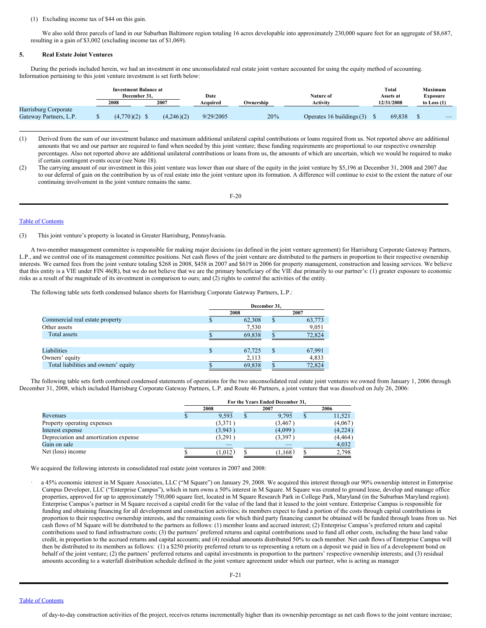#### (1) Excluding income tax of \$44 on this gain.

We also sold three parcels of land in our Suburban Baltimore region totaling 16 acres developable into approximately 230,000 square feet for an aggregate of \$8,687, resulting in a gain of \$3,002 (excluding income tax of \$1,069).

#### **5. Real Estate Joint Ventures**

During the periods included herein, we had an investment in one unconsolidated real estate joint venture accounted for using the equity method of accounting. Information pertaining to this joint venture investment is set forth below:

| <b>Investment Balance at</b><br>December 31.   |            |            | Date      |           | Nature of                     | Total<br>Assets at | Maximum<br>Exposure |  |
|------------------------------------------------|------------|------------|-----------|-----------|-------------------------------|--------------------|---------------------|--|
|                                                | 2008       | 2007       | Acauired  | Ownership | Activitv                      | 12/31/2008         | to Loss $(1)$       |  |
| Harrisburg Corporate<br>Gateway Partners, L.P. | (4,770)(2) | (4,246)(2) | 9/29/2005 | 20%       | Operates $16$ buildings $(3)$ | 69.838             |                     |  |
|                                                |            |            |           |           |                               |                    |                     |  |

(1) Derived from the sum of our investment balance and maximum additional unilateral capital contributions or loans required from us. Not reported above are additional amounts that we and our partner are required to fund when needed by this joint venture; these funding requirements are proportional to our respective ownership percentages. Also not reported above are additional unilateral contributions or loans from us, the amounts of which are uncertain, which we would be required to make if certain contingent events occur (see Note 18).

(2) The carrying amount of our investment in this joint venture was lower than our share of the equity in the joint venture by \$5,196 at December 31, 2008 and 2007 due to our deferral of gain on the contribution by us of real estate into the joint venture upon its formation. A difference will continue to exist to the extent the nature of our continuing involvement in the joint venture remains the same.

$$
F-20
$$

# Table of [Contents](#page-1-0)

(3) This joint venture's property is located in Greater Harrisburg, Pennsylvania.

A two-member management committee is responsible for making major decisions (as defined in the joint venture agreement) for Harrisburg Corporate Gateway Partners, L.P., and we control one of its management committee positions. Net cash flows of the joint venture are distributed to the partners in proportion to their respective ownership interests. We earned fees from the joint venture totaling \$268 in 2008, \$458 in 2007 and \$619 in 2006 for property management, construction and leasing services. We believe that this entity is a VIE under FIN 46(R), but we do not believe that we are the primary beneficiary of the VIE due primarily to our partner's: (1) greater exposure to economic risks as a result of the magnitude of its investment in comparison to ours; and (2) rights to control the activities of the entity.

The following table sets forth condensed balance sheets for Harrisburg Corporate Gateway Partners, L.P.:

|                                      |   | December 31, |   |        |  |  |  |  |
|--------------------------------------|---|--------------|---|--------|--|--|--|--|
|                                      |   | 2008         |   |        |  |  |  |  |
| Commercial real estate property      |   | 62,308       | S | 63,773 |  |  |  |  |
| Other assets                         |   | 7,530        |   | 9,051  |  |  |  |  |
| Total assets                         |   | 69,838       |   | 72,824 |  |  |  |  |
|                                      |   |              |   |        |  |  |  |  |
| Liabilities                          | S | 67,725       | S | 67,991 |  |  |  |  |
| Owners' equity                       |   | 2,113        |   | 4,833  |  |  |  |  |
| Total liabilities and owners' equity |   | 69.838       |   | 72,824 |  |  |  |  |

The following table sets forth combined condensed statements of operations for the two unconsolidated real estate joint ventures we owned from January 1, 2006 through December 31, 2008, which included Harrisburg Corporate Gateway Partners, L.P. and Route 46 Partners, a joint venture that was dissolved on July 26, 2006:

|                                       | For the Years Ended December 31, |          |   |          |  |  |  |  |  |
|---------------------------------------|----------------------------------|----------|---|----------|--|--|--|--|--|
|                                       | 2008                             | 2007     |   | 2006     |  |  |  |  |  |
| Revenues                              | 9.593                            | 9.795    | ¢ | 11,521   |  |  |  |  |  |
| Property operating expenses           | (3,371)                          | (3, 467) |   | (4,067)  |  |  |  |  |  |
| Interest expense                      | (3,943)                          | (4,099)  |   | (4,224)  |  |  |  |  |  |
| Depreciation and amortization expense | (3,291)                          | (3,397)  |   | (4, 464) |  |  |  |  |  |
| Gain on sale                          |                                  |          |   | 4,032    |  |  |  |  |  |
| Net (loss) income                     | (1,012)                          | (1, 168) |   | 2.798    |  |  |  |  |  |

We acquired the following interests in consolidated real estate joint ventures in 2007 and 2008:

a 45% economic interest in M Square Associates, LLC ("M Square") on January 29, 2008. We acquired this interest through our 90% ownership interest in Enterprise Campus Developer, LLC ("Enterprise Campus"), which in turn owns a 50% interest in M Square. M Square was created to ground lease, develop and manage office properties, approved for up to approximately 750,000 square feet, located in M Square Research Park in College Park, Maryland (in the Suburban Maryland region). Enterprise Campus's partner in M Square received a capital credit for the value of the land that it leased to the joint venture. Enterprise Campus is responsible for funding and obtaining financing for all development and construction activities; its members expect to fund a portion of the costs through capital contributions in proportion to their respective ownership interests, and the remaining costs for which third party financing cannot be obtained will be funded through loans from us. Net cash flows of M Square will be distributed to the partners as follows: (1) member loans and accrued interest; (2) Enterprise Campus's preferred return and capital contributions used to fund infrastructure costs; (3) the partners' preferred returns and capital contributions used to fund all other costs, including the base land value credit, in proportion to the accrued returns and capital accounts; and (4) residual amounts distributed 50% to each member. Net cash flows of Enterprise Campus will then be distributed to its members as follows: (1) a \$250 priority preferred return to us representing a return on a deposit we paid in lieu of a development bond on behalf of the joint venture; (2) the partners' preferred returns and capital investments in proportion to the partners' respective ownership interests; and (3) residual amounts according to a waterfall distribution schedule defined in the joint venture agreement under which our partner, who is acting as manager

Table of [Contents](#page-1-0)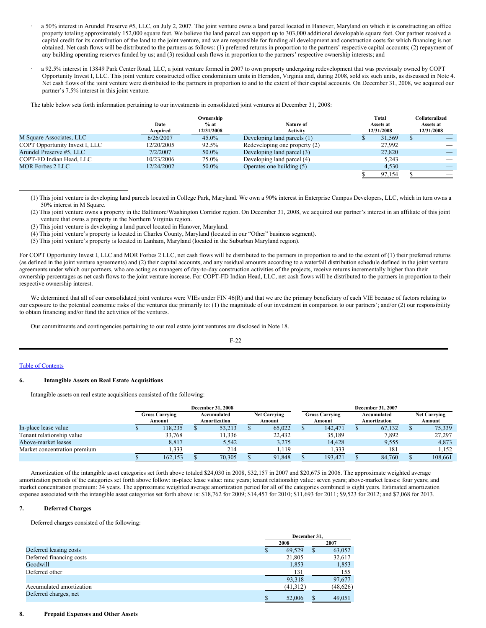- · a 50% interest in Arundel Preserve #5, LLC, on July 2, 2007. The joint venture owns a land parcel located in Hanover, Maryland on which it is constructing an office property totaling approximately 152,000 square feet. We believe the land parcel can support up to 303,000 additional developable square feet. Our partner received a capital credit for its contribution of the land to the joint venture, and we are responsible for funding all development and construction costs for which financing is not obtained. Net cash flows will be distributed to the partners as follows: (1) preferred returns in proportion to the partners' respective capital accounts; (2) repayment of any building operating reserves funded by us; and (3) residual cash flows in proportion to the partners' respective ownership interests; and
- a 92.5% interest in 13849 Park Center Road, LLC, a joint venture formed in 2007 to own property undergoing redevelopment that was previously owned by COPT Opportunity Invest I, LLC. This joint venture constructed office condominium units in Herndon, Virginia and, during 2008, sold six such units, as discussed in Note 4. Net cash flows of the joint venture were distributed to the partners in proportion to and to the extent of their capital accounts. On December 31, 2008, we acquired our partner's 7.5% interest in this joint venture.

The table below sets forth information pertaining to our investments in consolidated joint ventures at December 31, 2008:

|                                |                             | Ownership  |                               | Total      |           | Collateralized |
|--------------------------------|-----------------------------|------------|-------------------------------|------------|-----------|----------------|
|                                | $%$ at<br>Date<br>Nature of |            | Assets at                     |            | Assets at |                |
|                                | Acquired                    | 12/31/2008 | <b>Activity</b>               | 12/31/2008 |           | 12/31/2008     |
| M Square Associates, LLC       | 6/26/2007                   | 45.0%      | Developing land parcels (1)   | 31,569     |           |                |
| COPT Opportunity Invest I, LLC | 12/20/2005                  | 92.5%      | Redeveloping one property (2) | 27.992     |           |                |
| Arundel Preserve #5, LLC       | 7/2/2007                    | 50.0%      | Developing land parcel (3)    | 27,820     |           |                |
| COPT-FD Indian Head, LLC       | 10/23/2006                  | 75.0%      | Developing land parcel (4)    | 5,243      |           |                |
| <b>MOR Forbes 2 LLC</b>        | 12/24/2002                  | 50.0%      | Operates one building $(5)$   | 4,530      |           | _              |
|                                |                             |            |                               | 97.154     |           |                |

<sup>(1)</sup> This joint venture is developing land parcels located in College Park, Maryland. We own a 90% interest in Enterprise Campus Developers, LLC, which in turn owns a 50% interest in M Square.

- (2) This joint venture owns a property in the Baltimore/Washington Corridor region. On December 31, 2008, we acquired our partner's interest in an affiliate of this joint venture that owns a property in the Northern Virginia region.
- (3) This joint venture is developing a land parcel located in Hanover, Maryland.
- (4) This joint venture's property is located in Charles County, Maryland (located in our "Other" business segment).
- (5) This joint venture's property is located in Lanham, Maryland (located in the Suburban Maryland region).

For COPT Opportunity Invest I, LLC and MOR Forbes 2 LLC, net cash flows will be distributed to the partners in proportion to and to the extent of (1) their preferred returns (as defined in the joint venture agreements) and (2) their capital accounts, and any residual amounts according to a waterfall distribution schedule defined in the joint venture agreements under which our partners, who are acting as managers of day-to-day construction activities of the projects, receive returns incrementally higher than their ownership percentages as net cash flows to the joint venture increase. For COPT-FD Indian Head, LLC, net cash flows will be distributed to the partners in proportion to their respective ownership interest.

We determined that all of our consolidated joint ventures were VIEs under FIN 46(R) and that we are the primary beneficiary of each VIE because of factors relating to our exposure to the potential economic risks of the ventures due primarily to: (1) the magnitude of our investment in comparison to our partners'; and/or (2) our responsibility to obtain financing and/or fund the activities of the ventures.

Our commitments and contingencies pertaining to our real estate joint ventures are disclosed in Note 18.

F-22

### Table of [Contents](#page-1-0)

#### **6. Intangible Assets on Real Estate Acquisitions**

Intangible assets on real estate acquisitions consisted of the following:

|                              |  | <b>December 31, 2008</b>        |  |                             |  |                               | December 31, 2007 |                                 |  |                             |  |                               |  |
|------------------------------|--|---------------------------------|--|-----------------------------|--|-------------------------------|-------------------|---------------------------------|--|-----------------------------|--|-------------------------------|--|
|                              |  | <b>Gross Carrying</b><br>Amount |  | Accumulated<br>Amortization |  | <b>Net Carrying</b><br>Amount |                   | <b>Gross Carrying</b><br>Amount |  | Accumulated<br>Amortization |  | <b>Net Carrying</b><br>Amount |  |
| In-place lease value         |  | 18.235                          |  | 53.213                      |  | 65.022                        |                   | 142,471                         |  | 67.132                      |  | 75,339                        |  |
| Tenant relationship value    |  | 33.768                          |  | 11.336                      |  | 22.432                        |                   | 35.189                          |  | 7.892                       |  | 27.297                        |  |
| Above-market leases          |  | 8,817                           |  | 5.542                       |  | 3,275                         |                   | 14.428                          |  | 9,555                       |  | 4,873                         |  |
| Market concentration premium |  | 1,333                           |  | 214                         |  | 1.119                         |                   | 1,333                           |  | 181                         |  | 1.152                         |  |
|                              |  | 162,153                         |  | 70,305                      |  | 91,848                        |                   | 193.421                         |  | 84,760                      |  | 108,661                       |  |

Amortization of the intangible asset categories set forth above totaled \$24,030 in 2008, \$32,157 in 2007 and \$20,675 in 2006. The approximate weighted average amortization periods of the categories set forth above follow: in-place lease value: nine years; tenant relationship value: seven years; above-market leases: four years; and market concentration premium: 34 years. The approximate weighted average amortization period for all of the categories combined is eight years. Estimated amortization expense associated with the intangible asset categories set forth above is: \$18,762 for 2009; \$14,457 for 2010; \$11,693 for 2011; \$9,523 for 2012; and \$7,068 for 2013.

### **7. Deferred Charges**

Deferred charges consisted of the following:

|                          |      | December 31. |           |  |  |  |
|--------------------------|------|--------------|-----------|--|--|--|
|                          | 2008 |              | 2007      |  |  |  |
| Deferred leasing costs   |      | 69.529<br>S  | 63,052    |  |  |  |
| Deferred financing costs |      | 21,805       | 32,617    |  |  |  |
| Goodwill                 |      | 1,853        | 1,853     |  |  |  |
| Deferred other           |      | 131          | 155       |  |  |  |
|                          |      | 93.318       | 97,677    |  |  |  |
| Accumulated amortization |      | (41,312)     | (48, 626) |  |  |  |
| Deferred charges, net    |      | 52,006       | 49.051    |  |  |  |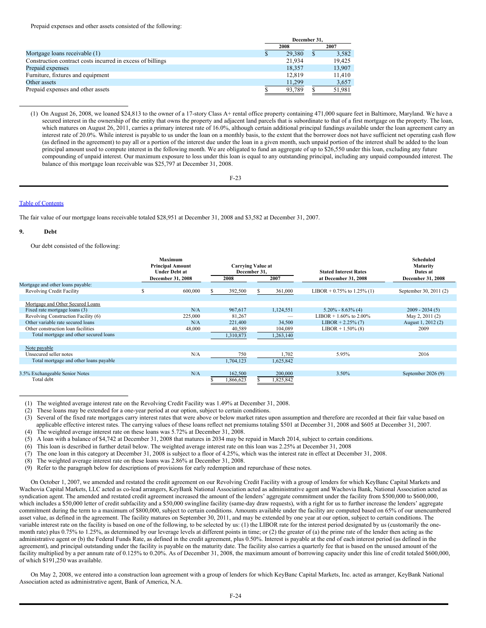Prepaid expenses and other assets consisted of the following:

|                                                            | December 31. |              |        |  |  |
|------------------------------------------------------------|--------------|--------------|--------|--|--|
|                                                            | 2008         |              | 2007   |  |  |
| Mortgage loans receivable (1)                              | 29,380       | <sup>S</sup> | 3,582  |  |  |
| Construction contract costs incurred in excess of billings | 21.934       |              | 19.425 |  |  |
| Prepaid expenses                                           | 18,357       |              | 13,907 |  |  |
| Furniture, fixtures and equipment                          | 12.819       |              | 11.410 |  |  |
| Other assets                                               | 11.299       |              | 3,657  |  |  |
| Prepaid expenses and other assets                          | 93,789       |              | 51,981 |  |  |

(1) On August 26, 2008, we loaned \$24,813 to the owner of a 17-story Class A+ rental office property containing 471,000 square feet in Baltimore, Maryland. We have a secured interest in the ownership of the entity that owns the property and adjacent land parcels that is subordinate to that of a first mortgage on the property. The loan, which matures on August 26, 2011, carries a primary interest rate of 16.0%, although certain additional principal fundings available under the loan agreement carry an interest rate of 20.0%. While interest is payable to us under the loan on a monthly basis, to the extent that the borrower does not have sufficient net operating cash flow (as defined in the agreement) to pay all or a portion of the interest due under the loan in a given month, such unpaid portion of the interest shall be added to the loan principal amount used to compute interest in the following month. We are obligated to fund an aggregate of up to \$26,550 under this loan, excluding any future compounding of unpaid interest. Our maximum exposure to loss under this loan is equal to any outstanding principal, including any unpaid compounded interest. The balance of this mortgage loan receivable was \$25,797 at December 31, 2008.

F-23

# Table of [Contents](#page-1-0)

The fair value of our mortgage loans receivable totaled \$28,951 at December 31, 2008 and \$3,582 at December 31, 2007.

### **9. Debt**

Our debt consisted of the following:

| Maximum<br><b>Principal Amount</b><br><b>Under Debt at</b> |   |                   | <b>Carrying Value at</b> | December 31. |         | <b>Stated Interest Rates</b> | <b>Scheduled</b><br>Maturity<br>Dates at |                        |
|------------------------------------------------------------|---|-------------------|--------------------------|--------------|---------|------------------------------|------------------------------------------|------------------------|
|                                                            |   | December 31, 2008 |                          | 2008         |         | 2007                         | at December 31, 2008                     | December 31, 2008      |
| Mortgage and other loans payable:                          |   |                   |                          |              |         |                              |                                          |                        |
| <b>Revolving Credit Facility</b>                           | ъ | 600,000           |                          | 392,500      |         | 361,000                      | LIBOR + $0.75\%$ to 1.25% (1)            | September 30, 2011 (2) |
|                                                            |   |                   |                          |              |         |                              |                                          |                        |
| Mortgage and Other Secured Loans                           |   |                   |                          |              |         |                              |                                          |                        |
| Fixed rate mortgage loans (3)                              |   | N/A               |                          | 967,617      |         | 1,124,551                    | $5.20\% - 8.63\%$ (4)                    | $2009 - 2034(5)$       |
| Revolving Construction Facility (6)                        |   | 225,000           |                          | 81,267       |         |                              | LIBOR + 1.60% to 2.00%                   | May 2, 2011 (2)        |
| Other variable rate secured loans                          |   | N/A               |                          | 221,400      |         | 34,500                       | $LIBOR + 2.25\% (7)$                     | August 1, 2012 (2)     |
| Other construction loan facilities                         |   | 48,000            |                          | 40,589       | 104,089 |                              | $LIBOR + 1.50\%$ (8)                     | 2009                   |
| Total mortgage and other secured loans                     |   |                   |                          | 1,310,873    |         | 1,263,140                    |                                          |                        |
|                                                            |   |                   |                          |              |         |                              |                                          |                        |
| Note payable                                               |   |                   |                          |              |         |                              |                                          |                        |
| Unsecured seller notes                                     |   | N/A               |                          | 750          |         | 1,702                        | 5.95%                                    | 2016                   |
| Total mortgage and other loans payable                     |   |                   |                          | 1,704,123    |         | 1,625,842                    |                                          |                        |
|                                                            |   |                   |                          |              |         |                              |                                          |                        |
| 3.5% Exchangeable Senior Notes                             |   | N/A               |                          | 162,500      |         | 200,000                      | 3.50%                                    | September 2026 $(9)$   |
| Total debt                                                 |   |                   |                          | ,866,623     |         | 1,825,842                    |                                          |                        |
|                                                            |   |                   |                          |              |         |                              |                                          |                        |

(1) The weighted average interest rate on the Revolving Credit Facility was 1.49% at December 31, 2008.

(2) These loans may be extended for a one-year period at our option, subject to certain conditions.

(4) The weighted average interest rate on these loans was 5.72% at December 31, 2008.

(5) A loan with a balance of \$4,742 at December 31, 2008 that matures in 2034 may be repaid in March 2014, subject to certain conditions.

(6) This loan is described in further detail below. The weighted average interest rate on this loan was 2.25% at December 31, 2008

(7) The one loan in this category at December 31, 2008 is subject to a floor of 4.25%, which was the interest rate in effect at December 31, 2008.

(8) The weighted average interest rate on these loans was 2.86% at December 31, 2008.

(9) Refer to the paragraph below for descriptions of provisions for early redemption and repurchase of these notes.

On October 1, 2007, we amended and restated the credit agreement on our Revolving Credit Facility with a group of lenders for which KeyBanc Capital Markets and Wachovia Capital Markets, LLC acted as co-lead arrangers, KeyBank National Association acted as administrative agent and Wachovia Bank, National Association acted as syndication agent. The amended and restated credit agreement increased the amount of the lenders' aggregate commitment under the facility from \$500,000 to \$600,000, which includes a \$50,000 letter of credit subfacility and a \$50,000 swingline facility (same-day draw requests), with a right for us to further increase the lenders' aggregate commitment during the term to a maximum of \$800,000, subject to certain conditions. Amounts available under the facility are computed based on 65% of our unencumbered asset value, as defined in the agreement. The facility matures on September 30, 2011, and may be extended by one year at our option, subject to certain conditions. The variable interest rate on the facility is based on one of the following, to be selected by us: (1) the LIBOR rate for the interest period designated by us (customarily the onemonth rate) plus 0.75% to 1.25%, as determined by our leverage levels at different points in time; or (2) the greater of (a) the prime rate of the lender then acting as the administrative agent or (b) the Federal Funds Rate, as defined in the credit agreement, plus 0.50%. Interest is payable at the end of each interest period (as defined in the agreement), and principal outstanding under the facility is payable on the maturity date. The facility also carries a quarterly fee that is based on the unused amount of the facility multiplied by a per annum rate of 0.125% to 0.20%. As of December 31, 2008, the maximum amount of borrowing capacity under this line of credit totaled \$600,000, of which \$191,250 was available.

On May 2, 2008, we entered into a construction loan agreement with a group of lenders for which KeyBanc Capital Markets, Inc. acted as arranger, KeyBank National Association acted as administrative agent, Bank of America, N.A.

<sup>(3)</sup> Several of the fixed rate mortgages carry interest rates that were above or below market rates upon assumption and therefore are recorded at their fair value based on applicable effective interest rates. The carrying values of these loans reflect net premiums totaling \$501 at December 31, 2008 and \$605 at December 31, 2007.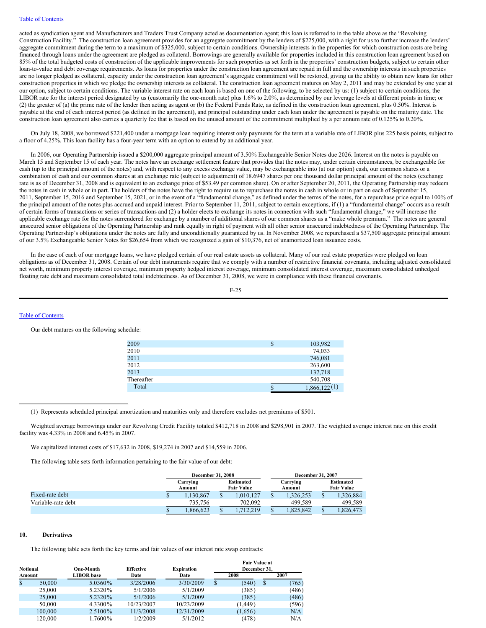acted as syndication agent and Manufacturers and Traders Trust Company acted as documentation agent; this loan is referred to in the table above as the "Revolving Construction Facility." The construction loan agreement provides for an aggregate commitment by the lenders of \$225,000, with a right for us to further increase the lenders' aggregate commitment during the term to a maximum of \$325,000, subject to certain conditions. Ownership interests in the properties for which construction costs are being financed through loans under the agreement are pledged as collateral. Borrowings are generally available for properties included in this construction loan agreement based on 85% of the total budgeted costs of construction of the applicable improvements for such properties as set forth in the properties' construction budgets, subject to certain other loan-to-value and debt coverage requirements. As loans for properties under the construction loan agreement are repaid in full and the ownership interests in such properties are no longer pledged as collateral, capacity under the construction loan agreement's aggregate commitment will be restored, giving us the ability to obtain new loans for other construction properties in which we pledge the ownership interests as collateral. The construction loan agreement matures on May 2, 2011 and may be extended by one year at our option, subject to certain conditions. The variable interest rate on each loan is based on one of the following, to be selected by us: (1) subject to certain conditions, the LIBOR rate for the interest period designated by us (customarily the one-month rate) plus 1.6% to 2.0%, as determined by our leverage levels at different points in time; or (2) the greater of (a) the prime rate of the lender then acting as agent or (b) the Federal Funds Rate, as defined in the construction loan agreement, plus 0.50%. Interest is payable at the end of each interest period (as defined in the agreement), and principal outstanding under each loan under the agreement is payable on the maturity date. The construction loan agreement also carries a quarterly fee that is based on the unused amount of the commitment multiplied by a per annum rate of 0.125% to 0.20%.

On July 18, 2008, we borrowed \$221,400 under a mortgage loan requiring interest only payments for the term at a variable rate of LIBOR plus 225 basis points, subject to a floor of 4.25%. This loan facility has a four-year term with an option to extend by an additional year.

In 2006, our Operating Partnership issued a \$200,000 aggregate principal amount of 3.50% Exchangeable Senior Notes due 2026. Interest on the notes is payable on March 15 and September 15 of each year. The notes have an exchange settlement feature that provides that the notes may, under certain circumstances, be exchangeable for cash (up to the principal amount of the notes) and, with respect to any excess exchange value, may be exchangeable into (at our option) cash, our common shares or a combination of cash and our common shares at an exchange rate (subject to adjustment) of 18.6947 shares per one thousand dollar principal amount of the notes (exchange rate is as of December 31, 2008 and is equivalent to an exchange price of \$53.49 per common share). On or after September 20, 2011, the Operating Partnership may redeem the notes in cash in whole or in part. The holders of the notes have the right to require us to repurchase the notes in cash in whole or in part on each of September 15, 2011, September 15, 2016 and September 15, 2021, or in the event of a "fundamental change," as defined under the terms of the notes, for a repurchase price equal to 100% of the principal amount of the notes plus accrued and unpaid interest. Prior to September 11, 2011, subject to certain exceptions, if (1) a "fundamental change" occurs as a result of certain forms of transactions or series of transactions and (2) a holder elects to exchange its notes in connection with such "fundamental change," we will increase the applicable exchange rate for the notes surrendered for exchange by a number of additional shares of our common shares as a "make whole premium." The notes are general unsecured senior obligations of the Operating Partnership and rank equally in right of payment with all other senior unsecured indebtedness of the Operating Partnership. The Operating Partnership's obligations under the notes are fully and unconditionally guaranteed by us. In November 2008, we repurchased a \$37,500 aggregate principal amount of our 3.5% Exchangeable Senior Notes for \$26,654 from which we recognized a gain of \$10,376, net of unamortized loan issuance costs.

In the case of each of our mortgage loans, we have pledged certain of our real estate assets as collateral. Many of our real estate properties were pledged on loan obligations as of December 31, 2008. Certain of our debt instruments require that we comply with a number of restrictive financial covenants, including adjusted consolidated net worth, minimum property interest coverage, minimum property hedged interest coverage, minimum consolidated interest coverage, maximum consolidated unhedged floating rate debt and maximum consolidated total indebtedness. As of December 31, 2008, we were in compliance with these financial covenants.

F-25

#### Table of [Contents](#page-1-0)

Our debt matures on the following schedule:

| 2009       | \$<br>103,982      |
|------------|--------------------|
| 2010       | 74,033             |
| 2011       | 746,081            |
| 2012       | 263,600            |
| 2013       | 137,718            |
| Thereafter | 540,708            |
| Total      | \$<br>1,866,122(1) |

(1) Represents scheduled principal amortization and maturities only and therefore excludes net premiums of \$501.

Weighted average borrowings under our Revolving Credit Facility totaled \$412,718 in 2008 and \$298,901 in 2007. The weighted average interest rate on this credit facility was 4.33% in 2008 and 6.45% in 2007.

We capitalized interest costs of \$17,632 in 2008, \$19,274 in 2007 and \$14,559 in 2006.

The following table sets forth information pertaining to the fair value of our debt:

|                    | <b>December 31, 2008</b> |  |                                       |    | <b>December 31, 2007</b> |                                       |           |  |
|--------------------|--------------------------|--|---------------------------------------|----|--------------------------|---------------------------------------|-----------|--|
|                    | Carrying<br>Amount       |  | <b>Estimated</b><br><b>Fair Value</b> |    | Carrving<br>Amount       | <b>Estimated</b><br><b>Fair Value</b> |           |  |
| Fixed-rate debt    | .130.867                 |  | .010.127                              | \$ | 1.326.253                |                                       | 1,326,884 |  |
| Variable-rate debt | 735.756                  |  | 702.092                               |    | 499.589                  |                                       | 499.589   |  |
|                    | .866.623                 |  | .712.219                              |    | 1.825.842                |                                       | 1.826.473 |  |

### **10. Derivatives**

The following table sets forth the key terms and fair values of our interest rate swap contracts:

|                 |         |                   |                  |                   |              | <b>Fair Value at</b> |   |       |  |  |  |  |
|-----------------|---------|-------------------|------------------|-------------------|--------------|----------------------|---|-------|--|--|--|--|
| <b>Notional</b> |         | One-Month         | <b>Effective</b> | <b>Expiration</b> | December 31. |                      |   |       |  |  |  |  |
| Amount          |         | <b>LIBOR</b> base | Date             | Date              |              | 2008                 |   | 2007  |  |  |  |  |
| \$              | 50,000  | 5.0360%           | 3/28/2006        | 3/30/2009         | S            | (540)                | S | (765) |  |  |  |  |
|                 | 25,000  | 5.2320%           | 5/1/2006         | 5/1/2009          |              | (385)                |   | (486) |  |  |  |  |
|                 | 25,000  | 5.2320%           | 5/1/2006         | 5/1/2009          |              | (385)                |   | (486) |  |  |  |  |
|                 | 50,000  | 4.3300\%          | 10/23/2007       | 10/23/2009        |              | (1, 449)             |   | (596) |  |  |  |  |
|                 | 100,000 | 2.5100%           | 11/3/2008        | 12/31/2009        |              | (1,656)              |   | N/A   |  |  |  |  |
|                 | 120,000 | 1.7600%           | 1/2/2009         | 5/1/2012          |              | (478)                |   | N/A   |  |  |  |  |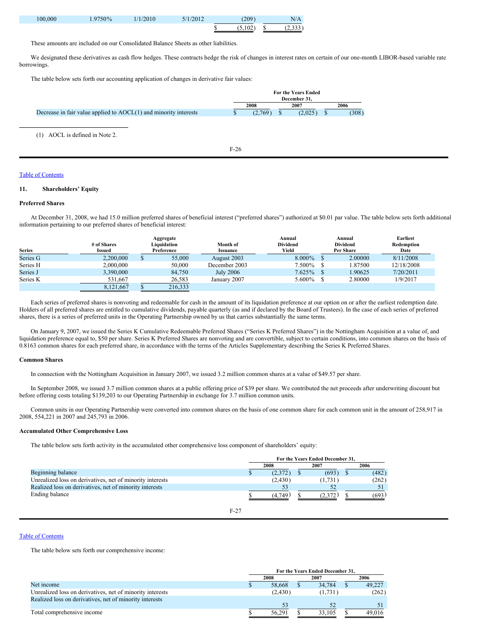| 100,000 | 750% | 1/2010 | /2012<br>$\mathcal{L}$ | (209)         |   | N/A                   |
|---------|------|--------|------------------------|---------------|---|-----------------------|
|         |      |        |                        | (5, 102)<br>w | Ф | <b>SSS</b><br>ر ر ر د |

These amounts are included on our Consolidated Balance Sheets as other liabilities.

We designated these derivatives as cash flow hedges. These contracts hedge the risk of changes in interest rates on certain of our one-month LIBOR-based variable rate borrowings.

The table below sets forth our accounting application of changes in derivative fair values:



(1) AOCL is defined in Note 2.

F-26

# Table of [Contents](#page-1-0)

### **11. Shareholders' Equity**

#### **Preferred Shares**

At December 31, 2008, we had 15.0 million preferred shares of beneficial interest ("preferred shares") authorized at \$0.01 par value. The table below sets forth additional information pertaining to our preferred shares of beneficial interest:

| <b>Series</b> | # of Shares<br><b>Issued</b> | Aggregate<br>Liauidation<br>Preference | <b>Month of</b><br><b>Issuance</b> | Annual<br><b>Dividend</b><br>Yield | Annual<br><b>Dividend</b><br>Per Share |         | <b>Earliest</b><br>Redemption<br>Date |
|---------------|------------------------------|----------------------------------------|------------------------------------|------------------------------------|----------------------------------------|---------|---------------------------------------|
| Series G      | 2.200,000                    | 55,000                                 | August 2003                        | 8.000%                             |                                        | 2.00000 | 8/11/2008                             |
| Series H      | 2,000,000                    | 50,000                                 | December 2003                      | 7.500%                             |                                        | 1.87500 | 12/18/2008                            |
| Series J      | 3.390,000                    | 84,750                                 | <b>July 2006</b>                   | $7.625\%$ \$                       |                                        | .90625  | 7/20/2011                             |
| Series K      | 531,667                      | 26,583                                 | January 2007                       | 5.600%                             |                                        | 2.80000 | 1/9/2017                              |
|               | 8,121,667                    | 216.333                                |                                    |                                    |                                        |         |                                       |

Each series of preferred shares is nonvoting and redeemable for cash in the amount of its liquidation preference at our option on or after the earliest redemption date. Holders of all preferred shares are entitled to cumulative dividends, payable quarterly (as and if declared by the Board of Trustees). In the case of each series of preferred shares, there is a series of preferred units in the Operating Partnership owned by us that carries substantially the same terms.

On January 9, 2007, we issued the Series K Cumulative Redeemable Preferred Shares ("Series K Preferred Shares") in the Nottingham Acquisition at a value of, and liquidation preference equal to, \$50 per share. Series K Preferred Shares are nonvoting and are convertible, subject to certain conditions, into common shares on the basis of 0.8163 common shares for each preferred share, in accordance with the terms of the Articles Supplementary describing the Series K Preferred Shares.

#### **Common Shares**

In connection with the Nottingham Acquisition in January 2007, we issued 3.2 million common shares at a value of \$49.57 per share.

In September 2008, we issued 3.7 million common shares at a public offering price of \$39 per share. We contributed the net proceeds after underwriting discount but before offering costs totaling \$139,203 to our Operating Partnership in exchange for 3.7 million common units.

Common units in our Operating Partnership were converted into common shares on the basis of one common share for each common unit in the amount of 258,917 in 2008, 554,221 in 2007 and 245,793 in 2006.

### **Accumulated Other Comprehensive Loss**

The table below sets forth activity in the accumulated other comprehensive loss component of shareholders' equity:

|   | For the Years Ended December 31. |  |         |  |       |  |
|---|----------------------------------|--|---------|--|-------|--|
|   | 2008                             |  | 2007    |  | 2006  |  |
| w | (2,372)                          |  | (693)   |  | (482) |  |
|   | (2, 430)                         |  | (1.731) |  | (262) |  |
|   |                                  |  |         |  |       |  |
|   | (4.749                           |  | (2.372) |  | (693) |  |
|   |                                  |  |         |  |       |  |

### Table of [Contents](#page-1-0)

The table below sets forth our comprehensive income:

| For the Years Ended December 31. |      |         |      |        |  |  |  |
|----------------------------------|------|---------|------|--------|--|--|--|
| 2008                             | 2007 |         | 2006 |        |  |  |  |
| 58,668                           |      | 34.784  |      | 49.227 |  |  |  |
| (2.430)                          |      | (1.731) |      | (262)  |  |  |  |
|                                  |      |         |      |        |  |  |  |
| 56.291                           |      | 33.105  |      | 49.016 |  |  |  |
|                                  | 53   |         |      |        |  |  |  |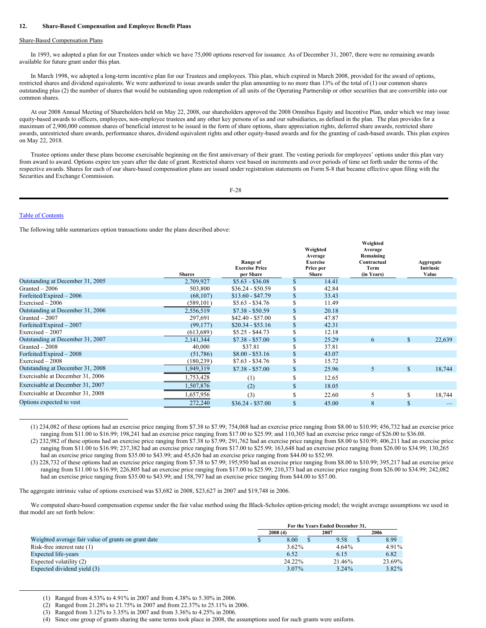#### **12. Share-Based Compensation and Employee Benefit Plans**

#### Share-Based Compensation Plans

In 1993, we adopted a plan for our Trustees under which we have 75,000 options reserved for issuance. As of December 31, 2007, there were no remaining awards available for future grant under this plan.

In March 1998, we adopted a long-term incentive plan for our Trustees and employees. This plan, which expired in March 2008, provided for the award of options, restricted shares and dividend equivalents. We were authorized to issue awards under the plan amounting to no more than 13% of the total of (1) our common shares outstanding plus (2) the number of shares that would be outstanding upon redemption of all units of the Operating Partnership or other securities that are convertible into our common shares.

At our 2008 Annual Meeting of Shareholders held on May 22, 2008, our shareholders approved the 2008 Omnibus Equity and Incentive Plan, under which we may issue equity-based awards to officers, employees, non-employee trustees and any other key persons of us and our subsidiaries, as defined in the plan. The plan provides for a maximum of 2,900,000 common shares of beneficial interest to be issued in the form of share options, share appreciation rights, deferred share awards, restricted share awards, unrestricted share awards, performance shares, dividend equivalent rights and other equity-based awards and for the granting of cash-based awards. This plan expires on May 22, 2018.

Trustee options under these plans become exercisable beginning on the first anniversary of their grant. The vesting periods for employees' options under this plan vary from award to award. Options expire ten years after the date of grant. Restricted shares vest based on increments and over periods of time set forth under the terms of the respective awards. Shares for each of our share-based compensation plans are issued under registration statements on Form S-8 that became effective upon filing with the Securities and Exchange Commission.

F-28

### Table of [Contents](#page-1-0)

The following table summarizes option transactions under the plans described above:

|                                  | <b>Shares</b> | Range of<br><b>Exercise Price</b><br>per Share |    | Weighted<br>Average<br><b>Exercise</b><br>Price per<br>Share | Weighted<br>Average<br>Remaining<br>Contractual<br>Term<br>(in Years) |              | Aggregate<br>Intrinsic<br>Value |
|----------------------------------|---------------|------------------------------------------------|----|--------------------------------------------------------------|-----------------------------------------------------------------------|--------------|---------------------------------|
| Outstanding at December 31, 2005 | 2,709,927     | $$5.63 - $36.08$                               |    | 14.41                                                        |                                                                       |              |                                 |
| Granted $-2006$                  | 503,800       | $$36.24 - $50.59$                              | S  | 42.84                                                        |                                                                       |              |                                 |
| Forfeited/Expired - 2006         | (68, 107)     | $$13.60 - $47.79$                              | \$ | 33.43                                                        |                                                                       |              |                                 |
| $Exercised - 2006$               | (589, 101)    | $$5.63 - $34.76$                               | \$ | 11.49                                                        |                                                                       |              |                                 |
| Outstanding at December 31, 2006 | 2,556,519     | $$7.38 - $50.59$                               | \$ | 20.18                                                        |                                                                       |              |                                 |
| Granted $-2007$                  | 297,691       | $$42.40 - $57.00$                              | \$ | 47.87                                                        |                                                                       |              |                                 |
| Forfeited/Expired - 2007         | (99,177)      | $$20.34 - $53.16$                              | \$ | 42.31                                                        |                                                                       |              |                                 |
| $Exercised - 2007$               | (613, 689)    | $$5.25 - $44.73$                               | \$ | 12.18                                                        |                                                                       |              |                                 |
| Outstanding at December 31, 2007 | 2,141,344     | $$7.38 - $57.00$                               | \$ | 25.29                                                        | 6                                                                     | $\mathbb{S}$ | 22,639                          |
| Granted $-2008$                  | 40,000        | \$37.81                                        | \$ | 37.81                                                        |                                                                       |              |                                 |
| Forfeited/Expired $-2008$        | (51,786)      | $$8.00 - $53.16$                               | \$ | 43.07                                                        |                                                                       |              |                                 |
| $Exercised - 2008$               | (180, 239)    | $$7.63 - $34.76$                               | \$ | 15.72                                                        |                                                                       |              |                                 |
| Outstanding at December 31, 2008 | 949,319       | $$7.38 - $57.00$                               | \$ | 25.96                                                        | 5                                                                     | $\mathbb{S}$ | 18,744                          |
| Exercisable at December 31, 2006 | 1,753,428     | (1)                                            | \$ | 12.65                                                        |                                                                       |              |                                 |
| Exercisable at December 31, 2007 | 1,507,876     | (2)                                            | \$ | 18.05                                                        |                                                                       |              |                                 |
| Exercisable at December 31, 2008 | 1,657,956     | (3)                                            | \$ | 22.60                                                        | 5                                                                     | S            | 18,744                          |
| Options expected to vest         | 272,240       | $$36.24 - $57.00$                              | \$ | 45.00                                                        | 8                                                                     | \$           |                                 |

(1) 234,082 of these options had an exercise price ranging from \$7.38 to \$7.99; 754,068 had an exercise price ranging from \$8.00 to \$10.99; 456,732 had an exercise price ranging from \$11.00 to \$16.99; 198,241 had an exercise price ranging from \$17.00 to \$25.99; and 110,305 had an exercise price range of \$26.00 to \$36.08.

(2) 232,982 of these options had an exercise price ranging from \$7.38 to \$7.99; 291,762 had an exercise price ranging from \$8.00 to \$10.99; 406,211 had an exercise price ranging from \$11.00 to \$16.99; 237,382 had an exercise price ranging from \$17.00 to \$25.99; 163,648 had an exercise price ranging from \$26.00 to \$34.99; 130,265 had an exercise price ranging from \$35.00 to \$43.99; and 45,626 had an exercise price ranging from \$44.00 to \$52.99.

(3) 228,732 of these options had an exercise price ranging from \$7.38 to \$7.99; 195,950 had an exercise price ranging from \$8.00 to \$10.99; 395,217 had an exercise price ranging from \$11.00 to \$16.99; 226,805 had an exercise price ranging from \$17.00 to \$25.99; 210,373 had an exercise price ranging from \$26.00 to \$34.99; 242,082 had an exercise price ranging from \$35.00 to \$43.99; and 158,797 had an exercise price ranging from \$44.00 to \$57.00.

The aggregate intrinsic value of options exercised was \$3,682 in 2008, \$23,627 in 2007 and \$19,748 in 2006.

We computed share-based compensation expense under the fair value method using the Black-Scholes option-pricing model; the weight average assumptions we used in that model are set forth below:

|                                                     | For the Years Ended December 31. |          |  |          |  |          |  |  |  |
|-----------------------------------------------------|----------------------------------|----------|--|----------|--|----------|--|--|--|
|                                                     |                                  | 2008(4)  |  | 2007     |  | 2006     |  |  |  |
| Weighted average fair value of grants on grant date |                                  | 8.00     |  | 9.58     |  | 8.99     |  |  |  |
| Risk-free interest rate $(1)$                       |                                  | $3.62\%$ |  | $4.64\%$ |  | $4.91\%$ |  |  |  |
| Expected life-years                                 |                                  | 6.52     |  | 6.15     |  | 6.82     |  |  |  |
| Expected volatility (2)                             |                                  | 24.22%   |  | 21.46%   |  | 23.69%   |  |  |  |
| Expected dividend yield (3)                         |                                  | $3.07\%$ |  | $3.24\%$ |  | 3.82%    |  |  |  |

<sup>(1)</sup> Ranged from 4.53% to 4.91% in 2007 and from 4.38% to 5.30% in 2006.

<sup>(2)</sup> Ranged from 21.28% to 21.75% in 2007 and from 22.37% to 25.11% in 2006.

<sup>(3)</sup> Ranged from 3.12% to 3.35% in 2007 and from 3.36% to 4.25% in 2006.

<sup>(4)</sup> Since one group of grants sharing the same terms took place in 2008, the assumptions used for such grants were uniform.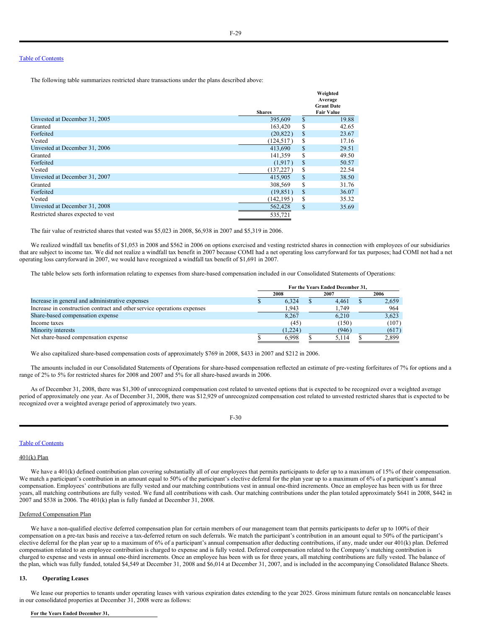The following table summarizes restricted share transactions under the plans described above:

|                                    |               |              | Weighted                     |
|------------------------------------|---------------|--------------|------------------------------|
|                                    |               |              | Average<br><b>Grant Date</b> |
|                                    | <b>Shares</b> |              | <b>Fair Value</b>            |
| Unvested at December 31, 2005      | 395,609       | $\mathbb{S}$ | 19.88                        |
| Granted                            | 163,420       | \$           | 42.65                        |
| Forfeited                          | (20, 822)     | $\mathbb{S}$ | 23.67                        |
| Vested                             | (124, 517)    | \$           | 17.16                        |
| Unvested at December 31, 2006      | 413,690       | \$           | 29.51                        |
| Granted                            | 141,359       | S            | 49.50                        |
| Forfeited                          | (1.917)       | S            | 50.57                        |
| Vested                             | (137, 227)    | \$           | 22.54                        |
| Unvested at December 31, 2007      | 415.905       | $\mathbf S$  | 38.50                        |
| Granted                            | 308,569       | \$           | 31.76                        |
| Forfeited                          | (19, 851)     | \$           | 36.07                        |
| Vested                             | (142, 195)    | \$           | 35.32                        |
| Unvested at December 31, 2008      | 562,428       | \$           | 35.69                        |
| Restricted shares expected to vest | 535,721       |              |                              |

The fair value of restricted shares that vested was \$5,023 in 2008, \$6,938 in 2007 and \$5,319 in 2006.

We realized windfall tax benefits of \$1,053 in 2008 and \$562 in 2006 on options exercised and vesting restricted shares in connection with employees of our subsidiaries that are subject to income tax. We did not realize a windfall tax benefit in 2007 because COMI had a net operating loss carryforward for tax purposes; had COMI not had a net operating loss carryforward in 2007, we would have recognized a windfall tax benefit of \$1,691 in 2007.

The table below sets forth information relating to expenses from share-based compensation included in our Consolidated Statements of Operations:

|                                                                         | For the Years Ended December 31. |  |       |  |       |  |  |  |
|-------------------------------------------------------------------------|----------------------------------|--|-------|--|-------|--|--|--|
|                                                                         | 2008                             |  | 2007  |  | 2006  |  |  |  |
| Increase in general and administrative expenses                         | 6.324                            |  | 4.461 |  | 2,659 |  |  |  |
| Increase in construction contract and other service operations expenses | 1.943                            |  | 1.749 |  | 964   |  |  |  |
| Share-based compensation expense                                        | 8.267                            |  | 6.210 |  | 3.623 |  |  |  |
| Income taxes                                                            | (45)                             |  | (150) |  | (107) |  |  |  |
| Minority interests                                                      | (1,224)                          |  | (946) |  | (617) |  |  |  |
| Net share-based compensation expense                                    | 6.998                            |  | 5.114 |  | 2,899 |  |  |  |

We also capitalized share-based compensation costs of approximately \$769 in 2008, \$433 in 2007 and \$212 in 2006.

The amounts included in our Consolidated Statements of Operations for share-based compensation reflected an estimate of pre-vesting forfeitures of 7% for options and a range of 2% to 5% for restricted shares for 2008 and 2007 and 5% for all share-based awards in 2006.

As of December 31, 2008, there was \$1,300 of unrecognized compensation cost related to unvested options that is expected to be recognized over a weighted average period of approximately one year. As of December 31, 2008, there was \$12,929 of unrecognized compensation cost related to unvested restricted shares that is expected to be recognized over a weighted average period of approximately two years.

F-30

#### Table of [Contents](#page-1-0)

# 401(k) Plan

We have a 401(k) defined contribution plan covering substantially all of our employees that permits participants to defer up to a maximum of 15% of their compensation. We match a participant's contribution in an amount equal to 50% of the participant's elective deferral for the plan year up to a maximum of 6% of a participant's annual compensation. Employees' contributions are fully vested and our matching contributions vest in annual one-third increments. Once an employee has been with us for three years, all matching contributions are fully vested. We fund all contributions with cash. Our matching contributions under the plan totaled approximately \$641 in 2008, \$442 in 2007 and \$538 in 2006. The 401(k) plan is fully funded at December 31, 2008.

#### Deferred Compensation Plan

We have a non-qualified elective deferred compensation plan for certain members of our management team that permits participants to defer up to 100% of their compensation on a pre-tax basis and receive a tax-deferred return on such deferrals. We match the participant's contribution in an amount equal to 50% of the participant's elective deferral for the plan year up to a maximum of 6% of a participant's annual compensation after deducting contributions, if any, made under our 401(k) plan. Deferred compensation related to an employee contribution is charged to expense and is fully vested. Deferred compensation related to the Company's matching contribution is charged to expense and vests in annual one-third increments. Once an employee has been with us for three years, all matching contributions are fully vested. The balance of the plan, which was fully funded, totaled \$4,549 at December 31, 2008 and \$6,014 at December 31, 2007, and is included in the accompanying Consolidated Balance Sheets.

#### **13. Operating Leases**

We lease our properties to tenants under operating leases with various expiration dates extending to the year 2025. Gross minimum future rentals on noncancelable leases in our consolidated properties at December 31, 2008 were as follows: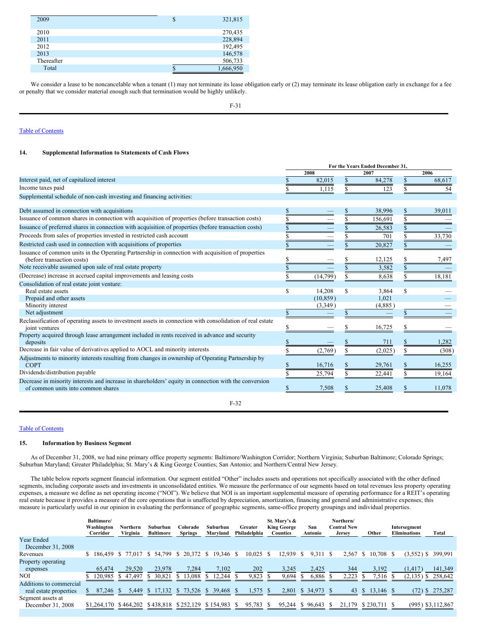| 2009       | S | 321,815   |
|------------|---|-----------|
| 2010       |   | 270,435   |
| 2011       |   | 228,894   |
| 2012       |   | 192,495   |
| 2013       |   | 146,578   |
| Thereafter |   | 506,733   |
| Total      | S | 1,666,950 |

We consider a lease to be noncancelable when a tenant (1) may not terminate its lease obligation early or (2) may terminate its lease obligation early in exchange for a fee or penalty that we consider material enough such that termination would be highly unlikely.

# Table of [Contents](#page-1-0)

# **14. Supplemental Information to Statements of Cash Flows**

|                                                                                                                                  | For the Years Ended December 31, |    |         |     |        |
|----------------------------------------------------------------------------------------------------------------------------------|----------------------------------|----|---------|-----|--------|
|                                                                                                                                  | 2008                             |    | 2007    |     | 2006   |
| Interest paid, net of capitalized interest                                                                                       | 82,015                           |    | 84,278  |     | 68,617 |
| Income taxes paid                                                                                                                | 1,115                            |    | 123     |     | 54     |
| Supplemental schedule of non-cash investing and financing activities:                                                            |                                  |    |         |     |        |
| Debt assumed in connection with acquisitions                                                                                     | \$                               | S  | 38,996  | \$  | 39,011 |
| Issuance of common shares in connection with acquisition of properties (before transaction costs)                                |                                  |    | 156,691 |     |        |
| Issuance of preferred shares in connection with acquisition of properties (before transaction costs)                             |                                  |    | 26,583  | \$. |        |
| Proceeds from sales of properties invested in restricted cash account                                                            |                                  |    | 701     |     | 33,730 |
| Restricted cash used in connection with acquisitions of properties                                                               |                                  |    | 20,827  |     |        |
| Issuance of common units in the Operating Partnership in connection with acquisition of properties<br>(before transaction costs) |                                  | S  | 12,125  |     | 7,497  |
| Note receivable assumed upon sale of real estate property                                                                        |                                  |    | 3,582   | \$  |        |
| (Decrease) increase in accrued capital improvements and leasing costs                                                            | (14,799)                         |    | 8,638   |     | 18,181 |
| Consolidation of real estate joint venture:                                                                                      |                                  |    |         |     |        |
| Real estate assets                                                                                                               | \$<br>14,208                     | \$ | 3,864   | \$  |        |
| Prepaid and other assets                                                                                                         | (10, 859)                        |    | 1,021   |     |        |
| Minority interest                                                                                                                | (3,349)                          |    | (4,885) |     |        |
| Net adjustment                                                                                                                   | \$                               | \$ |         | \$  |        |
| Reclassification of operating assets to investment assets in connection with consolidation of real estate                        |                                  |    |         |     |        |
| joint ventures                                                                                                                   |                                  |    | 16,725  | S   |        |
| Property acquired through lease arrangement included in rents received in advance and security<br>deposits                       |                                  | S  | 711     | S   | 1,282  |
| Decrease in fair value of derivatives applied to AOCL and minority interests                                                     | (2,769)                          | S  | (2,025) | S   | (308)  |
| Adjustments to minority interests resulting from changes in ownership of Operating Partnership by<br><b>COPT</b>                 | 16,716                           | \$ | 29,761  | \$  | 16,255 |
| Dividends/distribution payable                                                                                                   | 25,794                           | S  | 22,441  | S   | 19,164 |
| Decrease in minority interests and increase in shareholders' equity in connection with the conversion                            |                                  |    |         |     |        |
| of common units into common shares                                                                                               | 7,508                            | S  | 25,408  | S   | 11,078 |
|                                                                                                                                  |                                  |    |         |     |        |

F-32

### Table of [Contents](#page-1-0)

#### **15. Information by Business Segment**

As of December 31, 2008, we had nine primary office property segments: Baltimore/Washington Corridor; Northern Virginia; Suburban Baltimore; Colorado Springs; Suburban Maryland; Greater Philadelphia; St. Mary's & King George Counties; San Antonio; and Northern/Central New Jersey.

The table below reports segment financial information. Our segment entitled "Other" includes assets and operations not specifically associated with the other defined segments, including corporate assets and investments in unconsolidated entities. We measure the performance of our segments based on total revenues less property operating expenses, a measure we define as net operating income ("NOI"). We believe that NOI is an important supplemental measure of operating performance for a REIT's operating real estate because it provides a measure of the core operations that is unaffected by depreciation, amortization, financing and general and administrative expenses; this measure is particularly useful in our opinion in evaluating the performance of geographic segments, same-office property groupings and individual properties.

|                         | <b>Baltimore</b> /<br>Washington<br>Corridor | Northern<br>Virginia | Suburban<br><b>Baltimore</b>  | Colorado<br><b>Springs</b> | Suburban<br>Maryland | Greater<br>Philadelphia | St. Mary's &<br><b>King George</b><br>Counties | San<br>Antonio | Northern/<br><b>Central New</b><br><b>Jersey</b> | Other            | Intersegment<br><b>Eliminations</b> | Total                |
|-------------------------|----------------------------------------------|----------------------|-------------------------------|----------------------------|----------------------|-------------------------|------------------------------------------------|----------------|--------------------------------------------------|------------------|-------------------------------------|----------------------|
| Year Ended              |                                              |                      |                               |                            |                      |                         |                                                |                |                                                  |                  |                                     |                      |
| December 31, 2008       |                                              |                      |                               |                            |                      |                         |                                                |                |                                                  |                  |                                     |                      |
| Revenues                | \$ 186,459 \$ 77,017 \$ 54,799 \$ 20,372 \$  |                      |                               |                            | 19,346 \$            | 10.025                  | 12,939<br>- \$                                 | 9,311          | 2,567<br>- S                                     | 10,708<br>- \$   |                                     | $(3,552)$ \$ 399,991 |
| Property operating      |                                              |                      |                               |                            |                      |                         |                                                |                |                                                  |                  |                                     |                      |
| expenses                | 65,474                                       | 29.520               | 23,978                        | 7.284                      | 7.102                | 202                     | 3,245                                          | 2,425          | 344                                              | 3,192            | (1.417)                             | 141,349              |
| NOI                     | 120,985                                      | 47,497<br>S.         | 30,821<br>S                   | S<br>13,088                | 12,244               | 9,823                   | 9,694                                          | 6,886          | 2,223                                            | 7,516            | (2, 135)                            | \$258,642            |
| Additions to commercial |                                              |                      |                               |                            |                      |                         |                                                |                |                                                  |                  |                                     |                      |
| real estate properties  | 87,246                                       | 5,449                | -S -                          | 17,132 \$ 73,526 \$ 39,468 |                      | 1,575                   | 2,801<br>- \$                                  | \$ 34,973 \$   | 43                                               | 13.146<br>-S     | (72)                                | \$275,287            |
| Segment assets at       |                                              |                      |                               |                            |                      |                         |                                                |                |                                                  |                  |                                     |                      |
| December 31, 2008       | \$1,264,170                                  |                      | \$464,202 \$438,818 \$252,129 |                            | \$154,983            | 95,783 \$<br>-S         | 95,244                                         | \$96,643       | -8                                               | 21.179 \$230.711 |                                     | $(995)$ \$3,112,867  |
|                         |                                              |                      |                               |                            |                      |                         |                                                |                |                                                  |                  |                                     |                      |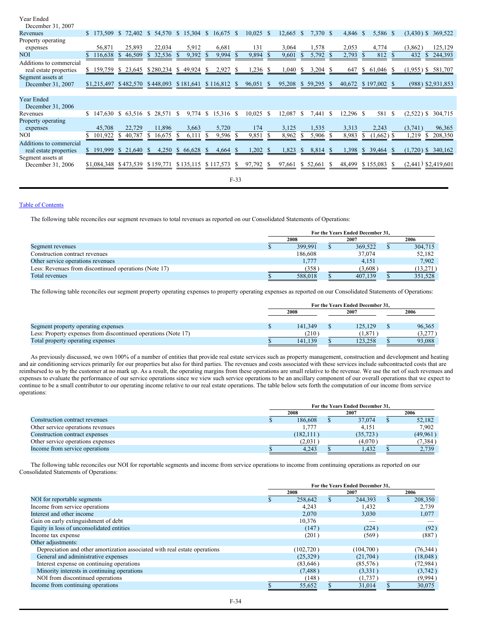| Year Ended                     |             |                        |              |        |                       |               |             |              |             |              |        |               |          |              |           |     |                 |     |                       |         |
|--------------------------------|-------------|------------------------|--------------|--------|-----------------------|---------------|-------------|--------------|-------------|--------------|--------|---------------|----------|--------------|-----------|-----|-----------------|-----|-----------------------|---------|
| December 31, 2007              |             |                        |              |        |                       |               |             |              |             |              |        |               |          |              |           |     |                 |     |                       |         |
| Revenues                       | \$173,509   | 72,402<br>-SI          |              |        | \$ 54,570 \$ 15,304   | <sup>S</sup>  | $16,675$ \$ |              | $10,025$ \$ |              | 12,665 | <sup>S</sup>  | 7,370 \$ |              | 4,846 \$  |     | 5,586 \$        |     | $(3,430)$ \$ 369,522  |         |
| Property operating<br>expenses | 56,871      | 25,893                 |              | 22,034 | 5,912                 |               | 6,681       |              | 131         |              | 3,064  |               | 1,578    |              | 2,053     |     | 4,774           |     | (3,862)               | 125,129 |
| NOI                            | 116,638     | 46,509<br><sup>S</sup> | 32,536<br>S. |        | 9,392<br><sup>8</sup> | P.            | 9,994       | S            | 9,894       | <sup>2</sup> | 9,601  | \$            | 5,792    |              | 2,793     | \$. | 812             |     | 432                   | 244,393 |
| Additions to commercial        |             |                        |              |        |                       |               |             |              |             |              |        |               |          |              |           |     |                 |     |                       |         |
| real estate properties         | \$159,759   | 23,645<br>S.           | \$280,234    | S.     | 49,924                | S             | 2,927       | S            | 1,236       | -S           | 1,040  | S.            | 3,204    | <sup>8</sup> | 647       |     | \$61,046        | S   | $(1,955)$ \$ 581,707  |         |
| Segment assets at              |             |                        |              |        |                       |               |             |              |             |              |        |               |          |              |           |     |                 |     |                       |         |
| December 31, 2007              | \$1,215,497 | \$482,570              | \$448,093    |        | $$181,641$ $$116,812$ |               |             | -S           | 96,051      | <sup>S</sup> | 95,208 | <sup>S</sup>  | 59,295   | S.           | 40,672    |     | $$197,002$ \$   |     | $(988)$ \$2,931,853   |         |
|                                |             |                        |              |        |                       |               |             |              |             |              |        |               |          |              |           |     |                 |     |                       |         |
| Year Ended                     |             |                        |              |        |                       |               |             |              |             |              |        |               |          |              |           |     |                 |     |                       |         |
| December 31, 2006              |             |                        |              |        |                       |               |             |              |             |              |        |               |          |              |           |     |                 |     |                       |         |
| Revenues                       |             | $$147,630 \$63,516 \$$ | 28,571       | -S     | 9,774                 | <sup>\$</sup> | 15,316 \$   |              | $10,025$ \$ |              | 12,087 | <sup>\$</sup> | 7,441    | - S          | 12,296 \$ |     | 581             | -S  | $(2,522)$ \$          | 304,715 |
| Property operating             |             |                        |              |        |                       |               |             |              |             |              |        |               |          |              |           |     |                 |     |                       |         |
| expenses                       | 45,708      | 22,729                 |              | 11,896 | 3,663                 |               | 5,720       |              | 174         |              | 3,125  |               | 1,535    |              | 3,313     |     | 2,243           |     | (3,741)               | 96,365  |
| <b>NOI</b>                     | 101,922     | 40,787<br><sup>S</sup> | \$16,675     |        | 6,111<br>S            |               | 9,596       | -S           | 9,851       |              | 8,962  | S             | 5,906 \$ |              | 8,983     | S.  | $(1,662)$ \$    |     | 1,219                 | 208,350 |
| Additions to commercial        |             |                        |              |        |                       |               |             |              |             |              |        |               |          |              |           |     |                 |     |                       |         |
| real estate properties         | 191,999     | \$21,640               | -S           |        | 4,250 \$ 66,628       | <sup>8</sup>  | 4,664       | -S           | 1,202       | -S           | 1,823  | <sup>S</sup>  | 8,814    | <u>S.</u>    |           |     | 1,398 \$ 39,464 | -85 | $(1,720)$ \$ 340,162  |         |
| Segment assets at              |             |                        |              |        |                       |               |             |              |             |              |        |               |          |              |           |     |                 |     |                       |         |
| December 31, 2006              | \$1,084,348 | \$473,539              | \$159,771    |        | \$135,115             |               | \$117,573   | <sup>S</sup> | 97,792      |              | 97,661 |               | \$52,661 | -S           | 48,499    |     | $$155,083$ \, S |     | $(2,441)$ \$2,419,601 |         |
|                                |             |                        |              |        |                       |               |             |              |             |              |        |               |          |              |           |     |                 |     |                       |         |
|                                |             |                        |              |        |                       |               |             | $F-33$       |             |              |        |               |          |              |           |     |                 |     |                       |         |

# Table of [Contents](#page-1-0)

The following table reconciles our segment revenues to total revenues as reported on our Consolidated Statements of Operations:

|                                                       | For the Years Ended December 31. |         |  |         |  |          |  |  |  |
|-------------------------------------------------------|----------------------------------|---------|--|---------|--|----------|--|--|--|
|                                                       | 2008                             |         |  | 2007    |  | 2006     |  |  |  |
| Segment revenues                                      |                                  | 399.991 |  | 369.522 |  | 304,715  |  |  |  |
| Construction contract revenues                        |                                  | 186,608 |  | 37,074  |  | 52.182   |  |  |  |
| Other service operations revenues                     |                                  | 1.777   |  | 4.151   |  | 7.902    |  |  |  |
| Less: Revenues from discontinued operations (Note 17) |                                  | (358)   |  | (3,608) |  | (13,271) |  |  |  |
| Total revenues                                        |                                  | 588,018 |  | 407.139 |  | 351,528  |  |  |  |

The following table reconciles our segment property operating expenses to property operating expenses as reported on our Consolidated Statements of Operations:

|                                                                                                       | For the Years Ended December 31. |         |      |         |  |        |  |  |  |  |
|-------------------------------------------------------------------------------------------------------|----------------------------------|---------|------|---------|--|--------|--|--|--|--|
|                                                                                                       | 2008                             |         | 2007 |         |  | 2006   |  |  |  |  |
|                                                                                                       |                                  | 141.349 |      | 125.129 |  | 96,365 |  |  |  |  |
| Segment property operating expenses<br>Less: Property expenses from discontinued operations (Note 17) |                                  | (210)   |      | (1.871  |  | 3,277  |  |  |  |  |
| Total property operating expenses                                                                     |                                  | 141.139 |      | 123.258 |  | 93,088 |  |  |  |  |

As previously discussed, we own 100% of a number of entities that provide real estate services such as property management, construction and development and heating and air conditioning services primarily for our properties but also for third parties. The revenues and costs associated with these services include subcontracted costs that are reimbursed to us by the customer at no mark up. As a result, the operating margins from these operations are small relative to the revenue. We use the net of such revenues and expenses to evaluate the performance of our service operations since we view such service operations to be an ancillary component of our overall operations that we expect to continue to be a small contributor to our operating income relative to our real estate operations. The table below sets forth the computation of our income from service operations:

|                                   | For the Years Ended December 31. |            |      |           |  |          |  |  |  |  |
|-----------------------------------|----------------------------------|------------|------|-----------|--|----------|--|--|--|--|
|                                   | 2008                             |            | 2007 |           |  | 2006     |  |  |  |  |
| Construction contract revenues    |                                  | 186,608    |      | 37,074    |  | 52.182   |  |  |  |  |
| Other service operations revenues |                                  | 1.777      |      | 4.151     |  | 7.902    |  |  |  |  |
| Construction contract expenses    |                                  | (182, 111) |      | (35, 723) |  | (49,961) |  |  |  |  |
| Other service operations expenses |                                  | (2,031)    |      | (4,070)   |  | (7,384)  |  |  |  |  |
| Income from service operations    |                                  | 4.243      |      | 1,432     |  | 2,739    |  |  |  |  |

The following table reconciles our NOI for reportable segments and income from service operations to income from continuing operations as reported on our Consolidated Statements of Operations:

| 2008 |            | 2007 |           |  | 2006                             |  |
|------|------------|------|-----------|--|----------------------------------|--|
|      | 258,642    |      | 244,393   |  | 208,350                          |  |
|      | 4,243      |      | 1,432     |  | 2,739                            |  |
|      | 2,070      |      | 3,030     |  | 1,077                            |  |
|      | 10.376     |      |           |  |                                  |  |
|      | (147)      |      | (224)     |  | (92)                             |  |
|      | (201)      |      | (569)     |  | (887)                            |  |
|      |            |      |           |  |                                  |  |
|      | (102, 720) |      | (104,700) |  | (76, 344)                        |  |
|      | (25, 329)  |      | (21,704)  |  | (18,048)                         |  |
|      | (83, 646)  |      | (85, 576) |  | (72, 984)                        |  |
|      | (7, 488)   |      | (3,331)   |  | (3,742)                          |  |
|      | (148)      |      | (1,737)   |  | (9,994)                          |  |
|      | 55,652     |      | 31,014    |  | 30,075                           |  |
|      |            |      |           |  | For the Years Ended December 31. |  |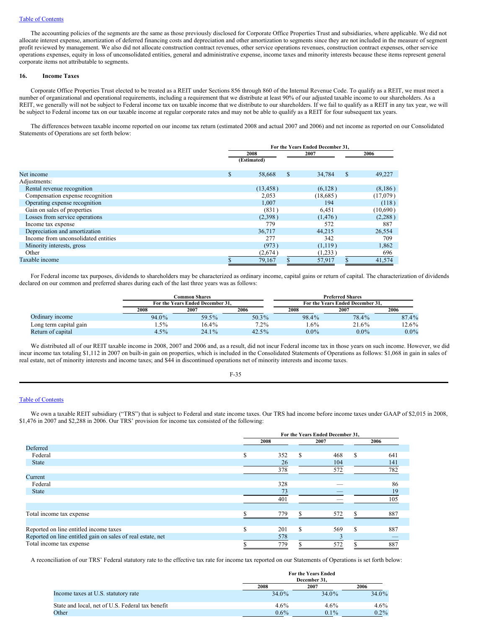The accounting policies of the segments are the same as those previously disclosed for Corporate Office Properties Trust and subsidiaries, where applicable. We did not allocate interest expense, amortization of deferred financing costs and depreciation and other amortization to segments since they are not included in the measure of segment profit reviewed by management. We also did not allocate construction contract revenues, other service operations revenues, construction contract expenses, other service operations expenses, equity in loss of unconsolidated entities, general and administrative expense, income taxes and minority interests because these items represent general corporate items not attributable to segments.

### **16. Income Taxes**

Corporate Office Properties Trust elected to be treated as a REIT under Sections 856 through 860 of the Internal Revenue Code. To qualify as a REIT, we must meet a number of organizational and operational requirements, including a requirement that we distribute at least 90% of our adjusted taxable income to our shareholders. As a REIT, we generally will not be subject to Federal income tax on taxable income that we distribute to our shareholders. If we fail to qualify as a REIT in any tax year, we will be subject to Federal income tax on our taxable income at regular corporate rates and may not be able to qualify as a REIT for four subsequent tax years.

The differences between taxable income reported on our income tax return (estimated 2008 and actual 2007 and 2006) and net income as reported on our Consolidated Statements of Operations are set forth below:

|                                     |                   | For the Years Ended December 31, |          |
|-------------------------------------|-------------------|----------------------------------|----------|
|                                     | 2008              | 2007                             | 2006     |
|                                     | (Estimated)       |                                  |          |
| Net income                          | \$<br>S<br>58,668 | 34,784<br>\$                     | 49,227   |
| Adjustments:                        |                   |                                  |          |
| Rental revenue recognition          | (13, 458)         | (6,128)                          | (8,186)  |
| Compensation expense recognition    | 2,053             | (18,685)                         | (17,079) |
| Operating expense recognition       | 1.007             | 194                              | (118)    |
| Gain on sales of properties         | (831)             | 6,451                            | (10,690) |
| Losses from service operations      | (2,398)           | (1, 476)                         | (2,288)  |
| Income tax expense                  | 779               | 572                              | 887      |
| Depreciation and amortization       | 36,717            | 44,215                           | 26,554   |
| Income from unconsolidated entities | 277               | 342                              | 709      |
| Minority interests, gross           | (973)             | (1,119)                          | 1,862    |
| Other                               | (2,674)           | (1,233)                          | 696      |
| Taxable income                      | 79,167            | 57,917                           | 41,574   |

For Federal income tax purposes, dividends to shareholders may be characterized as ordinary income, capital gains or return of capital. The characterization of dividends declared on our common and preferred shares during each of the last three years was as follows:

|                        |         | Common Shares                    |          |                                  | <b>Preferred Shares</b> |         |  |  |  |
|------------------------|---------|----------------------------------|----------|----------------------------------|-------------------------|---------|--|--|--|
|                        |         | For the Years Ended December 31. |          | For the Years Ended December 31. |                         |         |  |  |  |
|                        | 2008    | 2007                             | 2006     | 2008                             | 2007                    | 2006    |  |  |  |
| Ordinary income        | 94.0%   | 59.5%                            | $50.3\%$ | 98.4%                            | 78.4%                   | 87.4%   |  |  |  |
| Long term capital gain | $1.5\%$ | 16.4%                            | $7.2\%$  | $.6\%$                           | 21.6%                   | 12.6%   |  |  |  |
| Return of capital      | $4.5\%$ | $24.1\%$                         | $42.5\%$ | $0.0\%$                          | $0.0\%$                 | $0.0\%$ |  |  |  |

We distributed all of our REIT taxable income in 2008, 2007 and 2006 and, as a result, did not incur Federal income tax in those years on such income. However, we did incur income tax totaling \$1,112 in 2007 on built-in gain on properties, which is included in the Consolidated Statements of Operations as follows: \$1,068 in gain in sales of real estate, net of minority interests and income taxes; and \$44 in discontinued operations net of minority interests and income taxes.

## F-35

# Table of [Contents](#page-1-0)

We own a taxable REIT subsidiary ("TRS") that is subject to Federal and state income taxes. Our TRS had income before income taxes under GAAP of \$2,015 in 2008, \$1,476 in 2007 and \$2,288 in 2006. Our TRS' provision for income tax consisted of the following:

|                                                             |      |     |     | For the Years Ended December 31, |    |      |
|-------------------------------------------------------------|------|-----|-----|----------------------------------|----|------|
|                                                             | 2008 |     |     | 2007                             |    | 2006 |
| Deferred                                                    |      |     |     |                                  |    |      |
| Federal                                                     | S    | 352 | S   | 468                              | £. | 641  |
| <b>State</b>                                                |      | 26  |     | 104                              |    | 141  |
|                                                             |      | 378 |     | 572                              |    | 782  |
| Current                                                     |      |     |     |                                  |    |      |
| Federal                                                     |      | 328 |     |                                  |    | 86   |
| <b>State</b>                                                |      | 73  |     |                                  |    | 19   |
|                                                             |      | 401 |     |                                  |    | 105  |
|                                                             |      |     |     |                                  |    |      |
| Total income tax expense                                    |      | 779 | \$. | 572                              |    | 887  |
|                                                             |      |     |     |                                  |    |      |
| Reported on line entitled income taxes                      | \$   | 201 | S   | 569                              | S  | 887  |
| Reported on line entitled gain on sales of real estate, net |      | 578 |     |                                  |    |      |
| Total income tax expense                                    |      | 779 |     | 572                              |    | 887  |

A reconciliation of our TRS' Federal statutory rate to the effective tax rate for income tax reported on our Statements of Operations is set forth below:

|                                                  |         | For the Years Ended<br>December 31. |         |  |  |  |  |  |
|--------------------------------------------------|---------|-------------------------------------|---------|--|--|--|--|--|
|                                                  | 2008    | 2007                                | 2006    |  |  |  |  |  |
| Income taxes at U.S. statutory rate              | 34.0%   | 34.0%                               | 34.0%   |  |  |  |  |  |
| State and local, net of U.S. Federal tax benefit | $4.6\%$ | $4.6\%$                             | $4.6\%$ |  |  |  |  |  |
| Other                                            | $0.6\%$ | $0.1\%$                             | $0.2\%$ |  |  |  |  |  |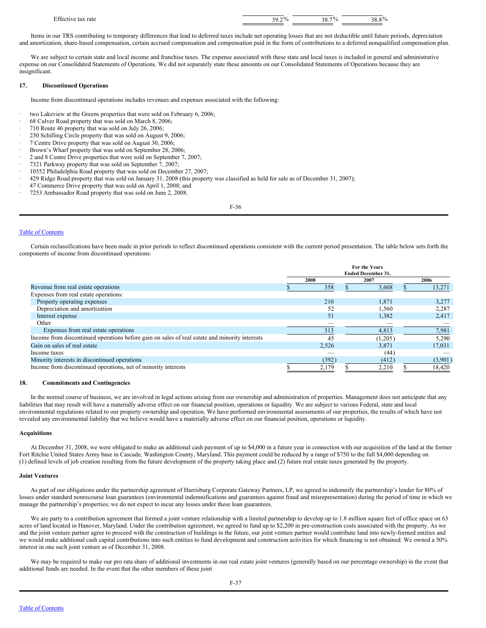| יים ב<br>.rate<br>$-$ Tec <sup>+</sup><br>-тат<br>. | $\sim 0$<br>. | .<br>70<br>$\sim$ | $\Omega$<br>. . |
|-----------------------------------------------------|---------------|-------------------|-----------------|
|                                                     |               |                   |                 |

Items in our TRS contributing to temporary differences that lead to deferred taxes include net operating losses that are not deductible until future periods, depreciation and amortization, share-based compensation, certain accrued compensation and compensation paid in the form of contributions to a deferred nonqualified compensation plan.

We are subject to certain state and local income and franchise taxes. The expense associated with these state and local taxes is included in general and administrative expense on our Consolidated Statements of Operations. We did not separately state these amounts on our Consolidated Statements of Operations because they are insignificant.

# **17. Discontinued Operations**

Income from discontinued operations includes revenues and expenses associated with the following:

- two Lakeview at the Greens properties that were sold on February 6, 2006;
- 68 Culver Road property that was sold on March 8, 2006;
- · 710 Route 46 property that was sold on July 26, 2006;
- 230 Schilling Circle property that was sold on August 9, 2006;
- · 7 Centre Drive property that was sold on August 30, 2006;
- Brown's Wharf property that was sold on September 28, 2006;
- · 2 and 8 Centre Drive properties that were sold on September 7, 2007;
- · 7321 Parkway property that was sold on September 7, 2007;
- · 10552 Philadelphia Road property that was sold on December 27, 2007;
- · 429 Ridge Road property that was sold on January 31, 2008 (this property was classified as held for sale as of December 31, 2007);
- · 47 Commerce Drive property that was sold on April 1, 2008; and
- · 7253 Ambassador Road property that was sold on June 2, 2008.

F-36

### Table of [Contents](#page-1-0)

Certain reclassifications have been made in prior periods to reflect discontinued operations consistent with the current period presentation. The table below sets forth the components of income from discontinued operations:

|                                                                                                |       |      | <b>For the Years</b><br><b>Ended December 31.</b> |         |
|------------------------------------------------------------------------------------------------|-------|------|---------------------------------------------------|---------|
|                                                                                                | 2008  | 2007 |                                                   | 2006    |
| Revenue from real estate operations                                                            | 358   |      | 3,608                                             | 13,271  |
| Expenses from real estate operations:                                                          |       |      |                                                   |         |
| Property operating expenses                                                                    | 210   |      | 1,871                                             | 3,277   |
| Depreciation and amortization                                                                  | 52    |      | 1,560                                             | 2,287   |
| Interest expense                                                                               | 51    |      | 1,382                                             | 2,417   |
| Other                                                                                          |       |      |                                                   |         |
| Expenses from real estate operations                                                           | 313   |      | 4,813                                             | 7,981   |
| Income from discontinued operations before gain on sales of real estate and minority interests | 45    |      | (1,205)                                           | 5,290   |
| Gain on sales of real estate                                                                   | 2,526 |      | 3,871                                             | 17,031  |
| Income taxes                                                                                   |       |      | (44)                                              |         |
| Minority interests in discontinued operations                                                  | (392) |      | (412)                                             | (3,901) |
| Income from discontinued operations, net of minority interests                                 | 2,179 |      | 2,210                                             | 18,420  |

## **18. Commitments and Contingencies**

In the normal course of business, we are involved in legal actions arising from our ownership and administration of properties. Management does not anticipate that any liabilities that may result will have a materially adverse effect on our financial position, operations or liquidity. We are subject to various Federal, state and local environmental regulations related to our property ownership and operation. We have performed environmental assessments of our properties, the results of which have not revealed any environmental liability that we believe would have a materially adverse effect on our financial position, operations or liquidity.

#### **Acquisitions**

At December 31, 2008, we were obligated to make an additional cash payment of up to \$4,000 in a future year in connection with our acquisition of the land at the former Fort Ritchie United States Army base in Cascade, Washington County, Maryland. This payment could be reduced by a range of \$750 to the full \$4,000 depending on (1) defined levels of job creation resulting from the future development of the property taking place and (2) future real estate taxes generated by the property.

### **Joint Ventures**

As part of our obligations under the partnership agreement of Harrisburg Corporate Gateway Partners, LP, we agreed to indemnify the partnership's lender for 80% of losses under standard nonrecourse loan guarantees (environmental indemnifications and guarantees against fraud and misrepresentation) during the period of time in which we manage the partnership's properties; we do not expect to incur any losses under these loan guarantees.

We are party to a contribution agreement that formed a joint venture relationship with a limited partnership to develop up to 1.8 million square feet of office space on 63 acres of land located in Hanover, Maryland. Under the contribution agreement, we agreed to fund up to \$2,200 in pre-construction costs associated with the property. As we and the joint venture partner agree to proceed with the construction of buildings in the future, our joint venture partner would contribute land into newly-formed entities and we would make additional cash capital contributions into such entities to fund development and construction activities for which financing is not obtained. We owned a 50% interest in one such joint venture as of December 31, 2008.

We may be required to make our pro rata share of additional investments in our real estate joint ventures (generally based on our percentage ownership) in the event that additional funds are needed. In the event that the other members of these joint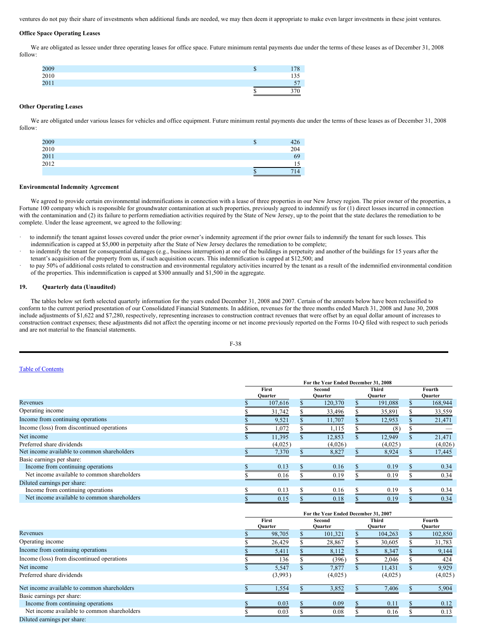ventures do not pay their share of investments when additional funds are needed, we may then deem it appropriate to make even larger investments in these joint ventures.

### **Office Space Operating Leases**

We are obligated as lessee under three operating leases for office space. Future minimum rental payments due under the terms of these leases as of December 31, 2008 follow:

| 2009 | 78      |
|------|---------|
| 2010 | 135     |
| 2011 | cп<br>◡ |
|      | 70      |

# **Other Operating Leases**

We are obligated under various leases for vehicles and office equipment. Future minimum rental payments due under the terms of these leases as of December 31, 2008 follow:

| 2009         | 426 |
|--------------|-----|
| 2010         | 204 |
| 2011<br>2012 | 69  |
|              | 15  |
|              | 714 |

#### **Environmental Indemnity Agreement**

We agreed to provide certain environmental indemnifications in connection with a lease of three properties in our New Jersey region. The prior owner of the properties, a Fortune 100 company which is responsible for groundwater contamination at such properties, previously agreed to indemnify us for (1) direct losses incurred in connection with the contamination and (2) its failure to perform remediation activities required by the State of New Jersey, up to the point that the state declares the remediation to be complete. Under the lease agreement, we agreed to the following:

- to indemnify the tenant against losses covered under the prior owner's indemnity agreement if the prior owner fails to indemnify the tenant for such losses. This indemnification is capped at \$5,000 in perpetuity after the State of New Jersey declares the remediation to be complete;
- · to indemnify the tenant for consequential damages (e.g., business interruption) at one of the buildings in perpetuity and another of the buildings for 15 years after the tenant's acquisition of the property from us, if such acquisition occurs. This indemnification is capped at \$12,500; and
- to pay 50% of additional costs related to construction and environmental regulatory activities incurred by the tenant as a result of the indemnified environmental condition of the properties. This indemnification is capped at \$300 annually and \$1,500 in the aggregate.

### **19. Quarterly data (Unaudited)**

The tables below set forth selected quarterly information for the years ended December 31, 2008 and 2007. Certain of the amounts below have been reclassified to conform to the current period presentation of our Consolidated Financial Statements. In addition, revenues for the three months ended March 31, 2008 and June 30, 2008 include adjustments of \$1,622 and \$7,280, respectively, representing increases to construction contract revenues that were offset by an equal dollar amount of increases to construction contract expenses; these adjustments did not affect the operating income or net income previously reported on the Forms 10-Q filed with respect to such periods and are not material to the financial statements.

F-38

# Table of [Contents](#page-1-0)

|                                             |                | For the Year Ended December 31, 2008 |         |         |
|---------------------------------------------|----------------|--------------------------------------|---------|---------|
|                                             | First          | Second                               | Third   | Fourth  |
|                                             | <b>Ouarter</b> | Quarter                              | Ouarter | Quarter |
| Revenues                                    | 107,616        | 120,370                              | 191,088 | 168,944 |
| Operating income                            | 31,742         | 33,496                               | 35,891  | 33,559  |
| Income from continuing operations           | 9,521          | 11,707                               | 12,953  | 21,471  |
| Income (loss) from discontinued operations  | 1,072          | 1,115                                | (8)     |         |
| Net income                                  | 11,395         | 12,853                               | 12,949  | 21,471  |
| Preferred share dividends                   | (4,025)        | (4,026)                              | (4,025) | (4,026) |
| Net income available to common shareholders | 7,370          | 8,827                                | 8,924   | 17,445  |
| Basic earnings per share:                   |                |                                      |         |         |
| Income from continuing operations           | 0.13           | 0.16                                 | 0.19    | 0.34    |
| Net income available to common shareholders | 0.16           | 0.19                                 | 0.19    | 0.34    |
| Diluted earnings per share:                 |                |                                      |         |         |
| Income from continuing operations           | 0.13           | 0.16                                 | 0.19    | 0.34    |
| Net income available to common shareholders | 0.15           | 0.18                                 | 0.19    | 0.34    |

|                                             | For the Year Ended December 31, 2007 |  |                   |  |                         |                          |         |  |  |  |  |
|---------------------------------------------|--------------------------------------|--|-------------------|--|-------------------------|--------------------------|---------|--|--|--|--|
|                                             | First<br><b>Ouarter</b>              |  | Second<br>Ouarter |  | Third<br><b>Quarter</b> | Fourth<br><b>Ouarter</b> |         |  |  |  |  |
| Revenues                                    | 98,705                               |  | 101,321           |  | 104,263                 |                          | 102,850 |  |  |  |  |
| Operating income                            | 26,429                               |  | 28,867            |  | 30,605                  |                          | 31,783  |  |  |  |  |
| Income from continuing operations           | 5,411                                |  | 8,112             |  | 8,347                   |                          | 9,144   |  |  |  |  |
| Income (loss) from discontinued operations  | 136                                  |  | (396)             |  | 2,046                   |                          | 424     |  |  |  |  |
| Net income                                  | 5,547                                |  | 7.877             |  | 11.431                  |                          | 9,929   |  |  |  |  |
| Preferred share dividends                   | (3,993)                              |  | (4,025)           |  | (4,025)                 |                          | (4,025) |  |  |  |  |
| Net income available to common shareholders | 1,554                                |  | 3,852             |  | 7,406                   |                          | 5,904   |  |  |  |  |
| Basic earnings per share:                   |                                      |  |                   |  |                         |                          |         |  |  |  |  |
| Income from continuing operations           | 0.03                                 |  | 0.09              |  | 0.11                    |                          | 0.12    |  |  |  |  |
| Net income available to common shareholders | 0.03                                 |  | 0.08              |  | 0.16                    |                          | 0.13    |  |  |  |  |
| Diluted earnings per share:                 |                                      |  |                   |  |                         |                          |         |  |  |  |  |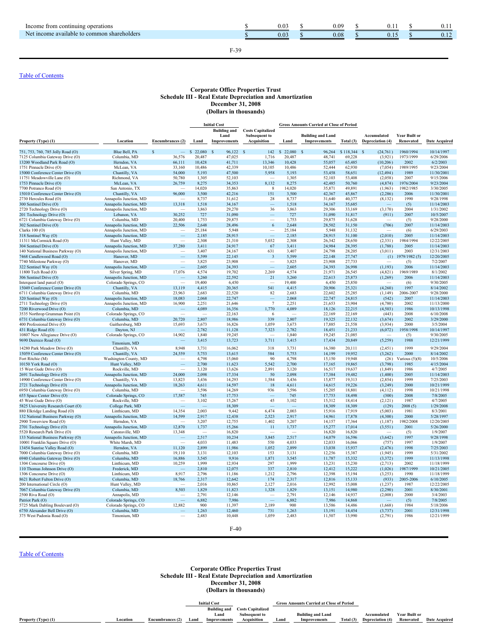| 0.08<br>$\sim$<br>shareholders<br>Ne<br>: available to<br>common<br>mcome<br>v.v. | . . | $\mathbf{U} \cdot \mathbf{I}$ |
|-----------------------------------------------------------------------------------|-----|-------------------------------|

F-39

# Table of [Contents](#page-1-0)

### **Corporate Office Properties Trust Schedule III - Real Estate Depreciation and Amortization December 31, 2008 (Dollars in thousands)**

|                                                                    | <b>Initial Cost</b>                   |                  |                        |                             | <b>Gross Amounts Carried at Close of Period</b> |                        |                                                 |                  |                                 |                                   |                         |
|--------------------------------------------------------------------|---------------------------------------|------------------|------------------------|-----------------------------|-------------------------------------------------|------------------------|-------------------------------------------------|------------------|---------------------------------|-----------------------------------|-------------------------|
|                                                                    |                                       |                  |                        | <b>Building and</b>         | <b>Costs Capitalized</b>                        |                        |                                                 |                  |                                 |                                   |                         |
| Property (Type) (1)                                                | Location                              | Encumbrances (2) | Land                   | Land<br><b>Improvements</b> | <b>Subsequent to</b><br>Acquisition             | Land                   | <b>Building and Land</b><br><b>Improvements</b> | Total (3)        | Accumulated<br>Depreciation (4) | <b>Year Built or</b><br>Renovated | <b>Date Acquired</b>    |
|                                                                    |                                       |                  |                        |                             |                                                 |                        |                                                 |                  |                                 |                                   |                         |
| 751, 753, 760, 785 Jolly Road (O)                                  | Blue Bell, PA                         | S                | 22,080<br>$\mathbf{s}$ | 96,122<br>$\mathcal{S}$     | 142<br>S                                        | 22,080<br>$\mathbf{s}$ | 96,264<br>$\mathcal{S}$<br>48,741               | \$118,344        | (24, 761)<br>-8                 | 1960/1994<br>1973/1999            | 10/14/1997<br>6/29/2006 |
| 7125 Columbia Gateway Drive (O)<br>13200 Woodland Park Road (O)    | Columbia, MD<br>Herndon, VA           | 36,576<br>66,111 | 20,487<br>10,428       | 47,025<br>41,711            | 1,716<br>13,346                                 | 20,487<br>10,428       | 55,057                                          | 69,228<br>65,485 | (3,921)<br>(10, 206)            | 2002                              | 6/2/2003                |
| 1751 Pinnacle Drive (O)                                            | McLean, VA                            | 33,160           | 10,486                 | 42,339                      | 10,105                                          | 10,486                 | 52,444                                          | 62,930           | (7,054)                         | 1989/1995                         | 9/23/2004               |
| 15000 Conference Center Drive (O)                                  | Chantilly, VA                         | 54,000           | 5,193                  | 47,500                      | 5,958                                           | 5,193                  | 53,458                                          | 58,651           | (12, 494)                       | 1989                              | 11/30/2001              |
| 11751 Meadowville Lane (O)                                         | Richmond, VA                          | 50,780           | 1,305                  | 52,103                      |                                                 | 1,305                  | 52,103                                          | 53,408           | (2,058)                         | 2007                              | 9/15/2006               |
| 1753 Pinnacle Drive (O)                                            | McLean, VA                            | 26,759           | 8,275                  | 34,353                      | 8,132                                           | 8,275                  | 42,485                                          | 50,760           | (4,874)                         | 1976/2004                         | 9/23/2004               |
| 7700 Potranco Road (O)                                             | San Antonio, TX                       |                  | 14,020                 | 35,863                      | 8                                               | 14,020                 | 35,871                                          | 49,891           | (1,963)                         | 1982/1985                         | 3/30/2005               |
| 15010 Conference Center Drive (O)                                  | Chantilly, VA                         | 96,000           | 3,500                  | 42,216                      | 151                                             | 3,500                  | 42,367                                          | 45,867           | (2, 286)                        | 2006                              | 11/30/2001              |
| 2730 Hercules Road (O)                                             | Annapolis Junction, MD                |                  | 8,737                  | 31,612                      | 28                                              | 8,737                  | 31,640                                          | 40,377           | (8, 132)                        | 1990                              | 9/28/1998               |
| 300 Sentinel Drive (O)                                             | Annapolis Junction, MD                | 13,318           | 1,518                  | 34,167                      |                                                 | 1,518                  | 34,167                                          | 35,685           |                                 | (5)<br>2004                       | 11/14/2003<br>1/31/2002 |
| 2720 Technology Drive (O)<br>201 Technology Drive (O)              | Annapolis Junction, MD<br>Lebanon, VA | 30,252           | 3,863<br>727           | 29,270<br>31,090            | 36                                              | 3,863<br>727           | 29,306<br>31,090                                | 33,169<br>31,817 | (3, 170)<br>(911)               | 2007                              | 10/5/2007               |
| 6721 Columbia Gateway Drive (O)                                    | Columbia, MD                          | 20,400           | 1,753                  | 29,875                      |                                                 | 1,753                  | 29,875                                          | 31,628           |                                 | (5)                               | 9/28/2000               |
| 302 Sentinel Drive (O)                                             | Annapolis Junction, MD                | 22,506           | 2,648                  | 28,496                      | 6                                               | 2,648                  | 28,502                                          | 31,150           | (706)                           | 2007                              | 11/14/2003              |
| Clarks $100(O)$                                                    | Annapolis Junction, MD                |                  | 25,184                 | 5,948                       |                                                 | 25,184                 | 5,948                                           | 31,132           |                                 | (6)                               | 6/29/2003               |
| 318 Sentinel Way (O)                                               | Annapolis Junction, MD                | -                | 2,185                  | 28,915                      |                                                 | 2,185                  | 28,915                                          | 31,100           | (2,010)                         | 2005                              | 11/14/2003              |
| 11311 McCormick Road (O)                                           | Hunt Valley, MD                       |                  | 2,308                  | 21,310                      | 5,032                                           | 2,308                  | 26,342                                          | 28,650           | (2, 331)                        | 1984/1994                         | 12/22/2005              |
| 304 Sentinel Drive (O)                                             | Annapolis Junction, MD                | 37,280           | 3,411                  | 24,917                      | 67                                              | 3,411                  | 24,984                                          | 28,395           | (1,788)                         | 2005                              | 11/14/2003              |
| 140 National Business Parkway (O)                                  | Annapolis Junction, MD                |                  | 3,407                  | 24,167                      | 631                                             | 3,407                  | 24,798                                          | 28,205           | (3,011)                         | 2003                              | 12/31/2003              |
| 7468 Candlewood Road (O)                                           | Hanover, MD                           |                  | 5,599                  | 22,145                      | $\overline{\mathbf{3}}$                         | 5,599                  | 22,148                                          | 27,747           | (1)                             | 1979/1982 (5)                     | 12/20/2005              |
| 7740 Milestone Parkway (O)<br>322 Sentinel Way (O)                 | Hanover, MD<br>Annapolis Junction, MD |                  | 3,825<br>2.605         | 23,908<br>24.393            |                                                 | 3,825<br>2.605         | 23,908<br>24.393                                | 27,733<br>26.998 | (1, 193)                        | (5)<br>2006                       | 7/2/2007<br>11/14/2003  |
| 11800 Tech Road (O)                                                | Silver Spring, MD                     | 17,076           | 4,574                  | 19,702                      | 2,269                                           | 4,574                  | 21,971                                          | 26,545           | (4,821)                         | 1969/1989                         | 8/1/2002                |
| 306 Sentinel Drive (O)                                             | Annapolis Junction, MD                |                  | 3,260                  | 22,592                      | 21                                              | 3,260                  | 22,613                                          | 25,873           | (1,269)                         | 2006                              | 11/14/2003              |
| Interquest land parcel (O)                                         | Colorado Springs, CO                  |                  | 19,400                 | 6,450                       |                                                 | 19,400                 | 6,450                                           | 25,850           |                                 | (6)                               | 9/30/2005               |
| 15049 Conference Center Drive (O)                                  | Chantilly, VA                         | 13,119           | 4,415                  | 20,365                      | 541                                             | 4,415                  | 20,906                                          | 25,321           | (4,260)                         | 1997                              | 8/14/2002               |
| 6711 Columbia Gateway Drive (O)                                    | Columbia, MD                          | 23.963           | 2.683                  | 22.520                      | 82                                              | 2.683                  | 22,602                                          | 25.285           | (1, 149)                        | 2006-2007                         | 9/28/2000               |
| 320 Sentinel Way (O)                                               | Annapolis Junction, MD                | 18,083           | 2,068                  | 22,747                      |                                                 | 2,068                  | 22,747                                          | 24,815           | (542)                           | 2007                              | 11/14/2003              |
| 2711 Technology Drive (O)                                          | Annapolis Junction, MD                | 16,900           | 2,251                  | 21,646                      | $\overline{7}$                                  | 2,251                  | 21,653                                          | 23,904           | (4,780)                         | 2002                              | 11/13/2000              |
| 7200 Riverwood Drive (O)                                           | Columbia, MD                          |                  | 4,089                  | 16,356                      | 1,770                                           | 4,089                  | 18,126                                          | 22,215           | (4,503)                         | 1986                              | 10/13/1998              |
| 3535 Northrop Grumman Point (O)<br>6731 Columbia Gateway Drive (O) | Colorado Springs, CO<br>Columbia, MD  | 20,720           | 2.807                  | 22,163<br>18,986            | 6<br>339                                        | 2.807                  | 22,169<br>19,325                                | 22,169<br>22.132 | (443)                           | 2008<br>2002                      | 6/10/2008<br>3/29/2000  |
| 400 Professional Drive (O)                                         | Gaithersburg, MD                      | 15,693           | 3,673                  | 16,826                      | 1,059                                           | 3,673                  | 17,885                                          | 21,558           | (3,674)<br>(3,934)              | 2000                              | 3/5/2004                |
| 431 Ridge Road (O)                                                 | Dayton, NJ                            |                  | 2,782                  | 11,128                      | 7,323                                           | 2,782                  | 18,451                                          | 21,233           | (6,072)                         | 958/1998                          | 10/14/1997              |
| 10807 New Allegiance Drive (O)                                     | Colorado Springs, CO                  | 14,902           | 1,840                  | 19,245                      |                                                 | 1,840                  | 19,245                                          | 21,085           |                                 | (5)                               | 9/30/2005               |
| 9690 Deereco Road (O)                                              |                                       |                  | 3,415                  | 13,723                      | 3,711                                           | 3,415                  | 17,434                                          | 20,849           | (5,259)                         | 1988                              | 12/21/1999              |
|                                                                    | Timonium, MD                          | 8.948            | 3,731                  | 16,062                      | 318                                             | 3,731                  | 16,380                                          | 20,111           | (2, 451)                        | 1999                              | 9/29/2004               |
| 14280 Park Meadow Drive (O)<br>15059 Conference Center Drive (O)   | Chantilly, VA<br>Chantilly, VA        | 24,559           | 5,753                  | 13,615                      | 584                                             | 5,753                  | 14,199                                          | 19,952           | (3,262)                         | 2000                              | 8/14/2002               |
| Fort Ritchie (M)                                                   | Washington County, MD                 |                  | 4,798                  | 15,060                      | 90                                              | 4,798                  | 15,150                                          | 19,948           | (26)                            | Various $(5)(8)$                  | 10/5/2006               |
| 10150 York Road (O)                                                | Hunt Valley, MD                       |                  | 2,700                  | 11,623                      | 5,542                                           | 2,700                  | 17,165                                          | 19,865           | (3,798)                         | 1985                              | 4/15/2004               |
| 15 West Gude Drive (O)                                             | Rockville, MD                         |                  | 3,120                  | 13,626                      | 2,891                                           | 3,120                  | 16,517                                          | 19,637           | (1, 849)                        | 1986                              | 4/7/2005                |
| 2691 Technology Drive (O)                                          | Annapolis Junction, MD                | 24,000           | 2,098                  | 17,334                      | 50                                              | 2.098                  | 17,384                                          | 19,482           | (1,400)                         | 2005                              | 11/14/2003              |
| 14900 Conference Center Drive (O)                                  | Chantilly, VA                         | 13,823           | 3,436                  | 14,293                      | 1,584                                           | 3,436                  | 15,877                                          | 19,313           | (2,854)                         | 1999                              | 7/25/2003               |
| 2721 Technology Drive (O)                                          | Annapolis Junction, MD                | 18,263           | 4,611                  | 14,597                      | 18                                              | 4,611                  | 14,615                                          | 19,226           | (3,249)                         | 2000                              | 10/21/1999              |
| 6950 Columbia Gateway Drive (O)                                    | Columbia, MD                          |                  | 3,596                  | 14,269                      | 936                                             | 3,596                  | 15,205                                          | 18,801           | (4, 112)                        | 1998                              | 10/21/1998              |
| 655 Space Center Drive (O)                                         | Colorado Springs, CO                  | 17,587           | 745<br>3,102           | 17,753                      | 45                                              | 745                    | 17,753                                          | 18,498           | (300)                           | 2008<br>1987                      | 7/8/2005<br>4/7/2005    |
| 45 West Gude Drive (O)<br>5825 University Research Court (O)       | Rockville, MD<br>College Park, MD     |                  |                        | 15,267<br>18,309            |                                                 | 3,102                  | 15,312<br>18,309                                | 18,414<br>18,309 | (2, 121)<br>(129)               | 2008(5)                           | 1/29/2008               |
| 880 Elkridge Landing Road (O)                                      | Linthicum, MD                         | 14,354           | 2,003                  | 9,442                       | 6,474                                           | 2,003                  | 15,916                                          | 17,919           | (5,003)                         | 1981                              | 8/3/2001                |
| 132 National Business Parkway (O)                                  | Annapolis Junction, MD                | 14,599           | 2,917                  | 12,438                      | 2,523                                           | 2,917                  | 14,961                                          | 17,878           | (4,300)                         | 2000                              | 5/28/1997               |
| 2900 Towerview Road (O)                                            | Herndon, VA                           |                  | 3,207                  | 12,755                      | 1,402                                           | 3.207                  | 14,157                                          | 17,364           | (1, 187)                        | 1982/2008                         | 12/20/2005              |
| 2701 Technology Drive (O)                                          | Annapolis Junction, MD                | 12,870           | 1,737                  | 15,266                      | 11                                              | 1,737                  | 15,277                                          | 17,014           | (3, 551)                        | 2001                              | 5/26/2000               |
| 5520 Research Park Drive (O)                                       | Catonsville, MD                       | 13,348           |                        | 16,820                      |                                                 |                        | 16,820                                          | 16,820           |                                 | (5)                               | 1/9/2007                |
| 133 National Business Parkway (O)                                  | Annapolis Junction, MD                |                  | 2,517                  | 10,234                      | 3,845                                           | 2,517                  | 14,079                                          | 16,596           | (3,642)                         | 1997                              | 9/28/1998               |
| 10001 Franklin Square Drive (O)                                    | White Marsh, MD                       |                  | 4,033                  | 11,483                      | 550                                             | 4.033                  | 12,033                                          | 16,066           | (757)                           | 1997                              | 1/9/2007                |
| 13454 Sunrise Valley Road (O)                                      | Herndon, VA                           | 11,120           | 2,899                  | 11,986                      | 1,052                                           | 2,899                  | 13,038<br>12,256                                | 15,937           | (2, 476)                        | 1998<br>1999                      | 7/25/2003               |
| 7000 Columbia Gateway Drive (O)<br>6940 Columbia Gateway Drive (O) | Columbia, MD<br>Columbia, MD          | 19,110<br>16,886 | 3,131<br>3,545         | 12,103<br>9,916             | 153<br>1,871                                    | 3,131<br>3,545         | 11,787                                          | 15,387<br>15,332 | (1,945)<br>(3, 372)             | 1999                              | 5/31/2002<br>11/13/1998 |
| 1304 Concourse Drive (O)                                           | Linthicum, MD                         | 10,259           | 1,999                  | 12,934                      | 297                                             | 1,999                  | 13,231                                          | 15,230           | (2,713)                         | 2002                              | 11/18/1999              |
| 110 Thomas Johnson Drive (O)                                       | Frederick, MD                         |                  | 2,810                  | 12,075                      | 337                                             | 2,810                  | 12,412                                          | 15,222           | (1,026)                         | 1987/1999                         | 10/21/2005              |
| 1306 Concourse Drive (O)                                           | Linthicum, MD                         | 8,917            | 2,796                  | 11,186                      | 1,212                                           | 2,796                  | 12,398                                          | 15,194           | (3,253)                         | 1990                              | 11/18/1999              |
| 8621 Robert Fulton Drive (O)                                       | Columbia, MD                          | 18,766           | 2,317                  | 12,642                      | 174                                             | 2,317                  | 12,816                                          | 15,133           | (933)                           | 2005-2006                         | 6/10/2005               |
| 200 International Circle (O)                                       | Hunt Valley, MD                       |                  | 2,016                  | 10,865                      | 2,127                                           | 2,016                  | 12,992                                          | 15,008           | (1,237)                         | 1987                              | 12/22/2005              |
| 7067 Columbia Gateway Drive (O)                                    | Columbia, MD                          | 8,503            | 1,829                  | 11,823                      | 1,328                                           | 1,829                  | 13,151                                          | 14,980           | (2, 290)                        | 2001                              | 8/30/2001               |
| 2500 Riva Road (O)                                                 | Annapolis, MD                         |                  | 2,791                  | 12,146                      |                                                 | 2,791                  | 12,146                                          | 14,937           | (2,008)                         | 2000                              | 3/4/2003                |
| Patriot Park (O)                                                   | Colorado Springs, CO                  |                  | 6,882                  | 7,986                       |                                                 | 6,882                  | 7,986                                           | 14,868           |                                 | (5)                               | 7/8/2005                |
| 5725 Mark Dabling Boulevard (O)                                    | Colorado Springs, CO                  | 12,882           | 900                    | 11,397<br>12.460            | 2,189<br>731                                    | 900<br>1.263           | 13,586                                          | 14,486<br>14.454 | (1,668)                         | 1984<br>2001                      | 5/18/2006<br>12/31/1998 |
| 6750 Alexander Bell Drive (O)<br>375 West Padonia Road (O)         | Columbia, MD<br>Timonium, MD          |                  | 1,263<br>2,483         | 10,448                      | 1,059                                           | 2,483                  | 13,191<br>11,507                                | 13,990           | (3,737)<br>(2,791)              | 1986                              | 12/21/1999              |
|                                                                    |                                       |                  |                        |                             |                                                 |                        |                                                 |                  |                                 |                                   |                         |
|                                                                    |                                       |                  |                        | $F-40$                      |                                                 |                        |                                                 |                  |                                 |                                   |                         |
|                                                                    |                                       |                  |                        |                             |                                                 |                        |                                                 |                  |                                 |                                   |                         |

Table of [Contents](#page-1-0)

#### **Corporate Office Properties Trust Schedule III - Real Estate Depreciation and Amortization December 31, 2008 (Dollars in thousands)**

|                     |          |                  |      | <b>Initial Cost</b> |                          |      | <b>Gross Amounts Carried at Close of Period</b> |          |                  |                      |                      |
|---------------------|----------|------------------|------|---------------------|--------------------------|------|-------------------------------------------------|----------|------------------|----------------------|----------------------|
|                     |          |                  |      | <b>Building and</b> | <b>Costs Capitalized</b> |      |                                                 |          |                  |                      |                      |
|                     |          |                  |      | Land                | <b>Subsequent to</b>     |      | <b>Building and Land</b>                        |          | Accumulated      | <b>Year Built or</b> |                      |
| Property (Type) (1) | Location | Encumbrances (2) | Land | Improvements        | Acquisition              | Land | Improvements                                    | Total(3) | Depreciation (4) | Renovated            | <b>Date Acquired</b> |
|                     |          |                  |      |                     |                          |      |                                                 |          |                  |                      |                      |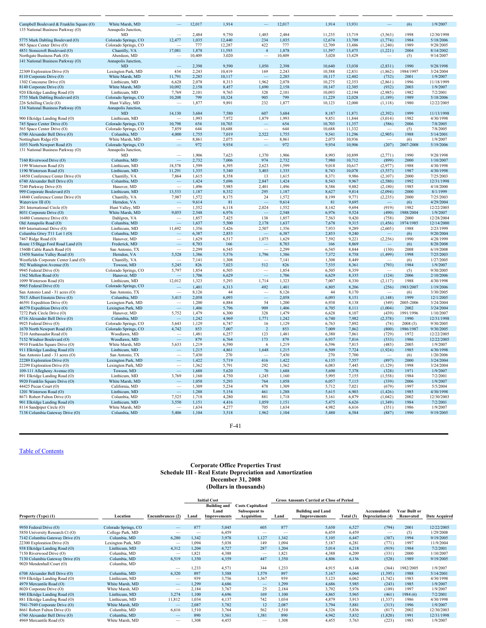| Campbell Boulevard & Franklin Square (O)                    | White Marsh, MD                       |                          | 12,017       | 1,914            |                          | 12,017       | 1,914            | 13,931           |                          | (6)          | 1/9/2007               |
|-------------------------------------------------------------|---------------------------------------|--------------------------|--------------|------------------|--------------------------|--------------|------------------|------------------|--------------------------|--------------|------------------------|
| 135 National Business Parkway (O)                           | Annapolis Junction,<br><b>MD</b>      |                          |              |                  |                          |              |                  |                  |                          |              |                        |
|                                                             |                                       | 12,477                   | 2,484        | 9,750            | 1,485<br>234             | 2,484        | 11,235           | 13,719           | (3, 563)                 | 1998         | 12/30/1998             |
| 5775 Mark Dabling Boulevard (O)                             | Colorado Springs, CO                  |                          | 1,035        | 12,440           | 422                      | 1,035        | 12,674<br>12,709 | 13,709<br>13,486 | (1,774)                  | 1984<br>1989 | 5/18/2006<br>9/28/2005 |
| 985 Space Center Drive (O)<br>4851 Stonecroft Boulevard (O) | Colorado Springs, CO<br>Chantilly, VA | 17,081                   | 777<br>1,878 | 12,287<br>11.593 | $\overline{4}$           | 777<br>1,878 | 11,597           | 13,475           | (1,240)<br>(1,221)       | 2004         | 8/14/2002              |
| Northgate Business Park (O)                                 | Aberdeen, MD                          |                          | 10,409       | 3,020            |                          | 10,409       | 3,020            | 13,429           |                          | (5)          | 9/14/2007              |
| 141 National Business Parkway (O)                           | Annapolis Junction,                   |                          |              |                  | $\overline{\phantom{a}}$ |              |                  |                  | $\overline{\phantom{a}}$ |              |                        |
|                                                             | MD                                    |                          | 2,398        | 9,590            | 1,050                    | 2,398        | 10,640           | 13,038           | (2, 831)                 | 1990         | 9/28/1998              |
| 22309 Exploration Drive (O)                                 | Lexington Park, MD                    | 434                      | 2,243        | 10,419           | 169                      | 2,243        | 10,588           | 12,831           | (1, 862)                 | 1984/1997    | 3/24/2004              |
| 8110 Corporate Drive (O)                                    | White Marsh. MD                       | 11.791                   | 2.285        | 10,117           |                          | 2.285        | 10,117           | 12,402           | (732)                    | 2001         | 1/9/2007               |
| 1302 Concourse Drive (O)                                    | Linthicum, MD                         | 6,628                    | 2,078        | 8,313            | 1,962                    | 2,078        | 10,275           | 12,353           | (2, 861)                 | 1996         | 11/18/1999             |
| 8140 Corporate Drive (O)                                    | White Marsh, MD                       | 10,092                   | 2,158        | 8,457            | 1,690                    | 2,158        | 10,147           | 12,305           | (932)                    | 2003         | 1/9/2007               |
| 920 Elkridge Landing Road (O)                               | Linthicum, MD                         | 7,769                    | 2,101        | 9,765            | 328                      | 2,101        | 10,093           | 12,194           | (2,985)                  | 1982         | 7/2/2001               |
| 5755 Mark Dabling Boulevard (O)                             | Colorado Springs, CO                  | 10,208                   | 799          | 10,324           | 905                      | 799          | 11,229           | 12,028           | (1,189)                  | 1989         | 5/18/2006              |
| 226 Schilling Circle (O)                                    | Hunt Valley, MD                       | $\overline{\phantom{a}}$ | 1,877        | 9,891            | 232                      | 1,877        | 10,123           | 12,000           | (1, 118)                 | 1980         | 12/22/2005             |
| 134 National Business Parkway (O)                           | Annapolis Junction,                   |                          |              |                  |                          |              |                  |                  |                          |              |                        |
|                                                             | MD                                    | 14,130                   | 3,684        | 7,580            | 607                      | 3,684        | 8,187            | 11,871           | (2, 392)                 | 1999         | 11/13/1998             |
| 900 Elkridge Landing Road (O)                               | Linthicum, MD                         |                          | 1,993        | 7,972            | 1,879                    | 1,993        | 9,851            | 11,844           | (3,014)                  | 1982         | 4/30/1998              |
| 745 Space Center Drive (O)                                  | Colorado Springs, CO                  | 10,798                   | 654          | 10,703           |                          | 654          | 10,703           | 11,357           | (586)                    | 2006         | 7/8/2005               |
| 565 Space Center Drive (O)                                  | Colorado Springs, CO                  | 7,859                    | 644          | 10,688           |                          | 644          | 10,688           | 11,332           |                          | (5)          | 7/8/2005               |
| 6700 Alexander Bell Drive (O)                               | Columbia, MD                          | 4,000                    | 1,755        | 7,019            | 2,522                    | 1,755        | 9,541            | 11,296           | (2,905)                  | 1988         | 5/14/2001              |
| Nottingham Ridge (O)                                        | White Marsh, MD                       |                          | 8,861        | 2,075            |                          | 8,861        | 2,075            | 10,936           |                          | (6)          | 1/9/2007               |
| 1055 North Newport Road (O)                                 | Colorado Springs, CO                  |                          | 972          | 9,934            | $\frac{1}{2}$            | 972          | 9,934            | 10,906           | (207)                    | 2007-2008    | 5/19/2006              |
| 131 National Business Parkway (O)                           | Annapolis Junction,                   |                          |              |                  |                          |              |                  |                  |                          |              |                        |
|                                                             | <b>MD</b>                             | $\overline{\phantom{a}}$ | 1.906        | 7,623            | 1.370                    | 1.906        | 8,993            | 10,899           | (2,771)                  | 1990         | 9/28/1998              |
| 7160 Riverwood Drive (O)                                    | Columbia, MD                          |                          | 2,732        | 7,006            | 974                      | 2,732        | 7,980            | 10,712           | (899)                    | 2000         | 1/10/2007              |
| 1199 Winterson Road (O)                                     | Linthicum, MD                         | 18,578                   | 1,599        | 6,395            | 2,623                    | 1,599        | 9,018            | 10,617           | (2,977)                  | 1988         | 4/30/1998              |
| 1190 Winterson Road (O)                                     | Linthicum, MD                         | 11,291                   | 1,335        | 5,340            | 3,403                    | 1,335        | 8,743            | 10,078           | (3,557)                  | 1987         | 4/30/1998              |
| 14850 Conference Center Drive (O)                           | Chantilly, VA                         | 7,864                    | 1,615        | 8,358            | 13                       | 1,615        | 8,371            | 9,986            | (2, 107)                 | 2000         | 7/25/2003              |
| 6740 Alexander Bell Drive (O)                               | Columbia, MD                          |                          | 1,424        | 5,696            | 2,847                    | 1,424        | 8,543            | 9,967            | (2,580)                  | 1992         | 12/31/1998             |
| 7240 Parkway Drive (O)                                      | Hanover, MD                           |                          | 1,496        | 5,985            | 2,401                    | 1,496        | 8,386            | 9,882            | (2,180)                  | 1985         | 4/18/2000              |
| 999 Corporate Boulevard (O)                                 | Linthicum, MD                         | 13,533                   | 1,187        | 8,332            | 295                      | 1,187        | 8,627            | 9,814            | (2,094)                  | 2000         | 8/1/1999               |
| 14840 Conference Center Drive (O)                           | Chantilly, VA                         | 7,987                    | 1,572        | 8,175            | 24                       | 1,572        | 8,199            | 9,771            | (2, 235)                 | 2000         | 7/25/2003              |
| Waterview III (O)                                           | Herndon, VA                           |                          | 9,614        | 81               |                          | 9,614        | 81               | 9,695            |                          | (6)          | 4/29/2004              |
| 201 International Circle (O)                                | Hunt Valley, MD                       |                          | 1,552        | 6,118            | 2,024                    | 1,552        | 8,142            | 9,694            | (919)                    | 1982         | 12/22/2005             |
| 8031 Corporate Drive (O)                                    | White Marsh, MD                       | 9,055                    | 2.548        | 6,976            |                          | 2,548        | 6,976            | 9.524            | (490)                    | 1988/2004    | 1/9/2007               |
| 16480 Commerce Drive (O)                                    | Dahlgren, VA                          |                          | 1,857        | 7,425            | 138                      | 1,857        | 7,563            | 9,420            | (758)                    | 2000         | 12/28/2004             |
| Old Annapolis Road (O)                                      | Columbia, MD                          |                          | 1,637        | 5,500            | 2,178                    | 1,637        | 7,678            | 9,315            | (1, 456)                 | 974/1985     | 12/14/2000             |
| 849 International Drive (O)                                 | Linthicum, MD                         | 11,692                   | 1,356        | 5,426            | 2,507                    | 1,356        | 7,933            | 9,289            | (2,605)                  | 1988         | 2/23/1999              |
| Columbia Gtwy T11 Lot 1 (O)                                 | Columbia, MD                          |                          | 6,387        | 2,853            |                          | 6,387        | 2,853            | 9,240            |                          | (6)          | 9/20/2004              |
| 7467 Ridge Road (O)                                         | Hanover, MD                           |                          | 1.629        | 6,517            | 1,075                    | 1.629        | 7,592            | 9.221            | (2, 256)                 | 1990         | 4/28/1999              |
| Route 15/Biggs Ford Road Land (O)                           | Frederick, MD                         |                          | 8,703        | 166              |                          | 8,703        | 166              | 8,869            |                          | (6)          | 8/28/2008              |
| 1560B Cable Ranch Road (O)                                  | San Antonio, TX                       |                          | 2,299        | 6,545            |                          | 2,299        | 6,545            | 8,844            | (130)                    | 2008         | 6/19/2008              |
| 13450 Sunrise Valley Road (O)                               | Herndon, VA                           | 5,528                    | 1,386        | 5,576            | 1,796                    | 1,386        | 7,372            | 8,758            | (1, 499)                 | 1998         | 7/25/2003              |
| Westfields Corporate Center Land (O)                        | Chantilly, VA                         |                          | 7,141        | 1,308            |                          | 7,141        | 1,308            | 8,449            |                          | (6)          | 1/27/2005              |
| 502 Washington Avenue (O)                                   | Towson, MD                            | 5.245                    | 826          | 7.023            | 512                      | 826          | 7,535            | 8.361            | (793)                    | 1984         | 1/9/2007               |
| 9945 Federal Drive (O)                                      | Colorado Springs, CO                  | 5,797                    | 1,854        | 6,505            |                          | 1,854        | 6,505            | 8,359            |                          | (5)          | 9/30/2005              |
| 1362 Mellon Road (O)                                        | Hanover, MD                           |                          | 1,706        | 6,629            |                          | 1,706        | 6,629            | 8,335            | (124)                    | 2006         | 2/10/2006              |
| 1099 Winterson Road (O)                                     | Linthicum, MD                         | 12,012                   | 1,323        | 5,293            | 1,714                    | 1,323        | 7,007            | 8,330            | (2, 117)                 | 1988         | 4/30/1998              |
| 9965 Federal Drive (O)                                      | Colorado Springs, CO                  |                          | 1,401        | 6,313            | 492                      | 1,401        | 6,805            | 8,206            | (256)                    | 1983/2007    | 1/19/2006              |
| San Antonio Land - 31 acres (O)                             | San Antonio, TX                       |                          | 8,126        | 44               |                          | 8,126        | 44               | 8,170            |                          | (6)          | 3/30/2005              |
| 7015 Albert Einstein Drive (O)                              | Columbia, MD                          | 3,415                    | 2,058        | 6,093            |                          | 2,058        | 6,093            | 8,151            | (1, 148)                 | 1999         | 12/1/2005              |
| 46591 Expedition Drive (O)                                  | Lexington Park, MD                    |                          | 1,200        | 6,884            | 54                       | 1,200        | 6,938            | 8.138            | (349)                    | 2005-2006    | 3/24/2004              |
| 46579 Expedition Drive (O)                                  | Lexington Park, MD                    |                          | 1,406        | 5,796            | 909                      | 1,406        | 6,705            | 8,111            | (1,004)                  | 2002         | 3/24/2004              |
| 7272 Park Circle Drive (O)                                  | Hanover, MD                           | 5,752                    | 1,479        | 6,300            | 328                      | 1,479        | 6,628            | 8,107            | (439)                    | 1991/1996    | 1/10/2007              |
| 6716 Alexander Bell Drive (O)                               | Columbia, MD                          |                          | 1,242        | 4,969            | 1,771                    | 1,242        | 6,740            | 7,982            | (2,378)                  | 1990         | 12/31/1998             |
| 9925 Federal Drive (O)                                      | Colorado Springs, CO                  | 5,643                    | 1,129        | 6,747            | 16                       | 1,129        | 6,763            | 7,892            | (74)                     | 2008(5)      | 9/30/2005              |
| 1670 North Newport Road (O)                                 | Colorado Springs, CO                  | 4,742                    | 853          | 7,007            | $\overline{2}$           | 853          | 7,009            | 7,862            | (800)                    | 1986/1987    | 9/30/2005              |
| 7210 Ambassador Road (O)                                    | Woodlawn, MD                          | $\overline{\phantom{a}}$ | 1,481        | 6,257            | 123                      | 1,481        | 6,380            | 7,861            | (729)                    | 1972         | 12/22/2005             |
| 7152 Windsor Boulevard (O)                                  | Woodlawn, MD                          |                          | 879          | 6,764            | 173                      | 879          | 6,937            | 7,816            | (533)                    | 1986         | 12/22/2005             |
| 9910 Franklin Square Drive (O)                              | White Marsh, MD                       | 5,633                    | 1,219        | 6,590            | 6                        | 1,219        | 6,596            | 7,815            | (485)                    | 2005         | 1/9/2007               |
| 911 Elkridge Landing Road (O)                               | Linthicum, MD                         |                          | 1,215        | 4,861            | 1,648                    | 1,215        | 6,509            | 7,724            | (1, 924)                 | 1985         | 4/30/1998              |
| San Antonio Land - 31 acres (O)                             | San Antonio, TX                       |                          | 7,430        | 270              |                          | 7,430        | 270              | 7,700            |                          | (6)          | 1/20/2006              |
| 22289 Exploration Drive (O)                                 | Lexington Park, MD                    |                          | 1,422        | 5,719            | 416                      | 1,422        | 6,135            | 7,557            | (897)                    | 2000         | 3/24/2004              |
| 22299 Exploration Drive (O)                                 | Lexington Park, MD                    | $\frac{1}{2}$            | 1,362        | 5,791            | 292                      | 1,362        | 6,083            | 7,445            | (1, 129)                 | 1998         | 3/24/2004              |
| 109-111 Allegheny Avenue (O)                                | Towson, MD                            |                          | 1,688        | 5,620            | 70                       | 1,688        | 5,690            | 7,378            | (328)                    | 1971         | 1/9/2007               |
| 891 Elkridge Landing Road (O)                               | Linthicum, MD                         | 3,769                    | 1,160        | 4,750            | 1,245                    | 1,160        | 5,995            | 7,155            | (1, 558)                 | 1984         | 7/2/2001               |
| 9920 Franklin Square Drive (O)                              | White Marsh, MD                       |                          | 1,058        | 5,293            | 764                      | 1,058        | 6,057            | 7,115            | (339)                    | 2006         | 1/9/2007               |
| 44425 Pecan Court (O)                                       | California, MD                        | $\sim$                   | 1,309        | 5,234            | 478                      | 1,309        | 5,712            | 7,021            | (679)                    | 1997         | 5/5/2004               |
| 1201 Winterson Road (O)                                     | Linthicum, MD                         |                          | 1,288        | 5,154            | 461                      | 1,288        | 5,615            | 6,903            | (1, 426)                 | 1985         | 4/30/1998              |
| 8671 Robert Fulton Drive (O)                                | Columbia, MD                          | 7,525                    | 1,718        | 4,280            | 881                      | 1,718        | 5,161            | 6,879            | (1,042)                  | 2002         | 12/30/2003             |
| 901 Elkridge Landing Road (O)                               | Linthicum, MD                         | 3,550                    | 1,151        | 4,416            | 1,059                    | 1,151        | 5,475            | 6,626            | (1, 349)                 | 1984         | 7/2/2001               |
| 8114 Sandpiper Circle (O)                                   | White Marsh, MD                       |                          | 1,634        | 4,277            | 705                      | 1,634        | 4,982            | 6,616            | (351)                    | 1986         | 1/9/2007               |
| 7138 Columbia Gateway Drive (O)                             | Columbia, MD                          | 5,406                    | 1,104        | 3,518            | 1,962                    | 1,104        | 5,480            | 6,584            | (887)                    | 1990         | 9/19/2005              |
|                                                             |                                       |                          |              |                  |                          |              |                  |                  |                          |              |                        |
|                                                             |                                       |                          |              | $F-41$           |                          |              |                  |                  |                          |              |                        |
|                                                             |                                       |                          |              |                  |                          |              |                  |                  |                          |              |                        |

Table of [Contents](#page-1-0)

### **Corporate Office Properties Trust Schedule III - Real Estate Depreciation and Amortization December 31, 2008 (Dollars in thousands)**

|                                 |                      |                          |       | <b>Initial Cost</b>                                |                                                                 |       | <b>Gross Amounts Carried at Close of Period</b> |           |                                 |                            |                      |
|---------------------------------|----------------------|--------------------------|-------|----------------------------------------------------|-----------------------------------------------------------------|-------|-------------------------------------------------|-----------|---------------------------------|----------------------------|----------------------|
| Property (Type) (1)             | Location             | Encumbrances (2)         | Land  | <b>Building and</b><br>Land<br><b>Improvements</b> | <b>Costs Capitalized</b><br><b>Subsequent to</b><br>Acquisition | Land  | <b>Building and Land</b><br>Improvements        | Total (3) | Accumulated<br>Depreciation (4) | Year Built or<br>Renovated | <b>Date Acquired</b> |
| 9950 Federal Drive (O)          | Colorado Springs, CO | $\qquad \qquad - \qquad$ | 877   | 5,045                                              | 605                                                             | 877   | 5,650                                           | 6,527     | (794)                           | 2001                       | 12/22/2005           |
| 5850 University Research Ct (O) | College Park, MD     |                          | $-$   | 6,459                                              |                                                                 |       | 6,459                                           | 6,459     | $\overline{\phantom{a}}$        | (5)                        | 1/29/2008            |
| 7142 Columbia Gateway Drive (O) | Columbia, MD         | 6,280                    | 1,342 | 3,978                                              | 1.127                                                           | 1,342 | 5,105                                           | 6,447     | (387)                           | 1994                       | 9/19/2005            |
| 22300 Exploration Drive (O)     | Lexington Park, MD   |                          | 1.094 | 5,038                                              | 149                                                             | 1.094 | 5,187                                           | 6,281     | (771)                           | 1997                       | 11/9/2004            |
| 938 Elkridge Landing Road (O)   | Linthicum, MD        | 4,312                    | 1,204 | 4,727                                              | 287                                                             | 1.204 | 5,014                                           | 6,218     | (919)                           | 1984                       | 7/2/2001             |
| 7150 Riverwood Drive (O)        | Columbia, MD         |                          | 1.821 | 4,388                                              | $\hspace{0.05cm}$                                               | 1.821 | 4,388                                           | 6,209     | (331)                           | 2000                       | 1/10/2007            |
| 7130 Columbia Gateway Drive (O) | Columbia, MD         | 6,519                    | 1,350 | 4,359                                              | 447                                                             | 1,350 | 4,806                                           | 6,156     | (528)                           | 1989                       | 9/19/2005            |
| 9020 Mendenhall Court (O)       | Columbia, MD         |                          | 1,233 | 4,571                                              | 344                                                             | 1.233 | 4,915                                           | 6,148     | (364)                           | 1982/2005                  | 1/9/2007             |
| 6708 Alexander Bell Drive (O)   | Columbia, MD         | 6,320                    | 897   | 3,588                                              | 1,579                                                           | 897   | 5,167                                           | 6,064     | (1, 395)                        | 1988                       | 5/14/2001            |
| 939 Elkridge Landing Road (O)   | Linthicum, MD        |                          | 939   | 3,756                                              | 1,367                                                           | 939   | 5,123                                           | 6,062     | (1,742)                         | 1983                       | 4/30/1998            |
| 4979 Mercantile Road (O)        | White Marsh, MD      | $\qquad \qquad -$        | 1,299 | 4.686                                              | $\qquad \qquad -$                                               | 1,299 | 4.686                                           | 5,985     | (243)                           | 1985                       | 1/9/2007             |
| 8020 Corporate Drive (O)        | White Marsh, MD      |                          | 2,184 | 3,767                                              | 25                                                              | 2,184 | 3,792                                           | 5,976     | (189)                           | 1997                       | 1/9/2007             |
| 940 Elkridge Landing Road (O)   | Linthicum, MD        | 3,274                    | 1,100 | 4,696                                              | 169                                                             | 1,100 | 4.865                                           | 5,965     | (461)                           | 1984(6)                    | 7/2/2001             |
| 881 Elkridge Landing Road (O)   | Linthicum, MD        | 11,812                   | 1,034 | 4,137                                              | 742                                                             | 1.034 | 4,879                                           | 5,913     | (1, 337)                        | 1986                       | 4/30/1998            |
| 7941-7949 Corporate Drive (O)   | White Marsh, MD      |                          | 2,087 | 3,782                                              | 12                                                              | 2,087 | 3,794                                           | 5,881     | (313)                           | 1996                       | 1/9/2007             |
| 8661 Robert Fulton Drive (O)    | Columbia, MD         | 6,616                    | 1,510 | 3,764                                              | 562                                                             | 1,510 | 4,326                                           | 5,836     | (817)                           | 2002                       | 12/30/2003           |
| 6760 Alexander Bell Drive (O)   | Columbia, MD         | $\qquad \qquad -$        | 890   | 3,561                                              | 1,381                                                           | 890   | 4,942                                           | 5,832     | (1,820)                         | 1991                       | 12/31/1998           |
| 4969 Mercantile Road (O)        | White Marsh, MD      |                          | 1,308 | 4,455                                              |                                                                 | 1.308 | 4,455                                           | 5,763     | (223)                           | 1983                       | 1/9/2007             |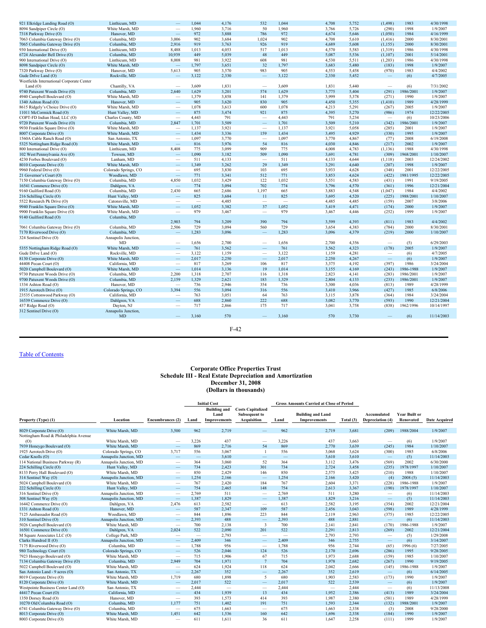| 921 Elkridge Landing Road (O)             | Linthicum, MD        | -                        | 1,044                    | 4,176  | 532                      | 1,044                    | 4,708 | 5,752 | (1, 498)                 | 1983      | 4/30/1998  |
|-------------------------------------------|----------------------|--------------------------|--------------------------|--------|--------------------------|--------------------------|-------|-------|--------------------------|-----------|------------|
| 8094 Sandpiper Circle (O)                 | White Marsh, MD      | $\overline{\phantom{0}}$ | 1,960                    | 3,716  | 50                       | 1,960                    | 3,766 | 5,726 | (290)                    | 1998      | 1/9/2007   |
| 7318 Parkway Drive (O)                    | Hanover, MD          | -                        | 972                      | 3,888  | 786                      | 972                      | 4,674 | 5,646 | (1,050)                  | 1984      | 4/16/1999  |
| 7063 Columbia Gateway Drive (O)           | Columbia, MD         | 3,006                    | 902                      | 3,684  | 1,024                    | 902                      | 4,708 | 5,610 | (1, 416)                 | 2000      | 8/30/2001  |
| 7065 Columbia Gateway Drive (O)           | Columbia, MD         | 2,916                    | 919                      | 3,763  | 926                      | 919                      | 4,689 | 5,608 | (1, 155)                 | 2000      | 8/30/2001  |
| 930 International Drive (O)               | Linthicum, MD        | 8,488                    | 1,013                    | 4,053  | 517                      | 1,013                    | 4,570 | 5,583 | (1,319)                  | 1986      | 4/30/1998  |
| 6724 Alexander Bell Drive (O)             | Columbia, MD         | 10.939                   | 449                      | 5,039  | 48                       | 449                      | 5,087 | 5,536 | (1, 107)                 | 2001      | 5/14/2001  |
| 900 International Drive (O)               | Linthicum, MD        | 8.008                    | 981                      | 3,922  | 608                      | 981                      | 4,530 | 5,511 | (1,203)                  | 1986      | 4/30/1998  |
| 8098 Sandpiper Circle (O)                 | White Marsh, MD      |                          | 1,797                    | 3,651  | 32                       | 1,797                    | 3,683 | 5,480 | (183)                    | 1998      | 1/9/2007   |
| 7320 Parkway Drive (O)                    | Hanover, MD          | 5,613                    | 905                      | 3.570  | 983                      | 905                      | 4.553 | 5.458 | (970)                    | 1983      | 4/4/2002   |
| Gude DrIve Land (O)                       | Rockville, MD        |                          | 3,122                    | 2,330  | $\overline{\phantom{0}}$ | 3,122                    | 2,330 | 5,452 | -                        | (6)       | 4/7/2005   |
| Westfields International Corporate Center |                      |                          |                          |        |                          |                          |       |       |                          |           |            |
| Land $(O)$                                | Chantilly, VA        | -                        | 3.609                    | 1.831  | $\overline{\phantom{a}}$ | 3,609                    | 1.831 | 5.440 | $\overline{\phantom{0}}$ | (6)       | 7/31/2002  |
| 9740 Patuxent Woods Drive (O)             | Columbia, MD         | 2,640                    | 1,629                    | 3,201  | 574                      | 1,629                    | 3,775 | 5,404 | (291)                    | 1986/2001 | 1/9/2007   |
| 4940 Campbell Boulevard (O)               | White Marsh, MD      | $\overline{\phantom{0}}$ | 1,379                    | 3,858  | 141                      | 1,379                    | 3,999 | 5,378 | (271)                    | 1990      | 1/9/2007   |
| 1340 Ashton Road (O)                      | Hanover, MD          | $\overline{\phantom{0}}$ | 905                      | 3,620  | 830                      | 905                      | 4,450 | 5,355 | (1, 410)                 | 1989      | 4/28/1999  |
| 8615 Ridgely's Choice Drive (O)           | White Marsh, MD      | $\overline{\phantom{0}}$ | 1,078                    | 3,613  | 600                      | 1,078                    | 4,213 | 5,291 | (267)                    | 2005      | 1/9/2007   |
| 11011 McCormick Road (O)                  | Hunt Valley, MD      | -                        | 875                      | 3,474  | 921                      | 875                      | 4,395 | 5,270 | (986)                    | 1974      | 12/22/2005 |
| COPT-FD Indian Head, LLC (O)              | Charles County, MD   |                          | 4.443                    | 791    | $\sim$                   | 4,443                    | 791   | 5.234 | $\overline{\phantom{a}}$ | (6)       | 10/23/2006 |
| 9720 Patuxent Woods Drive (O)             | Columbia, MD         | 2,847                    | 1,701                    | 3,509  |                          | 1,701                    | 3,509 | 5,210 | (342)                    | 1986/2001 | 1/9/2007   |
| 9930 Franklin Square Drive (O)            | White Marsh, MD      | $\overline{\phantom{0}}$ | 1,137                    | 3,921  | $\overline{\phantom{m}}$ | 1,137                    | 3,921 | 5.058 | (285)                    | 2001      | 1/9/2007   |
| 8007 Corporate Drive (O)                  | White Marsh, MD      | $\equiv$                 | 1,434                    | 3,336  | 159                      | 1,434                    | 3,495 | 4,929 | (330)                    | 1995      | 1/9/2007   |
| 1560A Cable Ranch Road (O)                | San Antonio, TX      | $\overline{\phantom{0}}$ | 1.097                    | 3,770  | $\overline{\phantom{m}}$ | 1,097                    | 3,770 | 4,867 | (77)                     | 2008      | 6/19/2008  |
| 5325 Nottingham Ridge Road (O)            | White Marsh, MD      | $\overline{\phantom{0}}$ | 816                      | 3,976  | 54                       | 816                      | 4.030 | 4.846 | (217)                    | 2002      | 1/9/2007   |
| 800 International Drive (O)               | Linthicum, MD        | 8,408                    | 775                      | 3,099  | 909                      | 775                      | 4,008 | 4,783 | (1, 136)                 | 1988      | 4/30/1998  |
| 102 West Pennsylvania Ave (O)             | Towson, MD           |                          | 1,090                    | 3,182  | 509                      | 1,090                    | 3,691 | 4,781 | (309)                    | 1968/2001 | 1/10/2007  |
| 4230 Forbes Boulevard (O)                 | Lanham, MD           |                          | 511                      | 4.133  | $\overline{\phantom{a}}$ | 511                      | 4,133 | 4.644 | (1,118)                  | 2003      | 12/24/2002 |
| 8010 Corporate Drive (O)                  | White Marsh, MD      | -                        | 1,349                    | 3,262  | 29                       | 1,349                    | 3,291 | 4,640 | (207)                    | 1998      | 1/9/2007   |
| 9960 Federal Drive (O)                    | Colorado Springs, CO | $\overline{\phantom{0}}$ | 695                      | 3,830  | 103                      | 695                      | 3,933 | 4,628 | (348)                    | 2001      | 12/22/2005 |
| 21 Governor's Court (O)                   | Woodlawn, MD         | -                        | 771                      | 3,341  | 512                      | 771                      | 3,853 | 4,624 | (422)                    | 1981/1995 | 12/22/2005 |
| 7150 Columbia Gateway Drive (O)           | Columbia, MD         | 4,850                    | 1,032                    | 3,429  | 122                      | 1.032                    | 3,551 | 4,583 | (431)                    | 1991      | 9/19/2005  |
| 16541 Commerce Drive (O)                  | Dahlgren, VA         |                          | 774                      | 3.094  | 702                      | 774                      | 3.796 | 4.570 | (361)                    | 1996      | 12/21/2004 |
| 9160 Guilford Road (O)                    | Columbia, MD         | 2,430                    | 665                      | 2,686  | 1.197                    | 665                      | 3,883 | 4,548 | (1,047)                  | 1984      | 4/4/2002   |
| 216 Schilling Circle (O)                  | Hunt Valley, MD      |                          | 825                      | 3,684  | 11                       | 825                      | 3,695 | 4,520 | (225)                    | 1988/2001 | 1/10/2007  |
| 5522 Research Pk Drive (O)                | Catonsville, MD      | $\overline{\phantom{0}}$ | $\overline{\phantom{0}}$ | 4.485  | $\overline{\phantom{0}}$ | $\overline{\phantom{a}}$ | 4.485 | 4.485 | (159)                    | 2007      | 3/8/2006   |
| 9940 Franklin Square Drive (O)            | White Marsh, MD      | -                        | 1,052                    | 3,382  | 37                       | 1,052                    | 3,419 | 4,471 | (174)                    | 2000      | 1/9/2007   |
| 9900 Franklin Square Drive (O)            | White Marsh, MD      | $\overline{\phantom{0}}$ | 979                      | 3,467  | $\overline{\phantom{m}}$ | 979                      | 3,467 | 4,446 | (252)                    | 1999      | 1/9/2007   |
| 9140 Guilford Road (O)                    | Columbia, MD         |                          |                          |        |                          |                          |       |       |                          |           |            |
|                                           |                      | 2,903                    | 794                      | 3.209  | 390                      | 794                      | 3,599 | 4,393 | (811)                    | 1983      | 4/4/2002   |
| 7061 Columbia Gateway Drive (O)           | Columbia, MD         | 2,506                    | 729                      | 3,094  | 560                      | 729                      | 3,654 | 4,383 | (784)                    | 2000      | 8/30/2001  |
| 7170 Riverwood Drive (O)                  | Columbia, MD         |                          | 1.283                    | 3,096  |                          | 1,283                    | 3,096 | 4,379 | (219)                    | 2000      | 1/10/2007  |
| 324 Sentinel Drive (O)                    | Annapolis Junction,  |                          |                          |        |                          |                          |       |       |                          |           |            |
|                                           | MD                   | $\overline{\phantom{0}}$ | 1,656                    | 2,700  | $\overline{\phantom{m}}$ | 1,656                    | 2,700 | 4,356 | $\overline{\phantom{a}}$ | (5)       | 6/29/2003  |
| 5355 Nottingham Ridge Road (O)            | White Marsh, MD      | $\overline{\phantom{0}}$ | 761                      | 3,562  | $\qquad \qquad -$        | 761                      | 3,562 | 4,323 | (178)                    | 2005      | 1/9/2007   |
| Gude DrIve Land (O)                       | Rockville, MD        | $\overline{\phantom{0}}$ | 3,122                    | 1,159  | $\overline{\phantom{m}}$ | 3,122                    | 1,159 | 4,281 | $\overline{\phantom{0}}$ | (6)       | 4/7/2005   |
| 8130 Corporate Drive (O)                  | White Marsh, MD      | $\overline{\phantom{0}}$ | 2,017                    | 2,250  | $\overline{\phantom{m}}$ | 2,017                    | 2,250 | 4,267 |                          | (6)       | 1/9/2007   |
| 44408 Pecan Court (O)                     | California, MD       | $\overline{\phantom{0}}$ | 817                      | 3,269  | 106                      | 817                      | 3,375 | 4,192 | (397)                    | 1986      | 3/24/2004  |
| 5020 Campbell Boulevard (O)               | White Marsh, MD      | -                        | 1,014                    | 3,136  | 19                       | 1,014                    | 3,155 | 4,169 | (243)                    | 1986-1988 | 1/9/2007   |
| 9730 Patuxent Woods Drive (O)             | Columbia, MD         | 2,200                    | 1,318                    | 2,707  | 116                      | 1,318                    | 2,823 | 4,141 | (283)                    | 1986/2001 | 1/9/2007   |
| 9700 Patuxent Woods Drive (O)             | Columbia, MD         | 2,159                    | 1,329                    | 2,621  | 183                      | 1,329                    | 2,804 | 4,133 | (233)                    | 1986/2001 | 1/9/2007   |
| 1334 Ashton Road (O)                      | Hanover, MD          | $\overline{\phantom{0}}$ | 736                      | 2,946  | 354                      | 736                      | 3,300 | 4,036 | (813)                    | 1989      | 4/28/1999  |
| 1915 Aerotech Drive (O)                   | Colorado Springs, CO | 3,394                    | 556                      | 3,094  | 316                      | 556                      | 3,410 | 3,966 | (427)                    | 1985      | 6/8/2006   |
| 23535 Cottonwood Parkway (O)              | California, MD       | -                        | 763                      | 3,051  | 64                       | 763                      | 3,115 | 3,878 | (364)                    | 1984      | 3/24/2004  |
| 16539 Commerce Drive (O)                  | Dahlgren, VA         | -                        | 688                      | 2,860  | 222                      | 688                      | 3,082 | 3,770 | (593)                    | 1990      | 12/21/2004 |
| 437 Ridge Road (O)                        | Dayton, NJ           | -                        | 717                      | 2,866  | 175                      | 717                      | 3,041 | 3,758 | (838)                    | 1962/1996 | 10/14/1997 |
| 312 Sentinel Drive (O)                    | Annapolis Junction,  |                          |                          |        |                          |                          |       |       |                          |           |            |
|                                           | MD                   |                          | 3,160                    | 570    |                          | 3,160                    | 570   | 3,730 |                          | (6)       | 11/14/2003 |
|                                           |                      |                          |                          |        |                          |                          |       |       |                          |           |            |
|                                           |                      |                          |                          |        |                          |                          |       |       |                          |           |            |
|                                           |                      |                          |                          | $F-42$ |                          |                          |       |       |                          |           |            |

Table of [Contents](#page-1-0)

### **Corporate Office Properties Trust Schedule III - Real Estate Depreciation and Amortization December 31, 2008 (Dollars in thousands)**

|                                       |                        |                                 |                          | <b>Initial Cost</b>                                |                                                                 |        | <b>Gross Amounts Carried at Close of Period</b> |           |                                 |                                   |                      |
|---------------------------------------|------------------------|---------------------------------|--------------------------|----------------------------------------------------|-----------------------------------------------------------------|--------|-------------------------------------------------|-----------|---------------------------------|-----------------------------------|----------------------|
| Property (Type) (1)                   | Location               | Encumbrances (2)                | Land                     | <b>Building and</b><br>Land<br><b>Improvements</b> | <b>Costs Capitalized</b><br>Subsequent to<br><b>Acquisition</b> | Land   | <b>Building and Land</b><br><b>Improvements</b> | Total (3) | Accumulated<br>Depreciation (4) | <b>Year Built or</b><br>Renovated | <b>Date Acquired</b> |
| 8029 Corporate Drive (O)              | White Marsh, MD        | 3,500                           | 962                      | 2.719                                              |                                                                 | 962    | 2,719                                           | 3,681     | (209)                           | 1988/2004                         | 1/9/2007             |
| Nottingham Road & Philadelphia Avenue |                        |                                 |                          |                                                    |                                                                 |        |                                                 |           |                                 |                                   |                      |
| (O)                                   | White Marsh, MD        | $\overline{\phantom{0}}$        | 3,226                    | 437                                                | $\qquad \qquad$                                                 | 3,226  | 437                                             | 3.663     | $\overline{\phantom{m}}$        | (6)                               | 1/9/2007             |
| 7939 Honeygo Boulevard (O)            | White Marsh, MD        |                                 | 869                      | 2,716                                              | 54                                                              | 869    | 2,770                                           | 3,639     | (245)                           | 1984                              | 1/10/2007            |
| 1925 Aerotech Drive (O)               | Colorado Springs, CO   | 3,717                           | 556                      | 3,067                                              | -1                                                              | 556    | 3,068                                           | 3,624     | (300)                           | 1985                              | 6/8/2006             |
| Cedar Knolls (O)                      | Annapolis Junction, MD | $\qquad \qquad -$               | $\overline{\phantom{m}}$ | 3,610                                              | $\qquad \qquad -$                                               | -      | 3,610                                           | 3,610     | $\qquad \qquad -$               | (5)                               | 11/14/2003           |
| 114 National Business Parkway (R)     | Annapolis Junction, MD |                                 | 364                      | 3.060                                              | 52                                                              | 364    | 3,112                                           | 3,476     | (569)                           | 2002                              | 6/30/2000            |
| 224 Schilling Circle (O)              | Hunt Valley, MD        | $\qquad \qquad -$               | 734                      | 2,423                                              | 301                                                             | 734    | 2,724                                           | 3,458     | (235)                           | 1978/1997                         | 1/10/2007            |
| 8133 Perry Hall Boulevard (O)         | White Marsh, MD        | $\overline{\phantom{m}}$        | 850                      | 2.429                                              | 146                                                             | 850    | 2,575                                           | 3,425     | (210)                           | 1988                              | 1/10/2007            |
| 314 Sentinel Way (O)                  | Annapolis Junction, MD | $\qquad \qquad -$               | 1,254                    | 2,166                                              | $\qquad \qquad -$                                               | 1,254  | 2,166                                           | 3,420     | (4)                             | 2008(5)                           | 11/14/2003           |
| 5024 Campbell Boulevard (O)           | White Marsh, MD        | $\overline{\phantom{0}}$        | 767                      | 2.420                                              | 184                                                             | 767    | 2.604                                           | 3,371     | (228)                           | 1986-1988                         | 1/9/2007             |
| 222 Schilling Circle (O)              | Hunt Valley, MD        | $\hspace{0.1mm}-\hspace{0.1mm}$ | 754                      | 2,465                                              | 148                                                             | 754    | 2,613                                           | 3,367     | (190)                           | 1978/1997                         | 1/10/2007            |
| 316 Sentinel Drive (O)                | Annapolis Junction, MD |                                 | 2.769                    | 511                                                | $\overline{\phantom{m}}$                                        | 2.769  | 511                                             | 3,280     | $\overline{\phantom{m}}$        | (6)                               | 11/14/2003           |
| 308 Sentinel Way (O)                  | Annapolis Junction, MD | $\qquad \qquad -$               | 1,387                    | 1,829                                              | $\qquad \qquad =$                                               | 1,387  | 1,829                                           | 3,216     | $\qquad \qquad -$               | (5)                               | 11/14/2003           |
| 16442 Commerce Drive (O)              | Dahlgren, VA           | 2,476                           | 613                      | 2,582                                              | $\overline{\phantom{m}}$                                        | 613    | 2,582                                           | 3,195     | (354)                           | 2002                              | 12/21/2004           |
| 1331 Ashton Road (O)                  | Hanover, MD            | $\qquad \qquad -$               | 587                      | 2.347                                              | 109                                                             | 587    | 2,456                                           | 3,043     | (598)                           | 1989                              | 4/28/1999            |
| 7125 Ambassador Road (O)              | Woodlawn, MD           | $\frac{1}{2}$                   | 844                      | 1,896                                              | 223                                                             | 844    | 2,119                                           | 2,963     | (375)                           | 1985                              | 12/22/2005           |
| 310 Sentinel Drive (O)                | Annapolis Junction, MD |                                 | 2,393                    | 488                                                | $\qquad \qquad -$                                               | 2,393  | 488                                             | 2,881     | $\overline{\phantom{m}}$        | (6)                               | 11/14/2003           |
| 5026 Campbell Boulevard (O)           | White Marsh, MD        |                                 | 700                      | 2.138                                              | 3                                                               | 700    | 2,141                                           | 2,841     | (170)                           | 1986-1988                         | 1/9/2007             |
| 16501 Commerce Drive (O)              | Dahlgren, VA           | 2,024                           | 522                      | 2.090                                              | 201                                                             | 522    | 2.291                                           | 2,813     | (269)                           | 2002                              | 12/21/2004           |
| M Square Associates LLC (O)           | College Park, MD       | $\overline{\phantom{m}}$        | $\overline{\phantom{a}}$ | 2,793                                              | $\qquad \qquad$                                                 | $\sim$ | 2,793                                           | 2,793     | $\overline{\phantom{m}}$        | (5)                               | 1/29/2008            |
| Clarks Hundred II (O)                 | Annapolis Junction, MD | $\overline{\phantom{a}}$        | 2,409                    | 346                                                | $\qquad \qquad$                                                 | 2,409  | 346                                             | 2,755     | $\overline{\phantom{m}}$        | (6)                               | 3/14/2007            |
| 7175 Riverwood Drive (O)              | Columbia, MD           | $\overline{\phantom{m}}$        | 1.788                    | 956                                                | $\overline{\phantom{m}}$                                        | 1.788  | 956                                             | 2,744     | (65)                            | 1996(6)                           | 7/27/2005            |
| 980 Technology Court (O)              | Colorado Springs, CO   | $\qquad \qquad -$               | 526                      | 2.046                                              | 124                                                             | 526    | 2,170                                           | 2,696     | (286)                           | 1995                              | 9/28/2005            |
| 7923 Honeygo Boulevard (O)            | White Marsh, MD        |                                 | 715                      | 1,906                                              | 67                                                              | 715    | 1,973                                           | 2,688     | (159)                           | 1985                              | 1/10/2007            |
| 7134 Columbia Gateway Drive (O)       | Columbia, MD           | 2,949                           | 704                      | 1,971                                              | $\overline{7}$                                                  | 704    | 1,978                                           | 2,682     | (267)                           | 1990                              | 9/19/2005            |
| 5022 Campbell Boulevard (O)           | White Marsh, MD        | $\overline{\phantom{0}}$        | 624                      | 1,924                                              | 118                                                             | 624    | 2,042                                           | 2,666     | (145)                           | 1986-1988                         | 1/9/2007             |
| San Antonio Land - 9 acres (O)        | San Antonio, TX        | $\qquad \qquad -$               | 2,267                    | 352                                                | $\qquad \qquad -$                                               | 2,267  | 352                                             | 2,619     | $\qquad \qquad -$               | (6)                               | 6/14/2005            |
| 8019 Corporate Drive (O)              | White Marsh, MD        | 1.719                           | 680                      | 1.898                                              | 5                                                               | 680    | 1.903                                           | 2,583     | (173)                           | 1990                              | 1/9/2007             |
| 8120 Corporate Drive (O)              | White Marsh, MD        | $\qquad \qquad -$               | 2,017                    | 522                                                | $\qquad \qquad -$                                               | 2.017  | 522                                             | 2,539     | $\overline{\phantom{m}}$        | (6)                               | 1/9/2007             |
| Westpointe Business Center Land (O)   | San Antonio, TX        |                                 | 2,444                    | -                                                  | $\overline{\phantom{m}}$                                        | 2,444  | $\overline{\phantom{m}}$                        | 2,444     | $\overline{\phantom{m}}$        | (6)                               | 11/13/2008           |
| 44417 Pecan Court (O)                 | California, MD         | $\overline{\phantom{0}}$        | 434                      | 1.939                                              | 13                                                              | 434    | 1.952                                           | 2,386     | (413)                           | 1989                              | 3/24/2004            |
| 1350 Dorsey Road (O)                  | Hanover, MD            |                                 | 393                      | 1.573                                              | 414                                                             | 393    | 1.987                                           | 2,380     | (581)                           | 1989                              | 4/28/1999            |
| 10270 Old Columbia Road (O)           | Columbia, MD           | 1.177                           | 751                      | 1,402                                              | 191                                                             | 751    | 1,593                                           | 2,344     | (132)                           | 1988/2001                         | 1/9/2007             |
| 6741 Columbia Gateway Drive (O)       | Columbia, MD           | $\overline{\phantom{m}}$        | 675                      | 1,663                                              | $\overline{\phantom{m}}$                                        | 675    | 1,663                                           | 2,338     | (3)                             | 2008                              | 9/28/2000            |
| 8013 Corporate Drive (O)              | White Marsh, MD        | 1,451                           | 642                      | 1,536                                              | 160                                                             | 642    | 1,696                                           | 2,338     | (184)                           | 1990                              | 1/9/2007             |
| 8003 Corporate Drive (O)              | White Marsh, MD        | $\overline{\phantom{0}}$        | 611                      | 1.611                                              | 36                                                              | 611    | 1.647                                           | 2.258     | (111)                           | 1999                              | 1/9/2007             |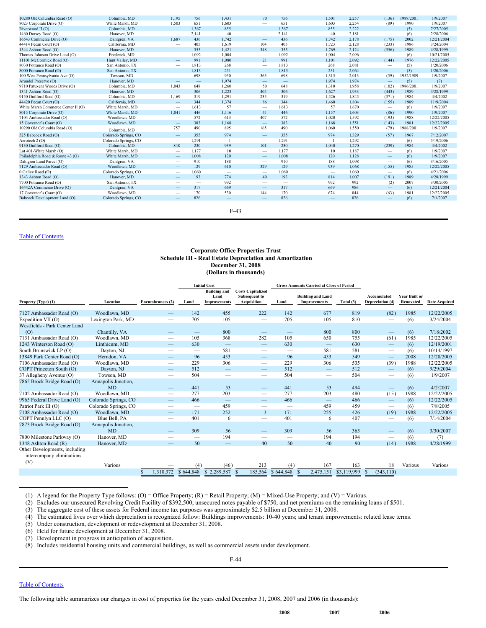| 10280 Old Columbia Road (O)        | Columbia, MD         | 1,195                           | 756                             | 1,431 | 70                              | 756    | 1,501                           | 2,257 | (136)                    | 1988/2001 | 1/9/2007   |
|------------------------------------|----------------------|---------------------------------|---------------------------------|-------|---------------------------------|--------|---------------------------------|-------|--------------------------|-----------|------------|
| 8023 Corporate Drive (O)           | White Marsh, MD      | 1.503                           | 651                             | 1.603 | $\hspace{0.1mm}-\hspace{0.1mm}$ | 651    | 1.603                           | 2,254 | (89)                     | 1990      | 1/9/2007   |
| Riverwood II (O)                   | Columbia, MD         |                                 | 1.367                           | 855   | $\hspace{0.1mm}-\hspace{0.1mm}$ | 1.367  | 855                             | 2.222 | $\qquad \qquad -$        | (5)       | 7/27/2005  |
| 1460 Dorsey Road (O)               | Hanover, MD          | $\overline{\phantom{0}}$        | 2,141                           | 40    | $\hspace{0.1mm}-\hspace{0.1mm}$ | 2,141  | 40                              | 2,181 |                          | (6)       | 2/28/2006  |
| 16543 Commerce Drive (O)           | Dahlgren, VA         | 1.687                           | 436                             | 1,742 | $\hspace{0.1mm}-\hspace{0.1mm}$ | 436    | 1,742                           | 2,178 | (175)                    | 2002      | 12/21/2004 |
| 44414 Pecan Court (O)              | California, MD       | $\overline{\phantom{0}}$        | 405                             | 1,619 | 104                             | 405    | 1,723                           | 2,128 | (233)                    | 1986      | 3/24/2004  |
| 1344 Ashton Road (O)               | Hanover, MD          | $\overline{\phantom{0}}$        | 355                             | 1.421 | 348                             | 355    | 1.769                           | 2,124 | (556)                    | 1989      | 4/28/1999  |
| Thomas Johnson Drive Land (O)      | Frederick, MD        | $\overline{\phantom{0}}$        | 1.092                           | 1.004 | $\hspace{0.1mm}-\hspace{0.1mm}$ | 1.092  | 1.004                           | 2.096 | $\overline{\phantom{m}}$ | (6)       | 10/21/2005 |
| 11101 McCormick Road (O)           | Hunt Valley, MD      | $\hspace{0.1mm}-\hspace{0.1mm}$ | 991                             | 1,080 | 21                              | 991    | 1.101                           | 2,092 | (144)                    | 1976      | 12/22/2005 |
| 8030 Potranco Road (O)             | San Antonio, TX      | $\overline{\phantom{m}}$        | 1,813                           | 268   | $\overline{\phantom{m}}$        | 1,813  | 268                             | 2,081 |                          | (5)       | 1/20/2006  |
| 8000 Potranco Road (O)             | San Antonio, TX      | $\hspace{0.1mm}-\hspace{0.1mm}$ | 1,813                           | 251   | $\hspace{0.1mm}-\hspace{0.1mm}$ | 1,813  | 251                             | 2,064 | $=$                      | (5)       | 1/20/2006  |
| 100 West Pennsylvania Ave (O)      | Towson, MD           | $\overline{\phantom{0}}$        | 698                             | 950   | 365                             | 698    | 1.315                           | 2.013 | (59)                     | 1952/1989 | 1/9/2007   |
| Arundel Preserve (O)               | Hanover, MD          | $\overline{\phantom{0}}$        | $\hspace{0.1mm}-\hspace{0.1mm}$ | 1.974 | $\overline{\phantom{0}}$        |        | 1.974                           | 1.974 | $\qquad \qquad -$        | (5)       | (7)        |
| 9710 Patuxent Woods Drive (O)      | Columbia, MD         | 1,043                           | 648                             | 1,260 | 50                              | 648    | 1,310                           | 1,958 | (102)                    | 1986/2001 | 1/9/2007   |
| 1341 Ashton Road (O)               | Hanover, MD          |                                 | 306                             | 1,223 | 404                             | 306    | 1.627                           | 1,933 | (443)                    | 1989      | 4/28/1999  |
| 9150 Guilford Road (O)             | Columbia, MD         | 1,169                           | 319                             | 1,291 | 235                             | 319    | 1,526                           | 1,845 | (371)                    | 1984      | 4/4/2002   |
| 44420 Pecan Court (O)              | California, MD       |                                 | 344                             | 1,374 | 86                              | 344    | 1,460                           | 1,804 | (155)                    | 1989      | 11/9/2004  |
| White Marsh Commerce Center II (O) | White Marsh, MD      | $\overline{\phantom{0}}$        | 1,613                           | 57    | $\hspace{0.1mm}-\hspace{0.1mm}$ | 1.613  | 57                              | 1.670 |                          | (6)       | 1/9/2007   |
| 8015 Corporate Drive (O)           | White Marsh, MD      | 1.041                           | 446                             | 1,116 | 41                              | 446    | 1.157                           | 1,603 | (86)                     | 1990      | 1/9/2007   |
| 7104 Ambassador Road (O)           | Woodlawn, MD         | $\overline{\phantom{0}}$        | 572                             | 613   | 407                             | 572    | 1,020                           | 1,592 | (193)                    | 1988      | 12/22/2005 |
| 15 Governor's Court (O)            | Woodlawn, MD         | $\overline{\phantom{0}}$        | 383                             | 1,168 | $\qquad \qquad =$               | 383    | 1,168                           | 1,551 | (143)                    | 1981      | 12/22/2005 |
| 10290 Old Columbia Road (O)        | Columbia, MD         | 757                             | 490                             | 895   | 165                             | 490    | 1,060                           | 1,550 | (79)                     | 1988/2001 | 1/9/2007   |
| 525 Babcock Road (O)               | Colorado Springs, CO | $\qquad \qquad -$               | 355                             | 974   | $\qquad \qquad =$               | 355    | 974                             | 1,329 | (57)                     | 1967      | 7/12/2007  |
| Aerotech 2 (O)                     | Colorado Springs, CO | $\hspace{0.1mm}-\hspace{0.1mm}$ | 1,291                           |       | $\overline{\phantom{m}}$        | 1.291  |                                 | 1.292 |                          | (6)       | 5/19/2006  |
| 9130 Guilford Road (O)             | Columbia, MD         | 848                             | 230                             | 939   | 101                             | 230    | 1.040                           | 1,270 | (239)                    | 1984      | 4/4/2002   |
| Lot 401-White Marsh (O)            | White Marsh, MD      | $\overline{\phantom{m}}$        | 1,177                           | 10    | $\overline{\phantom{m}}$        | 1,177  | 10                              | 1,187 | $\qquad \qquad$          | (6)       | 1/9/2007   |
| Philadelphia Road & Route 43 (O)   | White Marsh, MD      | $\hspace{0.1mm}-\hspace{0.1mm}$ | 1,008                           | 120   | $\hspace{0.1mm}-\hspace{0.1mm}$ | 1,008  | 120                             | 1,128 | $\qquad \qquad -$        | (6)       | 1/9/2007   |
| Dahlgren Land Parcel (O)           | Dahlgren, VA         | $\overline{\phantom{0}}$        | 910                             | 188   | $\hspace{0.1mm}-\hspace{0.1mm}$ | 910    | 188                             | 1.098 |                          | (6)       | 3/16/2005  |
| 7129 Ambassador Road (O)           | Woodlawn, MD         | $\hspace{0.1mm}-\hspace{0.1mm}$ | 129                             | 610   | 329                             | 129    | 939                             | 1.068 | (155)                    | 1985      | 12/22/2005 |
| 0 Galley Road (O)                  | Colorado Springs, CO | $\hspace{0.1mm}-\hspace{0.1mm}$ | 1,060                           |       | $\hspace{0.1mm}-\hspace{0.1mm}$ | 1,060  | $\hspace{0.1mm}-\hspace{0.1mm}$ | 1,060 | $\overline{\phantom{m}}$ | (6)       | 4/21/2006  |
| 1343 Ashton Road (O)               | Hanover, MD          | $\qquad \qquad -$               | 193                             | 774   | 40                              | 193    | 814                             | 1,007 | (191)                    | 1989      | 4/28/1999  |
| 7700 Potranco Road (O)             | San Antonio, TX      | $\overline{\phantom{0}}$        | $\hspace{0.1mm}-\hspace{0.1mm}$ | 992   | $\overline{\phantom{a}}$        | $\sim$ | 992                             | 992   | (2)                      | 2007      | 3/30/2005  |
| 16442A Commerce Drive (O)          | Dahlgren, VA         | $\overline{\phantom{0}}$        | 317                             | 669   | $\overline{\phantom{a}}$        | 317    | 669                             | 986   | $\overline{\phantom{0}}$ | (6)       | 12/21/2004 |
| 17 Governor's Court (O)            | Woodlawn, MD         | -                               | 170                             | 530   | 144                             | 170    | 674                             | 844   | (63)                     | 1981      | 12/22/2005 |
| Babcock Development Land (O)       | Colorado Springs, CO |                                 | 826                             |       |                                 | 826    | $\qquad \qquad -$               | 826   | $\overline{\phantom{0}}$ | (6)       | 7/1/2007   |
|                                    |                      |                                 |                                 |       |                                 |        |                                 |       |                          |           |            |
|                                    |                      |                                 |                                 |       |                                 |        |                                 |       |                          |           |            |

F-43

Table of [Contents](#page-1-0)

#### **Corporate Office Properties Trust Schedule III - Real Estate Depreciation and Amortization December 31, 2008 (Dollars in thousands)**

|                                                                   |                      |                  |                          |                          | <b>Initial Cost</b>                                |                                                                 | <b>Gross Amounts Carried at Close of Period</b> |                                                 |             |                                 |                                   |                      |
|-------------------------------------------------------------------|----------------------|------------------|--------------------------|--------------------------|----------------------------------------------------|-----------------------------------------------------------------|-------------------------------------------------|-------------------------------------------------|-------------|---------------------------------|-----------------------------------|----------------------|
| Property (Type) (1)                                               | Location             | Encumbrances (2) |                          | Land                     | <b>Building and</b><br>Land<br><b>Improvements</b> | <b>Costs Capitalized</b><br><b>Subsequent to</b><br>Acquisition | Land                                            | <b>Building and Land</b><br><b>Improvements</b> | Total (3)   | Accumulated<br>Depreciation (4) | <b>Year Built or</b><br>Renovated | <b>Date Acquired</b> |
| 7127 Ambassador Road (O)                                          | Woodlawn, MD         |                  |                          | 142                      | 455                                                | 222                                                             | 142                                             | 677                                             | 819         | (82)                            | 1985                              | 12/22/2005           |
| Expedition VII (O)                                                | Lexington Park, MD   |                  | $\overline{\phantom{0}}$ | 705                      | 105                                                |                                                                 | 705                                             | 105                                             | 810         | $\overline{\phantom{m}}$        | (6)                               | 3/24/2004            |
| Westfields - Park Center Land                                     |                      |                  |                          |                          |                                                    |                                                                 |                                                 |                                                 |             |                                 |                                   |                      |
| (O)                                                               | Chantilly, VA        |                  |                          | $\qquad \qquad - \qquad$ | 800                                                |                                                                 |                                                 | 800                                             | 800         | $\hspace{0.1mm}-\hspace{0.1mm}$ | (6)                               | 7/18/2002            |
| 7131 Ambassador Road (O)                                          | Woodlawn, MD         |                  |                          | 105                      | 368                                                | 282                                                             | 105                                             | 650                                             | 755         | (61)                            | 1985                              | 12/22/2005           |
| 1243 Winterson Road (O)                                           | Linthicum, MD        |                  | $\overline{\phantom{0}}$ | 630                      | $\qquad \qquad - \qquad$                           | $\hspace{0.1mm}-\hspace{0.1mm}$                                 | 630                                             | $\hspace{0.1mm}-\hspace{0.1mm}$                 | 630         | $\hspace{0.1mm}-\hspace{0.1mm}$ | (6)                               | 12/19/2001           |
| South Brunswick LP (O)                                            | Dayton, NJ           |                  |                          | $\overline{\phantom{m}}$ | 581                                                |                                                                 | $\hspace{0.1mm}-\hspace{0.1mm}$                 | 581                                             | 581         | $\overline{\phantom{m}}$        | (6)                               | 10/14/1997           |
| 13849 Park Center Road (O)                                        | Herndon, VA          |                  |                          | 96                       | 453                                                |                                                                 | 96                                              | 453                                             | 549         | $\qquad \qquad -$               | 2008                              | 12/20/2005           |
| 7106 Ambassador Road (O)                                          | Woodlawn, MD         |                  |                          | 229                      | 306                                                | $\overline{\phantom{0}}$                                        | 229                                             | 306                                             | 535         | (39)                            | 1988                              | 12/22/2005           |
| COPT Princeton South (O)                                          | Dayton, NJ           |                  | $\overline{\phantom{0}}$ | 512                      | $\qquad \qquad -$                                  | $\qquad \qquad -$                                               | 512                                             | $\overline{\phantom{m}}$                        | 512         | $\overline{\phantom{m}}$        | (6)                               | 9/29/2004            |
| 37 Allegheny Avenue (O)                                           | Towson, MD           |                  |                          | 504                      |                                                    | -                                                               | 504                                             |                                                 | 504         | $\overline{\phantom{m}}$        | (6)                               | 1/9/2007             |
| 7865 Brock Bridge Road (O)                                        | Annapolis Junction,  |                  |                          |                          |                                                    |                                                                 |                                                 |                                                 |             |                                 |                                   |                      |
|                                                                   | MD                   |                  |                          | 441                      | 53                                                 |                                                                 | 441                                             | 53                                              | 494         | $\qquad \qquad - \qquad$        | (6)                               | 4/2/2007             |
| 7102 Ambassador Road (O)                                          | Woodlawn, MD         |                  |                          | 277                      | 203                                                |                                                                 | 277                                             | 203                                             | 480         | (15)                            | 1988                              | 12/22/2005           |
| 9965 Federal Drive Land (O)                                       | Colorado Springs, CO |                  | $\overline{\phantom{0}}$ | 466                      | $\overline{\phantom{m}}$                           |                                                                 | 466                                             | $\overline{\phantom{m}}$                        | 466         | $\overline{\phantom{m}}$        | (6)                               | 12/22/2005           |
| Patriot Park III (O)                                              | Colorado Springs, CO |                  |                          | $\qquad \qquad$          | 459                                                |                                                                 | $\hspace{0.1mm}-\hspace{0.1mm}$                 | 459                                             | 459         | $\overline{\phantom{m}}$        | (6)                               | 7/8/2005             |
| 7108 Ambassador Road (O)                                          | Woodlawn, MD         |                  | $\overline{\phantom{0}}$ | 171                      | 252                                                | 3                                                               | 171                                             | 255                                             | 426         | (19)                            | 1988                              | 12/22/2005           |
| COPT Pennlyn LLC (O)                                              | Blue Bell, PA        |                  |                          | 401                      | 6                                                  | -                                                               | 401                                             | 6                                               | 407         | $\hspace{0.1mm}-\hspace{0.1mm}$ | (6)                               | 7/14/2004            |
| 7873 Brock Bridge Road (O)                                        | Annapolis Junction,  |                  |                          |                          |                                                    |                                                                 |                                                 |                                                 |             |                                 |                                   |                      |
|                                                                   | MD                   |                  |                          | 309                      | 56                                                 | $\qquad \qquad -$                                               | 309                                             | 56                                              | 365         |                                 | (6)                               | 3/30/2007            |
| 7800 Milestone Parkway (O)                                        | Hanover, MD          |                  |                          |                          | 194                                                |                                                                 | $\hspace{0.05cm}$                               | 194                                             | 194         | $\qquad \qquad$                 | (6)                               | (7)                  |
| 1348 Ashton Road (R)                                              | Hanover, MD          |                  | $\overline{\phantom{0}}$ | 50                       |                                                    | 40                                                              | 50                                              | 40                                              | 90          | (14)                            | 1988                              | 4/28/1999            |
| Other Developments, including<br>intercompany eliminations<br>(V) |                      |                  |                          |                          |                                                    |                                                                 |                                                 |                                                 |             |                                 |                                   |                      |
|                                                                   | Various              |                  |                          | (4)                      | (46)                                               | 213                                                             | (4)                                             | 167                                             | 163         | 18                              | Various                           | Various              |
|                                                                   |                      |                  | 1,310,372                | \$644,848                | \$2,289,587                                        | 185,564<br><b>S</b>                                             | \$644,848                                       | 2,475,151                                       | \$3,119,999 | (343, 110)<br><b>S</b>          |                                   |                      |

(1) A legend for the Property Type follows: (O) = Office Property; (R) = Retail Property; (M) = Mixed-Use Property; and (V) = Various.

(2) Excludes our unsecured Revolving Credit Facility of \$392,500, unsecured notes payable of \$750, and net premiums on the remaining loans of \$501.

(3) The aggregate cost of these assets for Federal income tax purposes was approximately \$2.5 billion at December 31, 2008.

(4) The estimated lives over which depreciation is recognized follow: Buildings improvements: 10-40 years; and tenant improvements: related lease terms.

(5) Under construction, development or redevelopment at December 31, 2008.

(6) Held for future development at December 31, 2008.

(7) Development in progress in anticipation of acquisition.

(8) Includes residential housing units and commercial buildings, as well as commercial assets under development.

F-44

# Table of [Contents](#page-1-0)

The following table summarizes our changes in cost of properties for the years ended December 31, 2008, 2007 and 2006 (in thousands):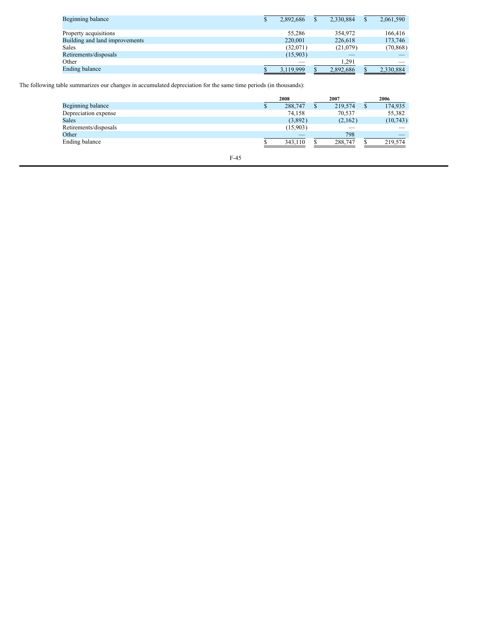| Beginning balance              | 2.892.686                | 2.330.884                | 2,061,590                |
|--------------------------------|--------------------------|--------------------------|--------------------------|
| Property acquisitions          | 55.286                   | 354,972                  | 166,416                  |
| Building and land improvements | 220,001                  | 226,618                  | 173,746                  |
| <b>Sales</b>                   | (32,071)                 | (21,079)                 | (70, 868)                |
| Retirements/disposals          | (15,903)                 | $\overline{\phantom{a}}$ |                          |
| Other                          | $\overline{\phantom{a}}$ | 1.291                    | $\overline{\phantom{a}}$ |
| <b>Ending balance</b>          | 3.119.999                | 2.892.686                | 2,330,884                |

The following table summarizes our changes in accumulated depreciation for the same time periods (in thousands):

|                       |           | 2008     |   | 2007                     | 2006 |           |  |
|-----------------------|-----------|----------|---|--------------------------|------|-----------|--|
| Beginning balance     | Ф         | 288,747  | ъ | 219,574                  | S    | 174,935   |  |
| Depreciation expense  |           | 74,158   |   | 70,537                   |      | 55,382    |  |
| <b>Sales</b>          |           | (3,892)  |   | (2,162)                  |      | (10, 743) |  |
| Retirements/disposals |           | (15,903) |   | $\overline{\phantom{a}}$ |      |           |  |
| Other                 |           | _        |   | 798                      |      | _         |  |
| Ending balance        |           | 343.110  |   | 288,747                  |      | 219,574   |  |
|                       | $T = 4.5$ |          |   |                          |      |           |  |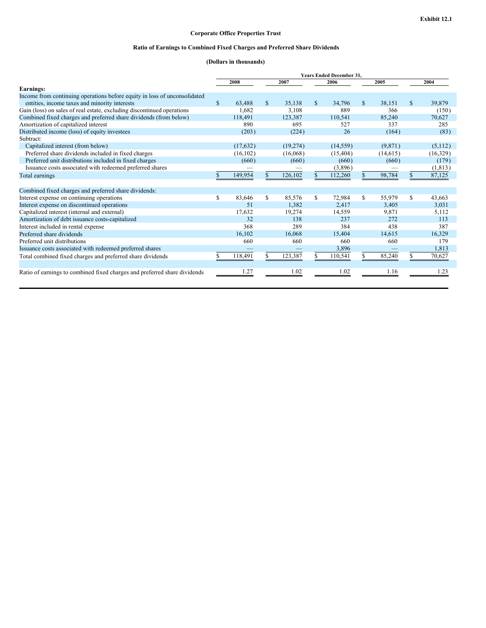# **Corporate Office Properties Trust**

# **Ratio of Earnings to Combined Fixed Charges and Preferred Share Dividends**

# **(Dollars in thousands)**

|                                                                           | <b>Years Ended December 31.</b> |           |      |          |      |           |              |           |      |          |
|---------------------------------------------------------------------------|---------------------------------|-----------|------|----------|------|-----------|--------------|-----------|------|----------|
|                                                                           |                                 | 2008      | 2007 |          | 2006 |           | 2005         |           | 2004 |          |
| <b>Earnings:</b>                                                          |                                 |           |      |          |      |           |              |           |      |          |
| Income from continuing operations before equity in loss of unconsolidated |                                 |           |      |          |      |           |              |           |      |          |
| entities, income taxes and minority interests                             | $\mathbf{s}$                    | 63,488    | S    | 35,138   | \$.  | 34,796    | $\mathbf{s}$ | 38,151    | \$.  | 39,879   |
| Gain (loss) on sales of real estate, excluding discontinued operations    |                                 | 1.682     |      | 3,108    |      | 889       |              | 366       |      | (150)    |
| Combined fixed charges and preferred share dividends (from below)         |                                 | 118,491   |      | 123,387  |      | 110,541   |              | 85,240    |      | 70,627   |
| Amortization of capitalized interest                                      |                                 | 890       |      | 695      |      | 527       |              | 337       |      | 285      |
| Distributed income (loss) of equity investees                             |                                 | (203)     |      | (224)    |      | 26        |              | (164)     |      | (83)     |
| Subtract:                                                                 |                                 |           |      |          |      |           |              |           |      |          |
| Capitalized interest (from below)                                         |                                 | (17,632)  |      | (19,274) |      | (14, 559) |              | (9,871)   |      | (5,112)  |
| Preferred share dividends included in fixed charges                       |                                 | (16, 102) |      | (16,068) |      | (15, 404) |              | (14, 615) |      | (16,329) |
| Preferred unit distributions included in fixed charges                    |                                 | (660)     |      | (660)    |      | (660)     |              | (660)     |      | (179)    |
| Issuance costs associated with redeemed preferred shares                  |                                 |           |      |          |      | (3,896)   |              |           |      | (1, 813) |
| Total earnings                                                            |                                 | 149,954   | \$   | 126,102  |      | 112,260   |              | 98,784    |      | 87,125   |
|                                                                           |                                 |           |      |          |      |           |              |           |      |          |
| Combined fixed charges and preferred share dividends:                     |                                 |           |      |          |      |           |              |           |      |          |
| Interest expense on continuing operations                                 | S                               | 83.646    | S    | 85,576   | \$.  | 72.984    | \$.          | 55,979    | S    | 43,663   |
| Interest expense on discontinued operations                               |                                 | 51        |      | 1,382    |      | 2,417     |              | 3,405     |      | 3,031    |
| Capitalized interest (internal and external)                              |                                 | 17,632    |      | 19,274   |      | 14,559    |              | 9,871     |      | 5,112    |
| Amortization of debt issuance costs-capitalized                           |                                 | 32        |      | 138      |      | 237       |              | 272       |      | 113      |
| Interest included in rental expense                                       |                                 | 368       |      | 289      |      | 384       |              | 438       |      | 387      |
| Preferred share dividends                                                 |                                 | 16,102    |      | 16,068   |      | 15,404    |              | 14,615    |      | 16,329   |
| Preferred unit distributions                                              |                                 | 660       |      | 660      |      | 660       |              | 660       |      | 179      |
| Issuance costs associated with redeemed preferred shares                  |                                 |           |      |          |      | 3,896     |              |           |      | 1,813    |
| Total combined fixed charges and preferred share dividends                |                                 | 118,491   | \$   | 123,387  | S.   | 110,541   |              | 85,240    |      | 70,627   |
|                                                                           |                                 |           |      |          |      |           |              |           |      |          |
| Ratio of earnings to combined fixed charges and preferred share dividends |                                 | 1.27      |      | 1.02     |      | 1.02      |              | 1.16      |      | 1.23     |
|                                                                           |                                 |           |      |          |      |           |              |           |      |          |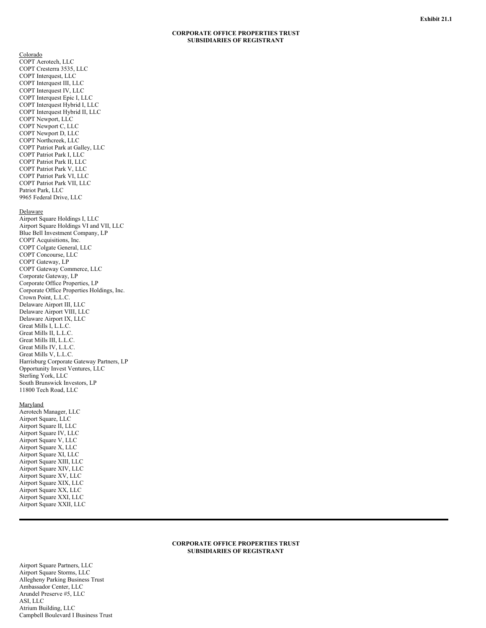#### **CORPORATE OFFICE PROPERTIES TRUST** SUBSIDIARIES OF REGISTRANT

Colorado COPT Aerotech, LLC COPT Cresterra 3535, LLC COPT Interquest, LLC COPT Interquest III, LLC COPT Interquest IV, LLC COPT Interquest Epic I, LLC COPT Interquest Hybrid I, LLC COPT Interquest Hybrid II, LLC COPT Newport, LLC COPT Newport C, LLC COPT Newport D, LLC COPT Northcreek, LLC COPT Patriot Park at Galley, LLC COPT Patriot Park I, LLC COPT Patriot Park II, LLC COPT Patriot Park V, LLC COPT Patriot Park VI, LLC COPT Patriot Park VII, LLC Patriot Park, LLC 9965 Federal Drive, LLC

#### Delaware

Airport Square Holdings I, LLC Airport Square Holdings VI and VII, LLC Blue Bell Investment Company, LP COPT Acquisitions, Inc. COPT Colgate General, L L C COPT Concourse, LLC COPT Gateway, LP COPT Gateway Commerce, LLC Corporate Gateway, LP Corporate Office Properties, LP Corporate Office Properties Holdings, Inc. Crown Point, L.L.C. Delaware Airport III, LLC Delaware Airport VIII, LLC Delaware Airport IX, LLC Great Mills I, L.L.C. Great Mills II, L.L.C. Great Mills III, L.L.C. Great Mills IV, L.L.C. Great Mills V, L.L.C. Harrisburg Corporate Gateway Partners, L P Opportunity Invest Ventures, LLC Sterling York, LLC South Brunswick Investors, LP 11800 Tech Road, LLC

#### Maryland

Aerotech Manager, LLC Airport Square, LLC Airport Square II, LLC Airport Square IV, LLC Airport Square V, LLC Airport Square X, LLC Airport Square XI, LLC Airport Square XIII, LLC Airport Square XIV, LLC Airport Square XV, LLC Airport Square XIX, LLC Airport Square XX, LLC Airport Square XXI, LLC Airport Square XXII, LLC

#### **CORPORATE OFFICE PROPERTIES TRUST** SUBSIDIARIES OF REGISTRANT

Airport Square Partners, LLC Airport Square Storms, LLC Allegheny Parking Business Trust Ambassador Center, LLC Arundel Preserve #5, LLC A S I, L L C Atrium Building, LLC Campbell Boulevard I Business Trust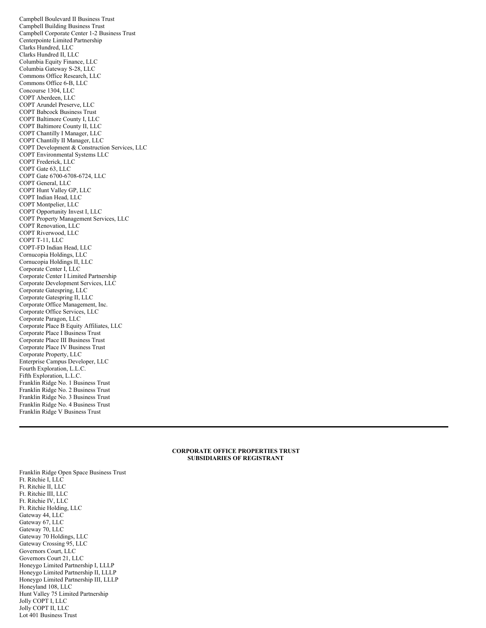Campbell Boulevard II Business Trust Campbell Building Business Trust Campbell Corporate Center 1-2 Business Trust Centerpointe Limited Partnership Clarks Hundred, LLC Clarks Hundred II, LLC Columbia Equity Finance, LLC Columbia Gateway S-28, LLC Commons Office Research, LLC Commons Office 6-B, LLC Concourse 1304, LLC COPT Aberdeen, LLC COPT Arundel Preserve, LLC COPT Babcock Business Trust COPT Baltimore County I, LLC COPT Baltimore County II, LLC COPT Chantilly I Manager, LLC COPT Chantilly II Manager, LLC COPT Development & Construction Services, LLC COPT Environmental Systems LLC COPT Frederick, LLC COPT Gate 63, LLC COPT Gate 6700-6708-6724, LLC COPT General, LLC COPT Hunt Valley GP, LLC COPT Indian Head, LLC COPT Montpelier, LLC COPT Opportunity Invest I, LLC COPT Property Management Services, LLC COPT Renovation, LLC COPT Riverwood, LLC COPT T-11, LLC COPT-FD Indian Head, LLC Cornucopia Holdings, LLC Cornucopia Holdings II, LLC Corporate Center I, LLC Corporate Center I Limited Partnership Corporate Development Services, LLC Corporate Gatespring, LLC Corporate Gatespring II, LLC Corporate Office Management, Inc. Corporate Office Services, LLC Corporate Paragon, LLC Corporate Place B Equity Affiliates, LLC Corporate Place I Business Trust Corporate Place III Business Trust Corporate Place IV Business Trust Corporate Property, LLC Enterprise Campus Developer, LLC Fourth Exploration, L.L.C. Fifth Exploration, L.L.C. Franklin Ridge No. 1 Business Trust Franklin Ridge No. 2 Business Trust Franklin Ridge No. 3 Business Trust Franklin Ridge No. 4 Business Trust Franklin Ridge V Business Trust

#### **CORPORATE OFFICE PROPERTIES TRUST SUBSIDIARIES OF REGISTRANT**

Franklin Ridge Open Space Business Trust Ft. Ritchie I, LLC Ft. Ritchie II, LLC Ft. Ritchie III, LLC Ft. Ritchie IV, LLC Ft. Ritchie Holding, LLC Gateway 44, LLC Gateway 67, LLC Gateway 70, LLC Gateway 70 Holdings, LLC Gateway Crossing 95, LLC Governors Court, LLC Governors Court 21, LLC Honeygo Limited Partnership I, LLLP Honeygo Limited Partnership II, LLLP Honeygo Limited Partnership III, LLLP Honeyland 108, LLC Hunt Valley 75 Limited Partnership Jolly COPT I, LLC Jolly COPT II, LLC Lot 401 Business Trust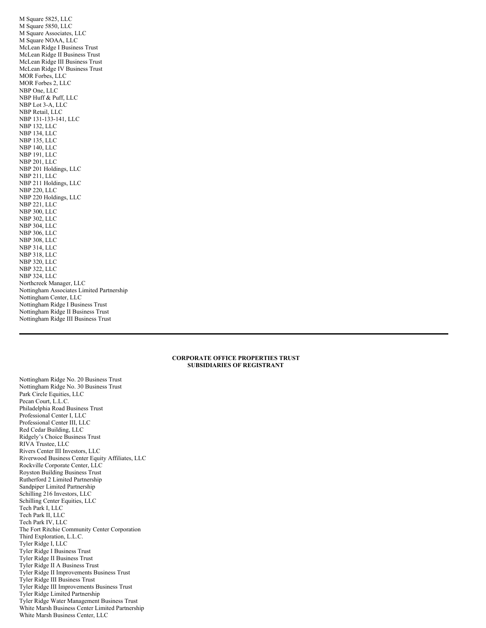M Square 5825, LLC M Square 5850, LLC M Square Associates, LLC M Square NOAA, LLC McLean Ridge I Business Trust McLean Ridge II Business Trust McLean Ridge III Business Trust McLean Ridge IV Business Trust MOR Forbes, LLC MOR Forbes 2, LLC NBP One, LLC NBP Huff & Puff, LLC NBP Lot 3-A, LLC NBP Retail, LLC NBP 131-133-141, LLC NBP 132, LLC NBP 134, LLC NBP 135, LLC NBP 140, LLC NBP 191, LLC NBP 201, LLC NBP 201 Holdings, LLC NBP 211, LLC NBP 211 Holdings, LLC NBP 220, LLC NBP 220 Holdings, LLC NBP 221, LLC NBP 300, LLC NBP 302, LLC NBP 304, LLC NBP 306, LLC NBP 308, LLC NBP 314, LLC NBP 318, LLC NBP 320, LLC NBP 322, LLC NBP 324, LLC Northcreek Manager, LLC Nottingham Associates Limited Partnership Nottingham Center, LLC Nottingham Ridge I Business Trust Nottingham Ridge II Business Trust Nottingham Ridge III Business Trust

#### **CORPORATE OFFICE PROPERTIES TRUST SUBSIDIARIES OF REGISTRANT**

Nottingham Ridge No. 20 Business Trust Nottingham Ridge No. 30 Business Trust Park Circle Equities, LLC Pecan Court, L.L.C. Philadelphia Road Business Trust Professional Center I, LLC Professional Center III, LLC Red Cedar Building, LLC Ridgely's Choice Business Trust RIVA Trustee, LLC Rivers Center III Investors, LLC Riverwood Business Center Equity Affiliates, LLC Rockville Corporate Center, LLC Royston Building Business Trust Rutherford 2 Limited Partnership Sandpiper Limited Partnership Schilling 216 Investors, LLC Schilling Center Equities, LLC Tech Park I, LLC Tech Park II, LLC Tech Park IV, LLC The Fort Ritchie Community Center Corporation Third Exploration, L.L.C. Tyler Ridge I, LLC Tyler Ridge I Business Trust Tyler Ridge II Business Trust Tyler Ridge II A Business Trust Tyler Ridge II Improvements Business Trust Tyler Ridge III Business Trust Tyler Ridge III Improvements Business Trust Tyler Ridge Limited Partnership Tyler Ridge Water Management Business Trust White Marsh Business Center Limited Partnership White Marsh Business Center, LLC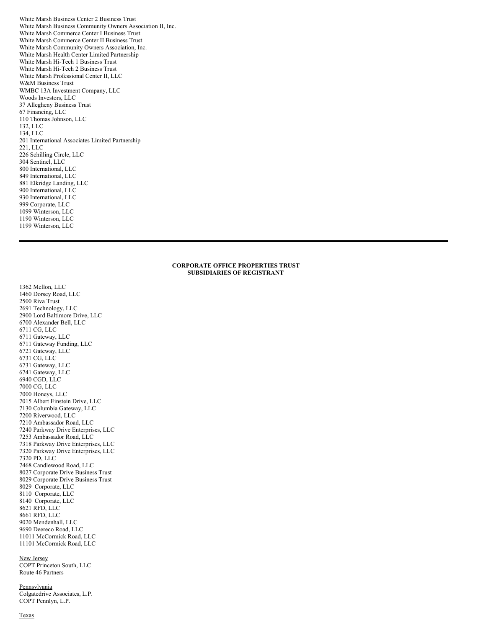White Marsh Business Center 2 Business Trust White Marsh Business Community Owners Association II, Inc. White Marsh Commerce Center I Business Trust White Marsh Commerce Center II Business Trust White Marsh Community Owners Association, Inc. White Marsh Health Center Limited Partnership White Marsh Hi-Tech 1 Business Trust White Marsh Hi-Tech 2 Business Trust White Marsh Professional Center II, LLC W&M Business Trust WMBC 13A Investment Company, LLC Woods Investors, LLC Allegheny Business Trust Financing, LLC Thomas Johnson, LLC 132, LLC 134, LLC International Associates Limited Partnership 221, LLC Schilling Circle, LLC Sentinel, LLC International, LLC International, LLC Elkridge Landing, LLC International, LLC International, LLC Corporate, LLC Winterson, LLC Winterson, LLC Winterson, LLC

#### **CORPORATE OFFICE PROPERTIES TRUST SUBSIDIARIES OF REGISTRANT**

 Mellon, LLC Dorsey Road, LLC Riva Trust Technology, LLC Lord Baltimore Drive, LLC Alexander Bell, LLC CG, LLC Gateway, LLC Gateway Funding, LLC Gateway, LLC CG, LLC Gateway, LLC Gateway, LLC CGD, LLC CG, LLC Honeys, LLC Albert Einstein Drive, LLC Columbia Gateway, LLC Riverwood, LLC Ambassador Road, LLC Parkway Drive Enterprises, LLC Ambassador Road, LLC Parkway Drive Enterprises, LLC Parkway Drive Enterprises, LLC PD, LLC Candlewood Road, LLC Corporate Drive Business Trust Corporate Drive Business Trust Corporate, LLC Corporate, LLC Corporate, LLC RFD, LLC RFD, LLC Mendenhall, LLC Deereco Road, LLC McCormick Road, LLC McCormick Road, LLC New Jersey

COPT Princeton South, LLC Route 46 Partners

Pennsylvania Colgatedrive Associates, L.P. COPT Pennlyn, L.P.

**Texas**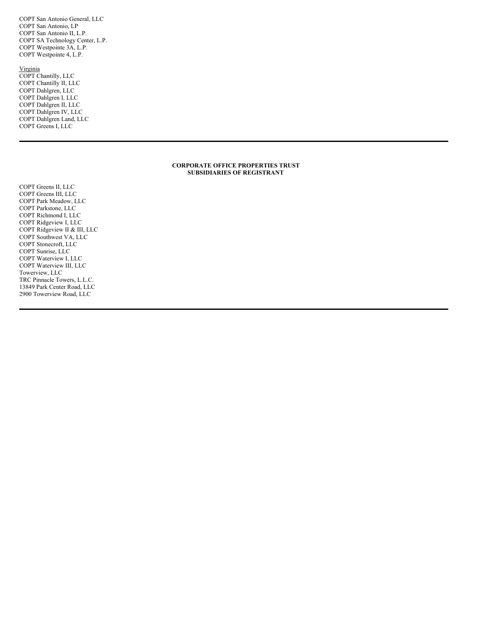COPT San Antonio General, LLC COPT San Antonio, LP COPT San Antonio II, L.P. COPT SA Technology Center, L.P. COPT Westpointe 3A, L.P. COPT Westpointe 4, L.P.

#### Virginia

COPT Chantilly, LLC COPT Chantilly II, LLC COPT Dahlgren, LLC COPT Dahlgren I, LLC COPT Dahlgren II, LLC COPT Dahlgren IV, LLC COPT Dahlgren Land, LLC COPT Greens I, LLC

### **CORPORATE OFFICE PROPERTIES TRUST SUBSIDIARIES OF REGISTRANT**

COPT Greens II, LLC COPT Greens III, LLC COPT Park Meadow, LLC COPT Parkstone, LLC COPT Richmond I, LLC COPT Ridgeview I, LLC COPT Ridgeview II & III, LLC COPT Southwest VA, LLC COPT Stonecroft, LLC COPT Sunrise, LLC COPT Waterview I, LLC COPT Waterview III, LLC Towerview, LLC TRC Pinnacle Towers, L.L.C. 13849 Park Center Road, LLC 2900 Towerview Road, LLC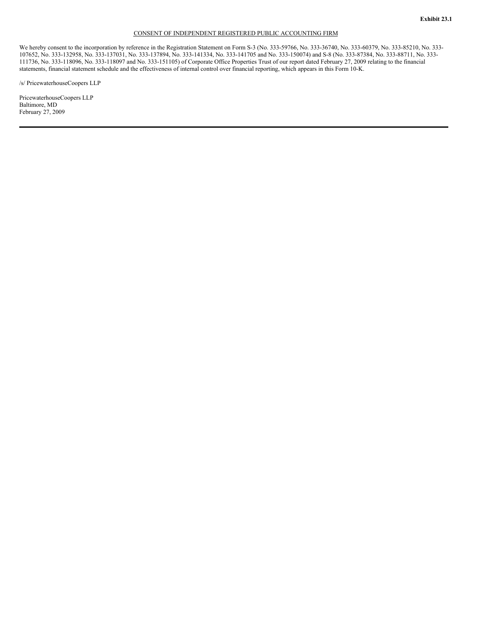#### CONSENT OF INDEPENDENT REGISTERED PUBLIC ACCOUNTING FIRM

We hereby consent to the incorporation by reference in the Registration Statement on Form S-3 (No. 333-59766, No. 333-36740, No. 333-60379, No. 333-85210, No. 333-107652, No. 333-132958, No. 333-137031, No. 333-137894, No. 333-141334, No. 333-141705 and No. 333-150074) and S-8 (No. 333-87384, No. 333-88711, No. 333- 111736, No. 333-118096, No. 333-118097 and No. 333-151105) of Corporate Office Properties Trust of our report dated February 27, 2009 relating to the financial statements, financial statement schedule and the effectiveness of internal control over financial reporting, which appears in this Form 10-K.

/s/ PricewaterhouseCoopers LLP

PricewaterhouseCoopers LLP Baltimore, MD February 27, 2009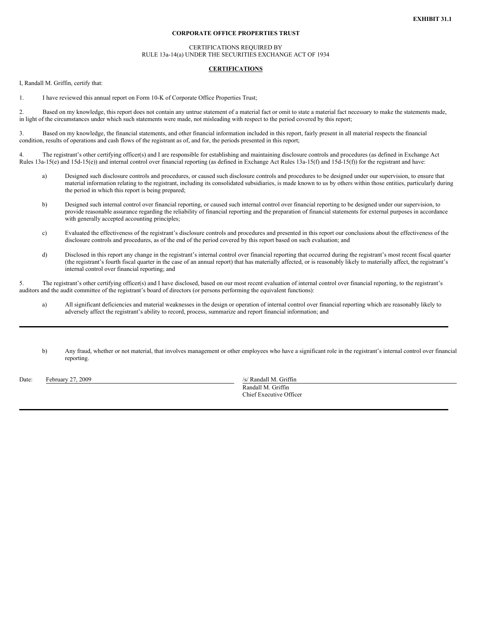### CERTIFICATIONS REQUIRED BY RULE 13a-14(a) UNDER THE SECURITIES EXCHANGE ACT OF 1934

#### **CERTIFICATIONS**

I, Randall M. Griffin, certify that:

1. I have reviewed this annual report on Form 10-K of Corporate Office Properties Trust;

2. Based on my knowledge, this report does not contain any untrue statement of a material fact or omit to state a material fact necessary to make the statements made, in light of the circumstances under which such statements were made, not misleading with respect to the period covered by this report;

3. Based on my knowledge, the financial statements, and other financial information included in this report, fairly present in all material respects the financial condition, results of operations and cash flows of the registrant as of, and for, the periods presented in this report;

4. The registrant's other certifying officer(s) and I are responsible for establishing and maintaining disclosure controls and procedures (as defined in Exchange Act Rules 13a-15(e) and 15d-15(e)) and internal control over financial reporting (as defined in Exchange Act Rules 13a-15(f) and 15d-15(f)) for the registrant and have:

- a) Designed such disclosure controls and procedures, or caused such disclosure controls and procedures to be designed under our supervision, to ensure that material information relating to the registrant, including its consolidated subsidiaries, is made known to us by others within those entities, particularly during the period in which this report is being prepared;
- b) Designed such internal control over financial reporting, or caused such internal control over financial reporting to be designed under our supervision, to provide reasonable assurance regarding the reliability of financial reporting and the preparation of financial statements for external purposes in accordance with generally accepted accounting principles;
- c) Evaluated the effectiveness of the registrant's disclosure controls and procedures and presented in this report our conclusions about the effectiveness of the disclosure controls and procedures, as of the end of the period covered by this report based on such evaluation; and
- d) Disclosed in this report any change in the registrant's internal control over financial reporting that occurred during the registrant's most recent fiscal quarter (the registrant's fourth fiscal quarter in the case of an annual report) that has materially affected, or is reasonably likely to materially affect, the registrant's internal control over financial reporting; and

5. The registrant's other certifying officer(s) and I have disclosed, based on our most recent evaluation of internal control over financial reporting, to the registrant's auditors and the audit committee of the registrant's board of directors (or persons performing the equivalent functions):

- a) All significant deficiencies and material weaknesses in the design or operation of internal control over financial reporting which are reasonably likely to adversely affect the registrant's ability to record, process, summarize and report financial information; and
- b) Any fraud, whether or not material, that involves management or other employees who have a significant role in the registrant's internal control over financial reporting.

Date: February 27, 2009 /s/ Randall M. Griffin

Randall M. Griffin Chief Executive Officer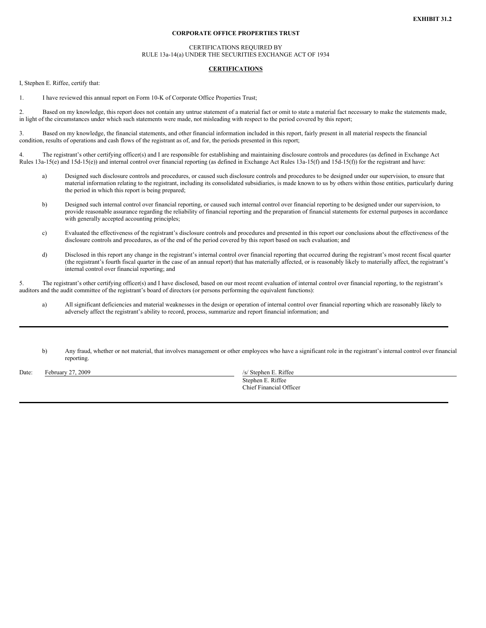### CERTIFICATIONS REQUIRED BY RULE 13a-14(a) UNDER THE SECURITIES EXCHANGE ACT OF 1934

#### **CERTIFICATIONS**

I, Stephen E. Riffee, certify that:

1. I have reviewed this annual report on Form 10-K of Corporate Office Properties Trust;

2. Based on my knowledge, this report does not contain any untrue statement of a material fact or omit to state a material fact necessary to make the statements made, in light of the circumstances under which such statements were made, not misleading with respect to the period covered by this report;

3. Based on my knowledge, the financial statements, and other financial information included in this report, fairly present in all material respects the financial condition, results of operations and cash flows of the registrant as of, and for, the periods presented in this report;

4. The registrant's other certifying officer(s) and I are responsible for establishing and maintaining disclosure controls and procedures (as defined in Exchange Act Rules 13a-15(e) and 15d-15(e)) and internal control over financial reporting (as defined in Exchange Act Rules 13a-15(f) and 15d-15(f)) for the registrant and have:

- a) Designed such disclosure controls and procedures, or caused such disclosure controls and procedures to be designed under our supervision, to ensure that material information relating to the registrant, including its consolidated subsidiaries, is made known to us by others within those entities, particularly during the period in which this report is being prepared;
- b) Designed such internal control over financial reporting, or caused such internal control over financial reporting to be designed under our supervision, to provide reasonable assurance regarding the reliability of financial reporting and the preparation of financial statements for external purposes in accordance with generally accepted accounting principles;
- c) Evaluated the effectiveness of the registrant's disclosure controls and procedures and presented in this report our conclusions about the effectiveness of the disclosure controls and procedures, as of the end of the period covered by this report based on such evaluation; and
- d) Disclosed in this report any change in the registrant's internal control over financial reporting that occurred during the registrant's most recent fiscal quarter (the registrant's fourth fiscal quarter in the case of an annual report) that has materially affected, or is reasonably likely to materially affect, the registrant's internal control over financial reporting; and

5. The registrant's other certifying officer(s) and I have disclosed, based on our most recent evaluation of internal control over financial reporting, to the registrant's auditors and the audit committee of the registrant's board of directors (or persons performing the equivalent functions):

- a) All significant deficiencies and material weaknesses in the design or operation of internal control over financial reporting which are reasonably likely to adversely affect the registrant's ability to record, process, summarize and report financial information; and
- b) Any fraud, whether or not material, that involves management or other employees who have a significant role in the registrant's internal control over financial reporting.

Date: February 27, 2009 /s/ Stephen E. Riffee

Stephen E. Riffee Chief Financial Officer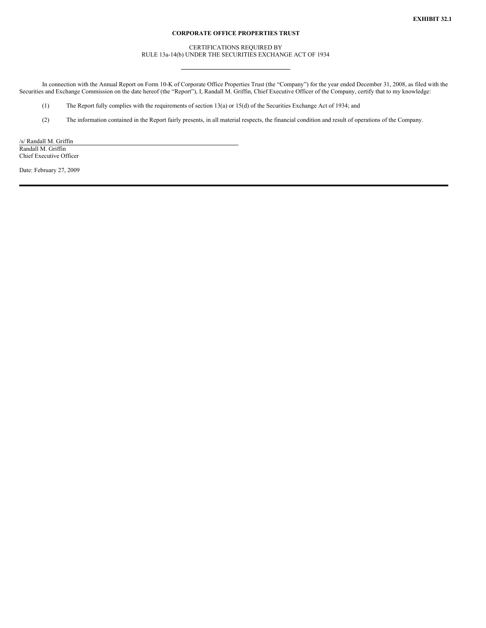## CERTIFICATIONS REQUIRED BY RULE 13a-14(b) UNDER THE SECURITIES EXCHANGE ACT OF 1934

In connection with the Annual Report on Form 10-K of Corporate Office Properties Trust (the "Company") for the year ended December 31, 2008, as filed with the Securities and Exchange Commission on the date hereof (the "Report"), I, Randall M. Griffin, Chief Executive Officer of the Company, certify that to my knowledge:

(1) The Report fully complies with the requirements of section 13(a) or 15(d) of the Securities Exchange Act of 1934; and

(2) The information contained in the Report fairly presents, in all material respects, the financial condition and result of operations of the Company.

/s/ Randall M. Griffin Randall M. Griffin Chief Executive Officer

Date: February 27, 2009